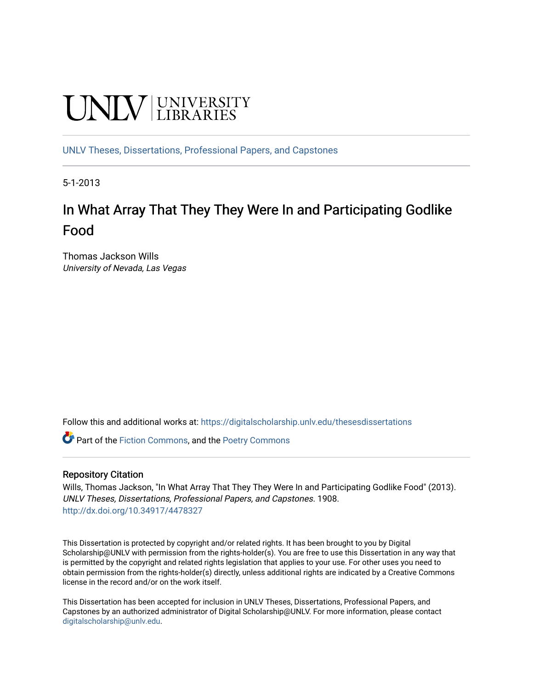# **UNIVERSITY**

[UNLV Theses, Dissertations, Professional Papers, and Capstones](https://digitalscholarship.unlv.edu/thesesdissertations)

5-1-2013

## In What Array That They They Were In and Participating Godlike Food

Thomas Jackson Wills University of Nevada, Las Vegas

Follow this and additional works at: [https://digitalscholarship.unlv.edu/thesesdissertations](https://digitalscholarship.unlv.edu/thesesdissertations?utm_source=digitalscholarship.unlv.edu%2Fthesesdissertations%2F1908&utm_medium=PDF&utm_campaign=PDFCoverPages)

**C** Part of the [Fiction Commons,](http://network.bepress.com/hgg/discipline/1151?utm_source=digitalscholarship.unlv.edu%2Fthesesdissertations%2F1908&utm_medium=PDF&utm_campaign=PDFCoverPages) and the [Poetry Commons](http://network.bepress.com/hgg/discipline/1153?utm_source=digitalscholarship.unlv.edu%2Fthesesdissertations%2F1908&utm_medium=PDF&utm_campaign=PDFCoverPages)

#### Repository Citation

Wills, Thomas Jackson, "In What Array That They They Were In and Participating Godlike Food" (2013). UNLV Theses, Dissertations, Professional Papers, and Capstones. 1908. <http://dx.doi.org/10.34917/4478327>

This Dissertation is protected by copyright and/or related rights. It has been brought to you by Digital Scholarship@UNLV with permission from the rights-holder(s). You are free to use this Dissertation in any way that is permitted by the copyright and related rights legislation that applies to your use. For other uses you need to obtain permission from the rights-holder(s) directly, unless additional rights are indicated by a Creative Commons license in the record and/or on the work itself.

This Dissertation has been accepted for inclusion in UNLV Theses, Dissertations, Professional Papers, and Capstones by an authorized administrator of Digital Scholarship@UNLV. For more information, please contact [digitalscholarship@unlv.edu](mailto:digitalscholarship@unlv.edu).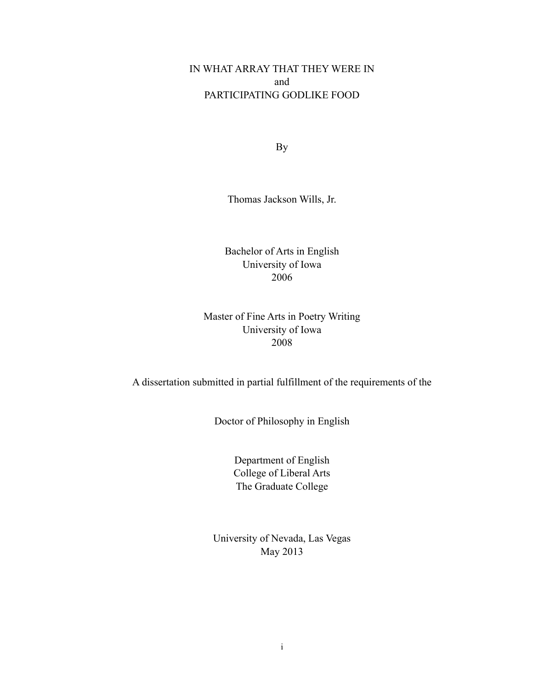## IN WHAT ARRAY THAT THEY WERE IN and PARTICIPATING GODLIKE FOOD

By

Thomas Jackson Wills, Jr.

Bachelor of Arts in English University of Iowa 2006

## Master of Fine Arts in Poetry Writing University of Iowa 2008

## A dissertation submitted in partial fulfillment of the requirements of the

Doctor of Philosophy in English

Department of English College of Liberal Arts The Graduate College

University of Nevada, Las Vegas May 2013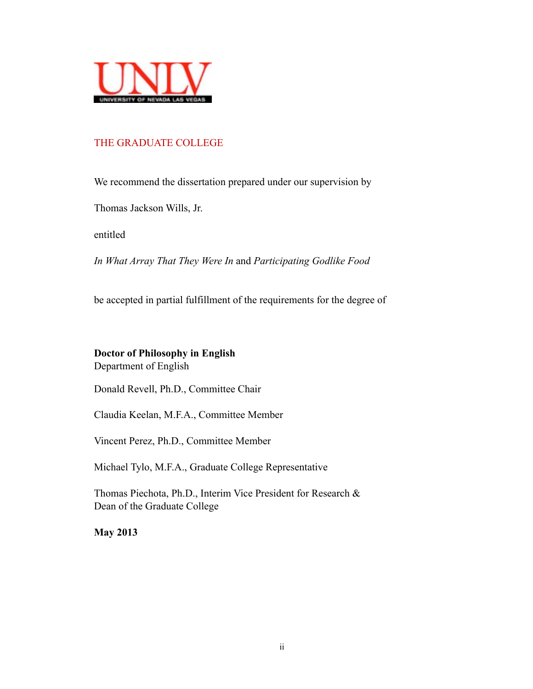

### THE GRADUATE COLLEGE

We recommend the dissertation prepared under our supervision by

Thomas Jackson Wills, Jr.

entitled

*In What Array That They Were In* and *Participating Godlike Food*

be accepted in partial fulfillment of the requirements for the degree of

## **Doctor of Philosophy in English**

Department of English

Donald Revell, Ph.D., Committee Chair

Claudia Keelan, M.F.A., Committee Member

Vincent Perez, Ph.D., Committee Member

Michael Tylo, M.F.A., Graduate College Representative

Thomas Piechota, Ph.D., Interim Vice President for Research & Dean of the Graduate College

**May 2013**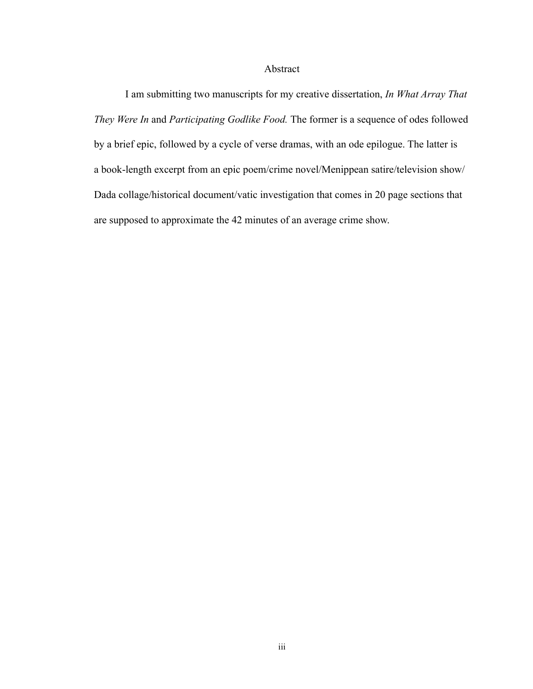#### Abstract

 I am submitting two manuscripts for my creative dissertation, *In What Array That They Were In* and *Participating Godlike Food.* The former is a sequence of odes followed by a brief epic, followed by a cycle of verse dramas, with an ode epilogue. The latter is a book-length excerpt from an epic poem/crime novel/Menippean satire/television show/ Dada collage/historical document/vatic investigation that comes in 20 page sections that are supposed to approximate the 42 minutes of an average crime show.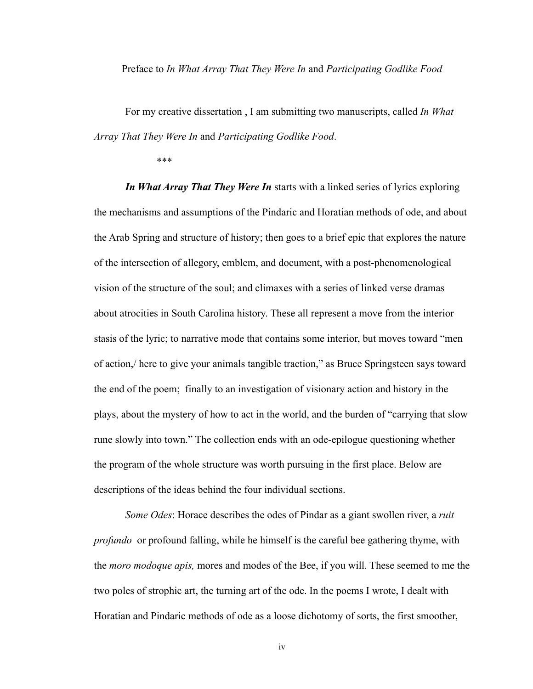Preface to *In What Array That They Were In* and *Participating Godlike Food*

For my creative dissertation , I am submitting two manuscripts, called *In What Array That They Were In* and *Participating Godlike Food*.

\*\*\*

*In What Array That They Were In* starts with a linked series of lyrics exploring the mechanisms and assumptions of the Pindaric and Horatian methods of ode, and about the Arab Spring and structure of history; then goes to a brief epic that explores the nature of the intersection of allegory, emblem, and document, with a post-phenomenological vision of the structure of the soul; and climaxes with a series of linked verse dramas about atrocities in South Carolina history. These all represent a move from the interior stasis of the lyric; to narrative mode that contains some interior, but moves toward "men of action,/ here to give your animals tangible traction," as Bruce Springsteen says toward the end of the poem; finally to an investigation of visionary action and history in the plays, about the mystery of how to act in the world, and the burden of "carrying that slow rune slowly into town." The collection ends with an ode-epilogue questioning whether the program of the whole structure was worth pursuing in the first place. Below are descriptions of the ideas behind the four individual sections.

*Some Odes*: Horace describes the odes of Pindar as a giant swollen river, a *ruit profundo* or profound falling, while he himself is the careful bee gathering thyme, with the *moro modoque apis,* mores and modes of the Bee, if you will. These seemed to me the two poles of strophic art, the turning art of the ode. In the poems I wrote, I dealt with Horatian and Pindaric methods of ode as a loose dichotomy of sorts, the first smoother,

iv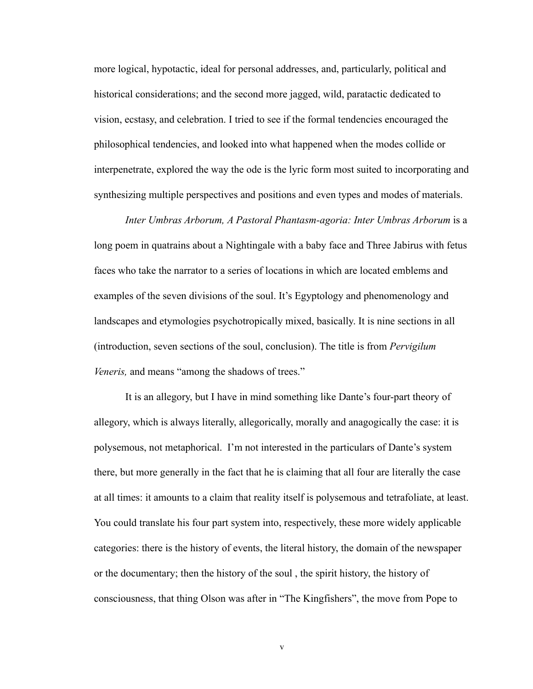more logical, hypotactic, ideal for personal addresses, and, particularly, political and historical considerations; and the second more jagged, wild, paratactic dedicated to vision, ecstasy, and celebration. I tried to see if the formal tendencies encouraged the philosophical tendencies, and looked into what happened when the modes collide or interpenetrate, explored the way the ode is the lyric form most suited to incorporating and synthesizing multiple perspectives and positions and even types and modes of materials.

*Inter Umbras Arborum, A Pastoral Phantasm-agoria: Inter Umbras Arborum* is a long poem in quatrains about a Nightingale with a baby face and Three Jabirus with fetus faces who take the narrator to a series of locations in which are located emblems and examples of the seven divisions of the soul. It's Egyptology and phenomenology and landscapes and etymologies psychotropically mixed, basically. It is nine sections in all (introduction, seven sections of the soul, conclusion). The title is from *Pervigilum Veneris,* and means "among the shadows of trees."

 It is an allegory, but I have in mind something like Dante's four-part theory of allegory, which is always literally, allegorically, morally and anagogically the case: it is polysemous, not metaphorical. I'm not interested in the particulars of Dante's system there, but more generally in the fact that he is claiming that all four are literally the case at all times: it amounts to a claim that reality itself is polysemous and tetrafoliate, at least. You could translate his four part system into, respectively, these more widely applicable categories: there is the history of events, the literal history, the domain of the newspaper or the documentary; then the history of the soul , the spirit history, the history of consciousness, that thing Olson was after in "The Kingfishers", the move from Pope to

v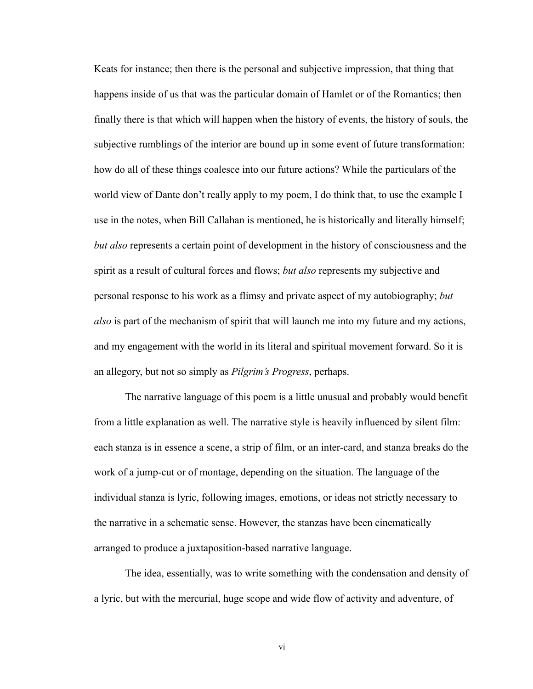Keats for instance; then there is the personal and subjective impression, that thing that happens inside of us that was the particular domain of Hamlet or of the Romantics; then finally there is that which will happen when the history of events, the history of souls, the subjective rumblings of the interior are bound up in some event of future transformation: how do all of these things coalesce into our future actions? While the particulars of the world view of Dante don't really apply to my poem, I do think that, to use the example I use in the notes, when Bill Callahan is mentioned, he is historically and literally himself; *but also* represents a certain point of development in the history of consciousness and the spirit as a result of cultural forces and flows; *but also* represents my subjective and personal response to his work as a flimsy and private aspect of my autobiography; *but also* is part of the mechanism of spirit that will launch me into my future and my actions, and my engagement with the world in its literal and spiritual movement forward. So it is an allegory, but not so simply as *Pilgrim's Progress*, perhaps.

 The narrative language of this poem is a little unusual and probably would benefit from a little explanation as well. The narrative style is heavily influenced by silent film: each stanza is in essence a scene, a strip of film, or an inter-card, and stanza breaks do the work of a jump-cut or of montage, depending on the situation. The language of the individual stanza is lyric, following images, emotions, or ideas not strictly necessary to the narrative in a schematic sense. However, the stanzas have been cinematically arranged to produce a juxtaposition-based narrative language.

 The idea, essentially, was to write something with the condensation and density of a lyric, but with the mercurial, huge scope and wide flow of activity and adventure, of

vi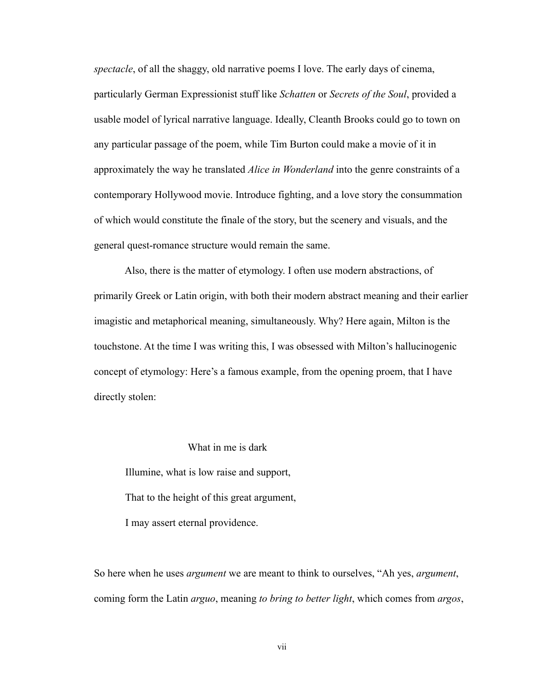*spectacle*, of all the shaggy, old narrative poems I love. The early days of cinema, particularly German Expressionist stuff like *Schatten* or *Secrets of the Soul*, provided a usable model of lyrical narrative language. Ideally, Cleanth Brooks could go to town on any particular passage of the poem, while Tim Burton could make a movie of it in approximately the way he translated *Alice in Wonderland* into the genre constraints of a contemporary Hollywood movie. Introduce fighting, and a love story the consummation of which would constitute the finale of the story, but the scenery and visuals, and the general quest-romance structure would remain the same.

 Also, there is the matter of etymology. I often use modern abstractions, of primarily Greek or Latin origin, with both their modern abstract meaning and their earlier imagistic and metaphorical meaning, simultaneously. Why? Here again, Milton is the touchstone. At the time I was writing this, I was obsessed with Milton's hallucinogenic concept of etymology: Here's a famous example, from the opening proem, that I have directly stolen:

#### What in me is dark

Illumine, what is low raise and support,

That to the height of this great argument,

I may assert eternal providence.

So here when he uses *argument* we are meant to think to ourselves, "Ah yes, *argument*, coming form the Latin *arguo*, meaning *to bring to better light*, which comes from *argos*,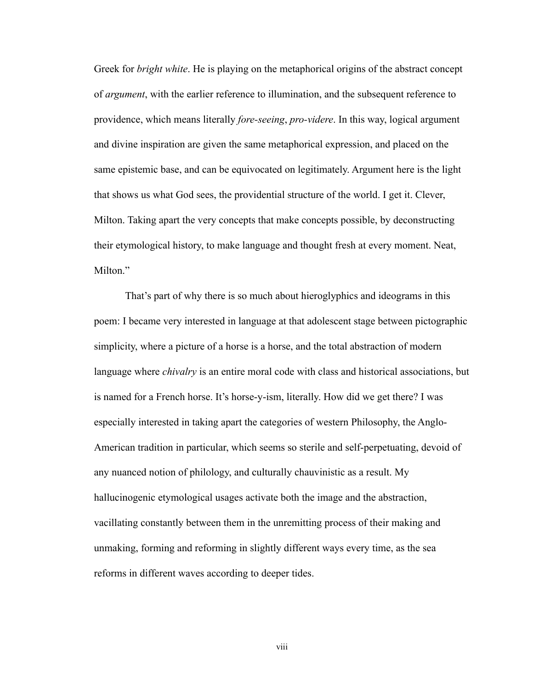Greek for *bright white*. He is playing on the metaphorical origins of the abstract concept of *argument*, with the earlier reference to illumination, and the subsequent reference to providence, which means literally *fore-seeing*, *pro-videre*. In this way, logical argument and divine inspiration are given the same metaphorical expression, and placed on the same epistemic base, and can be equivocated on legitimately. Argument here is the light that shows us what God sees, the providential structure of the world. I get it. Clever, Milton. Taking apart the very concepts that make concepts possible, by deconstructing their etymological history, to make language and thought fresh at every moment. Neat, Milton."

 That's part of why there is so much about hieroglyphics and ideograms in this poem: I became very interested in language at that adolescent stage between pictographic simplicity, where a picture of a horse is a horse, and the total abstraction of modern language where *chivalry* is an entire moral code with class and historical associations, but is named for a French horse. It's horse-y-ism, literally. How did we get there? I was especially interested in taking apart the categories of western Philosophy, the Anglo-American tradition in particular, which seems so sterile and self-perpetuating, devoid of any nuanced notion of philology, and culturally chauvinistic as a result. My hallucinogenic etymological usages activate both the image and the abstraction, vacillating constantly between them in the unremitting process of their making and unmaking, forming and reforming in slightly different ways every time, as the sea reforms in different waves according to deeper tides.

viii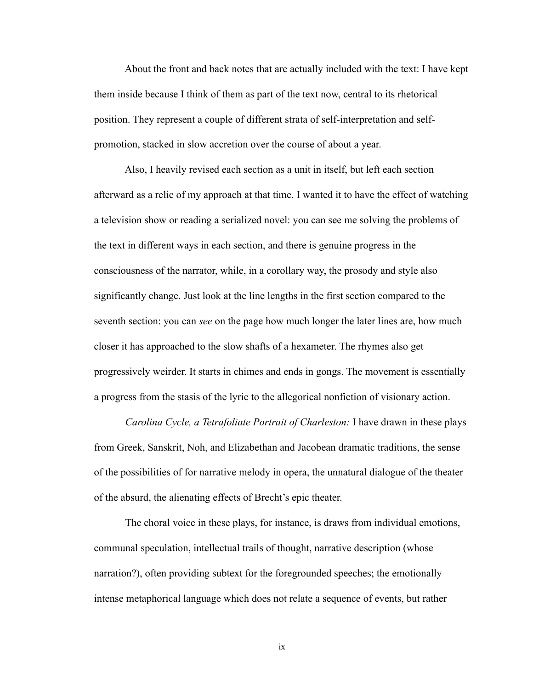About the front and back notes that are actually included with the text: I have kept them inside because I think of them as part of the text now, central to its rhetorical position. They represent a couple of different strata of self-interpretation and selfpromotion, stacked in slow accretion over the course of about a year.

 Also, I heavily revised each section as a unit in itself, but left each section afterward as a relic of my approach at that time. I wanted it to have the effect of watching a television show or reading a serialized novel: you can see me solving the problems of the text in different ways in each section, and there is genuine progress in the consciousness of the narrator, while, in a corollary way, the prosody and style also significantly change. Just look at the line lengths in the first section compared to the seventh section: you can *see* on the page how much longer the later lines are, how much closer it has approached to the slow shafts of a hexameter. The rhymes also get progressively weirder. It starts in chimes and ends in gongs. The movement is essentially a progress from the stasis of the lyric to the allegorical nonfiction of visionary action.

*Carolina Cycle, a Tetrafoliate Portrait of Charleston:* I have drawn in these plays from Greek, Sanskrit, Noh, and Elizabethan and Jacobean dramatic traditions, the sense of the possibilities of for narrative melody in opera, the unnatural dialogue of the theater of the absurd, the alienating effects of Brecht's epic theater.

 The choral voice in these plays, for instance, is draws from individual emotions, communal speculation, intellectual trails of thought, narrative description (whose narration?), often providing subtext for the foregrounded speeches; the emotionally intense metaphorical language which does not relate a sequence of events, but rather

ix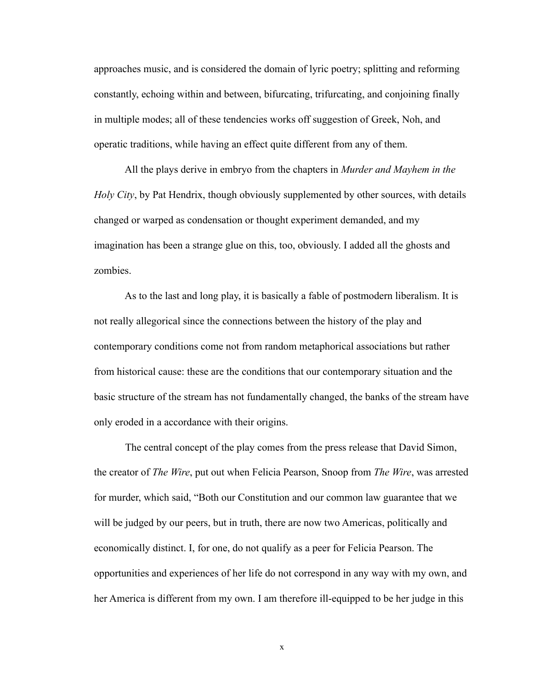approaches music, and is considered the domain of lyric poetry; splitting and reforming constantly, echoing within and between, bifurcating, trifurcating, and conjoining finally in multiple modes; all of these tendencies works off suggestion of Greek, Noh, and operatic traditions, while having an effect quite different from any of them.

 All the plays derive in embryo from the chapters in *Murder and Mayhem in the Holy City*, by Pat Hendrix, though obviously supplemented by other sources, with details changed or warped as condensation or thought experiment demanded, and my imagination has been a strange glue on this, too, obviously. I added all the ghosts and zombies.

 As to the last and long play, it is basically a fable of postmodern liberalism. It is not really allegorical since the connections between the history of the play and contemporary conditions come not from random metaphorical associations but rather from historical cause: these are the conditions that our contemporary situation and the basic structure of the stream has not fundamentally changed, the banks of the stream have only eroded in a accordance with their origins.

 The central concept of the play comes from the press release that David Simon, the creator of *The Wire*, put out when Felicia Pearson, Snoop from *The Wire*, was arrested for murder, which said, "Both our Constitution and our common law guarantee that we will be judged by our peers, but in truth, there are now two Americas, politically and economically distinct. I, for one, do not qualify as a peer for Felicia Pearson. The opportunities and experiences of her life do not correspond in any way with my own, and her America is different from my own. I am therefore ill-equipped to be her judge in this

x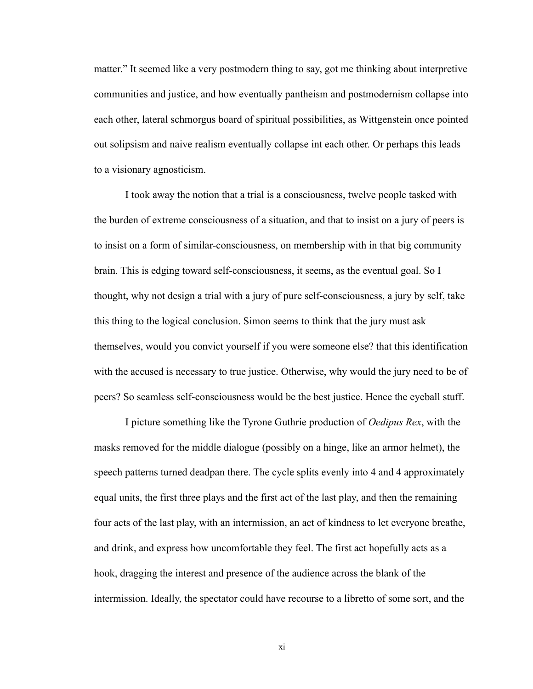matter." It seemed like a very postmodern thing to say, got me thinking about interpretive communities and justice, and how eventually pantheism and postmodernism collapse into each other, lateral schmorgus board of spiritual possibilities, as Wittgenstein once pointed out solipsism and naive realism eventually collapse int each other. Or perhaps this leads to a visionary agnosticism.

 I took away the notion that a trial is a consciousness, twelve people tasked with the burden of extreme consciousness of a situation, and that to insist on a jury of peers is to insist on a form of similar-consciousness, on membership with in that big community brain. This is edging toward self-consciousness, it seems, as the eventual goal. So I thought, why not design a trial with a jury of pure self-consciousness, a jury by self, take this thing to the logical conclusion. Simon seems to think that the jury must ask themselves, would you convict yourself if you were someone else? that this identification with the accused is necessary to true justice. Otherwise, why would the jury need to be of peers? So seamless self-consciousness would be the best justice. Hence the eyeball stuff.

 I picture something like the Tyrone Guthrie production of *Oedipus Rex*, with the masks removed for the middle dialogue (possibly on a hinge, like an armor helmet), the speech patterns turned deadpan there. The cycle splits evenly into 4 and 4 approximately equal units, the first three plays and the first act of the last play, and then the remaining four acts of the last play, with an intermission, an act of kindness to let everyone breathe, and drink, and express how uncomfortable they feel. The first act hopefully acts as a hook, dragging the interest and presence of the audience across the blank of the intermission. Ideally, the spectator could have recourse to a libretto of some sort, and the

xi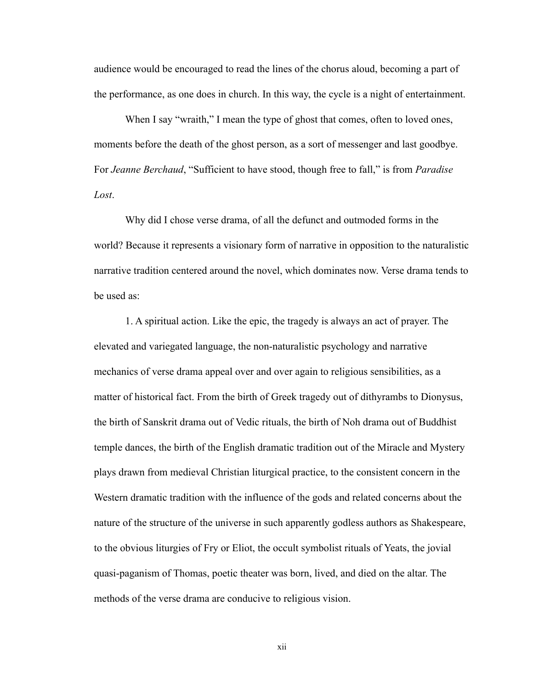audience would be encouraged to read the lines of the chorus aloud, becoming a part of the performance, as one does in church. In this way, the cycle is a night of entertainment.

When I say "wraith," I mean the type of ghost that comes, often to loved ones, moments before the death of the ghost person, as a sort of messenger and last goodbye. For *Jeanne Berchaud*, "Sufficient to have stood, though free to fall," is from *Paradise Lost*.

 Why did I chose verse drama, of all the defunct and outmoded forms in the world? Because it represents a visionary form of narrative in opposition to the naturalistic narrative tradition centered around the novel, which dominates now. Verse drama tends to be used as:

 1. A spiritual action. Like the epic, the tragedy is always an act of prayer. The elevated and variegated language, the non-naturalistic psychology and narrative mechanics of verse drama appeal over and over again to religious sensibilities, as a matter of historical fact. From the birth of Greek tragedy out of dithyrambs to Dionysus, the birth of Sanskrit drama out of Vedic rituals, the birth of Noh drama out of Buddhist temple dances, the birth of the English dramatic tradition out of the Miracle and Mystery plays drawn from medieval Christian liturgical practice, to the consistent concern in the Western dramatic tradition with the influence of the gods and related concerns about the nature of the structure of the universe in such apparently godless authors as Shakespeare, to the obvious liturgies of Fry or Eliot, the occult symbolist rituals of Yeats, the jovial quasi-paganism of Thomas, poetic theater was born, lived, and died on the altar. The methods of the verse drama are conducive to religious vision.

xii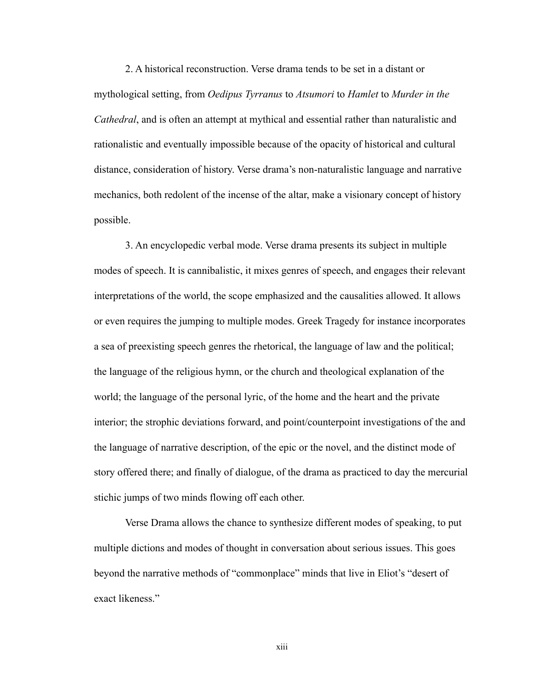2. A historical reconstruction. Verse drama tends to be set in a distant or mythological setting, from *Oedipus Tyrranus* to *Atsumori* to *Hamlet* to *Murder in the Cathedral*, and is often an attempt at mythical and essential rather than naturalistic and rationalistic and eventually impossible because of the opacity of historical and cultural distance, consideration of history. Verse drama's non-naturalistic language and narrative mechanics, both redolent of the incense of the altar, make a visionary concept of history possible.

 3. An encyclopedic verbal mode. Verse drama presents its subject in multiple modes of speech. It is cannibalistic, it mixes genres of speech, and engages their relevant interpretations of the world, the scope emphasized and the causalities allowed. It allows or even requires the jumping to multiple modes. Greek Tragedy for instance incorporates a sea of preexisting speech genres the rhetorical, the language of law and the political; the language of the religious hymn, or the church and theological explanation of the world; the language of the personal lyric, of the home and the heart and the private interior; the strophic deviations forward, and point/counterpoint investigations of the and the language of narrative description, of the epic or the novel, and the distinct mode of story offered there; and finally of dialogue, of the drama as practiced to day the mercurial stichic jumps of two minds flowing off each other.

 Verse Drama allows the chance to synthesize different modes of speaking, to put multiple dictions and modes of thought in conversation about serious issues. This goes beyond the narrative methods of "commonplace" minds that live in Eliot's "desert of exact likeness."

xiii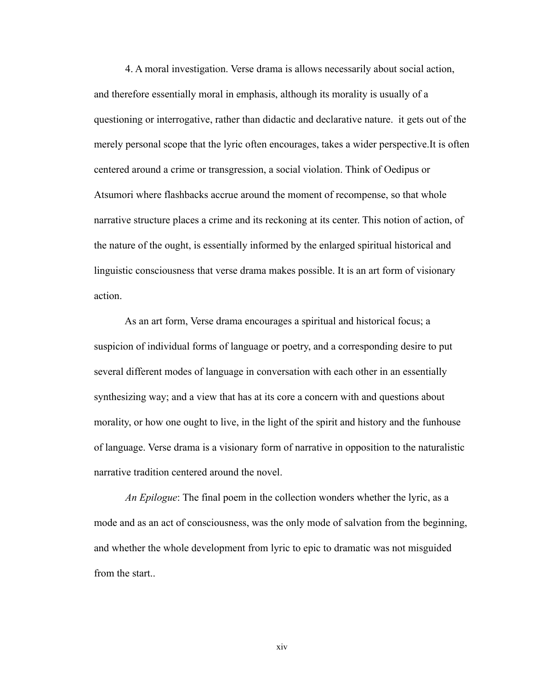4. A moral investigation. Verse drama is allows necessarily about social action, and therefore essentially moral in emphasis, although its morality is usually of a questioning or interrogative, rather than didactic and declarative nature. it gets out of the merely personal scope that the lyric often encourages, takes a wider perspective.It is often centered around a crime or transgression, a social violation. Think of Oedipus or Atsumori where flashbacks accrue around the moment of recompense, so that whole narrative structure places a crime and its reckoning at its center. This notion of action, of the nature of the ought, is essentially informed by the enlarged spiritual historical and linguistic consciousness that verse drama makes possible. It is an art form of visionary action.

 As an art form, Verse drama encourages a spiritual and historical focus; a suspicion of individual forms of language or poetry, and a corresponding desire to put several different modes of language in conversation with each other in an essentially synthesizing way; and a view that has at its core a concern with and questions about morality, or how one ought to live, in the light of the spirit and history and the funhouse of language. Verse drama is a visionary form of narrative in opposition to the naturalistic narrative tradition centered around the novel.

*An Epilogue*: The final poem in the collection wonders whether the lyric, as a mode and as an act of consciousness, was the only mode of salvation from the beginning, and whether the whole development from lyric to epic to dramatic was not misguided from the start..

xiv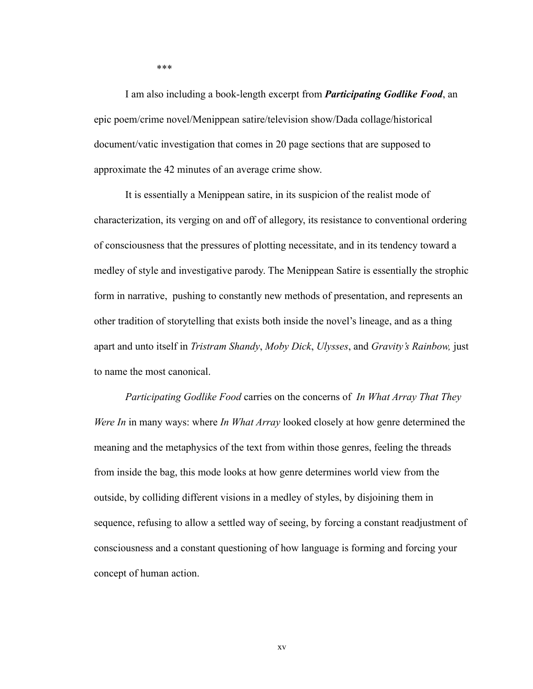I am also including a book-length excerpt from *Participating Godlike Food*, an epic poem/crime novel/Menippean satire/television show/Dada collage/historical document/vatic investigation that comes in 20 page sections that are supposed to approximate the 42 minutes of an average crime show.

 It is essentially a Menippean satire, in its suspicion of the realist mode of characterization, its verging on and off of allegory, its resistance to conventional ordering of consciousness that the pressures of plotting necessitate, and in its tendency toward a medley of style and investigative parody. The Menippean Satire is essentially the strophic form in narrative, pushing to constantly new methods of presentation, and represents an other tradition of storytelling that exists both inside the novel's lineage, and as a thing apart and unto itself in *Tristram Shandy*, *Moby Dick*, *Ulysses*, and *Gravity's Rainbow,* just to name the most canonical.

*Participating Godlike Food* carries on the concerns of *In What Array That They Were In* in many ways: where *In What Array* looked closely at how genre determined the meaning and the metaphysics of the text from within those genres, feeling the threads from inside the bag, this mode looks at how genre determines world view from the outside, by colliding different visions in a medley of styles, by disjoining them in sequence, refusing to allow a settled way of seeing, by forcing a constant readjustment of consciousness and a constant questioning of how language is forming and forcing your concept of human action.

\*\*\*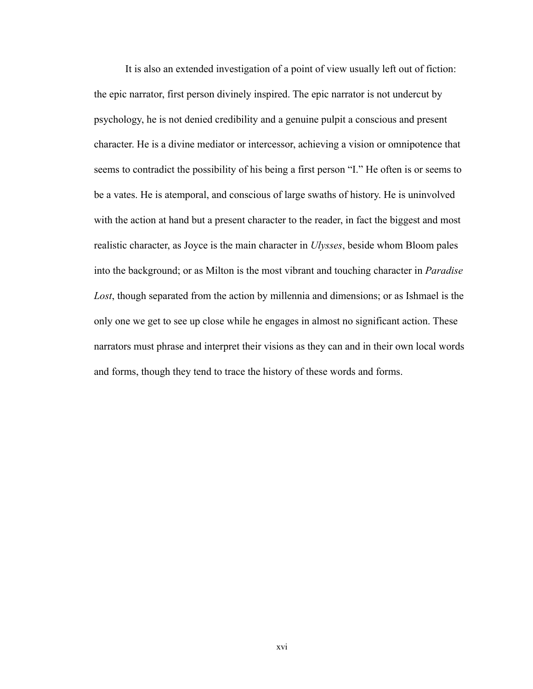It is also an extended investigation of a point of view usually left out of fiction: the epic narrator, first person divinely inspired. The epic narrator is not undercut by psychology, he is not denied credibility and a genuine pulpit a conscious and present character. He is a divine mediator or intercessor, achieving a vision or omnipotence that seems to contradict the possibility of his being a first person "I." He often is or seems to be a vates. He is atemporal, and conscious of large swaths of history. He is uninvolved with the action at hand but a present character to the reader, in fact the biggest and most realistic character, as Joyce is the main character in *Ulysses*, beside whom Bloom pales into the background; or as Milton is the most vibrant and touching character in *Paradise Lost*, though separated from the action by millennia and dimensions; or as Ishmael is the only one we get to see up close while he engages in almost no significant action. These narrators must phrase and interpret their visions as they can and in their own local words and forms, though they tend to trace the history of these words and forms.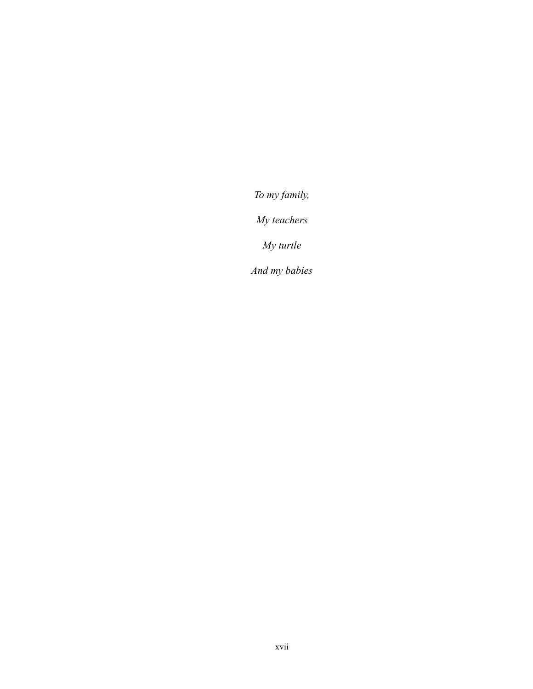*To my family,*

*My teachers*

*My turtle*

*And my babies*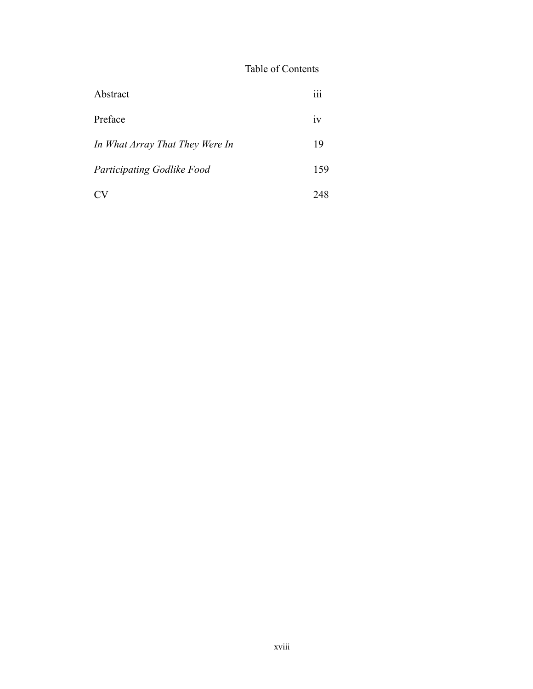## Table of Contents

| Abstract                          | 111 |
|-----------------------------------|-----|
| Preface                           | 1V  |
| In What Array That They Were In   | 19  |
| <b>Participating Godlike Food</b> | 159 |
| CV <sub></sub>                    | 248 |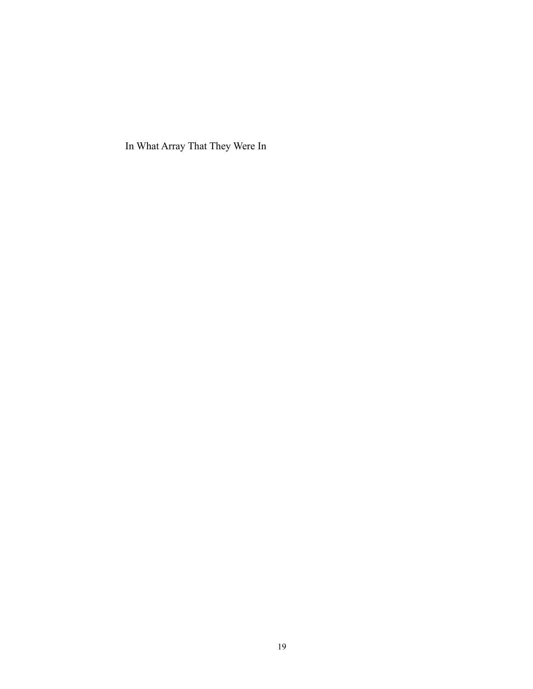In What Array That They Were In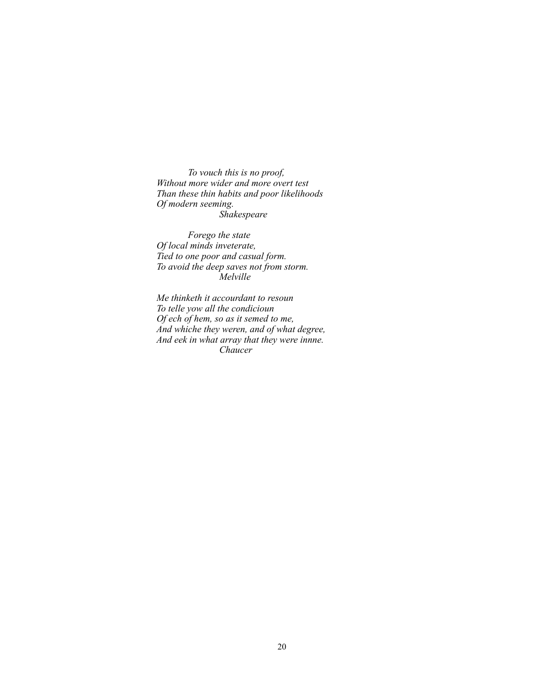*To vouch this is no proof, Without more wider and more overt test Than these thin habits and poor likelihoods Of modern seeming. Shakespeare*

 *Forego the state Of local minds inveterate, Tied to one poor and casual form. To avoid the deep saves not from storm. Melville*

 *Me thinketh it accourdant to resoun To telle yow all the condicioun Of ech of hem, so as it semed to me, And whiche they weren, and of what degree, And eek in what array that they were innne. Chaucer*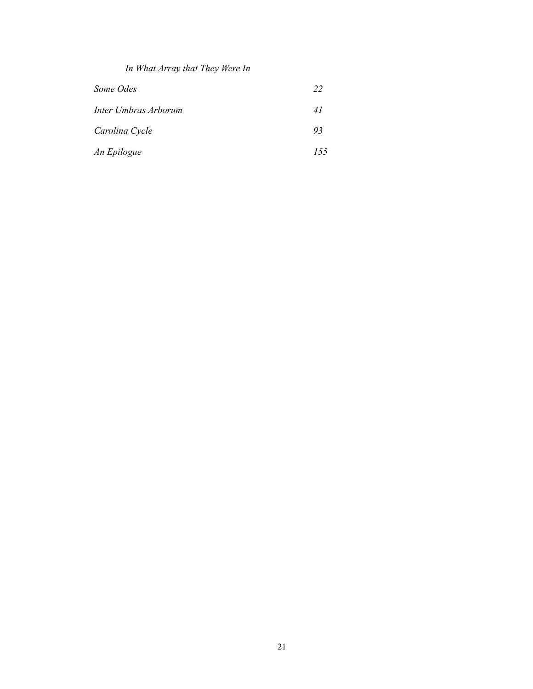## *In What Array that They Were In*

| Some Odes            | 22  |
|----------------------|-----|
| Inter Umbras Arborum | 41  |
| Carolina Cycle       | 93  |
| An Epilogue          | 155 |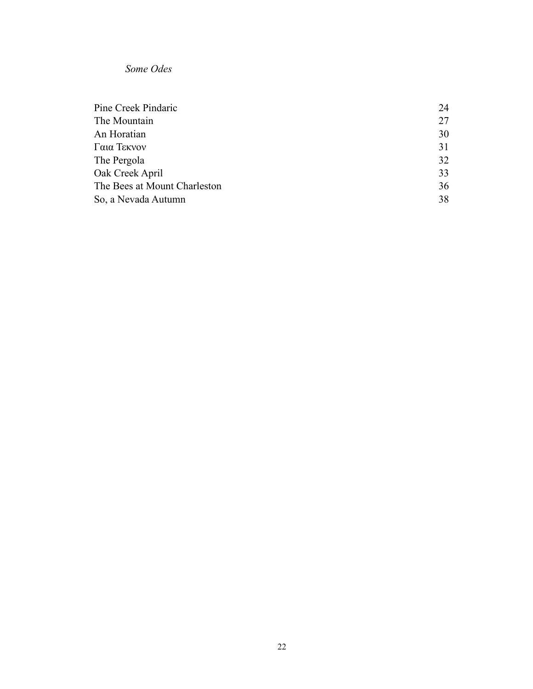*Some Odes*

| Pine Creek Pindaric          | 24 |
|------------------------------|----|
| The Mountain                 | 27 |
| An Horatian                  | 30 |
| Γαια Τεκνον                  | 31 |
| The Pergola                  | 32 |
| Oak Creek April              | 33 |
| The Bees at Mount Charleston | 36 |
| So, a Nevada Autumn          | 38 |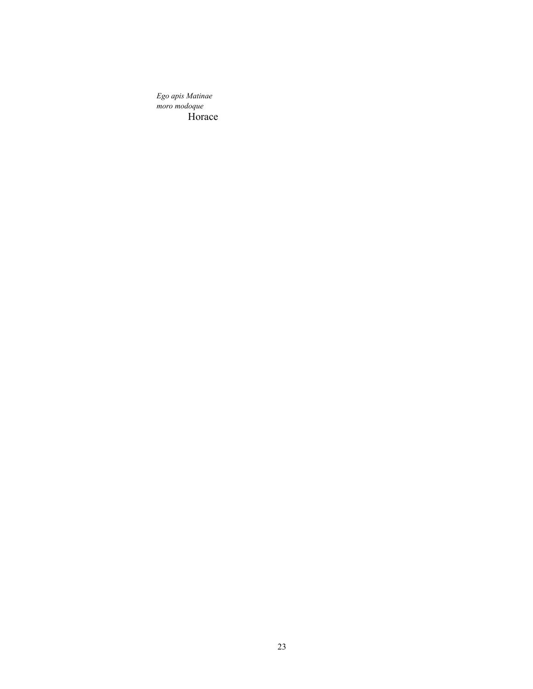*Ego apis Matinae moro modoque* Horace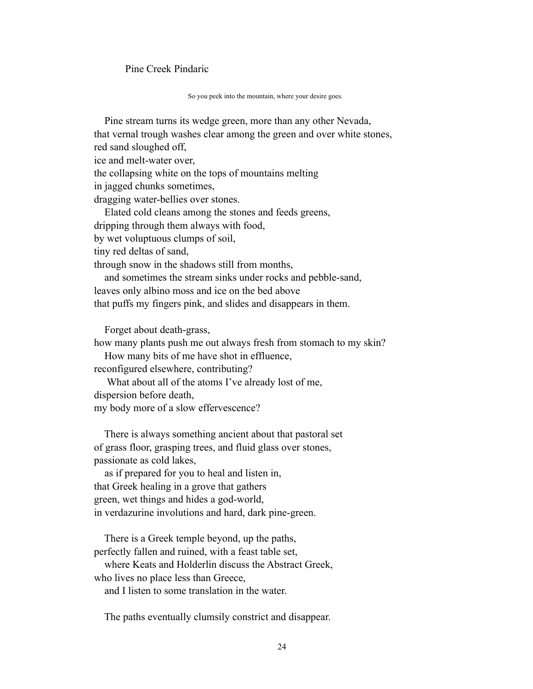#### Pine Creek Pindaric

So you peek into the mountain, where your desire goes.

 Pine stream turns its wedge green, more than any other Nevada, that vernal trough washes clear among the green and over white stones, red sand sloughed off, ice and melt-water over, the collapsing white on the tops of mountains melting in jagged chunks sometimes, dragging water-bellies over stones. Elated cold cleans among the stones and feeds greens, dripping through them always with food, by wet voluptuous clumps of soil, tiny red deltas of sand, through snow in the shadows still from months, and sometimes the stream sinks under rocks and pebble-sand, leaves only albino moss and ice on the bed above that puffs my fingers pink, and slides and disappears in them. Forget about death-grass, how many plants push me out always fresh from stomach to my skin?

How many bits of me have shot in effluence,

reconfigured elsewhere, contributing?

 What about all of the atoms I've already lost of me, dispersion before death, my body more of a slow effervescence?

 There is always something ancient about that pastoral set of grass floor, grasping trees, and fluid glass over stones, passionate as cold lakes,

 as if prepared for you to heal and listen in, that Greek healing in a grove that gathers green, wet things and hides a god-world, in verdazurine involutions and hard, dark pine-green.

 There is a Greek temple beyond, up the paths, perfectly fallen and ruined, with a feast table set,

 where Keats and Holderlin discuss the Abstract Greek, who lives no place less than Greece,

and I listen to some translation in the water.

The paths eventually clumsily constrict and disappear.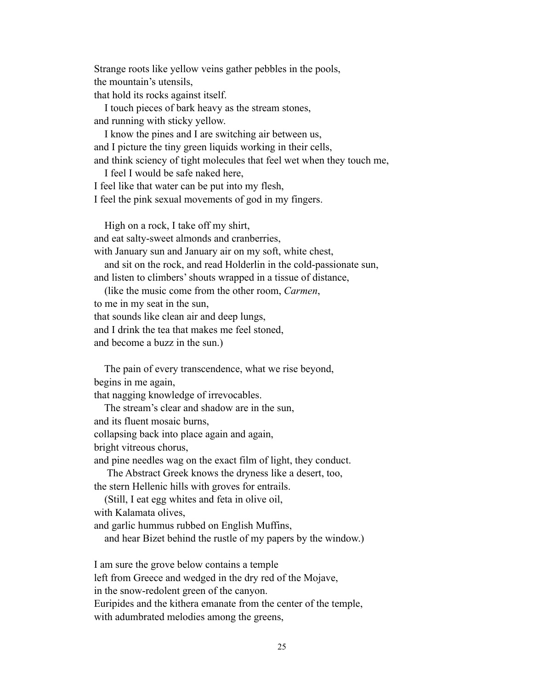Strange roots like yellow veins gather pebbles in the pools, the mountain's utensils,

that hold its rocks against itself.

 I touch pieces of bark heavy as the stream stones, and running with sticky yellow.

 I know the pines and I are switching air between us, and I picture the tiny green liquids working in their cells, and think sciency of tight molecules that feel wet when they touch me,

 I feel I would be safe naked here, I feel like that water can be put into my flesh, I feel the pink sexual movements of god in my fingers.

 High on a rock, I take off my shirt, and eat salty-sweet almonds and cranberries, with January sun and January air on my soft, white chest, and sit on the rock, and read Holderlin in the cold-passionate sun, and listen to climbers' shouts wrapped in a tissue of distance, (like the music come from the other room, *Carmen*, to me in my seat in the sun,

that sounds like clean air and deep lungs,

and I drink the tea that makes me feel stoned,

and become a buzz in the sun.)

 The pain of every transcendence, what we rise beyond, begins in me again,

that nagging knowledge of irrevocables.

The stream's clear and shadow are in the sun,

and its fluent mosaic burns,

collapsing back into place again and again,

bright vitreous chorus,

and pine needles wag on the exact film of light, they conduct.

The Abstract Greek knows the dryness like a desert, too,

the stern Hellenic hills with groves for entrails.

(Still, I eat egg whites and feta in olive oil,

with Kalamata olives,

and garlic hummus rubbed on English Muffins,

and hear Bizet behind the rustle of my papers by the window.)

I am sure the grove below contains a temple

left from Greece and wedged in the dry red of the Mojave,

in the snow-redolent green of the canyon.

Euripides and the kithera emanate from the center of the temple,

with adumbrated melodies among the greens,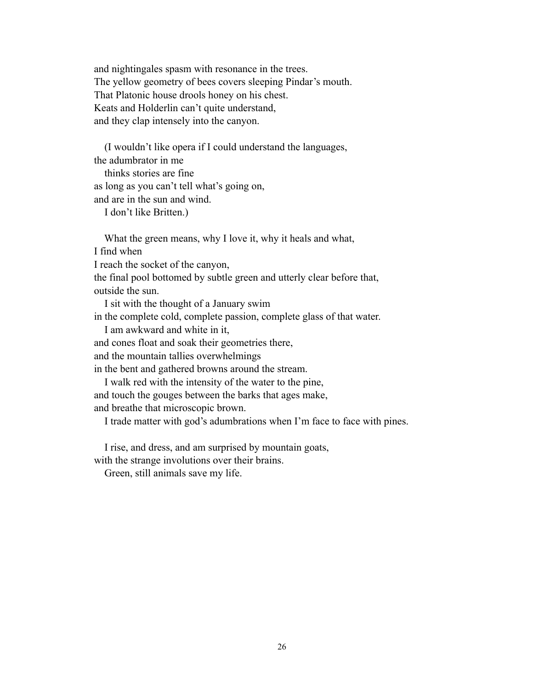and nightingales spasm with resonance in the trees. The yellow geometry of bees covers sleeping Pindar's mouth. That Platonic house drools honey on his chest. Keats and Holderlin can't quite understand, and they clap intensely into the canyon.

 (I wouldn't like opera if I could understand the languages, the adumbrator in me thinks stories are fine

as long as you can't tell what's going on, and are in the sun and wind.

I don't like Britten.)

What the green means, why I love it, why it heals and what,

I find when

I reach the socket of the canyon,

the final pool bottomed by subtle green and utterly clear before that, outside the sun.

I sit with the thought of a January swim

in the complete cold, complete passion, complete glass of that water.

I am awkward and white in it,

and cones float and soak their geometries there,

and the mountain tallies overwhelmings

in the bent and gathered browns around the stream.

 I walk red with the intensity of the water to the pine, and touch the gouges between the barks that ages make, and breathe that microscopic brown.

I trade matter with god's adumbrations when I'm face to face with pines.

I rise, and dress, and am surprised by mountain goats,

with the strange involutions over their brains.

Green, still animals save my life.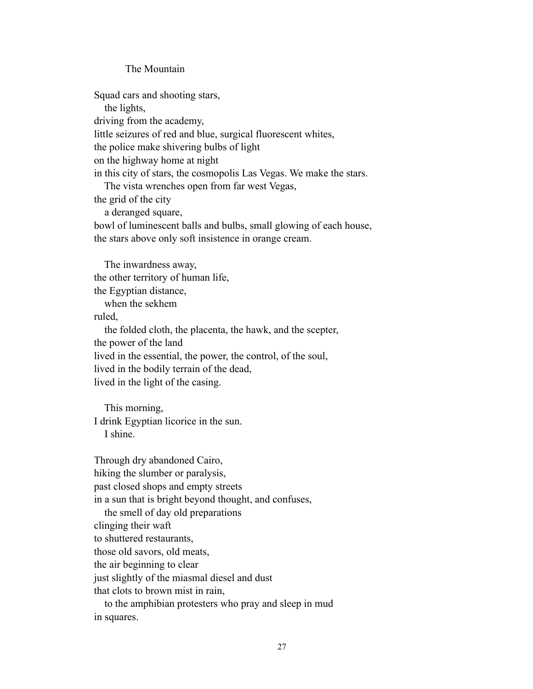#### The Mountain

Squad cars and shooting stars, the lights, driving from the academy, little seizures of red and blue, surgical fluorescent whites, the police make shivering bulbs of light on the highway home at night in this city of stars, the cosmopolis Las Vegas. We make the stars. The vista wrenches open from far west Vegas, the grid of the city a deranged square, bowl of luminescent balls and bulbs, small glowing of each house,

the stars above only soft insistence in orange cream.

 The inwardness away, the other territory of human life, the Egyptian distance, when the sekhem ruled, the folded cloth, the placenta, the hawk, and the scepter, the power of the land

lived in the essential, the power, the control, of the soul, lived in the bodily terrain of the dead,

lived in the light of the casing.

 This morning, I drink Egyptian licorice in the sun. I shine.

Through dry abandoned Cairo, hiking the slumber or paralysis, past closed shops and empty streets in a sun that is bright beyond thought, and confuses, the smell of day old preparations clinging their waft to shuttered restaurants, those old savors, old meats, the air beginning to clear just slightly of the miasmal diesel and dust that clots to brown mist in rain, to the amphibian protesters who pray and sleep in mud

in squares.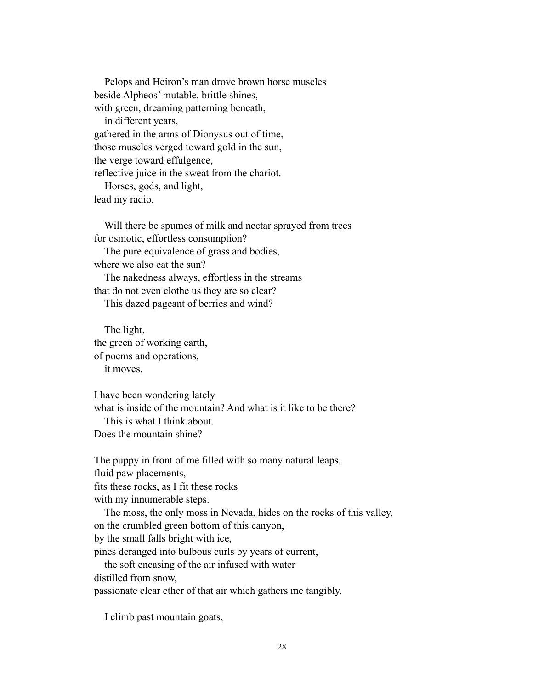Pelops and Heiron's man drove brown horse muscles beside Alpheos' mutable, brittle shines, with green, dreaming patterning beneath,

in different years,

gathered in the arms of Dionysus out of time,

those muscles verged toward gold in the sun,

the verge toward effulgence,

reflective juice in the sweat from the chariot.

 Horses, gods, and light, lead my radio.

 Will there be spumes of milk and nectar sprayed from trees for osmotic, effortless consumption?

 The pure equivalence of grass and bodies, where we also eat the sun?

 The nakedness always, effortless in the streams that do not even clothe us they are so clear?

This dazed pageant of berries and wind?

 The light, the green of working earth, of poems and operations, it moves.

I have been wondering lately what is inside of the mountain? And what is it like to be there? This is what I think about. Does the mountain shine?

The puppy in front of me filled with so many natural leaps,

fluid paw placements,

fits these rocks, as I fit these rocks

with my innumerable steps.

 The moss, the only moss in Nevada, hides on the rocks of this valley, on the crumbled green bottom of this canyon,

by the small falls bright with ice,

pines deranged into bulbous curls by years of current,

the soft encasing of the air infused with water

distilled from snow,

passionate clear ether of that air which gathers me tangibly.

I climb past mountain goats,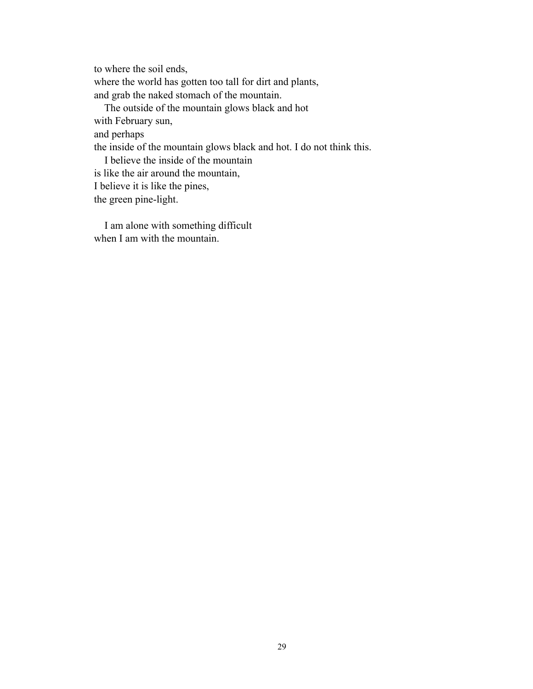to where the soil ends, where the world has gotten too tall for dirt and plants, and grab the naked stomach of the mountain. The outside of the mountain glows black and hot with February sun, and perhaps the inside of the mountain glows black and hot. I do not think this. I believe the inside of the mountain is like the air around the mountain,

I believe it is like the pines,

the green pine-light.

 I am alone with something difficult when I am with the mountain.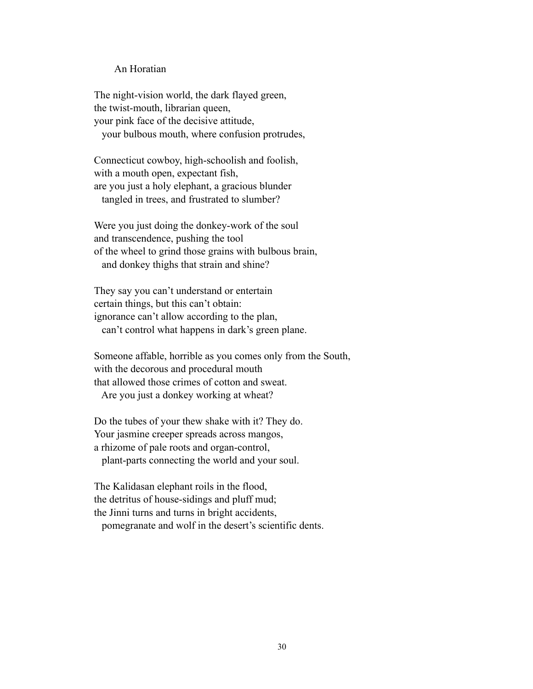#### An Horatian

The night-vision world, the dark flayed green, the twist-mouth, librarian queen, your pink face of the decisive attitude, your bulbous mouth, where confusion protrudes,

Connecticut cowboy, high-schoolish and foolish, with a mouth open, expectant fish, are you just a holy elephant, a gracious blunder tangled in trees, and frustrated to slumber?

Were you just doing the donkey-work of the soul and transcendence, pushing the tool of the wheel to grind those grains with bulbous brain, and donkey thighs that strain and shine?

They say you can't understand or entertain certain things, but this can't obtain: ignorance can't allow according to the plan, can't control what happens in dark's green plane.

Someone affable, horrible as you comes only from the South, with the decorous and procedural mouth that allowed those crimes of cotton and sweat. Are you just a donkey working at wheat?

Do the tubes of your thew shake with it? They do. Your jasmine creeper spreads across mangos, a rhizome of pale roots and organ-control, plant-parts connecting the world and your soul.

The Kalidasan elephant roils in the flood, the detritus of house-sidings and pluff mud; the Jinni turns and turns in bright accidents, pomegranate and wolf in the desert's scientific dents.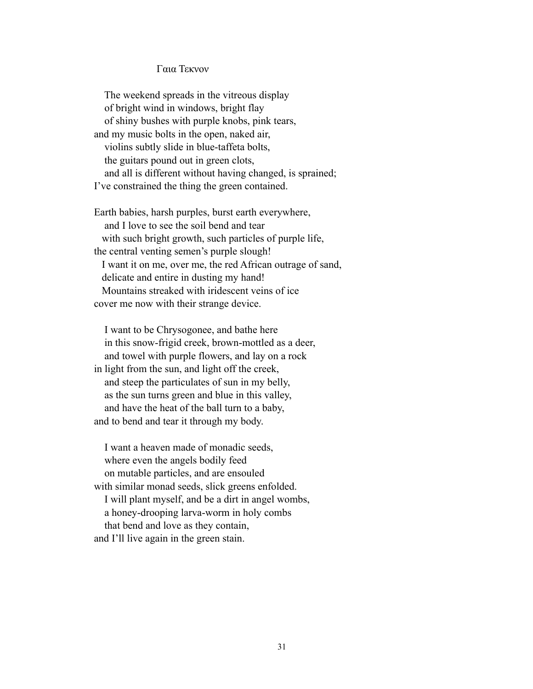#### Γαια Τεκνον

 The weekend spreads in the vitreous display of bright wind in windows, bright flay of shiny bushes with purple knobs, pink tears, and my music bolts in the open, naked air, violins subtly slide in blue-taffeta bolts, the guitars pound out in green clots, and all is different without having changed, is sprained; I've constrained the thing the green contained.

Earth babies, harsh purples, burst earth everywhere, and I love to see the soil bend and tear with such bright growth, such particles of purple life, the central venting semen's purple slough! I want it on me, over me, the red African outrage of sand, delicate and entire in dusting my hand! Mountains streaked with iridescent veins of ice cover me now with their strange device.

 I want to be Chrysogonee, and bathe here in this snow-frigid creek, brown-mottled as a deer, and towel with purple flowers, and lay on a rock in light from the sun, and light off the creek, and steep the particulates of sun in my belly, as the sun turns green and blue in this valley, and have the heat of the ball turn to a baby, and to bend and tear it through my body.

 I want a heaven made of monadic seeds, where even the angels bodily feed on mutable particles, and are ensouled with similar monad seeds, slick greens enfolded. I will plant myself, and be a dirt in angel wombs, a honey-drooping larva-worm in holy combs that bend and love as they contain, and I'll live again in the green stain.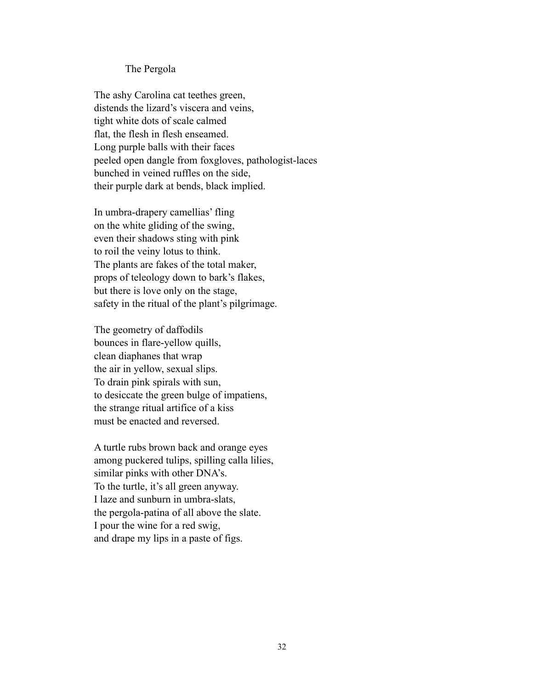#### The Pergola

The ashy Carolina cat teethes green, distends the lizard's viscera and veins, tight white dots of scale calmed flat, the flesh in flesh enseamed. Long purple balls with their faces peeled open dangle from foxgloves, pathologist-laces bunched in veined ruffles on the side, their purple dark at bends, black implied.

In umbra-drapery camellias' fling on the white gliding of the swing, even their shadows sting with pink to roil the veiny lotus to think. The plants are fakes of the total maker, props of teleology down to bark's flakes, but there is love only on the stage, safety in the ritual of the plant's pilgrimage.

The geometry of daffodils bounces in flare-yellow quills, clean diaphanes that wrap the air in yellow, sexual slips. To drain pink spirals with sun, to desiccate the green bulge of impatiens, the strange ritual artifice of a kiss must be enacted and reversed.

A turtle rubs brown back and orange eyes among puckered tulips, spilling calla lilies, similar pinks with other DNA's. To the turtle, it's all green anyway. I laze and sunburn in umbra-slats, the pergola-patina of all above the slate. I pour the wine for a red swig, and drape my lips in a paste of figs.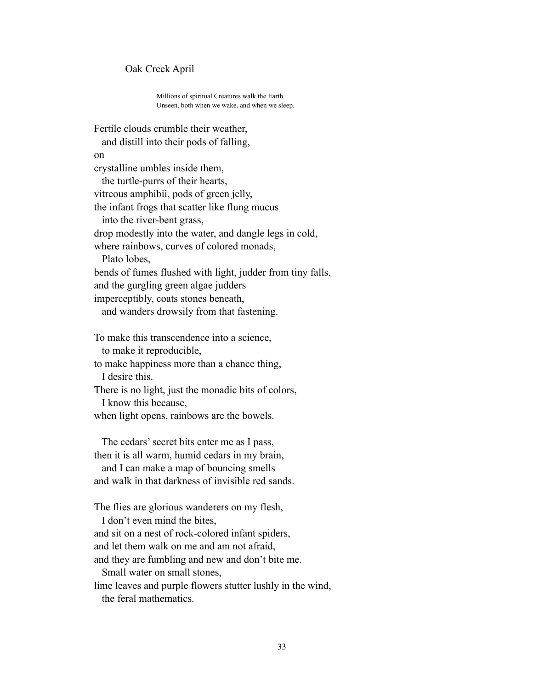#### Oak Creek April

 Millions of spiritual Creatures walk the Earth Unseen, both when we wake, and when we sleep.

Fertile clouds crumble their weather, and distill into their pods of falling, on crystalline umbles inside them, the turtle-purrs of their hearts, vitreous amphibii, pods of green jelly, the infant frogs that scatter like flung mucus into the river-bent grass, drop modestly into the water, and dangle legs in cold, where rainbows, curves of colored monads, Plato lobes, bends of fumes flushed with light, judder from tiny falls, and the gurgling green algae judders imperceptibly, coats stones beneath, and wanders drowsily from that fastening. To make this transcendence into a science, to make it reproducible, to make happiness more than a chance thing, I desire this. There is no light, just the monadic bits of colors, I know this because,

when light opens, rainbows are the bowels.

 The cedars' secret bits enter me as I pass, then it is all warm, humid cedars in my brain, and I can make a map of bouncing smells and walk in that darkness of invisible red sands.

The flies are glorious wanderers on my flesh,

I don't even mind the bites,

and sit on a nest of rock-colored infant spiders,

and let them walk on me and am not afraid,

and they are fumbling and new and don't bite me.

Small water on small stones,

lime leaves and purple flowers stutter lushly in the wind, the feral mathematics.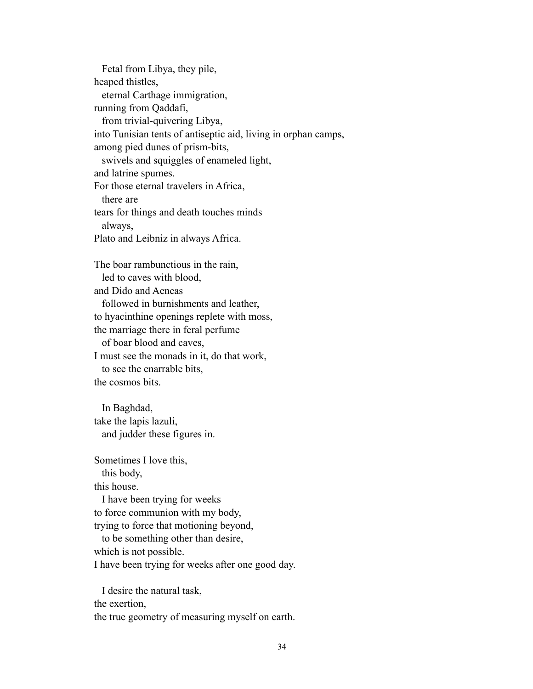Fetal from Libya, they pile, heaped thistles, eternal Carthage immigration, running from Qaddafi, from trivial-quivering Libya, into Tunisian tents of antiseptic aid, living in orphan camps, among pied dunes of prism-bits, swivels and squiggles of enameled light, and latrine spumes. For those eternal travelers in Africa, there are tears for things and death touches minds always, Plato and Leibniz in always Africa. The boar rambunctious in the rain, led to caves with blood, and Dido and Aeneas followed in burnishments and leather, to hyacinthine openings replete with moss, the marriage there in feral perfume of boar blood and caves, I must see the monads in it, do that work, to see the enarrable bits, the cosmos bits. In Baghdad, take the lapis lazuli, and judder these figures in. Sometimes I love this,

 this body, this house. I have been trying for weeks to force communion with my body, trying to force that motioning beyond, to be something other than desire, which is not possible. I have been trying for weeks after one good day.

 I desire the natural task, the exertion, the true geometry of measuring myself on earth.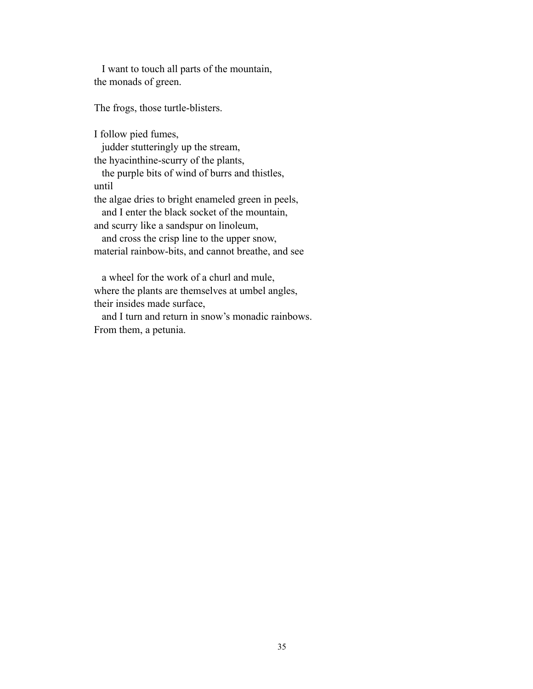I want to touch all parts of the mountain, the monads of green.

The frogs, those turtle-blisters.

I follow pied fumes, judder stutteringly up the stream, the hyacinthine-scurry of the plants, the purple bits of wind of burrs and thistles, until the algae dries to bright enameled green in peels, and I enter the black socket of the mountain, and scurry like a sandspur on linoleum, and cross the crisp line to the upper snow, material rainbow-bits, and cannot breathe, and see

 a wheel for the work of a churl and mule, where the plants are themselves at umbel angles, their insides made surface,

 and I turn and return in snow's monadic rainbows. From them, a petunia.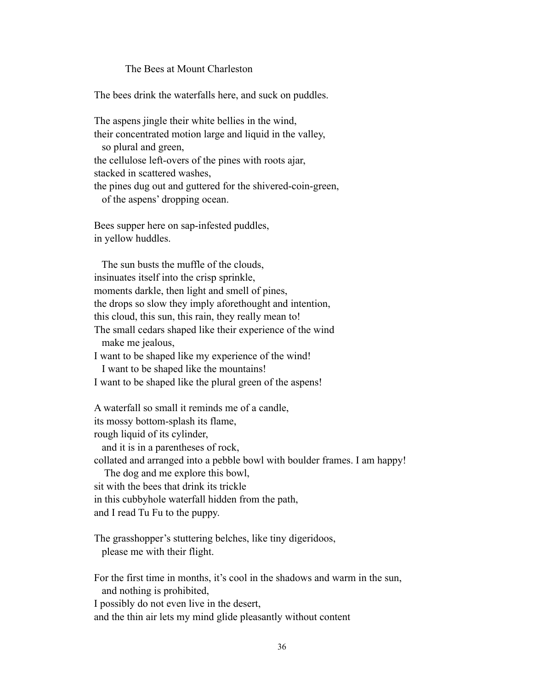#### The Bees at Mount Charleston

The bees drink the waterfalls here, and suck on puddles.

The aspens jingle their white bellies in the wind, their concentrated motion large and liquid in the valley, so plural and green, the cellulose left-overs of the pines with roots ajar, stacked in scattered washes, the pines dug out and guttered for the shivered-coin-green, of the aspens' dropping ocean.

Bees supper here on sap-infested puddles, in yellow huddles.

 The sun busts the muffle of the clouds, insinuates itself into the crisp sprinkle, moments darkle, then light and smell of pines, the drops so slow they imply aforethought and intention, this cloud, this sun, this rain, they really mean to! The small cedars shaped like their experience of the wind make me jealous, I want to be shaped like my experience of the wind! I want to be shaped like the mountains! I want to be shaped like the plural green of the aspens!

A waterfall so small it reminds me of a candle, its mossy bottom-splash its flame, rough liquid of its cylinder, and it is in a parentheses of rock, collated and arranged into a pebble bowl with boulder frames. I am happy! The dog and me explore this bowl, sit with the bees that drink its trickle in this cubbyhole waterfall hidden from the path, and I read Tu Fu to the puppy.

The grasshopper's stuttering belches, like tiny digeridoos, please me with their flight.

For the first time in months, it's cool in the shadows and warm in the sun, and nothing is prohibited, I possibly do not even live in the desert, and the thin air lets my mind glide pleasantly without content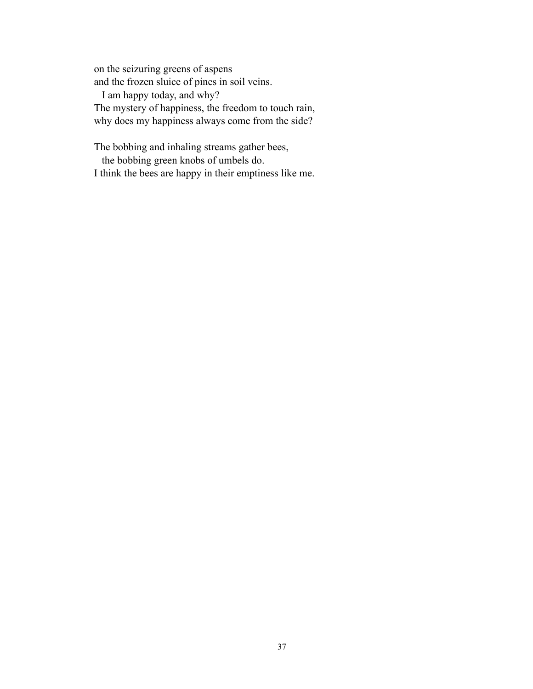on the seizuring greens of aspens and the frozen sluice of pines in soil veins. I am happy today, and why? The mystery of happiness, the freedom to touch rain, why does my happiness always come from the side?

The bobbing and inhaling streams gather bees, the bobbing green knobs of umbels do. I think the bees are happy in their emptiness like me.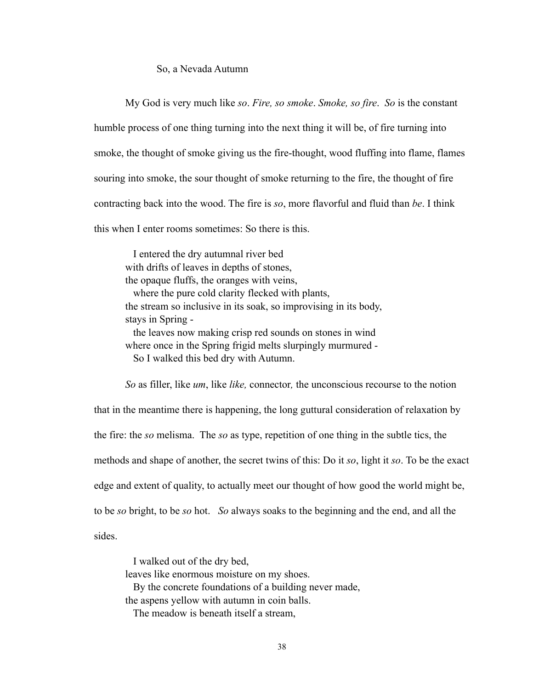# So, a Nevada Autumn

My God is very much like *so*. *Fire, so smoke*. *Smoke, so fire*. *So* is the constant humble process of one thing turning into the next thing it will be, of fire turning into smoke, the thought of smoke giving us the fire-thought, wood fluffing into flame, flames souring into smoke, the sour thought of smoke returning to the fire, the thought of fire contracting back into the wood. The fire is *so*, more flavorful and fluid than *be*. I think this when I enter rooms sometimes: So there is this.

 I entered the dry autumnal river bed with drifts of leaves in depths of stones, the opaque fluffs, the oranges with veins, where the pure cold clarity flecked with plants, the stream so inclusive in its soak, so improvising in its body, stays in Spring the leaves now making crisp red sounds on stones in wind where once in the Spring frigid melts slurpingly murmured - So I walked this bed dry with Autumn.

*So* as filler, like *um*, like *like,* connector*,* the unconscious recourse to the notion that in the meantime there is happening, the long guttural consideration of relaxation by the fire: the *so* melisma. The *so* as type, repetition of one thing in the subtle tics, the methods and shape of another, the secret twins of this: Do it *so*, light it *so*. To be the exact edge and extent of quality, to actually meet our thought of how good the world might be, to be *so* bright, to be *so* hot. *So* always soaks to the beginning and the end, and all the sides.

 I walked out of the dry bed, leaves like enormous moisture on my shoes. By the concrete foundations of a building never made, the aspens yellow with autumn in coin balls. The meadow is beneath itself a stream,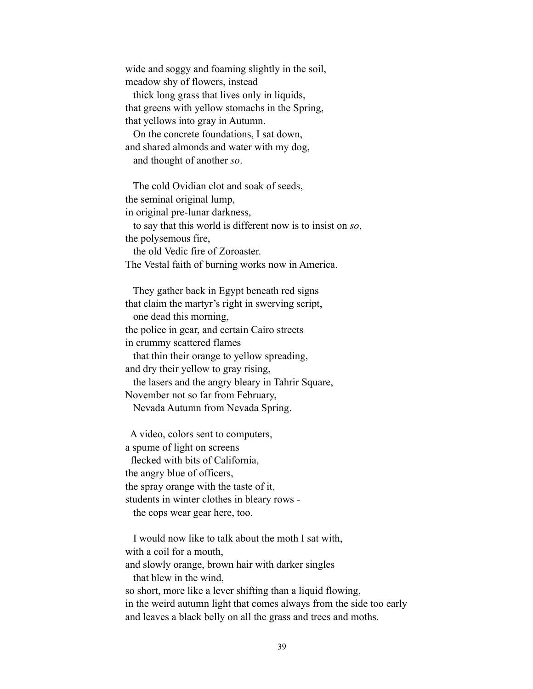wide and soggy and foaming slightly in the soil, meadow shy of flowers, instead

 thick long grass that lives only in liquids, that greens with yellow stomachs in the Spring, that yellows into gray in Autumn.

 On the concrete foundations, I sat down, and shared almonds and water with my dog, and thought of another *so*.

 The cold Ovidian clot and soak of seeds, the seminal original lump, in original pre-lunar darkness, to say that this world is different now is to insist on *so*, the polysemous fire, the old Vedic fire of Zoroaster. The Vestal faith of burning works now in America.

 They gather back in Egypt beneath red signs that claim the martyr's right in swerving script, one dead this morning, the police in gear, and certain Cairo streets in crummy scattered flames that thin their orange to yellow spreading, and dry their yellow to gray rising, the lasers and the angry bleary in Tahrir Square, November not so far from February, Nevada Autumn from Nevada Spring.

 A video, colors sent to computers, a spume of light on screens flecked with bits of California, the angry blue of officers, the spray orange with the taste of it, students in winter clothes in bleary rows the cops wear gear here, too.

 I would now like to talk about the moth I sat with, with a coil for a mouth, and slowly orange, brown hair with darker singles that blew in the wind, so short, more like a lever shifting than a liquid flowing, in the weird autumn light that comes always from the side too early and leaves a black belly on all the grass and trees and moths.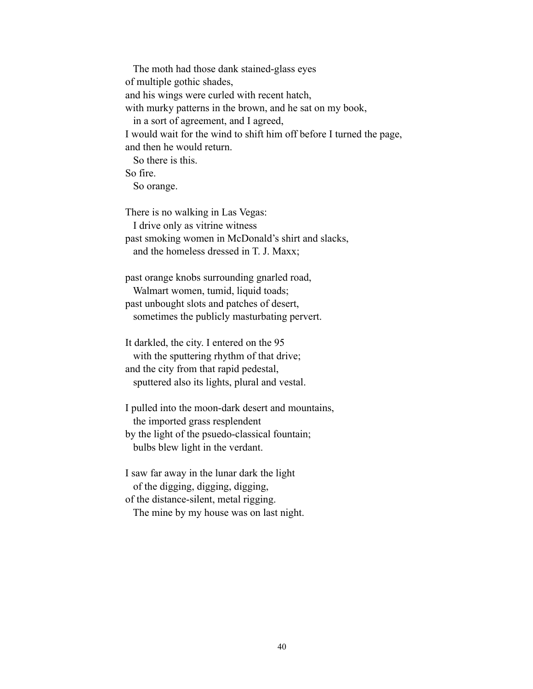The moth had those dank stained-glass eyes of multiple gothic shades, and his wings were curled with recent hatch, with murky patterns in the brown, and he sat on my book, in a sort of agreement, and I agreed, I would wait for the wind to shift him off before I turned the page, and then he would return. So there is this. So fire. So orange.

 There is no walking in Las Vegas: I drive only as vitrine witness past smoking women in McDonald's shirt and slacks, and the homeless dressed in T. J. Maxx;

 past orange knobs surrounding gnarled road, Walmart women, tumid, liquid toads; past unbought slots and patches of desert, sometimes the publicly masturbating pervert.

 It darkled, the city. I entered on the 95 with the sputtering rhythm of that drive; and the city from that rapid pedestal, sputtered also its lights, plural and vestal.

 I pulled into the moon-dark desert and mountains, the imported grass resplendent by the light of the psuedo-classical fountain; bulbs blew light in the verdant.

 I saw far away in the lunar dark the light of the digging, digging, digging, of the distance-silent, metal rigging. The mine by my house was on last night.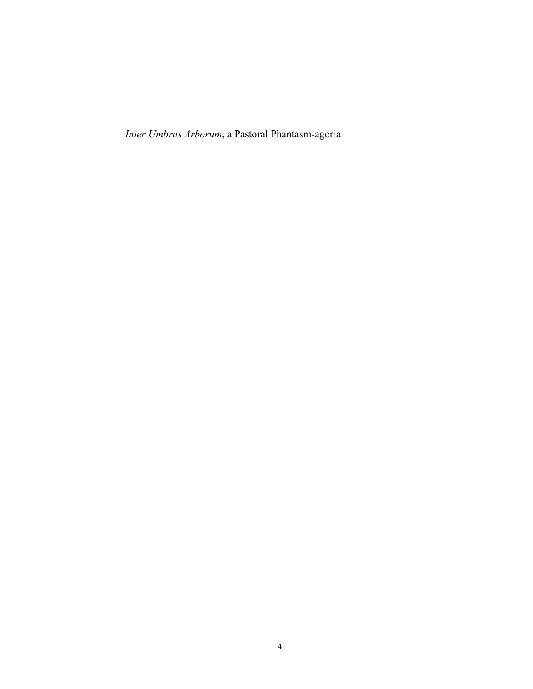*Inter Umbras Arborum*, a Pastoral Phantasm-agoria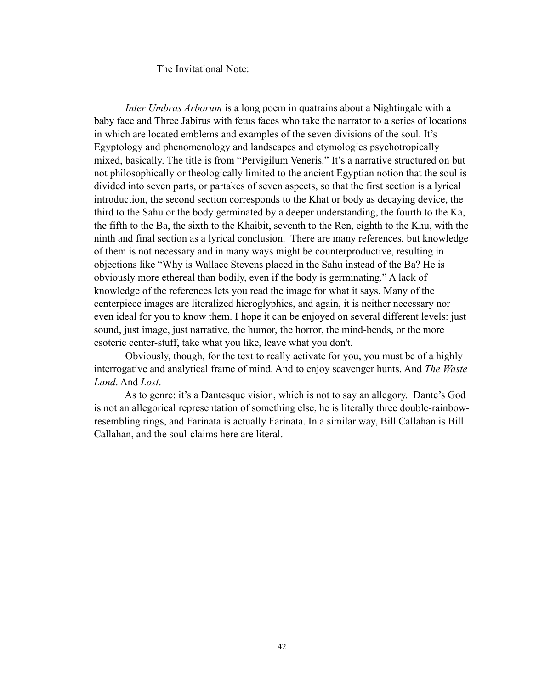#### The Invitational Note:

*Inter Umbras Arborum* is a long poem in quatrains about a Nightingale with a baby face and Three Jabirus with fetus faces who take the narrator to a series of locations in which are located emblems and examples of the seven divisions of the soul. It's Egyptology and phenomenology and landscapes and etymologies psychotropically mixed, basically. The title is from "Pervigilum Veneris." It's a narrative structured on but not philosophically or theologically limited to the ancient Egyptian notion that the soul is divided into seven parts, or partakes of seven aspects, so that the first section is a lyrical introduction, the second section corresponds to the Khat or body as decaying device, the third to the Sahu or the body germinated by a deeper understanding, the fourth to the Ka, the fifth to the Ba, the sixth to the Khaibit, seventh to the Ren, eighth to the Khu, with the ninth and final section as a lyrical conclusion. There are many references, but knowledge of them is not necessary and in many ways might be counterproductive, resulting in objections like "Why is Wallace Stevens placed in the Sahu instead of the Ba? He is obviously more ethereal than bodily, even if the body is germinating." A lack of knowledge of the references lets you read the image for what it says. Many of the centerpiece images are literalized hieroglyphics, and again, it is neither necessary nor even ideal for you to know them. I hope it can be enjoyed on several different levels: just sound, just image, just narrative, the humor, the horror, the mind-bends, or the more esoteric center-stuff, take what you like, leave what you don't.

Obviously, though, for the text to really activate for you, you must be of a highly interrogative and analytical frame of mind. And to enjoy scavenger hunts. And *The Waste Land*. And *Lost*.

 As to genre: it's a Dantesque vision, which is not to say an allegory. Dante's God is not an allegorical representation of something else, he is literally three double-rainbowresembling rings, and Farinata is actually Farinata. In a similar way, Bill Callahan is Bill Callahan, and the soul-claims here are literal.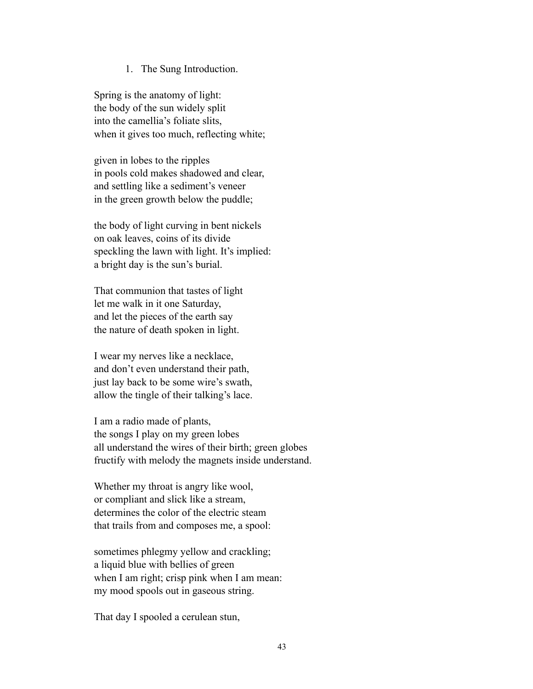## 1. The Sung Introduction.

Spring is the anatomy of light: the body of the sun widely split into the camellia's foliate slits, when it gives too much, reflecting white;

given in lobes to the ripples in pools cold makes shadowed and clear, and settling like a sediment's veneer in the green growth below the puddle;

the body of light curving in bent nickels on oak leaves, coins of its divide speckling the lawn with light. It's implied: a bright day is the sun's burial.

That communion that tastes of light let me walk in it one Saturday, and let the pieces of the earth say the nature of death spoken in light.

I wear my nerves like a necklace, and don't even understand their path, just lay back to be some wire's swath, allow the tingle of their talking's lace.

I am a radio made of plants, the songs I play on my green lobes all understand the wires of their birth; green globes fructify with melody the magnets inside understand.

Whether my throat is angry like wool, or compliant and slick like a stream, determines the color of the electric steam that trails from and composes me, a spool:

sometimes phlegmy yellow and crackling; a liquid blue with bellies of green when I am right; crisp pink when I am mean: my mood spools out in gaseous string.

That day I spooled a cerulean stun,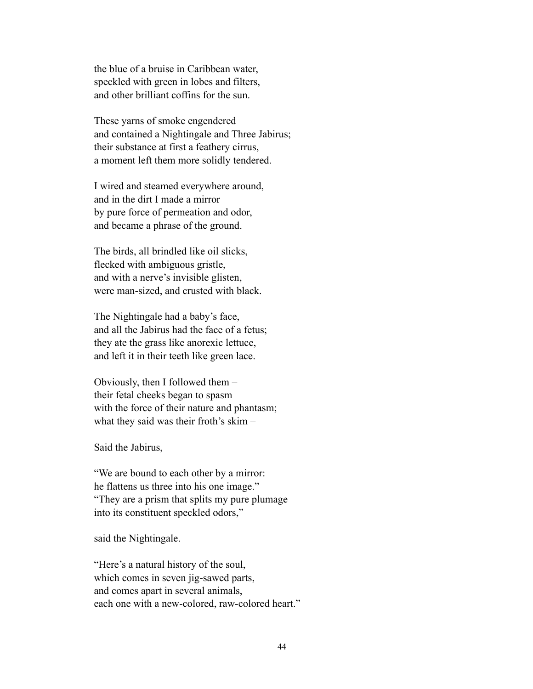the blue of a bruise in Caribbean water, speckled with green in lobes and filters, and other brilliant coffins for the sun.

These yarns of smoke engendered and contained a Nightingale and Three Jabirus; their substance at first a feathery cirrus, a moment left them more solidly tendered.

I wired and steamed everywhere around, and in the dirt I made a mirror by pure force of permeation and odor, and became a phrase of the ground.

The birds, all brindled like oil slicks, flecked with ambiguous gristle, and with a nerve's invisible glisten, were man-sized, and crusted with black.

The Nightingale had a baby's face, and all the Jabirus had the face of a fetus; they ate the grass like anorexic lettuce, and left it in their teeth like green lace.

Obviously, then I followed them – their fetal cheeks began to spasm with the force of their nature and phantasm; what they said was their froth's skim –

Said the Jabirus,

"We are bound to each other by a mirror: he flattens us three into his one image." "They are a prism that splits my pure plumage into its constituent speckled odors,"

said the Nightingale.

"Here's a natural history of the soul, which comes in seven jig-sawed parts, and comes apart in several animals, each one with a new-colored, raw-colored heart."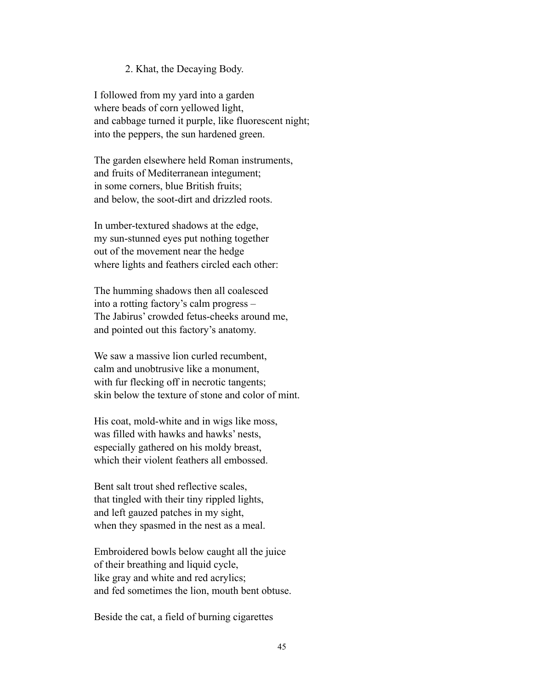## 2. Khat, the Decaying Body.

I followed from my yard into a garden where beads of corn yellowed light, and cabbage turned it purple, like fluorescent night; into the peppers, the sun hardened green.

The garden elsewhere held Roman instruments, and fruits of Mediterranean integument; in some corners, blue British fruits; and below, the soot-dirt and drizzled roots.

In umber-textured shadows at the edge, my sun-stunned eyes put nothing together out of the movement near the hedge where lights and feathers circled each other:

The humming shadows then all coalesced into a rotting factory's calm progress – The Jabirus' crowded fetus-cheeks around me, and pointed out this factory's anatomy.

We saw a massive lion curled recumbent, calm and unobtrusive like a monument, with fur flecking off in necrotic tangents; skin below the texture of stone and color of mint.

His coat, mold-white and in wigs like moss, was filled with hawks and hawks' nests, especially gathered on his moldy breast, which their violent feathers all embossed.

Bent salt trout shed reflective scales, that tingled with their tiny rippled lights, and left gauzed patches in my sight, when they spasmed in the nest as a meal.

Embroidered bowls below caught all the juice of their breathing and liquid cycle, like gray and white and red acrylics; and fed sometimes the lion, mouth bent obtuse.

Beside the cat, a field of burning cigarettes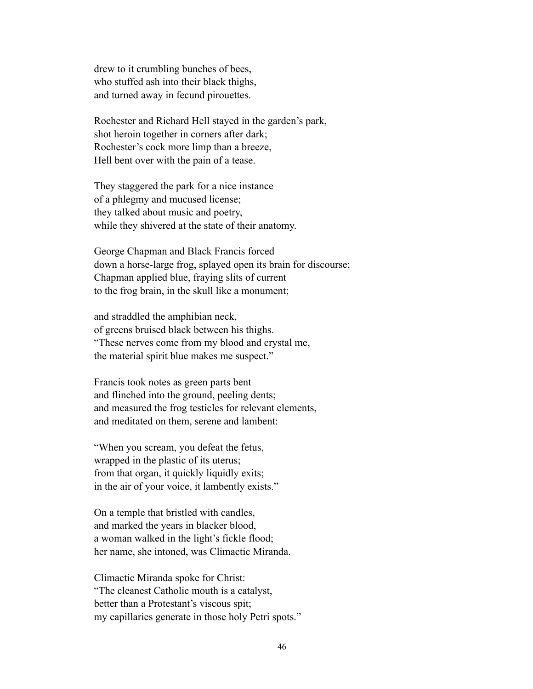drew to it crumbling bunches of bees, who stuffed ash into their black thighs, and turned away in fecund pirouettes.

Rochester and Richard Hell stayed in the garden's park, shot heroin together in corners after dark; Rochester's cock more limp than a breeze, Hell bent over with the pain of a tease.

They staggered the park for a nice instance of a phlegmy and mucused license; they talked about music and poetry, while they shivered at the state of their anatomy.

George Chapman and Black Francis forced down a horse-large frog, splayed open its brain for discourse; Chapman applied blue, fraying slits of current to the frog brain, in the skull like a monument;

and straddled the amphibian neck, of greens bruised black between his thighs. "These nerves come from my blood and crystal me, the material spirit blue makes me suspect."

Francis took notes as green parts bent and flinched into the ground, peeling dents; and measured the frog testicles for relevant elements, and meditated on them, serene and lambent:

"When you scream, you defeat the fetus, wrapped in the plastic of its uterus; from that organ, it quickly liquidly exits; in the air of your voice, it lambently exists."

On a temple that bristled with candles, and marked the years in blacker blood, a woman walked in the light's fickle flood; her name, she intoned, was Climactic Miranda.

Climactic Miranda spoke for Christ: "The cleanest Catholic mouth is a catalyst, better than a Protestant's viscous spit; my capillaries generate in those holy Petri spots."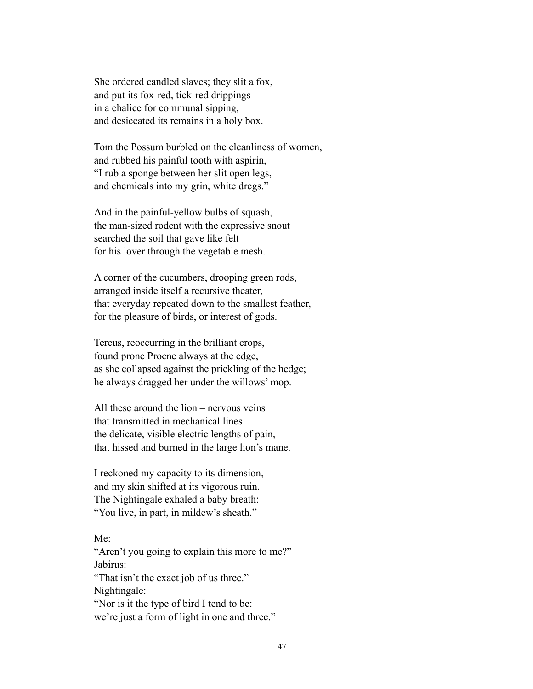She ordered candled slaves; they slit a fox, and put its fox-red, tick-red drippings in a chalice for communal sipping, and desiccated its remains in a holy box.

Tom the Possum burbled on the cleanliness of women, and rubbed his painful tooth with aspirin, "I rub a sponge between her slit open legs, and chemicals into my grin, white dregs."

And in the painful-yellow bulbs of squash, the man-sized rodent with the expressive snout searched the soil that gave like felt for his lover through the vegetable mesh.

A corner of the cucumbers, drooping green rods, arranged inside itself a recursive theater, that everyday repeated down to the smallest feather, for the pleasure of birds, or interest of gods.

Tereus, reoccurring in the brilliant crops, found prone Procne always at the edge, as she collapsed against the prickling of the hedge; he always dragged her under the willows' mop.

All these around the lion – nervous veins that transmitted in mechanical lines the delicate, visible electric lengths of pain, that hissed and burned in the large lion's mane.

I reckoned my capacity to its dimension, and my skin shifted at its vigorous ruin. The Nightingale exhaled a baby breath: "You live, in part, in mildew's sheath."

Me:

"Aren't you going to explain this more to me?" Jabirus: "That isn't the exact job of us three." Nightingale: "Nor is it the type of bird I tend to be:

we're just a form of light in one and three."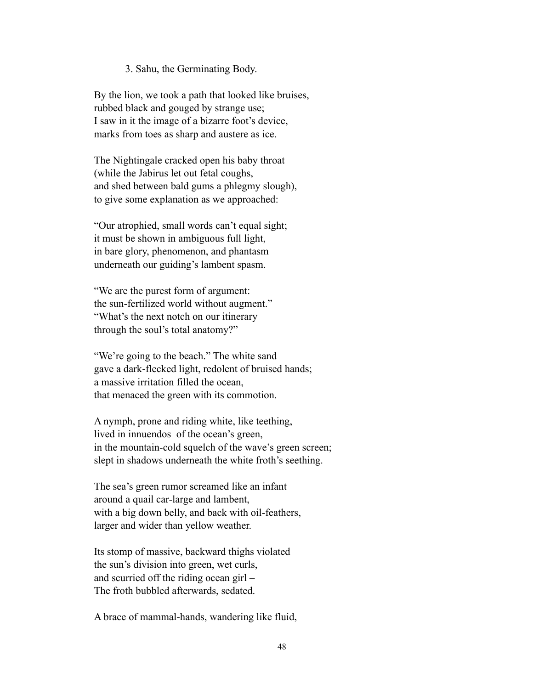## 3. Sahu, the Germinating Body.

By the lion, we took a path that looked like bruises, rubbed black and gouged by strange use; I saw in it the image of a bizarre foot's device, marks from toes as sharp and austere as ice.

The Nightingale cracked open his baby throat (while the Jabirus let out fetal coughs, and shed between bald gums a phlegmy slough), to give some explanation as we approached:

"Our atrophied, small words can't equal sight; it must be shown in ambiguous full light, in bare glory, phenomenon, and phantasm underneath our guiding's lambent spasm.

"We are the purest form of argument: the sun-fertilized world without augment." "What's the next notch on our itinerary through the soul's total anatomy?"

"We're going to the beach." The white sand gave a dark-flecked light, redolent of bruised hands; a massive irritation filled the ocean, that menaced the green with its commotion.

A nymph, prone and riding white, like teething, lived in innuendos of the ocean's green, in the mountain-cold squelch of the wave's green screen; slept in shadows underneath the white froth's seething.

The sea's green rumor screamed like an infant around a quail car-large and lambent, with a big down belly, and back with oil-feathers, larger and wider than yellow weather.

Its stomp of massive, backward thighs violated the sun's division into green, wet curls, and scurried off the riding ocean girl – The froth bubbled afterwards, sedated.

A brace of mammal-hands, wandering like fluid,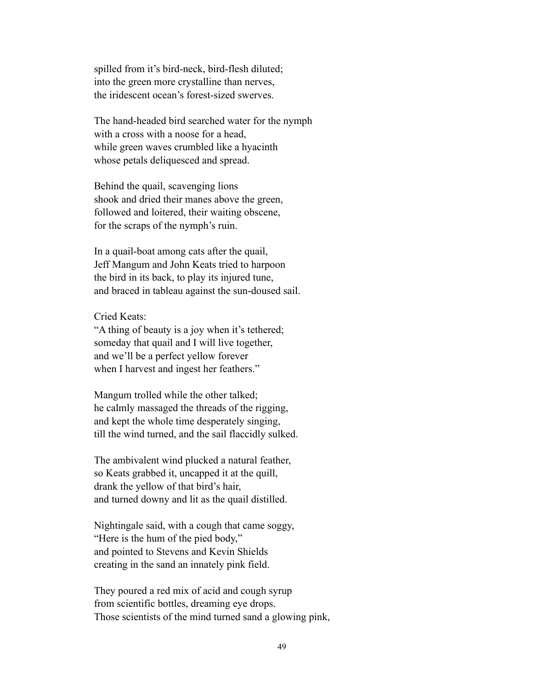spilled from it's bird-neck, bird-flesh diluted; into the green more crystalline than nerves, the iridescent ocean's forest-sized swerves.

The hand-headed bird searched water for the nymph with a cross with a noose for a head, while green waves crumbled like a hyacinth whose petals deliquesced and spread.

Behind the quail, scavenging lions shook and dried their manes above the green, followed and loitered, their waiting obscene, for the scraps of the nymph's ruin.

In a quail-boat among cats after the quail, Jeff Mangum and John Keats tried to harpoon the bird in its back, to play its injured tune, and braced in tableau against the sun-doused sail.

Cried Keats:

"A thing of beauty is a joy when it's tethered; someday that quail and I will live together, and we'll be a perfect yellow forever when I harvest and ingest her feathers."

Mangum trolled while the other talked; he calmly massaged the threads of the rigging, and kept the whole time desperately singing, till the wind turned, and the sail flaccidly sulked.

The ambivalent wind plucked a natural feather, so Keats grabbed it, uncapped it at the quill, drank the yellow of that bird's hair, and turned downy and lit as the quail distilled.

Nightingale said, with a cough that came soggy, "Here is the hum of the pied body," and pointed to Stevens and Kevin Shields creating in the sand an innately pink field.

They poured a red mix of acid and cough syrup from scientific bottles, dreaming eye drops. Those scientists of the mind turned sand a glowing pink,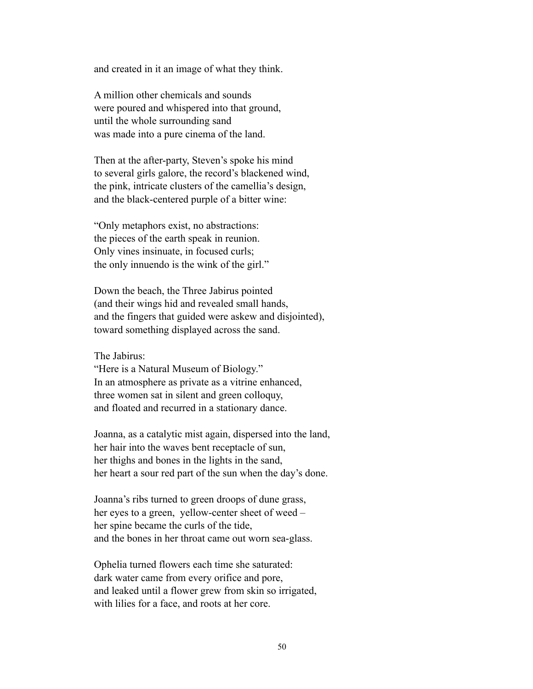and created in it an image of what they think.

A million other chemicals and sounds were poured and whispered into that ground, until the whole surrounding sand was made into a pure cinema of the land.

Then at the after-party, Steven's spoke his mind to several girls galore, the record's blackened wind, the pink, intricate clusters of the camellia's design, and the black-centered purple of a bitter wine:

"Only metaphors exist, no abstractions: the pieces of the earth speak in reunion. Only vines insinuate, in focused curls; the only innuendo is the wink of the girl."

Down the beach, the Three Jabirus pointed (and their wings hid and revealed small hands, and the fingers that guided were askew and disjointed), toward something displayed across the sand.

The Jabirus:

"Here is a Natural Museum of Biology." In an atmosphere as private as a vitrine enhanced, three women sat in silent and green colloquy, and floated and recurred in a stationary dance.

Joanna, as a catalytic mist again, dispersed into the land, her hair into the waves bent receptacle of sun, her thighs and bones in the lights in the sand, her heart a sour red part of the sun when the day's done.

Joanna's ribs turned to green droops of dune grass, her eyes to a green, yellow-center sheet of weed – her spine became the curls of the tide, and the bones in her throat came out worn sea-glass.

Ophelia turned flowers each time she saturated: dark water came from every orifice and pore, and leaked until a flower grew from skin so irrigated, with lilies for a face, and roots at her core.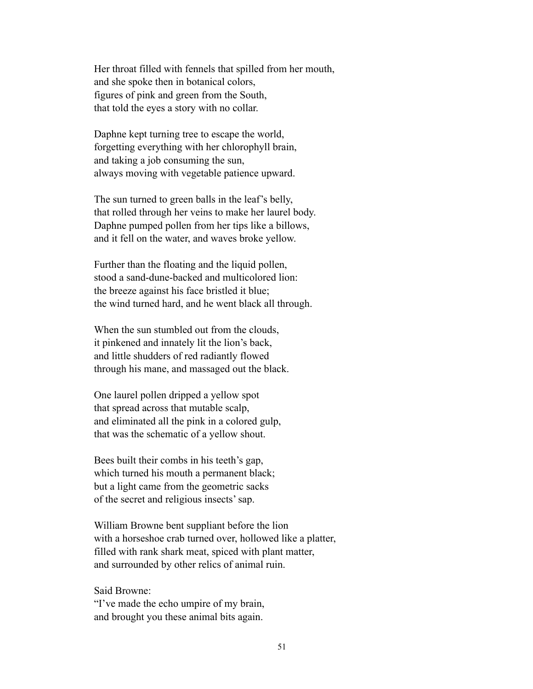Her throat filled with fennels that spilled from her mouth, and she spoke then in botanical colors, figures of pink and green from the South, that told the eyes a story with no collar.

Daphne kept turning tree to escape the world, forgetting everything with her chlorophyll brain, and taking a job consuming the sun, always moving with vegetable patience upward.

The sun turned to green balls in the leaf's belly, that rolled through her veins to make her laurel body. Daphne pumped pollen from her tips like a billows, and it fell on the water, and waves broke yellow.

Further than the floating and the liquid pollen, stood a sand-dune-backed and multicolored lion: the breeze against his face bristled it blue; the wind turned hard, and he went black all through.

When the sun stumbled out from the clouds, it pinkened and innately lit the lion's back, and little shudders of red radiantly flowed through his mane, and massaged out the black.

One laurel pollen dripped a yellow spot that spread across that mutable scalp, and eliminated all the pink in a colored gulp, that was the schematic of a yellow shout.

Bees built their combs in his teeth's gap, which turned his mouth a permanent black; but a light came from the geometric sacks of the secret and religious insects' sap.

William Browne bent suppliant before the lion with a horseshoe crab turned over, hollowed like a platter, filled with rank shark meat, spiced with plant matter, and surrounded by other relics of animal ruin.

Said Browne:

"I've made the echo umpire of my brain, and brought you these animal bits again.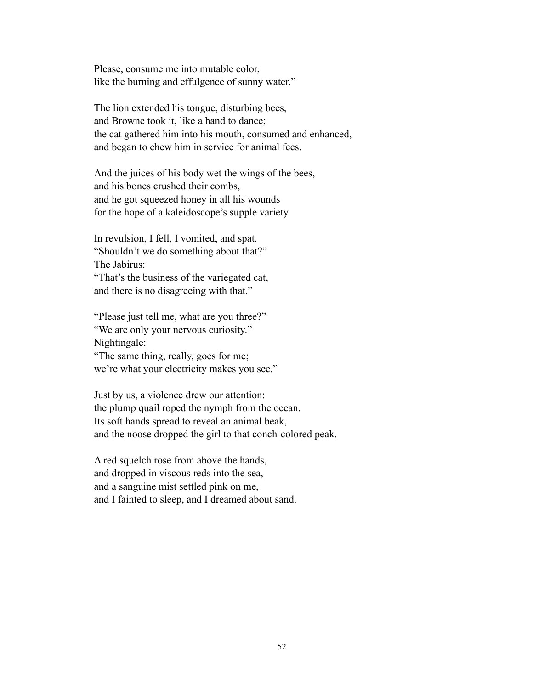Please, consume me into mutable color, like the burning and effulgence of sunny water."

The lion extended his tongue, disturbing bees, and Browne took it, like a hand to dance; the cat gathered him into his mouth, consumed and enhanced, and began to chew him in service for animal fees.

And the juices of his body wet the wings of the bees, and his bones crushed their combs, and he got squeezed honey in all his wounds for the hope of a kaleidoscope's supple variety.

In revulsion, I fell, I vomited, and spat. "Shouldn't we do something about that?" The Jabirus:

"That's the business of the variegated cat, and there is no disagreeing with that."

"Please just tell me, what are you three?" "We are only your nervous curiosity." Nightingale: "The same thing, really, goes for me; we're what your electricity makes you see."

Just by us, a violence drew our attention: the plump quail roped the nymph from the ocean. Its soft hands spread to reveal an animal beak, and the noose dropped the girl to that conch-colored peak.

A red squelch rose from above the hands, and dropped in viscous reds into the sea, and a sanguine mist settled pink on me, and I fainted to sleep, and I dreamed about sand.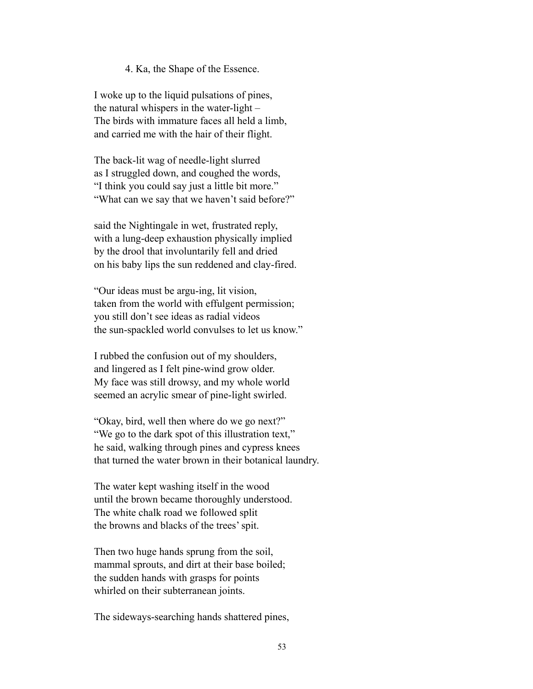#### 4. Ka, the Shape of the Essence.

I woke up to the liquid pulsations of pines, the natural whispers in the water-light – The birds with immature faces all held a limb, and carried me with the hair of their flight.

The back-lit wag of needle-light slurred as I struggled down, and coughed the words, "I think you could say just a little bit more." "What can we say that we haven't said before?"

said the Nightingale in wet, frustrated reply, with a lung-deep exhaustion physically implied by the drool that involuntarily fell and dried on his baby lips the sun reddened and clay-fired.

"Our ideas must be argu-ing, lit vision, taken from the world with effulgent permission; you still don't see ideas as radial videos the sun-spackled world convulses to let us know."

I rubbed the confusion out of my shoulders, and lingered as I felt pine-wind grow older. My face was still drowsy, and my whole world seemed an acrylic smear of pine-light swirled.

"Okay, bird, well then where do we go next?" "We go to the dark spot of this illustration text," he said, walking through pines and cypress knees that turned the water brown in their botanical laundry.

The water kept washing itself in the wood until the brown became thoroughly understood. The white chalk road we followed split the browns and blacks of the trees' spit.

Then two huge hands sprung from the soil, mammal sprouts, and dirt at their base boiled; the sudden hands with grasps for points whirled on their subterranean joints.

The sideways-searching hands shattered pines,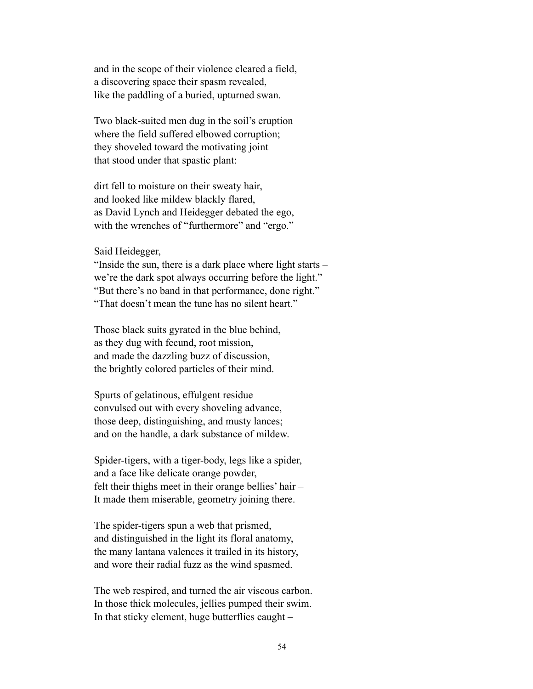and in the scope of their violence cleared a field, a discovering space their spasm revealed, like the paddling of a buried, upturned swan.

Two black-suited men dug in the soil's eruption where the field suffered elbowed corruption; they shoveled toward the motivating joint that stood under that spastic plant:

dirt fell to moisture on their sweaty hair, and looked like mildew blackly flared, as David Lynch and Heidegger debated the ego, with the wrenches of "furthermore" and "ergo."

Said Heidegger,

"Inside the sun, there is a dark place where light starts – we're the dark spot always occurring before the light." "But there's no band in that performance, done right." "That doesn't mean the tune has no silent heart."

Those black suits gyrated in the blue behind, as they dug with fecund, root mission, and made the dazzling buzz of discussion, the brightly colored particles of their mind.

Spurts of gelatinous, effulgent residue convulsed out with every shoveling advance, those deep, distinguishing, and musty lances; and on the handle, a dark substance of mildew.

Spider-tigers, with a tiger-body, legs like a spider, and a face like delicate orange powder, felt their thighs meet in their orange bellies' hair – It made them miserable, geometry joining there.

The spider-tigers spun a web that prismed, and distinguished in the light its floral anatomy, the many lantana valences it trailed in its history, and wore their radial fuzz as the wind spasmed.

The web respired, and turned the air viscous carbon. In those thick molecules, jellies pumped their swim. In that sticky element, huge butterflies caught –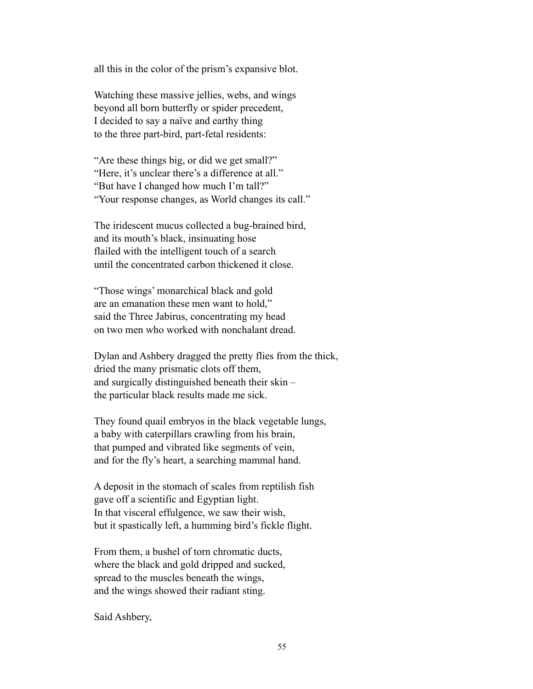all this in the color of the prism's expansive blot.

Watching these massive jellies, webs, and wings beyond all born butterfly or spider precedent, I decided to say a naïve and earthy thing to the three part-bird, part-fetal residents:

"Are these things big, or did we get small?" "Here, it's unclear there's a difference at all." "But have I changed how much I'm tall?" "Your response changes, as World changes its call."

The iridescent mucus collected a bug-brained bird, and its mouth's black, insinuating hose flailed with the intelligent touch of a search until the concentrated carbon thickened it close.

"Those wings' monarchical black and gold are an emanation these men want to hold," said the Three Jabirus, concentrating my head on two men who worked with nonchalant dread.

Dylan and Ashbery dragged the pretty flies from the thick, dried the many prismatic clots off them, and surgically distinguished beneath their skin – the particular black results made me sick.

They found quail embryos in the black vegetable lungs, a baby with caterpillars crawling from his brain, that pumped and vibrated like segments of vein, and for the fly's heart, a searching mammal hand.

A deposit in the stomach of scales from reptilish fish gave off a scientific and Egyptian light. In that visceral effulgence, we saw their wish, but it spastically left, a humming bird's fickle flight.

From them, a bushel of torn chromatic ducts, where the black and gold dripped and sucked, spread to the muscles beneath the wings, and the wings showed their radiant sting.

Said Ashbery,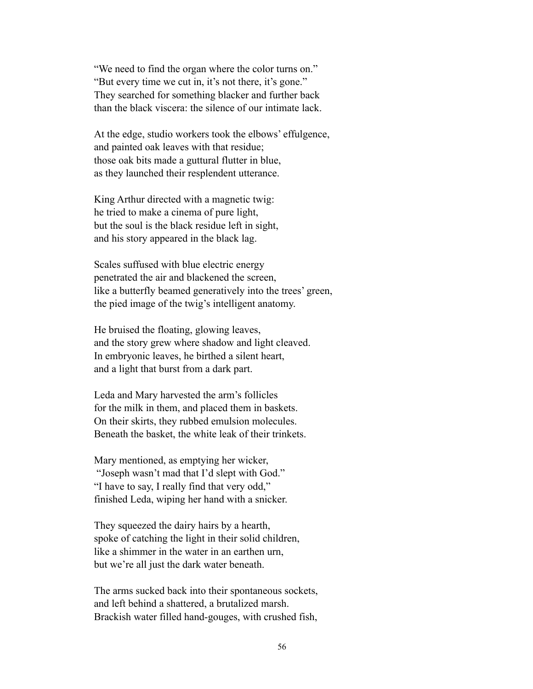"We need to find the organ where the color turns on." "But every time we cut in, it's not there, it's gone." They searched for something blacker and further back than the black viscera: the silence of our intimate lack.

At the edge, studio workers took the elbows' effulgence, and painted oak leaves with that residue; those oak bits made a guttural flutter in blue, as they launched their resplendent utterance.

King Arthur directed with a magnetic twig: he tried to make a cinema of pure light, but the soul is the black residue left in sight, and his story appeared in the black lag.

Scales suffused with blue electric energy penetrated the air and blackened the screen, like a butterfly beamed generatively into the trees' green, the pied image of the twig's intelligent anatomy.

He bruised the floating, glowing leaves, and the story grew where shadow and light cleaved. In embryonic leaves, he birthed a silent heart, and a light that burst from a dark part.

Leda and Mary harvested the arm's follicles for the milk in them, and placed them in baskets. On their skirts, they rubbed emulsion molecules. Beneath the basket, the white leak of their trinkets.

Mary mentioned, as emptying her wicker, "Joseph wasn't mad that I'd slept with God." "I have to say, I really find that very odd," finished Leda, wiping her hand with a snicker.

They squeezed the dairy hairs by a hearth, spoke of catching the light in their solid children, like a shimmer in the water in an earthen urn, but we're all just the dark water beneath.

The arms sucked back into their spontaneous sockets, and left behind a shattered, a brutalized marsh. Brackish water filled hand-gouges, with crushed fish,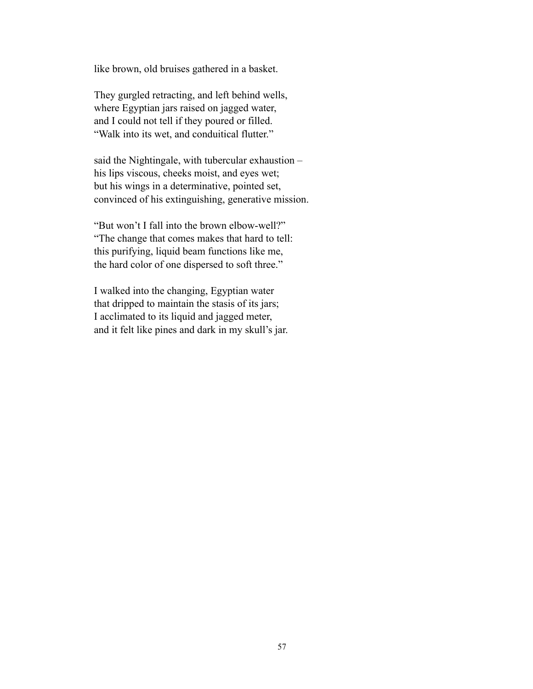like brown, old bruises gathered in a basket.

They gurgled retracting, and left behind wells, where Egyptian jars raised on jagged water, and I could not tell if they poured or filled. "Walk into its wet, and conduitical flutter."

said the Nightingale, with tubercular exhaustion – his lips viscous, cheeks moist, and eyes wet; but his wings in a determinative, pointed set, convinced of his extinguishing, generative mission.

"But won't I fall into the brown elbow-well?" "The change that comes makes that hard to tell: this purifying, liquid beam functions like me, the hard color of one dispersed to soft three."

I walked into the changing, Egyptian water that dripped to maintain the stasis of its jars; I acclimated to its liquid and jagged meter, and it felt like pines and dark in my skull's jar.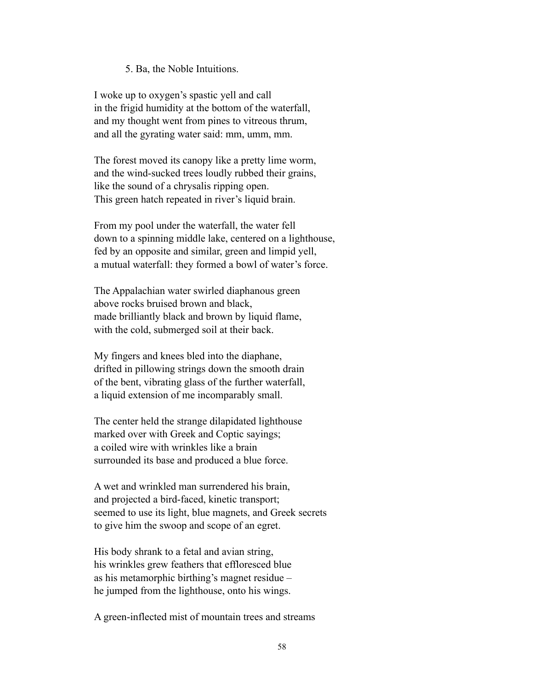## 5. Ba, the Noble Intuitions.

I woke up to oxygen's spastic yell and call in the frigid humidity at the bottom of the waterfall, and my thought went from pines to vitreous thrum, and all the gyrating water said: mm, umm, mm.

The forest moved its canopy like a pretty lime worm, and the wind-sucked trees loudly rubbed their grains, like the sound of a chrysalis ripping open. This green hatch repeated in river's liquid brain.

From my pool under the waterfall, the water fell down to a spinning middle lake, centered on a lighthouse, fed by an opposite and similar, green and limpid yell, a mutual waterfall: they formed a bowl of water's force.

The Appalachian water swirled diaphanous green above rocks bruised brown and black, made brilliantly black and brown by liquid flame, with the cold, submerged soil at their back.

My fingers and knees bled into the diaphane, drifted in pillowing strings down the smooth drain of the bent, vibrating glass of the further waterfall, a liquid extension of me incomparably small.

The center held the strange dilapidated lighthouse marked over with Greek and Coptic sayings; a coiled wire with wrinkles like a brain surrounded its base and produced a blue force.

A wet and wrinkled man surrendered his brain, and projected a bird-faced, kinetic transport; seemed to use its light, blue magnets, and Greek secrets to give him the swoop and scope of an egret.

His body shrank to a fetal and avian string, his wrinkles grew feathers that effloresced blue as his metamorphic birthing's magnet residue – he jumped from the lighthouse, onto his wings.

A green-inflected mist of mountain trees and streams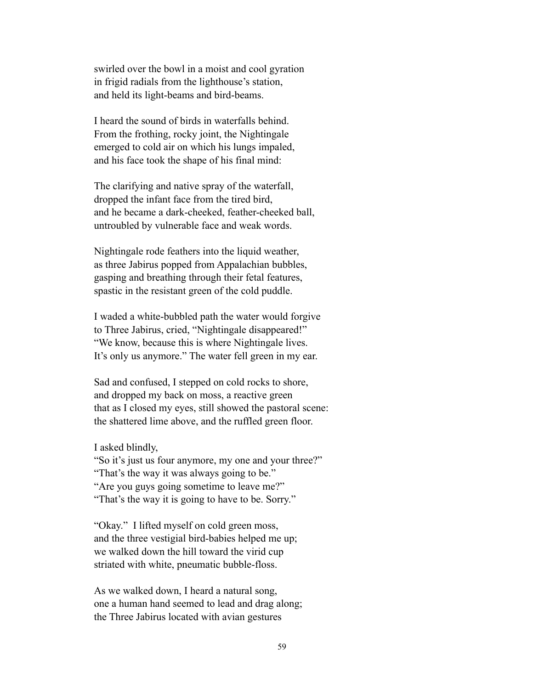swirled over the bowl in a moist and cool gyration in frigid radials from the lighthouse's station, and held its light-beams and bird-beams.

I heard the sound of birds in waterfalls behind. From the frothing, rocky joint, the Nightingale emerged to cold air on which his lungs impaled, and his face took the shape of his final mind:

The clarifying and native spray of the waterfall, dropped the infant face from the tired bird, and he became a dark-cheeked, feather-cheeked ball, untroubled by vulnerable face and weak words.

Nightingale rode feathers into the liquid weather, as three Jabirus popped from Appalachian bubbles, gasping and breathing through their fetal features, spastic in the resistant green of the cold puddle.

I waded a white-bubbled path the water would forgive to Three Jabirus, cried, "Nightingale disappeared!" "We know, because this is where Nightingale lives. It's only us anymore." The water fell green in my ear.

Sad and confused, I stepped on cold rocks to shore, and dropped my back on moss, a reactive green that as I closed my eyes, still showed the pastoral scene: the shattered lime above, and the ruffled green floor.

I asked blindly,

"So it's just us four anymore, my one and your three?"

"That's the way it was always going to be."

"Are you guys going sometime to leave me?"

"That's the way it is going to have to be. Sorry."

"Okay." I lifted myself on cold green moss, and the three vestigial bird-babies helped me up; we walked down the hill toward the virid cup striated with white, pneumatic bubble-floss.

As we walked down, I heard a natural song, one a human hand seemed to lead and drag along; the Three Jabirus located with avian gestures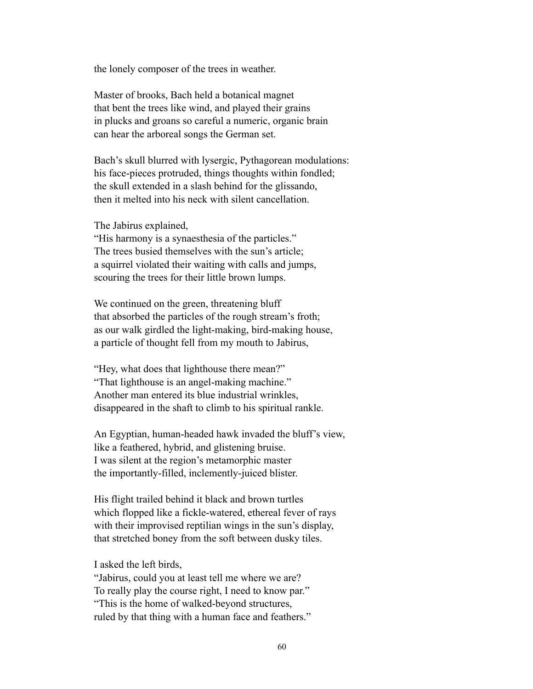the lonely composer of the trees in weather.

Master of brooks, Bach held a botanical magnet that bent the trees like wind, and played their grains in plucks and groans so careful a numeric, organic brain can hear the arboreal songs the German set.

Bach's skull blurred with lysergic, Pythagorean modulations: his face-pieces protruded, things thoughts within fondled; the skull extended in a slash behind for the glissando, then it melted into his neck with silent cancellation.

The Jabirus explained,

"His harmony is a synaesthesia of the particles." The trees busied themselves with the sun's article; a squirrel violated their waiting with calls and jumps, scouring the trees for their little brown lumps.

We continued on the green, threatening bluff that absorbed the particles of the rough stream's froth; as our walk girdled the light-making, bird-making house, a particle of thought fell from my mouth to Jabirus,

"Hey, what does that lighthouse there mean?" "That lighthouse is an angel-making machine." Another man entered its blue industrial wrinkles, disappeared in the shaft to climb to his spiritual rankle.

An Egyptian, human-headed hawk invaded the bluff's view, like a feathered, hybrid, and glistening bruise. I was silent at the region's metamorphic master the importantly-filled, inclemently-juiced blister.

His flight trailed behind it black and brown turtles which flopped like a fickle-watered, ethereal fever of rays with their improvised reptilian wings in the sun's display, that stretched boney from the soft between dusky tiles.

I asked the left birds,

"Jabirus, could you at least tell me where we are? To really play the course right, I need to know par." "This is the home of walked-beyond structures, ruled by that thing with a human face and feathers."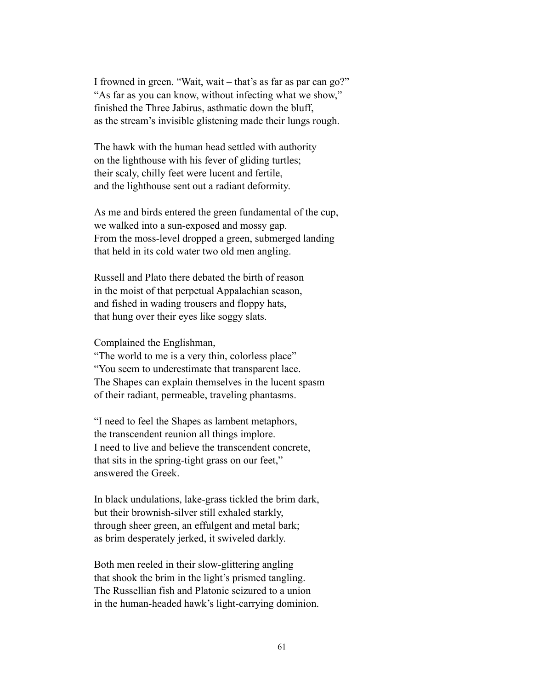I frowned in green. "Wait, wait – that's as far as par can go?" "As far as you can know, without infecting what we show," finished the Three Jabirus, asthmatic down the bluff, as the stream's invisible glistening made their lungs rough.

The hawk with the human head settled with authority on the lighthouse with his fever of gliding turtles; their scaly, chilly feet were lucent and fertile, and the lighthouse sent out a radiant deformity.

As me and birds entered the green fundamental of the cup, we walked into a sun-exposed and mossy gap. From the moss-level dropped a green, submerged landing that held in its cold water two old men angling.

Russell and Plato there debated the birth of reason in the moist of that perpetual Appalachian season, and fished in wading trousers and floppy hats, that hung over their eyes like soggy slats.

Complained the Englishman,

"The world to me is a very thin, colorless place" "You seem to underestimate that transparent lace. The Shapes can explain themselves in the lucent spasm of their radiant, permeable, traveling phantasms.

"I need to feel the Shapes as lambent metaphors, the transcendent reunion all things implore. I need to live and believe the transcendent concrete, that sits in the spring-tight grass on our feet," answered the Greek.

In black undulations, lake-grass tickled the brim dark, but their brownish-silver still exhaled starkly, through sheer green, an effulgent and metal bark; as brim desperately jerked, it swiveled darkly.

Both men reeled in their slow-glittering angling that shook the brim in the light's prismed tangling. The Russellian fish and Platonic seizured to a union in the human-headed hawk's light-carrying dominion.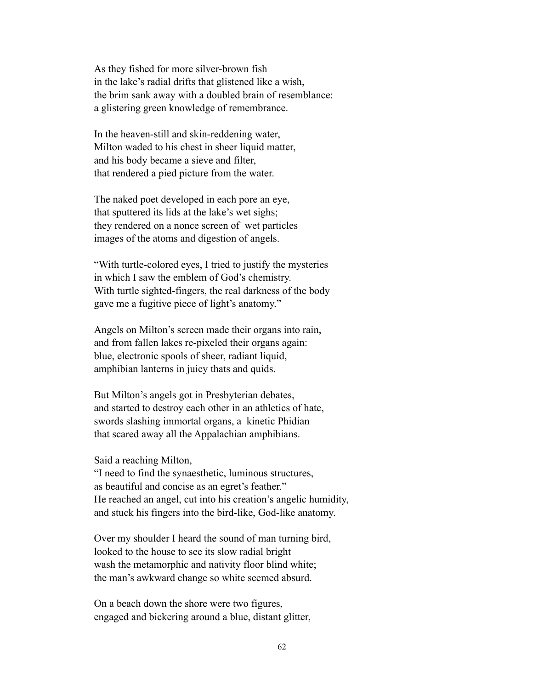As they fished for more silver-brown fish in the lake's radial drifts that glistened like a wish, the brim sank away with a doubled brain of resemblance: a glistering green knowledge of remembrance.

In the heaven-still and skin-reddening water, Milton waded to his chest in sheer liquid matter, and his body became a sieve and filter, that rendered a pied picture from the water.

The naked poet developed in each pore an eye, that sputtered its lids at the lake's wet sighs; they rendered on a nonce screen of wet particles images of the atoms and digestion of angels.

"With turtle-colored eyes, I tried to justify the mysteries in which I saw the emblem of God's chemistry. With turtle sighted-fingers, the real darkness of the body gave me a fugitive piece of light's anatomy."

Angels on Milton's screen made their organs into rain, and from fallen lakes re-pixeled their organs again: blue, electronic spools of sheer, radiant liquid, amphibian lanterns in juicy thats and quids.

But Milton's angels got in Presbyterian debates, and started to destroy each other in an athletics of hate, swords slashing immortal organs, a kinetic Phidian that scared away all the Appalachian amphibians.

Said a reaching Milton,

"I need to find the synaesthetic, luminous structures, as beautiful and concise as an egret's feather." He reached an angel, cut into his creation's angelic humidity, and stuck his fingers into the bird-like, God-like anatomy.

Over my shoulder I heard the sound of man turning bird, looked to the house to see its slow radial bright wash the metamorphic and nativity floor blind white; the man's awkward change so white seemed absurd.

On a beach down the shore were two figures, engaged and bickering around a blue, distant glitter,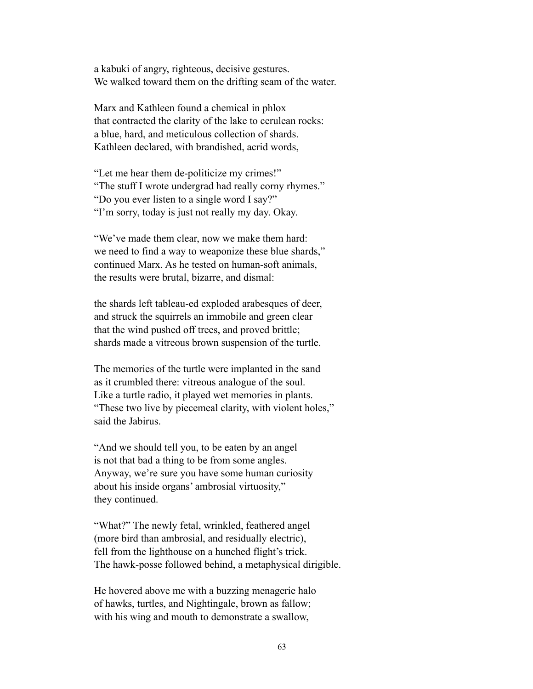a kabuki of angry, righteous, decisive gestures. We walked toward them on the drifting seam of the water.

Marx and Kathleen found a chemical in phlox that contracted the clarity of the lake to cerulean rocks: a blue, hard, and meticulous collection of shards. Kathleen declared, with brandished, acrid words,

"Let me hear them de-politicize my crimes!" "The stuff I wrote undergrad had really corny rhymes." "Do you ever listen to a single word I say?" "I'm sorry, today is just not really my day. Okay.

"We've made them clear, now we make them hard: we need to find a way to weaponize these blue shards," continued Marx. As he tested on human-soft animals, the results were brutal, bizarre, and dismal:

the shards left tableau-ed exploded arabesques of deer, and struck the squirrels an immobile and green clear that the wind pushed off trees, and proved brittle; shards made a vitreous brown suspension of the turtle.

The memories of the turtle were implanted in the sand as it crumbled there: vitreous analogue of the soul. Like a turtle radio, it played wet memories in plants. "These two live by piecemeal clarity, with violent holes," said the Jabirus.

"And we should tell you, to be eaten by an angel is not that bad a thing to be from some angles. Anyway, we're sure you have some human curiosity about his inside organs' ambrosial virtuosity," they continued.

"What?" The newly fetal, wrinkled, feathered angel (more bird than ambrosial, and residually electric), fell from the lighthouse on a hunched flight's trick. The hawk-posse followed behind, a metaphysical dirigible.

He hovered above me with a buzzing menagerie halo of hawks, turtles, and Nightingale, brown as fallow; with his wing and mouth to demonstrate a swallow,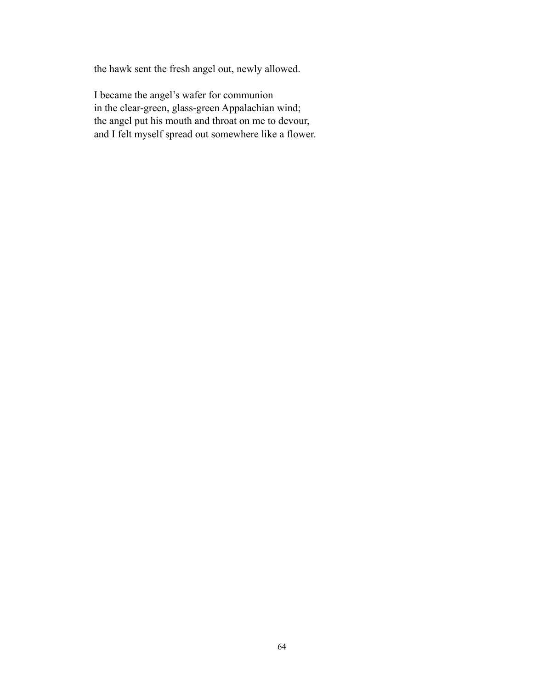the hawk sent the fresh angel out, newly allowed.

I became the angel's wafer for communion in the clear-green, glass-green Appalachian wind; the angel put his mouth and throat on me to devour, and I felt myself spread out somewhere like a flower.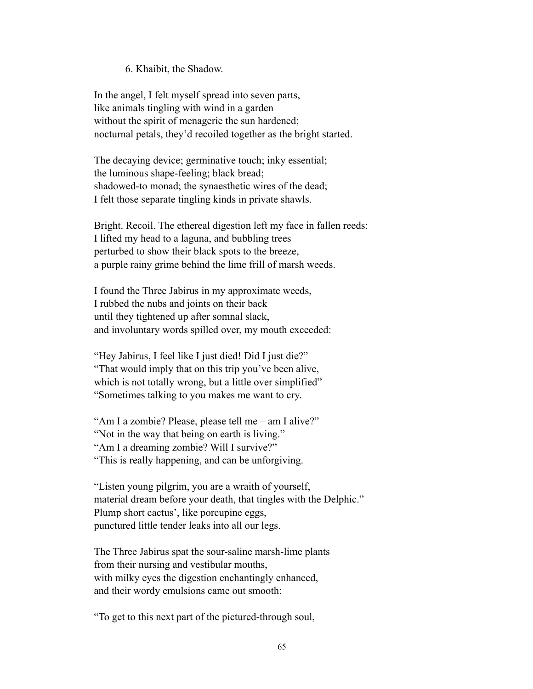## 6. Khaibit, the Shadow.

In the angel, I felt myself spread into seven parts, like animals tingling with wind in a garden without the spirit of menagerie the sun hardened; nocturnal petals, they'd recoiled together as the bright started.

The decaying device; germinative touch; inky essential; the luminous shape-feeling; black bread; shadowed-to monad; the synaesthetic wires of the dead; I felt those separate tingling kinds in private shawls.

Bright. Recoil. The ethereal digestion left my face in fallen reeds: I lifted my head to a laguna, and bubbling trees perturbed to show their black spots to the breeze, a purple rainy grime behind the lime frill of marsh weeds.

I found the Three Jabirus in my approximate weeds, I rubbed the nubs and joints on their back until they tightened up after somnal slack, and involuntary words spilled over, my mouth exceeded:

"Hey Jabirus, I feel like I just died! Did I just die?" "That would imply that on this trip you've been alive, which is not totally wrong, but a little over simplified" "Sometimes talking to you makes me want to cry.

"Am I a zombie? Please, please tell me – am I alive?" "Not in the way that being on earth is living." "Am I a dreaming zombie? Will I survive?" "This is really happening, and can be unforgiving.

"Listen young pilgrim, you are a wraith of yourself, material dream before your death, that tingles with the Delphic." Plump short cactus', like porcupine eggs, punctured little tender leaks into all our legs.

The Three Jabirus spat the sour-saline marsh-lime plants from their nursing and vestibular mouths, with milky eyes the digestion enchantingly enhanced, and their wordy emulsions came out smooth:

"To get to this next part of the pictured-through soul,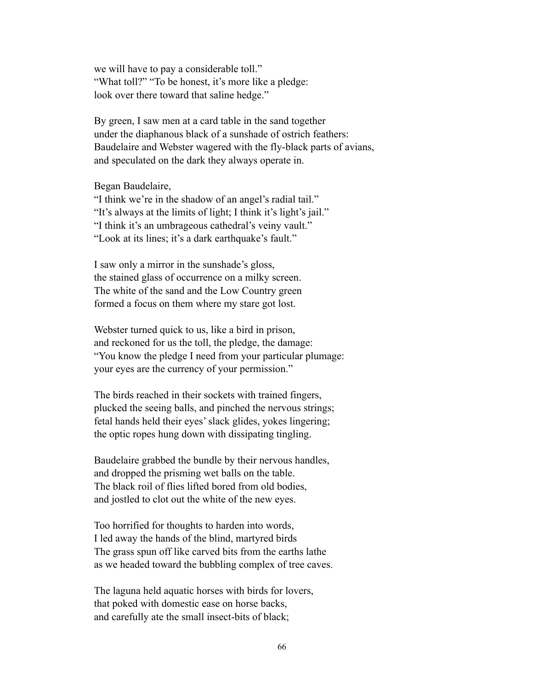we will have to pay a considerable toll." "What toll?" "To be honest, it's more like a pledge: look over there toward that saline hedge."

By green, I saw men at a card table in the sand together under the diaphanous black of a sunshade of ostrich feathers: Baudelaire and Webster wagered with the fly-black parts of avians, and speculated on the dark they always operate in.

Began Baudelaire,

"I think we're in the shadow of an angel's radial tail." "It's always at the limits of light; I think it's light's jail." "I think it's an umbrageous cathedral's veiny vault." "Look at its lines; it's a dark earthquake's fault."

I saw only a mirror in the sunshade's gloss, the stained glass of occurrence on a milky screen. The white of the sand and the Low Country green formed a focus on them where my stare got lost.

Webster turned quick to us, like a bird in prison, and reckoned for us the toll, the pledge, the damage: "You know the pledge I need from your particular plumage: your eyes are the currency of your permission."

The birds reached in their sockets with trained fingers, plucked the seeing balls, and pinched the nervous strings; fetal hands held their eyes' slack glides, yokes lingering; the optic ropes hung down with dissipating tingling.

Baudelaire grabbed the bundle by their nervous handles, and dropped the prisming wet balls on the table. The black roil of flies lifted bored from old bodies, and jostled to clot out the white of the new eyes.

Too horrified for thoughts to harden into words, I led away the hands of the blind, martyred birds The grass spun off like carved bits from the earths lathe as we headed toward the bubbling complex of tree caves.

The laguna held aquatic horses with birds for lovers, that poked with domestic ease on horse backs, and carefully ate the small insect-bits of black;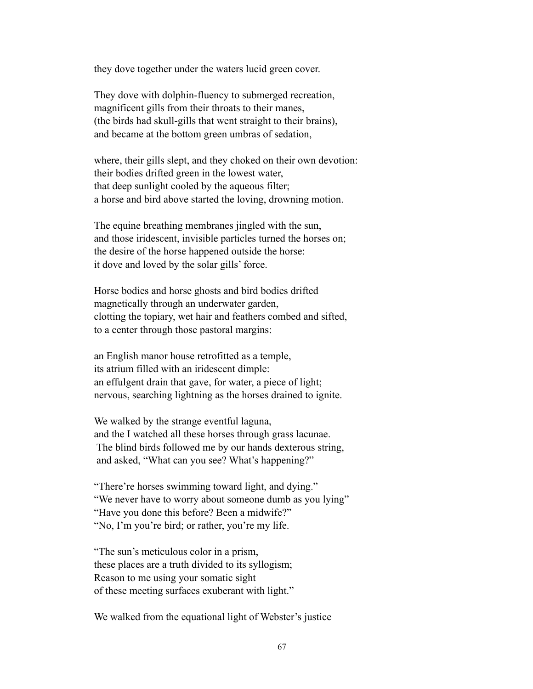they dove together under the waters lucid green cover.

They dove with dolphin-fluency to submerged recreation, magnificent gills from their throats to their manes, (the birds had skull-gills that went straight to their brains), and became at the bottom green umbras of sedation,

where, their gills slept, and they choked on their own devotion: their bodies drifted green in the lowest water, that deep sunlight cooled by the aqueous filter; a horse and bird above started the loving, drowning motion.

The equine breathing membranes jingled with the sun, and those iridescent, invisible particles turned the horses on; the desire of the horse happened outside the horse: it dove and loved by the solar gills' force.

Horse bodies and horse ghosts and bird bodies drifted magnetically through an underwater garden, clotting the topiary, wet hair and feathers combed and sifted, to a center through those pastoral margins:

an English manor house retrofitted as a temple, its atrium filled with an iridescent dimple: an effulgent drain that gave, for water, a piece of light; nervous, searching lightning as the horses drained to ignite.

We walked by the strange eventful laguna, and the I watched all these horses through grass lacunae. The blind birds followed me by our hands dexterous string, and asked, "What can you see? What's happening?"

"There're horses swimming toward light, and dying." "We never have to worry about someone dumb as you lying" "Have you done this before? Been a midwife?" "No, I'm you're bird; or rather, you're my life.

"The sun's meticulous color in a prism, these places are a truth divided to its syllogism; Reason to me using your somatic sight of these meeting surfaces exuberant with light."

We walked from the equational light of Webster's justice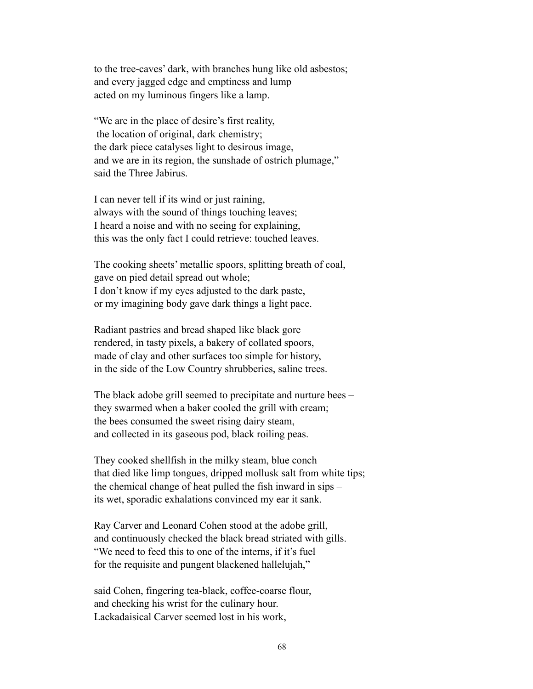to the tree-caves' dark, with branches hung like old asbestos; and every jagged edge and emptiness and lump acted on my luminous fingers like a lamp.

"We are in the place of desire's first reality, the location of original, dark chemistry; the dark piece catalyses light to desirous image, and we are in its region, the sunshade of ostrich plumage," said the Three Jabirus.

I can never tell if its wind or just raining, always with the sound of things touching leaves; I heard a noise and with no seeing for explaining, this was the only fact I could retrieve: touched leaves.

The cooking sheets' metallic spoors, splitting breath of coal, gave on pied detail spread out whole; I don't know if my eyes adjusted to the dark paste, or my imagining body gave dark things a light pace.

Radiant pastries and bread shaped like black gore rendered, in tasty pixels, a bakery of collated spoors, made of clay and other surfaces too simple for history, in the side of the Low Country shrubberies, saline trees.

The black adobe grill seemed to precipitate and nurture bees – they swarmed when a baker cooled the grill with cream; the bees consumed the sweet rising dairy steam, and collected in its gaseous pod, black roiling peas.

They cooked shellfish in the milky steam, blue conch that died like limp tongues, dripped mollusk salt from white tips; the chemical change of heat pulled the fish inward in sips – its wet, sporadic exhalations convinced my ear it sank.

Ray Carver and Leonard Cohen stood at the adobe grill, and continuously checked the black bread striated with gills. "We need to feed this to one of the interns, if it's fuel for the requisite and pungent blackened hallelujah,"

said Cohen, fingering tea-black, coffee-coarse flour, and checking his wrist for the culinary hour. Lackadaisical Carver seemed lost in his work,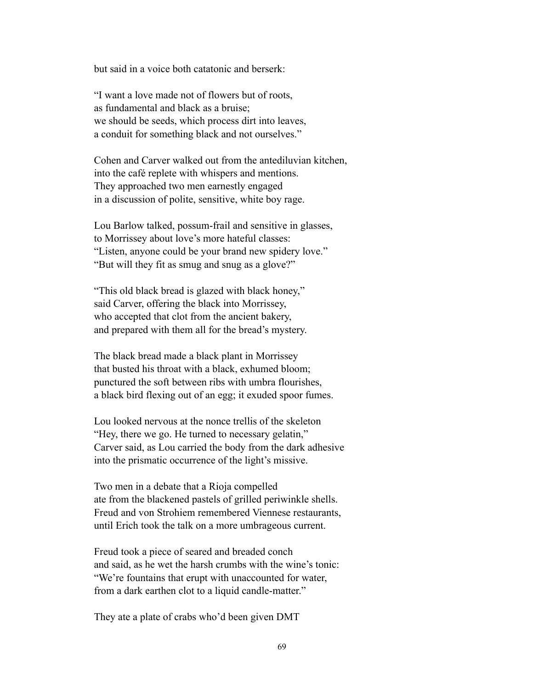but said in a voice both catatonic and berserk:

"I want a love made not of flowers but of roots, as fundamental and black as a bruise; we should be seeds, which process dirt into leaves, a conduit for something black and not ourselves."

Cohen and Carver walked out from the antediluvian kitchen, into the café replete with whispers and mentions. They approached two men earnestly engaged in a discussion of polite, sensitive, white boy rage.

Lou Barlow talked, possum-frail and sensitive in glasses, to Morrissey about love's more hateful classes: "Listen, anyone could be your brand new spidery love." "But will they fit as smug and snug as a glove?"

"This old black bread is glazed with black honey," said Carver, offering the black into Morrissey, who accepted that clot from the ancient bakery, and prepared with them all for the bread's mystery.

The black bread made a black plant in Morrissey that busted his throat with a black, exhumed bloom; punctured the soft between ribs with umbra flourishes, a black bird flexing out of an egg; it exuded spoor fumes.

Lou looked nervous at the nonce trellis of the skeleton "Hey, there we go. He turned to necessary gelatin," Carver said, as Lou carried the body from the dark adhesive into the prismatic occurrence of the light's missive.

Two men in a debate that a Rioja compelled ate from the blackened pastels of grilled periwinkle shells. Freud and von Strohiem remembered Viennese restaurants, until Erich took the talk on a more umbrageous current.

Freud took a piece of seared and breaded conch and said, as he wet the harsh crumbs with the wine's tonic: "We're fountains that erupt with unaccounted for water, from a dark earthen clot to a liquid candle-matter."

They ate a plate of crabs who'd been given DMT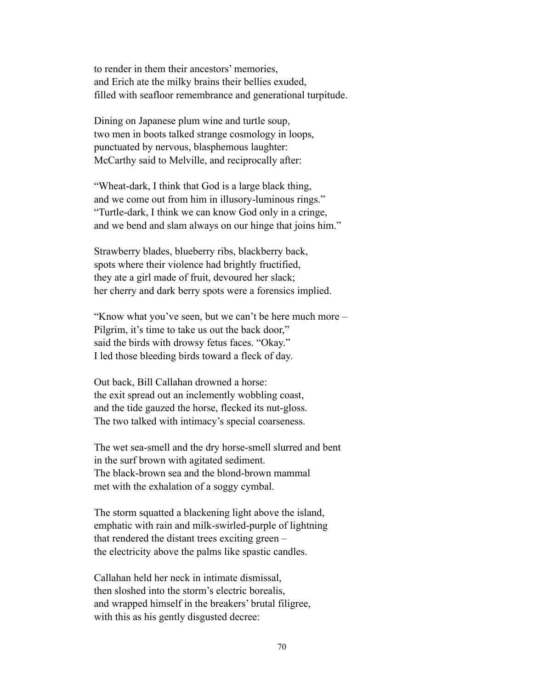to render in them their ancestors' memories, and Erich ate the milky brains their bellies exuded, filled with seafloor remembrance and generational turpitude.

Dining on Japanese plum wine and turtle soup, two men in boots talked strange cosmology in loops, punctuated by nervous, blasphemous laughter: McCarthy said to Melville, and reciprocally after:

"Wheat-dark, I think that God is a large black thing, and we come out from him in illusory-luminous rings." "Turtle-dark, I think we can know God only in a cringe, and we bend and slam always on our hinge that joins him."

Strawberry blades, blueberry ribs, blackberry back, spots where their violence had brightly fructified, they ate a girl made of fruit, devoured her slack; her cherry and dark berry spots were a forensics implied.

"Know what you've seen, but we can't be here much more – Pilgrim, it's time to take us out the back door," said the birds with drowsy fetus faces. "Okay." I led those bleeding birds toward a fleck of day.

Out back, Bill Callahan drowned a horse: the exit spread out an inclemently wobbling coast, and the tide gauzed the horse, flecked its nut-gloss. The two talked with intimacy's special coarseness.

The wet sea-smell and the dry horse-smell slurred and bent in the surf brown with agitated sediment. The black-brown sea and the blond-brown mammal met with the exhalation of a soggy cymbal.

The storm squatted a blackening light above the island, emphatic with rain and milk-swirled-purple of lightning that rendered the distant trees exciting green – the electricity above the palms like spastic candles.

Callahan held her neck in intimate dismissal, then sloshed into the storm's electric borealis, and wrapped himself in the breakers' brutal filigree, with this as his gently disgusted decree: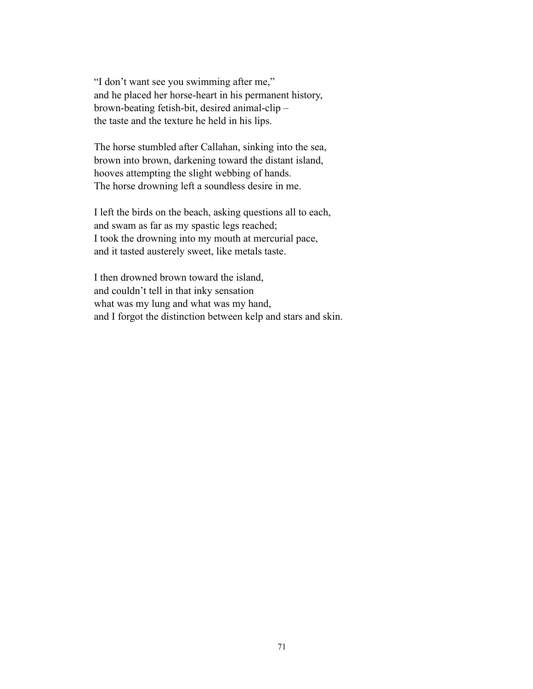"I don't want see you swimming after me," and he placed her horse-heart in his permanent history, brown-beating fetish-bit, desired animal-clip – the taste and the texture he held in his lips.

The horse stumbled after Callahan, sinking into the sea, brown into brown, darkening toward the distant island, hooves attempting the slight webbing of hands. The horse drowning left a soundless desire in me.

I left the birds on the beach, asking questions all to each, and swam as far as my spastic legs reached; I took the drowning into my mouth at mercurial pace, and it tasted austerely sweet, like metals taste.

I then drowned brown toward the island, and couldn't tell in that inky sensation what was my lung and what was my hand, and I forgot the distinction between kelp and stars and skin.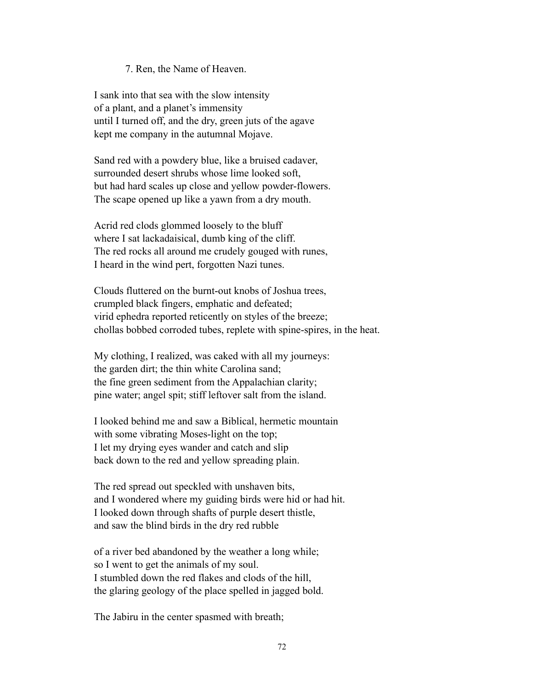### 7. Ren, the Name of Heaven.

I sank into that sea with the slow intensity of a plant, and a planet's immensity until I turned off, and the dry, green juts of the agave kept me company in the autumnal Mojave.

Sand red with a powdery blue, like a bruised cadaver, surrounded desert shrubs whose lime looked soft, but had hard scales up close and yellow powder-flowers. The scape opened up like a yawn from a dry mouth.

Acrid red clods glommed loosely to the bluff where I sat lackadaisical, dumb king of the cliff. The red rocks all around me crudely gouged with runes, I heard in the wind pert, forgotten Nazi tunes.

Clouds fluttered on the burnt-out knobs of Joshua trees, crumpled black fingers, emphatic and defeated; virid ephedra reported reticently on styles of the breeze; chollas bobbed corroded tubes, replete with spine-spires, in the heat.

My clothing, I realized, was caked with all my journeys: the garden dirt; the thin white Carolina sand; the fine green sediment from the Appalachian clarity; pine water; angel spit; stiff leftover salt from the island.

I looked behind me and saw a Biblical, hermetic mountain with some vibrating Moses-light on the top; I let my drying eyes wander and catch and slip back down to the red and yellow spreading plain.

The red spread out speckled with unshaven bits, and I wondered where my guiding birds were hid or had hit. I looked down through shafts of purple desert thistle, and saw the blind birds in the dry red rubble

of a river bed abandoned by the weather a long while; so I went to get the animals of my soul. I stumbled down the red flakes and clods of the hill, the glaring geology of the place spelled in jagged bold.

The Jabiru in the center spasmed with breath;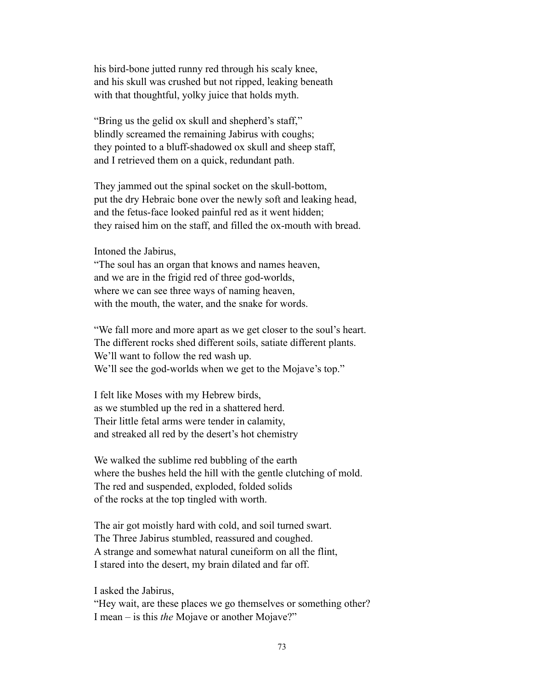his bird-bone jutted runny red through his scaly knee, and his skull was crushed but not ripped, leaking beneath with that thoughtful, yolky juice that holds myth.

"Bring us the gelid ox skull and shepherd's staff," blindly screamed the remaining Jabirus with coughs; they pointed to a bluff-shadowed ox skull and sheep staff, and I retrieved them on a quick, redundant path.

They jammed out the spinal socket on the skull-bottom, put the dry Hebraic bone over the newly soft and leaking head, and the fetus-face looked painful red as it went hidden; they raised him on the staff, and filled the ox-mouth with bread.

Intoned the Jabirus,

"The soul has an organ that knows and names heaven, and we are in the frigid red of three god-worlds, where we can see three ways of naming heaven, with the mouth, the water, and the snake for words.

"We fall more and more apart as we get closer to the soul's heart. The different rocks shed different soils, satiate different plants. We'll want to follow the red wash up. We'll see the god-worlds when we get to the Mojave's top."

I felt like Moses with my Hebrew birds, as we stumbled up the red in a shattered herd. Their little fetal arms were tender in calamity, and streaked all red by the desert's hot chemistry

We walked the sublime red bubbling of the earth where the bushes held the hill with the gentle clutching of mold. The red and suspended, exploded, folded solids of the rocks at the top tingled with worth.

The air got moistly hard with cold, and soil turned swart. The Three Jabirus stumbled, reassured and coughed. A strange and somewhat natural cuneiform on all the flint, I stared into the desert, my brain dilated and far off.

I asked the Jabirus,

"Hey wait, are these places we go themselves or something other? I mean – is this *the* Mojave or another Mojave?"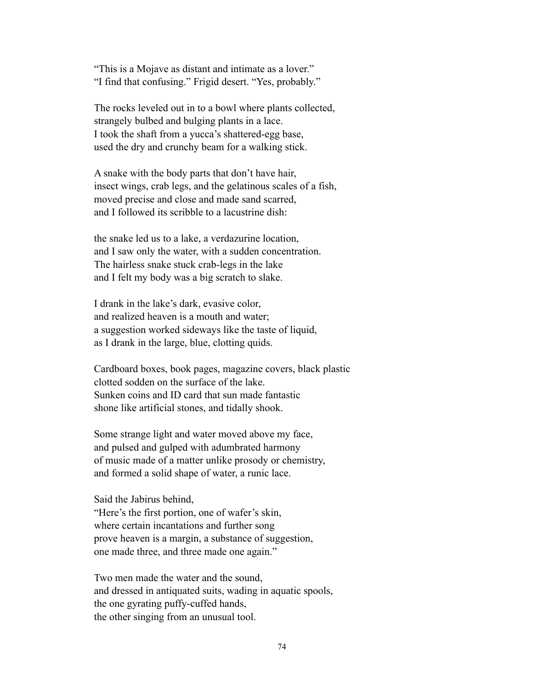"This is a Mojave as distant and intimate as a lover." "I find that confusing." Frigid desert. "Yes, probably."

The rocks leveled out in to a bowl where plants collected, strangely bulbed and bulging plants in a lace. I took the shaft from a yucca's shattered-egg base, used the dry and crunchy beam for a walking stick.

A snake with the body parts that don't have hair, insect wings, crab legs, and the gelatinous scales of a fish, moved precise and close and made sand scarred, and I followed its scribble to a lacustrine dish:

the snake led us to a lake, a verdazurine location, and I saw only the water, with a sudden concentration. The hairless snake stuck crab-legs in the lake and I felt my body was a big scratch to slake.

I drank in the lake's dark, evasive color, and realized heaven is a mouth and water; a suggestion worked sideways like the taste of liquid, as I drank in the large, blue, clotting quids.

Cardboard boxes, book pages, magazine covers, black plastic clotted sodden on the surface of the lake. Sunken coins and ID card that sun made fantastic shone like artificial stones, and tidally shook.

Some strange light and water moved above my face, and pulsed and gulped with adumbrated harmony of music made of a matter unlike prosody or chemistry, and formed a solid shape of water, a runic lace.

Said the Jabirus behind,

"Here's the first portion, one of wafer's skin, where certain incantations and further song prove heaven is a margin, a substance of suggestion, one made three, and three made one again."

Two men made the water and the sound, and dressed in antiquated suits, wading in aquatic spools, the one gyrating puffy-cuffed hands, the other singing from an unusual tool.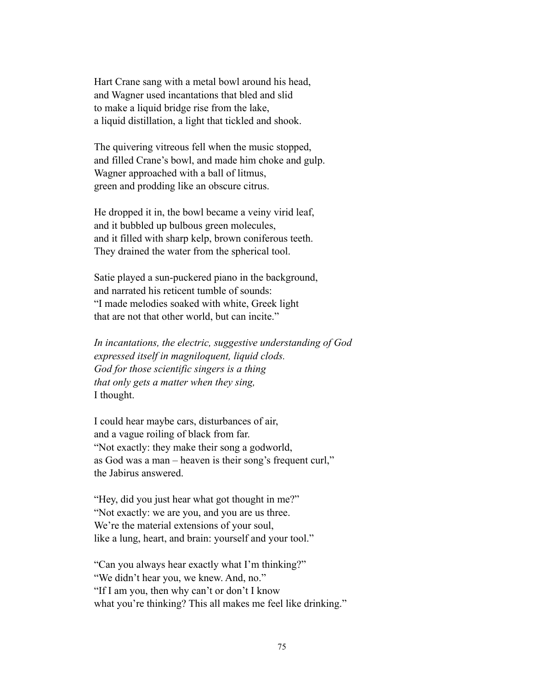Hart Crane sang with a metal bowl around his head, and Wagner used incantations that bled and slid to make a liquid bridge rise from the lake, a liquid distillation, a light that tickled and shook.

The quivering vitreous fell when the music stopped, and filled Crane's bowl, and made him choke and gulp. Wagner approached with a ball of litmus, green and prodding like an obscure citrus.

He dropped it in, the bowl became a veiny virid leaf, and it bubbled up bulbous green molecules, and it filled with sharp kelp, brown coniferous teeth. They drained the water from the spherical tool.

Satie played a sun-puckered piano in the background, and narrated his reticent tumble of sounds: "I made melodies soaked with white, Greek light that are not that other world, but can incite."

*In incantations, the electric, suggestive understanding of God expressed itself in magniloquent, liquid clods. God for those scientific singers is a thing that only gets a matter when they sing,* I thought.

I could hear maybe cars, disturbances of air, and a vague roiling of black from far. "Not exactly: they make their song a godworld, as God was a man – heaven is their song's frequent curl," the Jabirus answered.

"Hey, did you just hear what got thought in me?" "Not exactly: we are you, and you are us three. We're the material extensions of your soul, like a lung, heart, and brain: yourself and your tool."

"Can you always hear exactly what I'm thinking?" "We didn't hear you, we knew. And, no." "If I am you, then why can't or don't I know what you're thinking? This all makes me feel like drinking."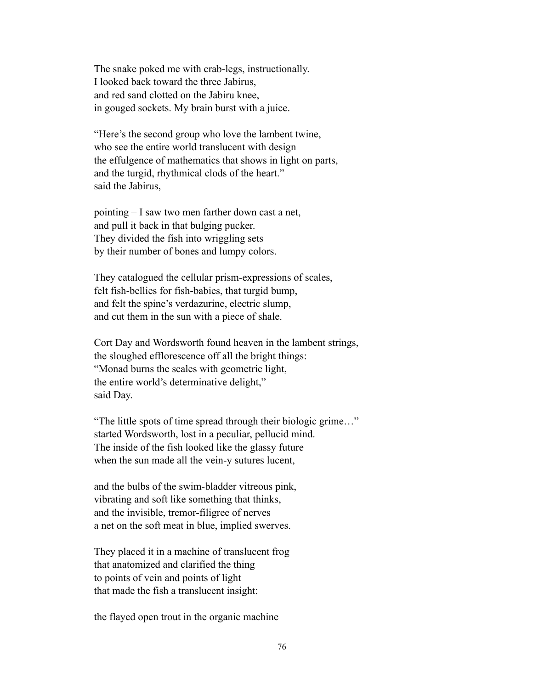The snake poked me with crab-legs, instructionally. I looked back toward the three Jabirus, and red sand clotted on the Jabiru knee, in gouged sockets. My brain burst with a juice.

"Here's the second group who love the lambent twine, who see the entire world translucent with design the effulgence of mathematics that shows in light on parts, and the turgid, rhythmical clods of the heart." said the Jabirus,

pointing – I saw two men farther down cast a net, and pull it back in that bulging pucker. They divided the fish into wriggling sets by their number of bones and lumpy colors.

They catalogued the cellular prism-expressions of scales, felt fish-bellies for fish-babies, that turgid bump, and felt the spine's verdazurine, electric slump, and cut them in the sun with a piece of shale.

Cort Day and Wordsworth found heaven in the lambent strings, the sloughed efflorescence off all the bright things: "Monad burns the scales with geometric light, the entire world's determinative delight," said Day.

"The little spots of time spread through their biologic grime…" started Wordsworth, lost in a peculiar, pellucid mind. The inside of the fish looked like the glassy future when the sun made all the vein-y sutures lucent,

and the bulbs of the swim-bladder vitreous pink, vibrating and soft like something that thinks, and the invisible, tremor-filigree of nerves a net on the soft meat in blue, implied swerves.

They placed it in a machine of translucent frog that anatomized and clarified the thing to points of vein and points of light that made the fish a translucent insight:

the flayed open trout in the organic machine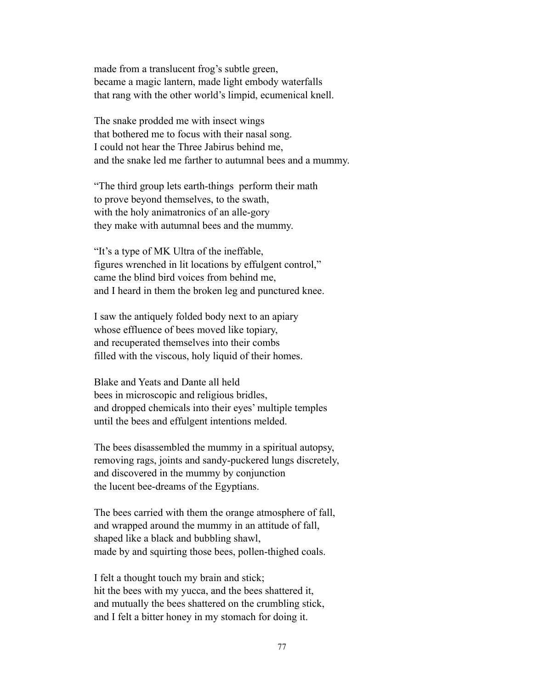made from a translucent frog's subtle green, became a magic lantern, made light embody waterfalls that rang with the other world's limpid, ecumenical knell.

The snake prodded me with insect wings that bothered me to focus with their nasal song. I could not hear the Three Jabirus behind me, and the snake led me farther to autumnal bees and a mummy.

"The third group lets earth-things perform their math to prove beyond themselves, to the swath, with the holy animatronics of an alle-gory they make with autumnal bees and the mummy.

"It's a type of MK Ultra of the ineffable, figures wrenched in lit locations by effulgent control," came the blind bird voices from behind me, and I heard in them the broken leg and punctured knee.

I saw the antiquely folded body next to an apiary whose effluence of bees moved like topiary, and recuperated themselves into their combs filled with the viscous, holy liquid of their homes.

Blake and Yeats and Dante all held bees in microscopic and religious bridles, and dropped chemicals into their eyes' multiple temples until the bees and effulgent intentions melded.

The bees disassembled the mummy in a spiritual autopsy, removing rags, joints and sandy-puckered lungs discretely, and discovered in the mummy by conjunction the lucent bee-dreams of the Egyptians.

The bees carried with them the orange atmosphere of fall, and wrapped around the mummy in an attitude of fall, shaped like a black and bubbling shawl, made by and squirting those bees, pollen-thighed coals.

I felt a thought touch my brain and stick; hit the bees with my yucca, and the bees shattered it, and mutually the bees shattered on the crumbling stick, and I felt a bitter honey in my stomach for doing it.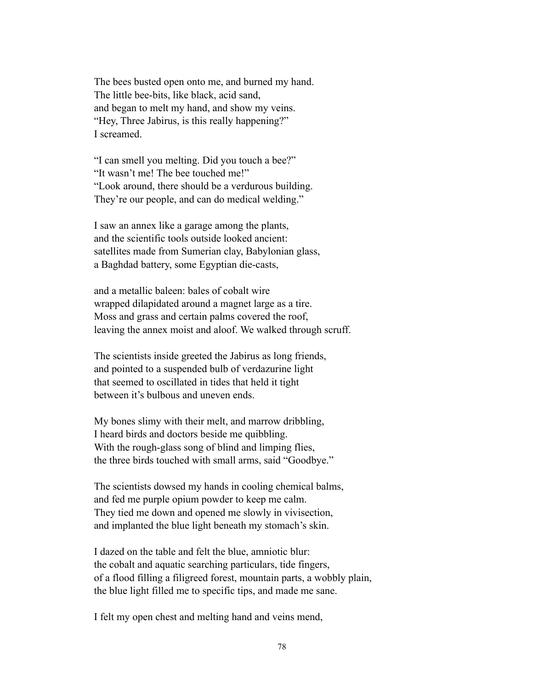The bees busted open onto me, and burned my hand. The little bee-bits, like black, acid sand, and began to melt my hand, and show my veins. "Hey, Three Jabirus, is this really happening?" I screamed.

"I can smell you melting. Did you touch a bee?" "It wasn't me! The bee touched me!" "Look around, there should be a verdurous building. They're our people, and can do medical welding."

I saw an annex like a garage among the plants, and the scientific tools outside looked ancient: satellites made from Sumerian clay, Babylonian glass, a Baghdad battery, some Egyptian die-casts,

and a metallic baleen: bales of cobalt wire wrapped dilapidated around a magnet large as a tire. Moss and grass and certain palms covered the roof, leaving the annex moist and aloof. We walked through scruff.

The scientists inside greeted the Jabirus as long friends, and pointed to a suspended bulb of verdazurine light that seemed to oscillated in tides that held it tight between it's bulbous and uneven ends.

My bones slimy with their melt, and marrow dribbling, I heard birds and doctors beside me quibbling. With the rough-glass song of blind and limping flies, the three birds touched with small arms, said "Goodbye."

The scientists dowsed my hands in cooling chemical balms, and fed me purple opium powder to keep me calm. They tied me down and opened me slowly in vivisection, and implanted the blue light beneath my stomach's skin.

I dazed on the table and felt the blue, amniotic blur: the cobalt and aquatic searching particulars, tide fingers, of a flood filling a filigreed forest, mountain parts, a wobbly plain, the blue light filled me to specific tips, and made me sane.

I felt my open chest and melting hand and veins mend,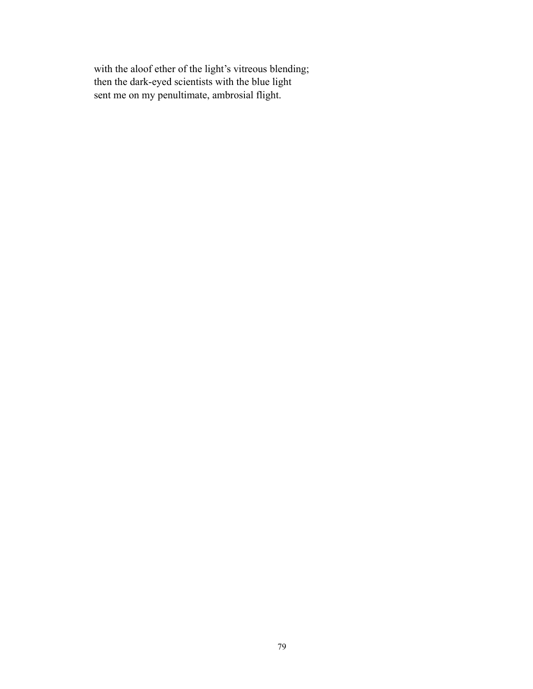with the aloof ether of the light's vitreous blending; then the dark-eyed scientists with the blue light sent me on my penultimate, ambrosial flight.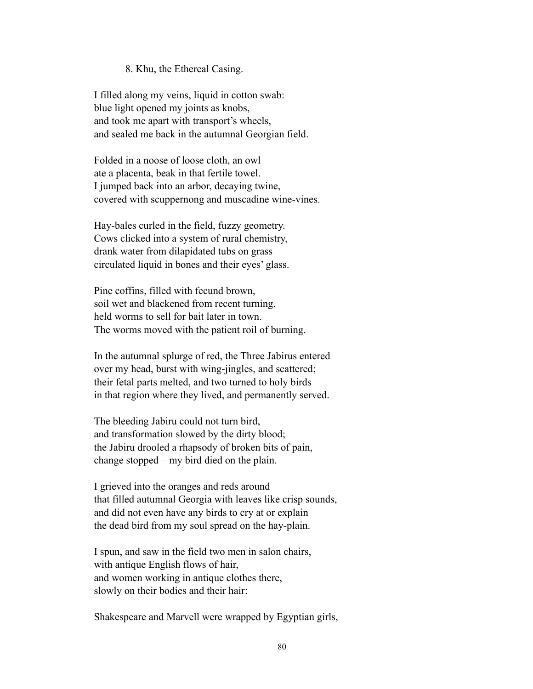### 8. Khu, the Ethereal Casing.

I filled along my veins, liquid in cotton swab: blue light opened my joints as knobs, and took me apart with transport's wheels, and sealed me back in the autumnal Georgian field.

Folded in a noose of loose cloth, an owl ate a placenta, beak in that fertile towel. I jumped back into an arbor, decaying twine, covered with scuppernong and muscadine wine-vines.

Hay-bales curled in the field, fuzzy geometry. Cows clicked into a system of rural chemistry, drank water from dilapidated tubs on grass circulated liquid in bones and their eyes' glass.

Pine coffins, filled with fecund brown, soil wet and blackened from recent turning, held worms to sell for bait later in town. The worms moved with the patient roil of burning.

In the autumnal splurge of red, the Three Jabirus entered over my head, burst with wing-jingles, and scattered; their fetal parts melted, and two turned to holy birds in that region where they lived, and permanently served.

The bleeding Jabiru could not turn bird, and transformation slowed by the dirty blood; the Jabiru drooled a rhapsody of broken bits of pain, change stopped – my bird died on the plain.

I grieved into the oranges and reds around that filled autumnal Georgia with leaves like crisp sounds, and did not even have any birds to cry at or explain the dead bird from my soul spread on the hay-plain.

I spun, and saw in the field two men in salon chairs, with antique English flows of hair, and women working in antique clothes there, slowly on their bodies and their hair:

Shakespeare and Marvell were wrapped by Egyptian girls,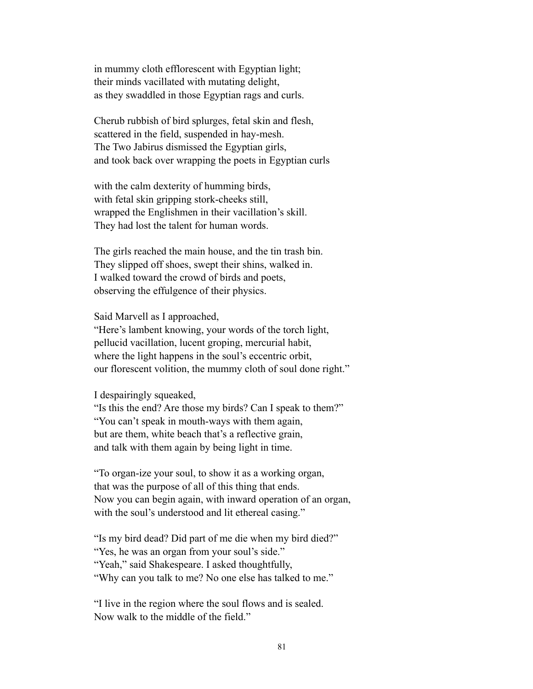in mummy cloth efflorescent with Egyptian light; their minds vacillated with mutating delight, as they swaddled in those Egyptian rags and curls.

Cherub rubbish of bird splurges, fetal skin and flesh, scattered in the field, suspended in hay-mesh. The Two Jabirus dismissed the Egyptian girls, and took back over wrapping the poets in Egyptian curls

with the calm dexterity of humming birds, with fetal skin gripping stork-cheeks still, wrapped the Englishmen in their vacillation's skill. They had lost the talent for human words.

The girls reached the main house, and the tin trash bin. They slipped off shoes, swept their shins, walked in. I walked toward the crowd of birds and poets, observing the effulgence of their physics.

Said Marvell as I approached,

"Here's lambent knowing, your words of the torch light, pellucid vacillation, lucent groping, mercurial habit, where the light happens in the soul's eccentric orbit, our florescent volition, the mummy cloth of soul done right."

I despairingly squeaked,

"Is this the end? Are those my birds? Can I speak to them?" "You can't speak in mouth-ways with them again, but are them, white beach that's a reflective grain, and talk with them again by being light in time.

"To organ-ize your soul, to show it as a working organ, that was the purpose of all of this thing that ends. Now you can begin again, with inward operation of an organ, with the soul's understood and lit ethereal casing."

"Is my bird dead? Did part of me die when my bird died?" "Yes, he was an organ from your soul's side." "Yeah," said Shakespeare. I asked thoughtfully, "Why can you talk to me? No one else has talked to me."

"I live in the region where the soul flows and is sealed. Now walk to the middle of the field."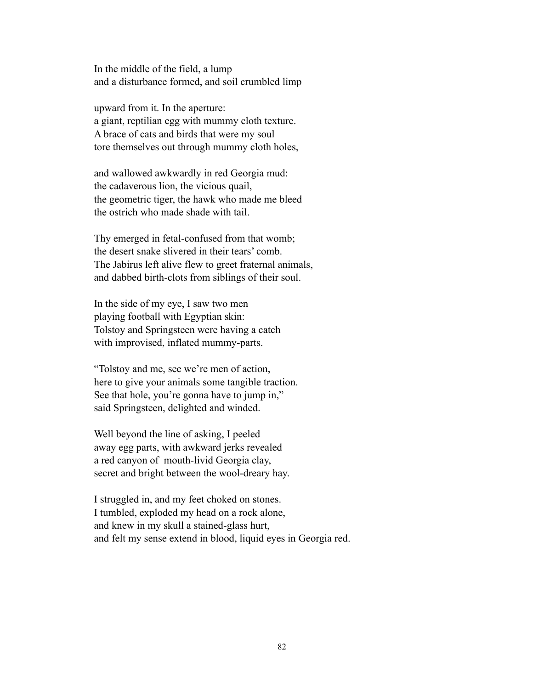In the middle of the field, a lump and a disturbance formed, and soil crumbled limp

upward from it. In the aperture: a giant, reptilian egg with mummy cloth texture. A brace of cats and birds that were my soul tore themselves out through mummy cloth holes,

and wallowed awkwardly in red Georgia mud: the cadaverous lion, the vicious quail, the geometric tiger, the hawk who made me bleed the ostrich who made shade with tail.

Thy emerged in fetal-confused from that womb; the desert snake slivered in their tears' comb. The Jabirus left alive flew to greet fraternal animals, and dabbed birth-clots from siblings of their soul.

In the side of my eye, I saw two men playing football with Egyptian skin: Tolstoy and Springsteen were having a catch with improvised, inflated mummy-parts.

"Tolstoy and me, see we're men of action, here to give your animals some tangible traction. See that hole, you're gonna have to jump in," said Springsteen, delighted and winded.

Well beyond the line of asking, I peeled away egg parts, with awkward jerks revealed a red canyon of mouth-livid Georgia clay, secret and bright between the wool-dreary hay.

I struggled in, and my feet choked on stones. I tumbled, exploded my head on a rock alone, and knew in my skull a stained-glass hurt, and felt my sense extend in blood, liquid eyes in Georgia red.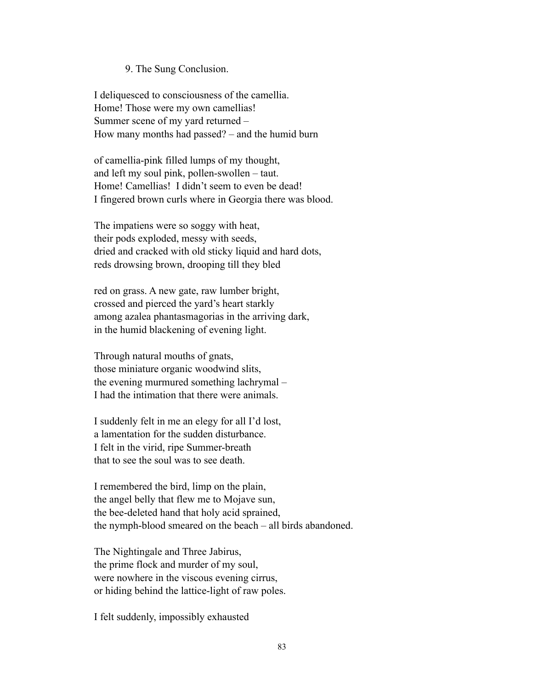### 9. The Sung Conclusion.

I deliquesced to consciousness of the camellia. Home! Those were my own camellias! Summer scene of my yard returned – How many months had passed? – and the humid burn

of camellia-pink filled lumps of my thought, and left my soul pink, pollen-swollen – taut. Home! Camellias! I didn't seem to even be dead! I fingered brown curls where in Georgia there was blood.

The impatiens were so soggy with heat, their pods exploded, messy with seeds, dried and cracked with old sticky liquid and hard dots, reds drowsing brown, drooping till they bled

red on grass. A new gate, raw lumber bright, crossed and pierced the yard's heart starkly among azalea phantasmagorias in the arriving dark, in the humid blackening of evening light.

Through natural mouths of gnats, those miniature organic woodwind slits, the evening murmured something lachrymal – I had the intimation that there were animals.

I suddenly felt in me an elegy for all I'd lost, a lamentation for the sudden disturbance. I felt in the virid, ripe Summer-breath that to see the soul was to see death.

I remembered the bird, limp on the plain, the angel belly that flew me to Mojave sun, the bee-deleted hand that holy acid sprained, the nymph-blood smeared on the beach – all birds abandoned.

The Nightingale and Three Jabirus, the prime flock and murder of my soul, were nowhere in the viscous evening cirrus, or hiding behind the lattice-light of raw poles.

I felt suddenly, impossibly exhausted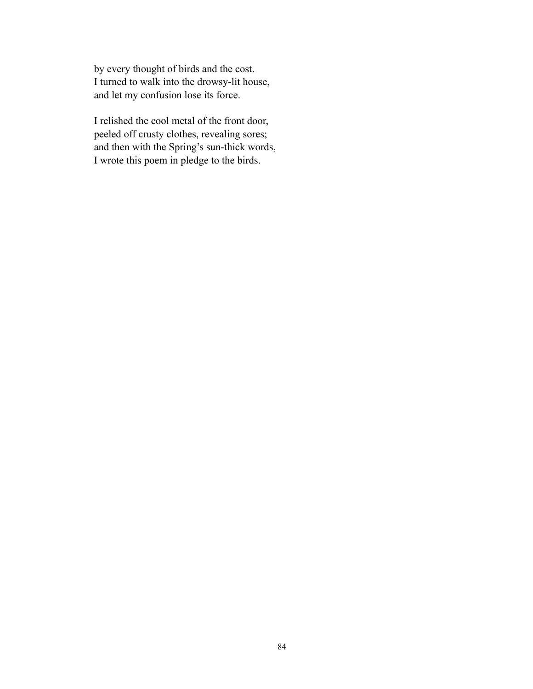by every thought of birds and the cost. I turned to walk into the drowsy-lit house, and let my confusion lose its force.

I relished the cool metal of the front door, peeled off crusty clothes, revealing sores; and then with the Spring's sun-thick words, I wrote this poem in pledge to the birds.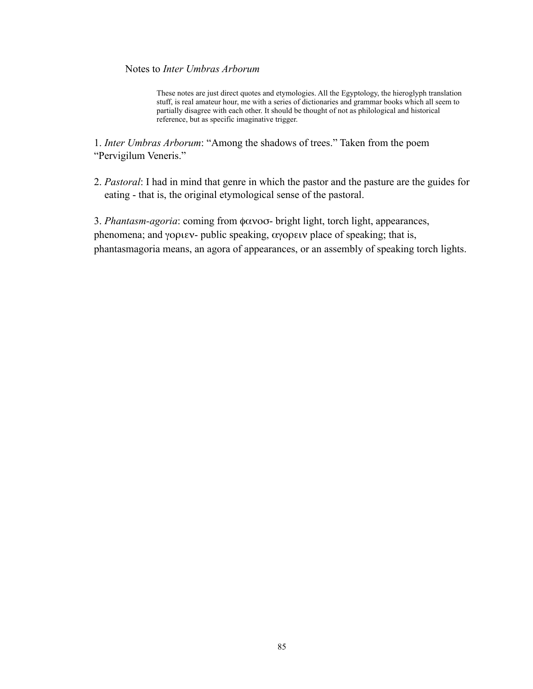### Notes to *Inter Umbras Arborum*

These notes are just direct quotes and etymologies. All the Egyptology, the hieroglyph translation stuff, is real amateur hour, me with a series of dictionaries and grammar books which all seem to partially disagree with each other. It should be thought of not as philological and historical reference, but as specific imaginative trigger.

1. *Inter Umbras Arborum*: "Among the shadows of trees." Taken from the poem "Pervigilum Veneris."

2. *Pastoral*: I had in mind that genre in which the pastor and the pasture are the guides for eating - that is, the original etymological sense of the pastoral.

3. *Phantasm-agoria*: coming from φανοσ- bright light, torch light, appearances, phenomena; and γοριεν- public speaking, αγορειν place of speaking; that is, phantasmagoria means, an agora of appearances, or an assembly of speaking torch lights.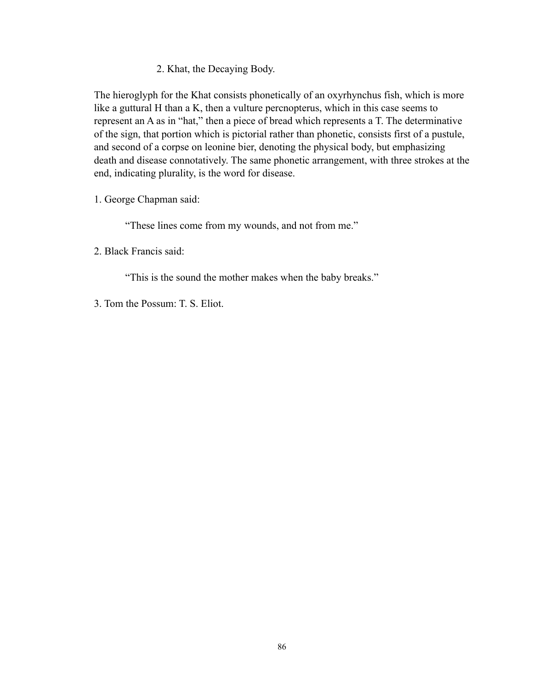2. Khat, the Decaying Body.

The hieroglyph for the Khat consists phonetically of an oxyrhynchus fish, which is more like a guttural H than a K, then a vulture percnopterus, which in this case seems to represent an A as in "hat," then a piece of bread which represents a T. The determinative of the sign, that portion which is pictorial rather than phonetic, consists first of a pustule, and second of a corpse on leonine bier, denoting the physical body, but emphasizing death and disease connotatively. The same phonetic arrangement, with three strokes at the end, indicating plurality, is the word for disease.

1. George Chapman said:

"These lines come from my wounds, and not from me."

2. Black Francis said:

"This is the sound the mother makes when the baby breaks."

3. Tom the Possum: T. S. Eliot.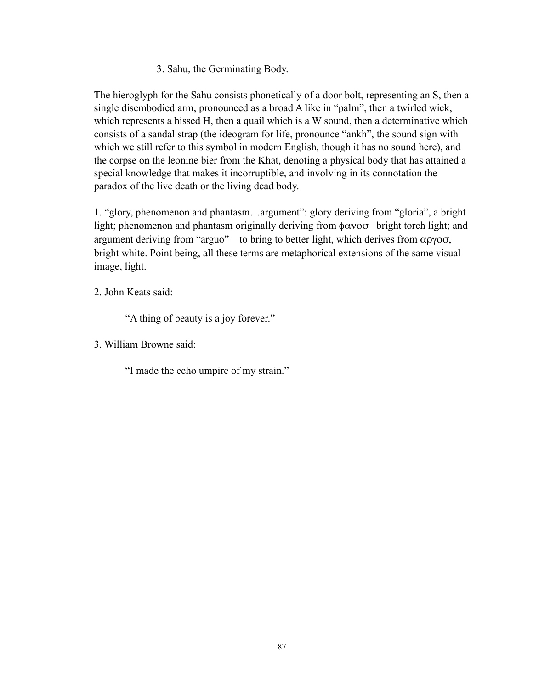3. Sahu, the Germinating Body.

The hieroglyph for the Sahu consists phonetically of a door bolt, representing an S, then a single disembodied arm, pronounced as a broad A like in "palm", then a twirled wick, which represents a hissed H, then a quail which is a W sound, then a determinative which consists of a sandal strap (the ideogram for life, pronounce "ankh", the sound sign with which we still refer to this symbol in modern English, though it has no sound here), and the corpse on the leonine bier from the Khat, denoting a physical body that has attained a special knowledge that makes it incorruptible, and involving in its connotation the paradox of the live death or the living dead body.

1. "glory, phenomenon and phantasm…argument": glory deriving from "gloria", a bright light; phenomenon and phantasm originally deriving from  $\phi \alpha \nu o \sigma$  –bright torch light; and argument deriving from "arguo" – to bring to better light, which derives from αργοσ, bright white. Point being, all these terms are metaphorical extensions of the same visual image, light.

2. John Keats said:

"A thing of beauty is a joy forever."

3. William Browne said:

"I made the echo umpire of my strain."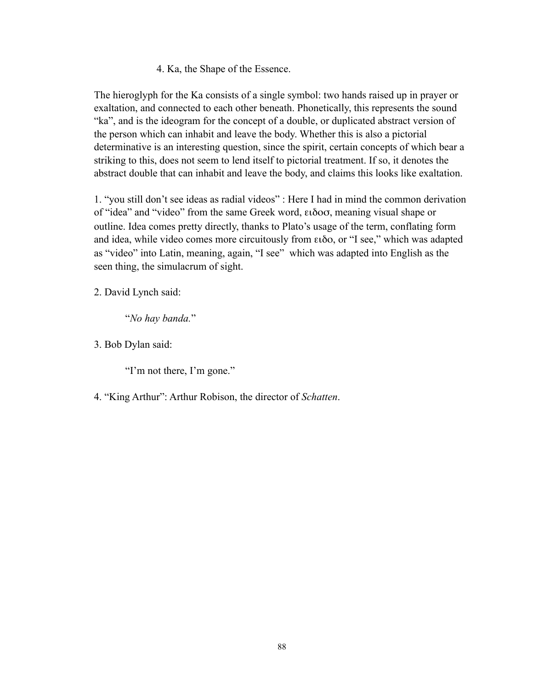4. Ka, the Shape of the Essence.

The hieroglyph for the Ka consists of a single symbol: two hands raised up in prayer or exaltation, and connected to each other beneath. Phonetically, this represents the sound "ka", and is the ideogram for the concept of a double, or duplicated abstract version of the person which can inhabit and leave the body. Whether this is also a pictorial determinative is an interesting question, since the spirit, certain concepts of which bear a striking to this, does not seem to lend itself to pictorial treatment. If so, it denotes the abstract double that can inhabit and leave the body, and claims this looks like exaltation.

1. "you still don't see ideas as radial videos" : Here I had in mind the common derivation of "idea" and "video" from the same Greek word, ειδοσ, meaning visual shape or outline. Idea comes pretty directly, thanks to Plato's usage of the term, conflating form and idea, while video comes more circuitously from ειδο, or "I see," which was adapted as "video" into Latin, meaning, again, "I see" which was adapted into English as the seen thing, the simulacrum of sight.

2. David Lynch said:

"*No hay banda.*"

3. Bob Dylan said:

"I'm not there, I'm gone."

4. "King Arthur": Arthur Robison, the director of *Schatten*.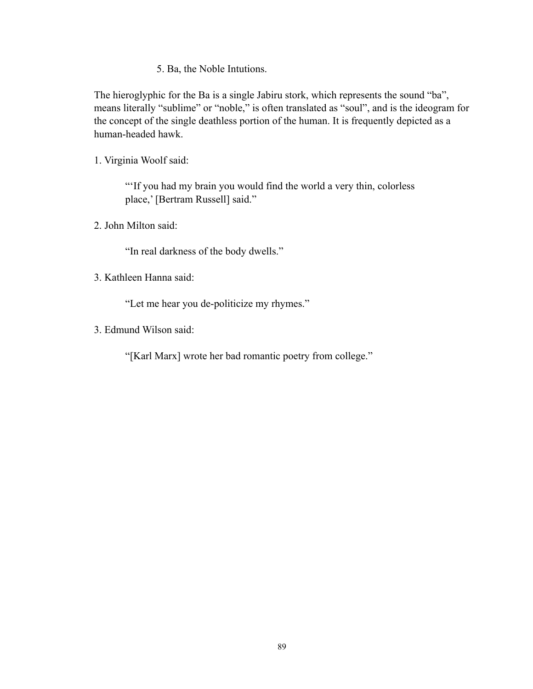5. Ba, the Noble Intutions.

The hieroglyphic for the Ba is a single Jabiru stork, which represents the sound "ba", means literally "sublime" or "noble," is often translated as "soul", and is the ideogram for the concept of the single deathless portion of the human. It is frequently depicted as a human-headed hawk.

1. Virginia Woolf said:

"If you had my brain you would find the world a very thin, colorless place,' [Bertram Russell] said."

2. John Milton said:

"In real darkness of the body dwells."

3. Kathleen Hanna said:

"Let me hear you de-politicize my rhymes."

3. Edmund Wilson said:

"[Karl Marx] wrote her bad romantic poetry from college."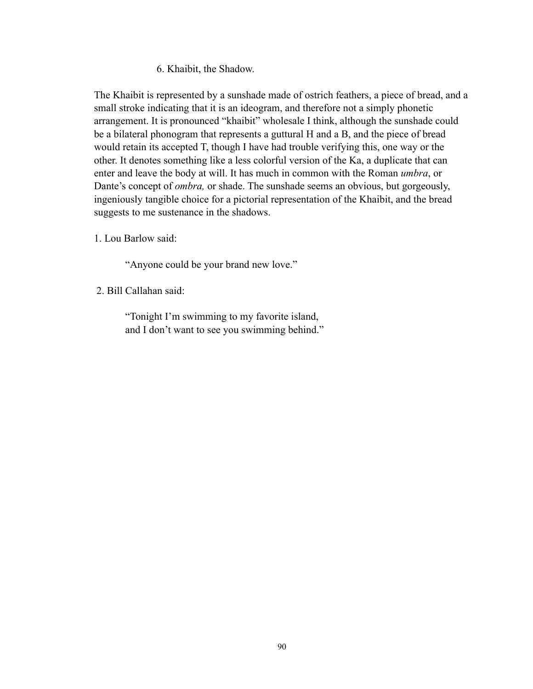6. Khaibit, the Shadow.

The Khaibit is represented by a sunshade made of ostrich feathers, a piece of bread, and a small stroke indicating that it is an ideogram, and therefore not a simply phonetic arrangement. It is pronounced "khaibit" wholesale I think, although the sunshade could be a bilateral phonogram that represents a guttural H and a B, and the piece of bread would retain its accepted T, though I have had trouble verifying this, one way or the other. It denotes something like a less colorful version of the Ka, a duplicate that can enter and leave the body at will. It has much in common with the Roman *umbra*, or Dante's concept of *ombra,* or shade. The sunshade seems an obvious, but gorgeously, ingeniously tangible choice for a pictorial representation of the Khaibit, and the bread suggests to me sustenance in the shadows.

1. Lou Barlow said:

"Anyone could be your brand new love."

2. Bill Callahan said:

 "Tonight I'm swimming to my favorite island, and I don't want to see you swimming behind."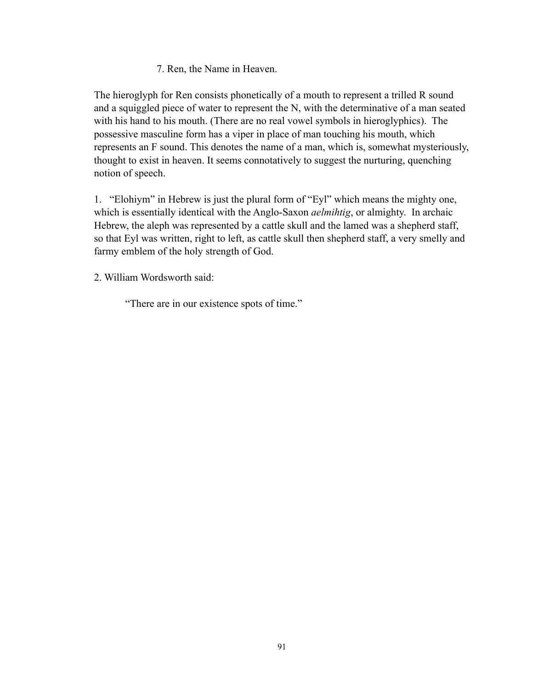### 7. Ren, the Name in Heaven.

The hieroglyph for Ren consists phonetically of a mouth to represent a trilled R sound and a squiggled piece of water to represent the N, with the determinative of a man seated with his hand to his mouth. (There are no real vowel symbols in hieroglyphics). The possessive masculine form has a viper in place of man touching his mouth, which represents an F sound. This denotes the name of a man, which is, somewhat mysteriously, thought to exist in heaven. It seems connotatively to suggest the nurturing, quenching notion of speech.

1. "Elohiym" in Hebrew is just the plural form of "Eyl" which means the mighty one, which is essentially identical with the Anglo-Saxon *aelmihtig*, or almighty. In archaic Hebrew, the aleph was represented by a cattle skull and the lamed was a shepherd staff, so that Eyl was written, right to left, as cattle skull then shepherd staff, a very smelly and farmy emblem of the holy strength of God.

2. William Wordsworth said:

"There are in our existence spots of time."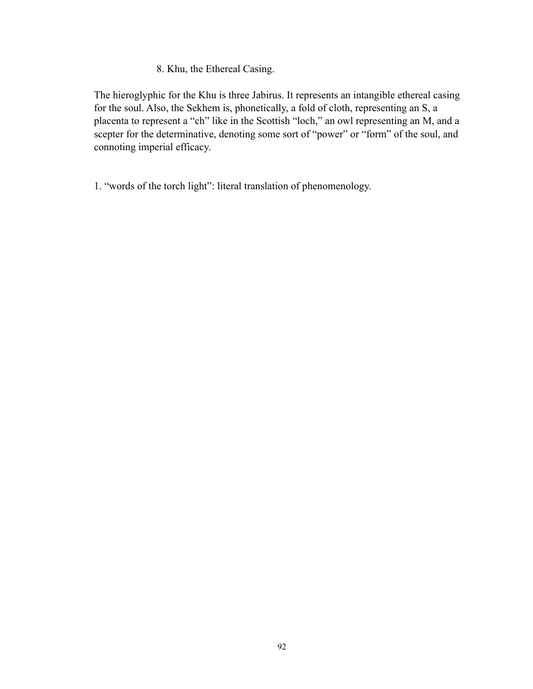## 8. Khu, the Ethereal Casing.

The hieroglyphic for the Khu is three Jabirus. It represents an intangible ethereal casing for the soul. Also, the Sekhem is, phonetically, a fold of cloth, representing an S, a placenta to represent a "ch" like in the Scottish "loch," an owl representing an M, and a scepter for the determinative, denoting some sort of "power" or "form" of the soul, and connoting imperial efficacy.

1. "words of the torch light": literal translation of phenomenology.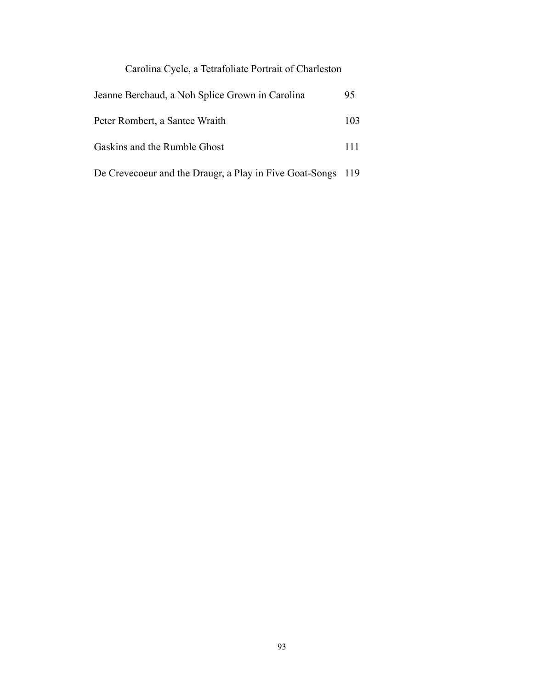# Carolina Cycle, a Tetrafoliate Portrait of Charleston

| Jeanne Berchaud, a Noh Splice Grown in Carolina             | 95  |
|-------------------------------------------------------------|-----|
| Peter Rombert, a Santee Wraith                              | 103 |
| Gaskins and the Rumble Ghost                                | 111 |
| De Crevecoeur and the Draugr, a Play in Five Goat-Songs 119 |     |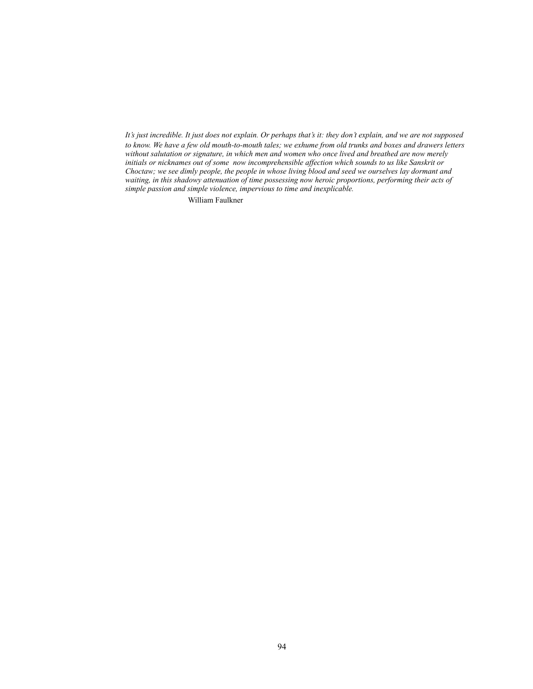*It's just incredible. It just does not explain. Or perhaps that's it: they don't explain, and we are not supposed to know. We have a few old mouth-to-mouth tales; we exhume from old trunks and boxes and drawers letters without salutation or signature, in which men and women who once lived and breathed are now merely initials or nicknames out of some now incomprehensible affection which sounds to us like Sanskrit or Choctaw; we see dimly people, the people in whose living blood and seed we ourselves lay dormant and waiting, in this shadowy attenuation of time possessing now heroic proportions, performing their acts of simple passion and simple violence, impervious to time and inexplicable.*

William Faulkner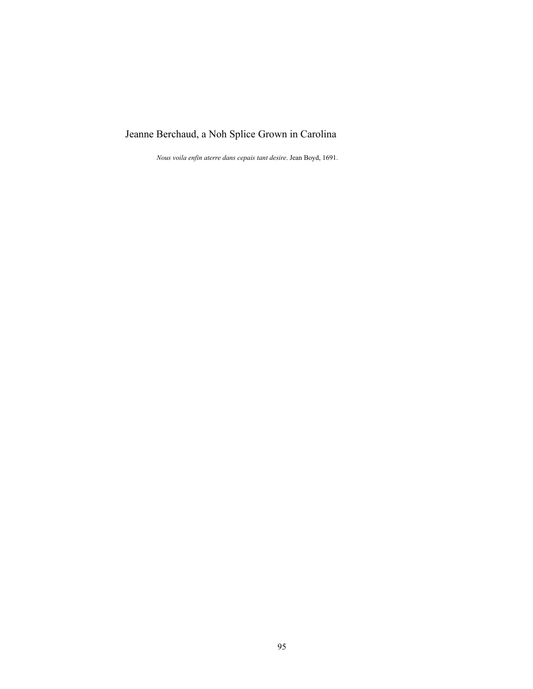# Jeanne Berchaud, a Noh Splice Grown in Carolina

*Nous voila enfin aterre dans cepais tant desire*. Jean Boyd, 1691.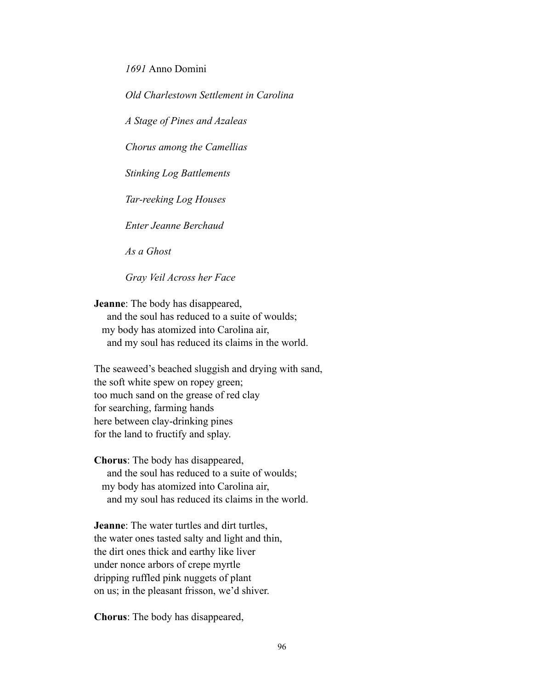*1691* Anno Domini

*Old Charlestown Settlement in Carolina A Stage of Pines and Azaleas Chorus among the Camellias Stinking Log Battlements Tar-reeking Log Houses Enter Jeanne Berchaud As a Ghost*

*Gray Veil Across her Face*

**Jeanne**: The body has disappeared, and the soul has reduced to a suite of woulds; my body has atomized into Carolina air, and my soul has reduced its claims in the world.

The seaweed's beached sluggish and drying with sand, the soft white spew on ropey green; too much sand on the grease of red clay for searching, farming hands here between clay-drinking pines for the land to fructify and splay.

**Chorus**: The body has disappeared, and the soul has reduced to a suite of woulds; my body has atomized into Carolina air, and my soul has reduced its claims in the world.

**Jeanne**: The water turtles and dirt turtles, the water ones tasted salty and light and thin, the dirt ones thick and earthy like liver under nonce arbors of crepe myrtle dripping ruffled pink nuggets of plant on us; in the pleasant frisson, we'd shiver.

**Chorus**: The body has disappeared,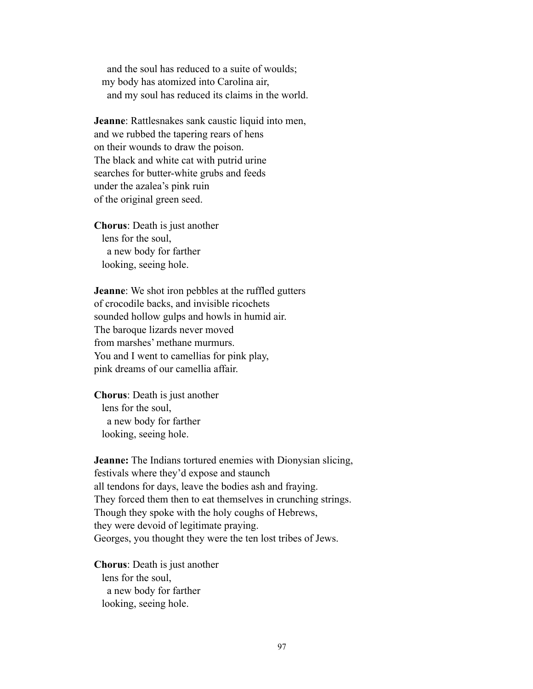and the soul has reduced to a suite of woulds; my body has atomized into Carolina air, and my soul has reduced its claims in the world.

**Jeanne**: Rattlesnakes sank caustic liquid into men, and we rubbed the tapering rears of hens on their wounds to draw the poison. The black and white cat with putrid urine searches for butter-white grubs and feeds under the azalea's pink ruin of the original green seed.

**Chorus**: Death is just another lens for the soul, a new body for farther looking, seeing hole.

**Jeanne**: We shot iron pebbles at the ruffled gutters of crocodile backs, and invisible ricochets sounded hollow gulps and howls in humid air. The baroque lizards never moved from marshes' methane murmurs. You and I went to camellias for pink play, pink dreams of our camellia affair.

**Chorus**: Death is just another lens for the soul, a new body for farther looking, seeing hole.

**Jeanne:** The Indians tortured enemies with Dionysian slicing, festivals where they'd expose and staunch all tendons for days, leave the bodies ash and fraying. They forced them then to eat themselves in crunching strings. Though they spoke with the holy coughs of Hebrews, they were devoid of legitimate praying. Georges, you thought they were the ten lost tribes of Jews.

**Chorus**: Death is just another lens for the soul, a new body for farther looking, seeing hole.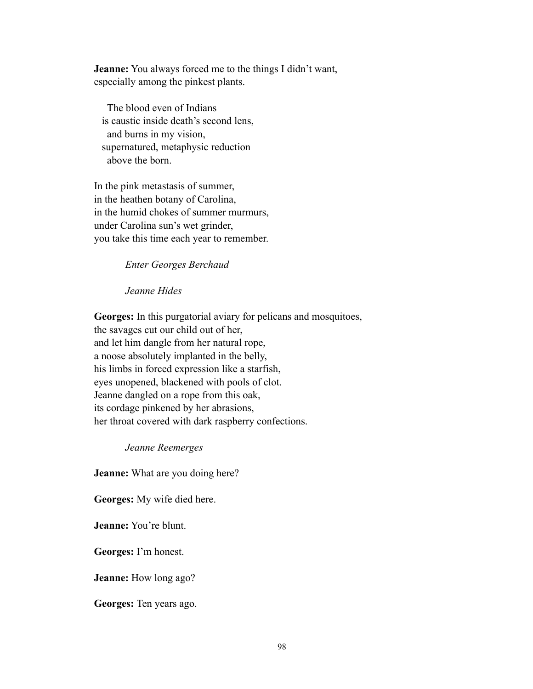**Jeanne:** You always forced me to the things I didn't want, especially among the pinkest plants.

The blood even of Indians is caustic inside death's second lens, and burns in my vision, supernatured, metaphysic reduction above the born.

In the pink metastasis of summer, in the heathen botany of Carolina, in the humid chokes of summer murmurs, under Carolina sun's wet grinder, you take this time each year to remember.

### *Enter Georges Berchaud*

### *Jeanne Hides*

**Georges:** In this purgatorial aviary for pelicans and mosquitoes, the savages cut our child out of her, and let him dangle from her natural rope, a noose absolutely implanted in the belly, his limbs in forced expression like a starfish, eyes unopened, blackened with pools of clot. Jeanne dangled on a rope from this oak, its cordage pinkened by her abrasions, her throat covered with dark raspberry confections.

*Jeanne Reemerges* 

**Jeanne:** What are you doing here?

**Georges:** My wife died here.

**Jeanne:** You're blunt.

**Georges:** I'm honest.

**Jeanne:** How long ago?

**Georges:** Ten years ago.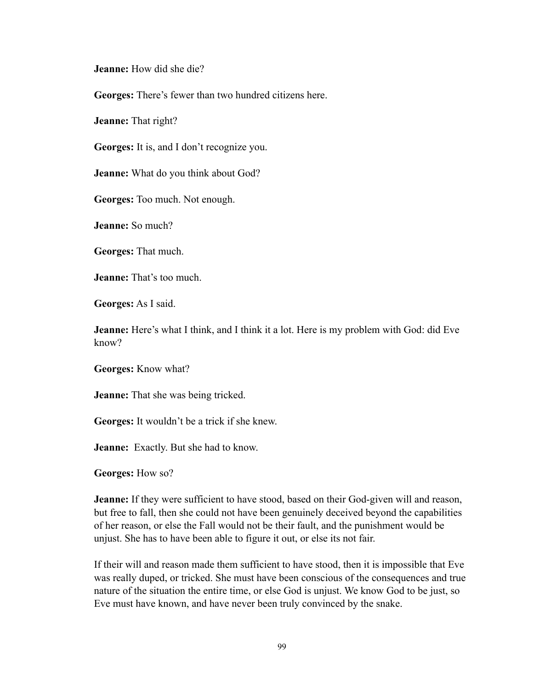**Jeanne:** How did she die?

**Georges:** There's fewer than two hundred citizens here.

**Jeanne:** That right?

**Georges:** It is, and I don't recognize you.

**Jeanne:** What do you think about God?

**Georges:** Too much. Not enough.

**Jeanne:** So much?

**Georges:** That much.

**Jeanne:** That's too much.

**Georges:** As I said.

**Jeanne:** Here's what I think, and I think it a lot. Here is my problem with God: did Eve know?

**Georges:** Know what?

**Jeanne:** That she was being tricked.

**Georges:** It wouldn't be a trick if she knew.

**Jeanne:** Exactly. But she had to know.

**Georges:** How so?

**Jeanne:** If they were sufficient to have stood, based on their God-given will and reason, but free to fall, then she could not have been genuinely deceived beyond the capabilities of her reason, or else the Fall would not be their fault, and the punishment would be unjust. She has to have been able to figure it out, or else its not fair.

If their will and reason made them sufficient to have stood, then it is impossible that Eve was really duped, or tricked. She must have been conscious of the consequences and true nature of the situation the entire time, or else God is unjust. We know God to be just, so Eve must have known, and have never been truly convinced by the snake.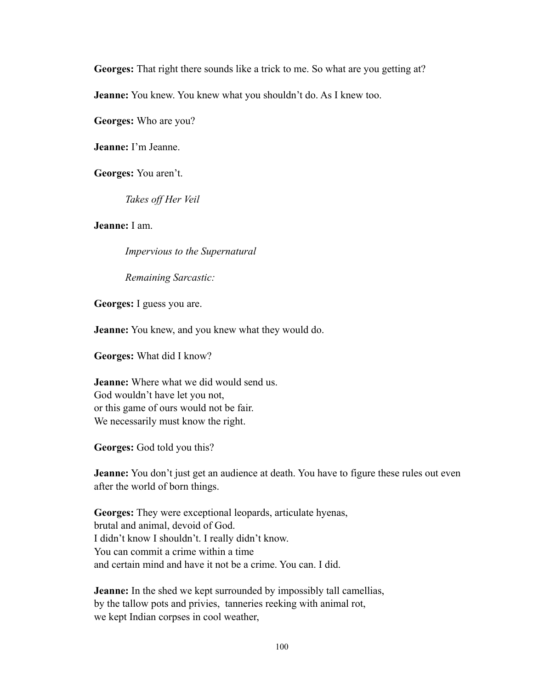**Georges:** That right there sounds like a trick to me. So what are you getting at?

**Jeanne:** You knew. You knew what you shouldn't do. As I knew too.

**Georges:** Who are you?

**Jeanne:** I'm Jeanne.

**Georges:** You aren't.

*Takes off Her Veil*

**Jeanne:** I am.

*Impervious to the Supernatural*

*Remaining Sarcastic:*

**Georges:** I guess you are.

**Jeanne:** You knew, and you knew what they would do.

**Georges:** What did I know?

**Jeanne:** Where what we did would send us. God wouldn't have let you not, or this game of ours would not be fair. We necessarily must know the right.

**Georges:** God told you this?

**Jeanne:** You don't just get an audience at death. You have to figure these rules out even after the world of born things.

**Georges:** They were exceptional leopards, articulate hyenas, brutal and animal, devoid of God. I didn't know I shouldn't. I really didn't know. You can commit a crime within a time and certain mind and have it not be a crime. You can. I did.

**Jeanne:** In the shed we kept surrounded by impossibly tall camellias, by the tallow pots and privies, tanneries reeking with animal rot, we kept Indian corpses in cool weather,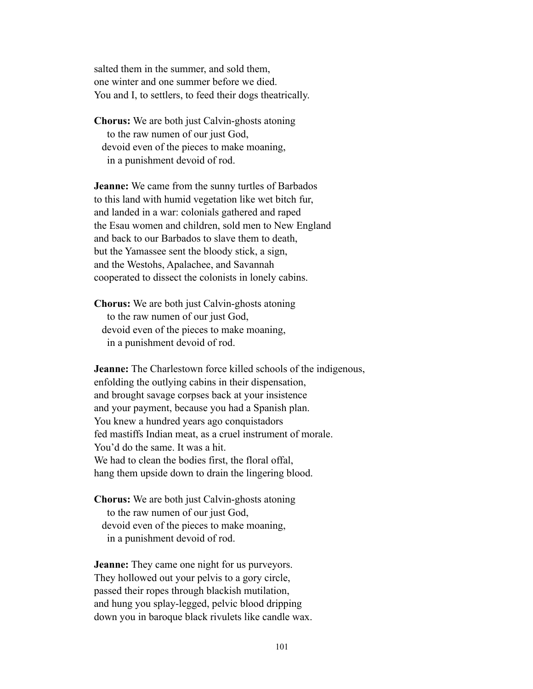salted them in the summer, and sold them, one winter and one summer before we died. You and I, to settlers, to feed their dogs theatrically.

**Chorus:** We are both just Calvin-ghosts atoning to the raw numen of our just God, devoid even of the pieces to make moaning, in a punishment devoid of rod.

**Jeanne:** We came from the sunny turtles of Barbados to this land with humid vegetation like wet bitch fur, and landed in a war: colonials gathered and raped the Esau women and children, sold men to New England and back to our Barbados to slave them to death, but the Yamassee sent the bloody stick, a sign, and the Westohs, Apalachee, and Savannah cooperated to dissect the colonists in lonely cabins.

**Chorus:** We are both just Calvin-ghosts atoning to the raw numen of our just God, devoid even of the pieces to make moaning, in a punishment devoid of rod.

**Jeanne:** The Charlestown force killed schools of the indigenous, enfolding the outlying cabins in their dispensation, and brought savage corpses back at your insistence and your payment, because you had a Spanish plan. You knew a hundred years ago conquistadors fed mastiffs Indian meat, as a cruel instrument of morale. You'd do the same. It was a hit. We had to clean the bodies first, the floral offal, hang them upside down to drain the lingering blood.

**Chorus:** We are both just Calvin-ghosts atoning to the raw numen of our just God, devoid even of the pieces to make moaning, in a punishment devoid of rod.

**Jeanne:** They came one night for us purveyors. They hollowed out your pelvis to a gory circle, passed their ropes through blackish mutilation, and hung you splay-legged, pelvic blood dripping down you in baroque black rivulets like candle wax.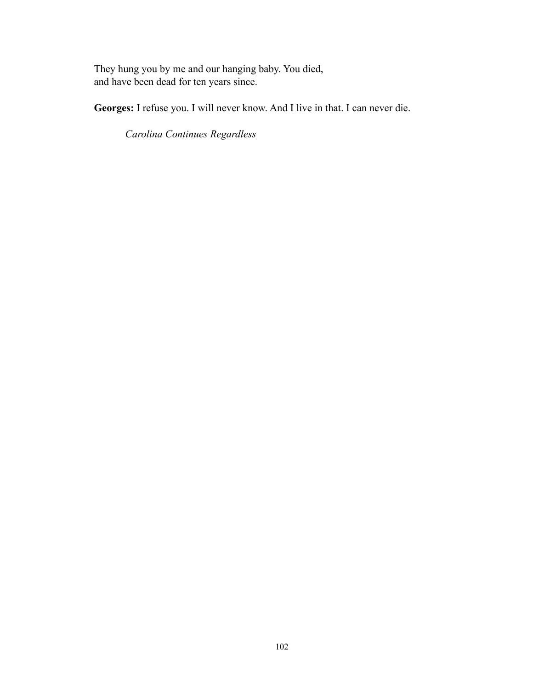They hung you by me and our hanging baby. You died, and have been dead for ten years since.

**Georges:** I refuse you. I will never know. And I live in that. I can never die.

*Carolina Continues Regardless*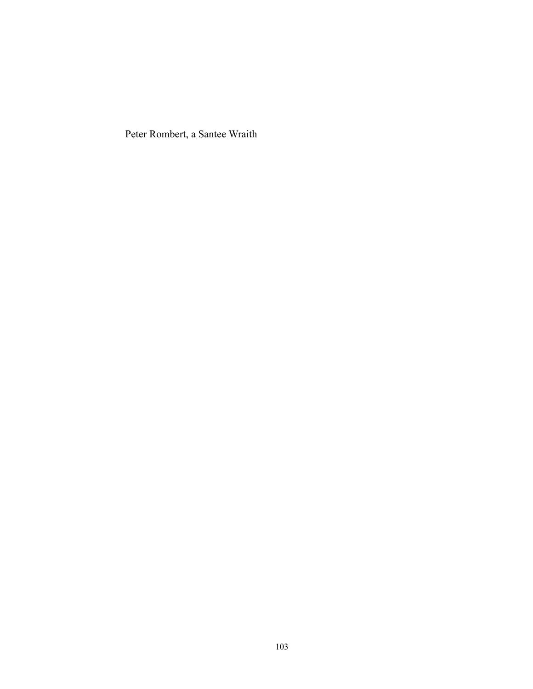Peter Rombert, a Santee Wraith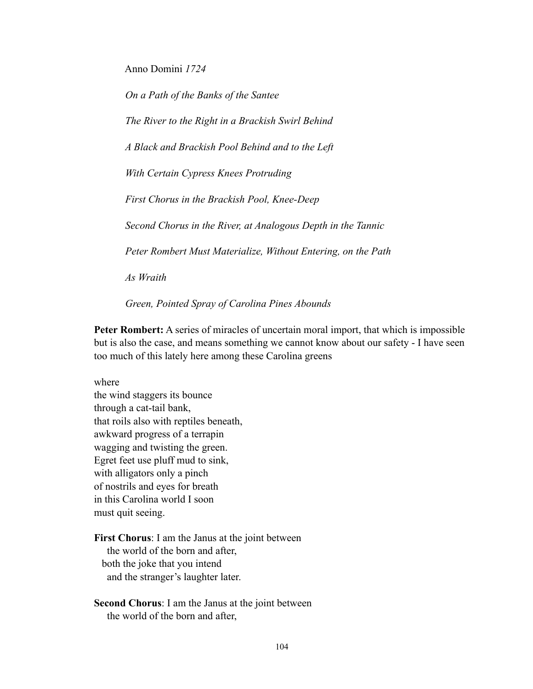Anno Domini *1724*

 *On a Path of the Banks of the Santee*

 *The River to the Right in a Brackish Swirl Behind*

 *A Black and Brackish Pool Behind and to the Left* 

 *With Certain Cypress Knees Protruding*

 *First Chorus in the Brackish Pool, Knee-Deep*

 *Second Chorus in the River, at Analogous Depth in the Tannic*

 *Peter Rombert Must Materialize, Without Entering, on the Path*

 *As Wraith*

 *Green, Pointed Spray of Carolina Pines Abounds*

**Peter Rombert:** A series of miracles of uncertain moral import, that which is impossible but is also the case, and means something we cannot know about our safety - I have seen too much of this lately here among these Carolina greens

### where

the wind staggers its bounce through a cat-tail bank, that roils also with reptiles beneath, awkward progress of a terrapin wagging and twisting the green. Egret feet use pluff mud to sink, with alligators only a pinch of nostrils and eyes for breath in this Carolina world I soon must quit seeing.

### **First Chorus**: I am the Janus at the joint between the world of the born and after,

 both the joke that you intend and the stranger's laughter later.

**Second Chorus**: I am the Janus at the joint between the world of the born and after,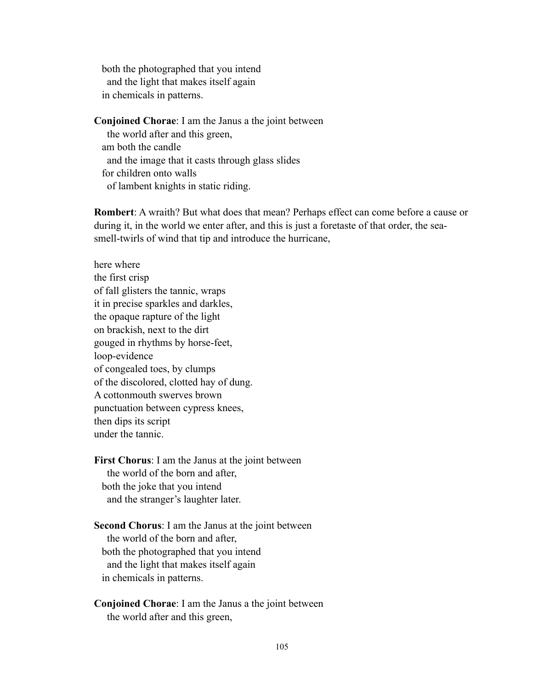both the photographed that you intend and the light that makes itself again in chemicals in patterns.

**Conjoined Chorae**: I am the Janus a the joint between the world after and this green, am both the candle and the image that it casts through glass slides for children onto walls of lambent knights in static riding.

**Rombert**: A wraith? But what does that mean? Perhaps effect can come before a cause or during it, in the world we enter after, and this is just a foretaste of that order, the seasmell-twirls of wind that tip and introduce the hurricane,

here where the first crisp of fall glisters the tannic, wraps it in precise sparkles and darkles, the opaque rapture of the light on brackish, next to the dirt gouged in rhythms by horse-feet, loop-evidence of congealed toes, by clumps of the discolored, clotted hay of dung. A cottonmouth swerves brown punctuation between cypress knees, then dips its script under the tannic.

**First Chorus**: I am the Janus at the joint between the world of the born and after, both the joke that you intend and the stranger's laughter later.

**Second Chorus**: I am the Janus at the joint between the world of the born and after, both the photographed that you intend and the light that makes itself again in chemicals in patterns.

**Conjoined Chorae**: I am the Janus a the joint between the world after and this green,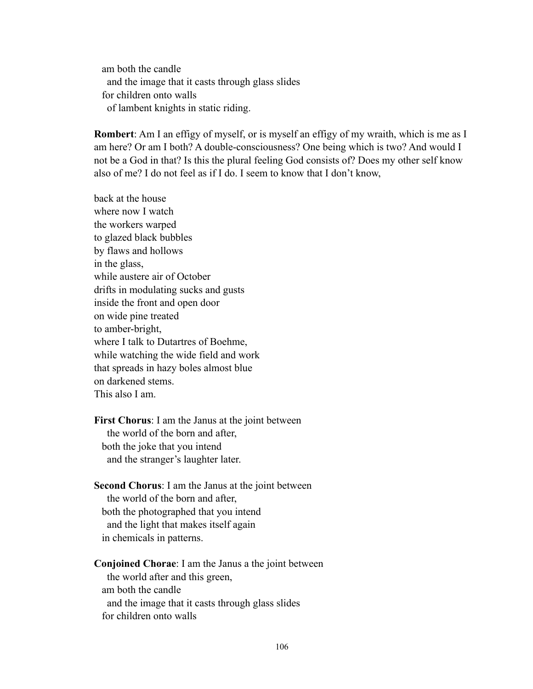am both the candle and the image that it casts through glass slides for children onto walls of lambent knights in static riding.

**Rombert**: Am I an effigy of myself, or is myself an effigy of my wraith, which is me as I am here? Or am I both? A double-consciousness? One being which is two? And would I not be a God in that? Is this the plural feeling God consists of? Does my other self know also of me? I do not feel as if I do. I seem to know that I don't know,

back at the house where now I watch the workers warped to glazed black bubbles by flaws and hollows in the glass, while austere air of October drifts in modulating sucks and gusts inside the front and open door on wide pine treated to amber-bright, where I talk to Dutartres of Boehme, while watching the wide field and work that spreads in hazy boles almost blue on darkened stems. This also I am.

**First Chorus**: I am the Janus at the joint between the world of the born and after, both the joke that you intend and the stranger's laughter later.

**Second Chorus**: I am the Janus at the joint between the world of the born and after, both the photographed that you intend and the light that makes itself again in chemicals in patterns.

**Conjoined Chorae**: I am the Janus a the joint between the world after and this green, am both the candle and the image that it casts through glass slides for children onto walls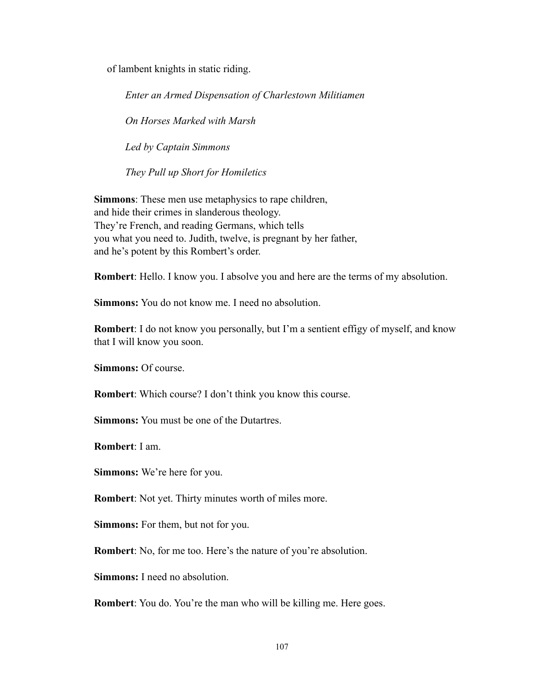of lambent knights in static riding.

*Enter an Armed Dispensation of Charlestown Militiamen On Horses Marked with Marsh Led by Captain Simmons*

*They Pull up Short for Homiletics*

**Simmons**: These men use metaphysics to rape children, and hide their crimes in slanderous theology. They're French, and reading Germans, which tells you what you need to. Judith, twelve, is pregnant by her father, and he's potent by this Rombert's order.

**Rombert**: Hello. I know you. I absolve you and here are the terms of my absolution.

**Simmons:** You do not know me. I need no absolution.

**Rombert**: I do not know you personally, but I'm a sentient effigy of myself, and know that I will know you soon.

**Simmons:** Of course.

**Rombert**: Which course? I don't think you know this course.

**Simmons:** You must be one of the Dutartres.

**Rombert**: I am.

**Simmons:** We're here for you.

**Rombert**: Not yet. Thirty minutes worth of miles more.

**Simmons:** For them, but not for you.

**Rombert**: No, for me too. Here's the nature of you're absolution.

**Simmons:** I need no absolution.

**Rombert:** You do. You're the man who will be killing me. Here goes.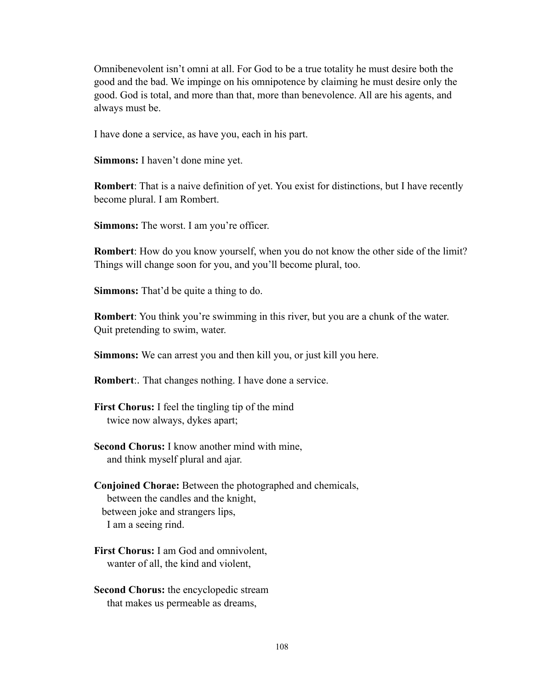Omnibenevolent isn't omni at all. For God to be a true totality he must desire both the good and the bad. We impinge on his omnipotence by claiming he must desire only the good. God is total, and more than that, more than benevolence. All are his agents, and always must be.

I have done a service, as have you, each in his part.

**Simmons:** I haven't done mine yet.

**Rombert**: That is a naive definition of yet. You exist for distinctions, but I have recently become plural. I am Rombert.

**Simmons:** The worst. I am you're officer.

**Rombert**: How do you know yourself, when you do not know the other side of the limit? Things will change soon for you, and you'll become plural, too.

**Simmons:** That'd be quite a thing to do.

**Rombert**: You think you're swimming in this river, but you are a chunk of the water. Quit pretending to swim, water.

**Simmons:** We can arrest you and then kill you, or just kill you here.

**Rombert**:. That changes nothing. I have done a service.

**First Chorus:** I feel the tingling tip of the mind twice now always, dykes apart;

**Second Chorus:** I know another mind with mine, and think myself plural and ajar.

**Conjoined Chorae:** Between the photographed and chemicals, between the candles and the knight, between joke and strangers lips, I am a seeing rind.

**First Chorus:** I am God and omnivolent, wanter of all, the kind and violent,

**Second Chorus:** the encyclopedic stream that makes us permeable as dreams,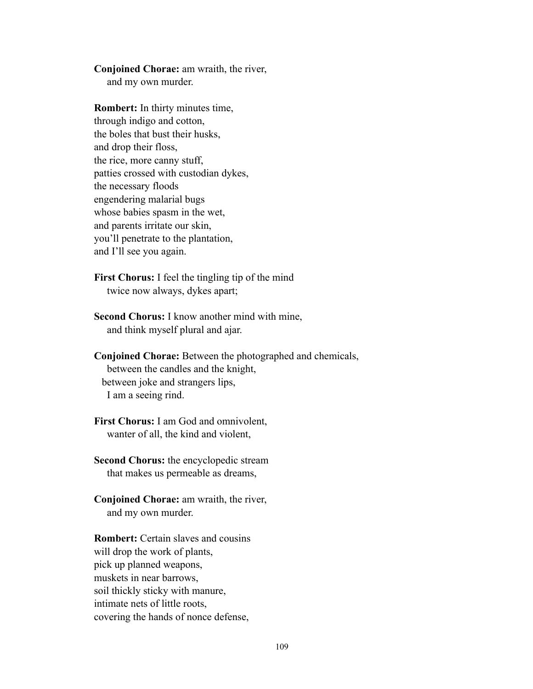# **Conjoined Chorae:** am wraith, the river,

and my own murder.

**Rombert:** In thirty minutes time, through indigo and cotton, the boles that bust their husks, and drop their floss, the rice, more canny stuff, patties crossed with custodian dykes, the necessary floods engendering malarial bugs whose babies spasm in the wet, and parents irritate our skin, you'll penetrate to the plantation, and I'll see you again.

**First Chorus:** I feel the tingling tip of the mind twice now always, dykes apart;

**Second Chorus:** I know another mind with mine, and think myself plural and ajar.

**Conjoined Chorae:** Between the photographed and chemicals, between the candles and the knight, between joke and strangers lips, I am a seeing rind.

**First Chorus:** I am God and omnivolent, wanter of all, the kind and violent,

**Second Chorus:** the encyclopedic stream that makes us permeable as dreams,

**Conjoined Chorae:** am wraith, the river, and my own murder.

**Rombert:** Certain slaves and cousins will drop the work of plants, pick up planned weapons, muskets in near barrows, soil thickly sticky with manure, intimate nets of little roots, covering the hands of nonce defense,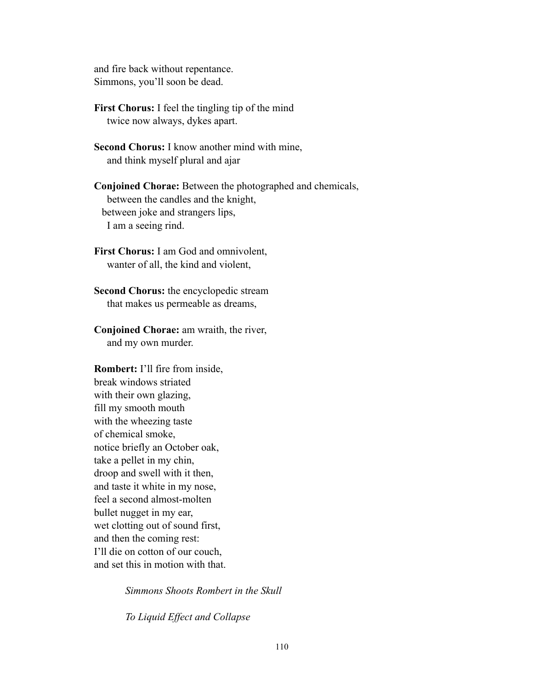and fire back without repentance. Simmons, you'll soon be dead.

**First Chorus:** I feel the tingling tip of the mind twice now always, dykes apart.

**Second Chorus:** I know another mind with mine, and think myself plural and ajar

**Conjoined Chorae:** Between the photographed and chemicals, between the candles and the knight, between joke and strangers lips, I am a seeing rind.

**First Chorus:** I am God and omnivolent, wanter of all, the kind and violent,

**Second Chorus:** the encyclopedic stream that makes us permeable as dreams,

**Conjoined Chorae:** am wraith, the river, and my own murder.

**Rombert:** I'll fire from inside, break windows striated with their own glazing, fill my smooth mouth with the wheezing taste of chemical smoke, notice briefly an October oak, take a pellet in my chin, droop and swell with it then, and taste it white in my nose, feel a second almost-molten bullet nugget in my ear, wet clotting out of sound first, and then the coming rest: I'll die on cotton of our couch, and set this in motion with that.

*Simmons Shoots Rombert in the Skull*

 *To Liquid Effect and Collapse*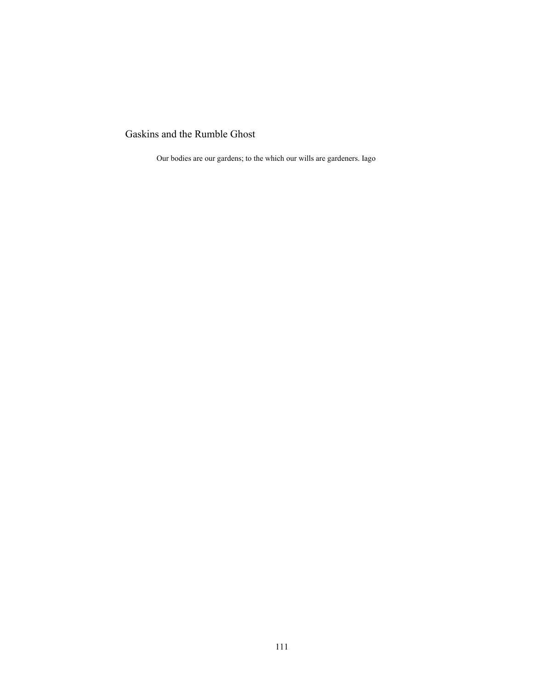# Gaskins and the Rumble Ghost

Our bodies are our gardens; to the which our wills are gardeners. Iago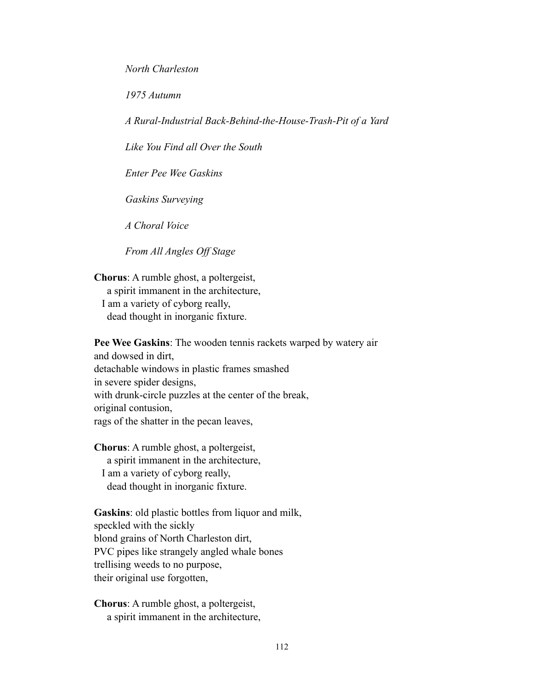*North Charleston*

 *1975 Autumn*

 *A Rural-Industrial Back-Behind-the-House-Trash-Pit of a Yard* 

 *Like You Find all Over the South*

 *Enter Pee Wee Gaskins*

 *Gaskins Surveying*

 *A Choral Voice* 

 *From All Angles Off Stage*

**Chorus**: A rumble ghost, a poltergeist, a spirit immanent in the architecture, I am a variety of cyborg really, dead thought in inorganic fixture.

**Pee Wee Gaskins**: The wooden tennis rackets warped by watery air

and dowsed in dirt, detachable windows in plastic frames smashed in severe spider designs, with drunk-circle puzzles at the center of the break, original contusion, rags of the shatter in the pecan leaves,

**Chorus**: A rumble ghost, a poltergeist, a spirit immanent in the architecture, I am a variety of cyborg really, dead thought in inorganic fixture.

**Gaskins**: old plastic bottles from liquor and milk, speckled with the sickly blond grains of North Charleston dirt, PVC pipes like strangely angled whale bones trellising weeds to no purpose, their original use forgotten,

**Chorus**: A rumble ghost, a poltergeist, a spirit immanent in the architecture,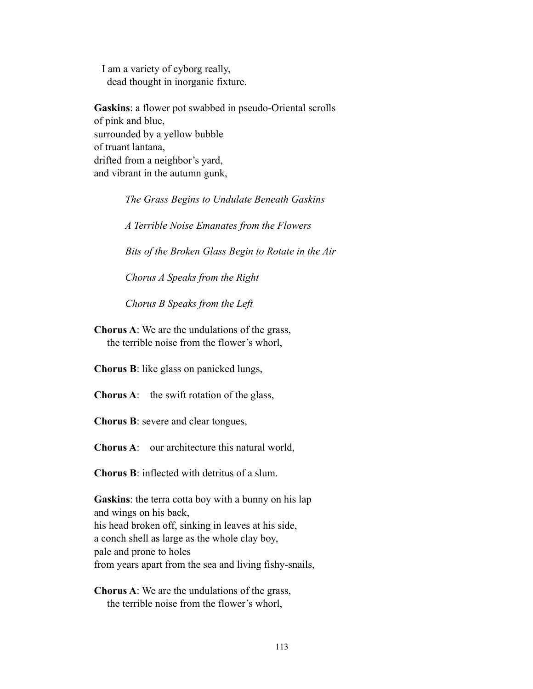I am a variety of cyborg really, dead thought in inorganic fixture.

**Gaskins**: a flower pot swabbed in pseudo-Oriental scrolls of pink and blue, surrounded by a yellow bubble of truant lantana, drifted from a neighbor's yard, and vibrant in the autumn gunk,

> *The Grass Begins to Undulate Beneath Gaskins A Terrible Noise Emanates from the Flowers Bits of the Broken Glass Begin to Rotate in the Air Chorus A Speaks from the Right*

 *Chorus B Speaks from the Left*

**Chorus A**: We are the undulations of the grass, the terrible noise from the flower's whorl,

**Chorus B**: like glass on panicked lungs,

**Chorus A**: the swift rotation of the glass,

**Chorus B**: severe and clear tongues,

**Chorus A**: our architecture this natural world,

**Chorus B**: inflected with detritus of a slum.

**Gaskins**: the terra cotta boy with a bunny on his lap and wings on his back, his head broken off, sinking in leaves at his side, a conch shell as large as the whole clay boy, pale and prone to holes from years apart from the sea and living fishy-snails,

**Chorus A**: We are the undulations of the grass, the terrible noise from the flower's whorl,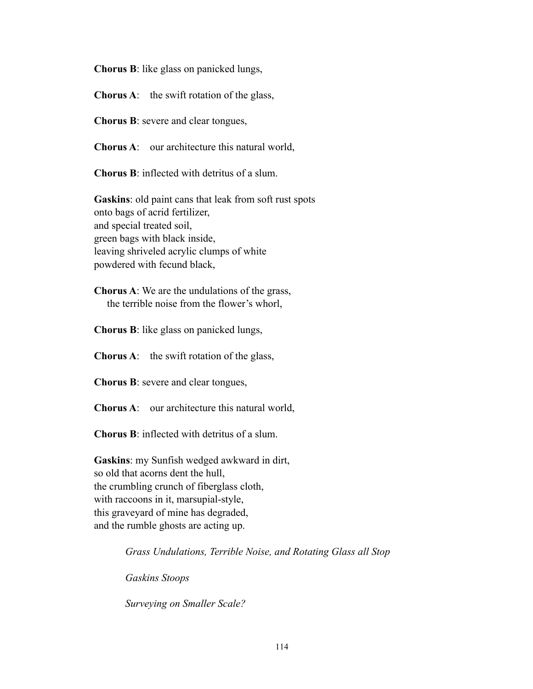**Chorus B**: like glass on panicked lungs,

**Chorus A**: the swift rotation of the glass,

**Chorus B**: severe and clear tongues,

**Chorus A**: our architecture this natural world,

**Chorus B**: inflected with detritus of a slum.

**Gaskins**: old paint cans that leak from soft rust spots onto bags of acrid fertilizer, and special treated soil, green bags with black inside, leaving shriveled acrylic clumps of white powdered with fecund black,

**Chorus A**: We are the undulations of the grass, the terrible noise from the flower's whorl,

**Chorus B**: like glass on panicked lungs,

**Chorus A**: the swift rotation of the glass,

**Chorus B**: severe and clear tongues,

**Chorus A**: our architecture this natural world,

**Chorus B**: inflected with detritus of a slum.

**Gaskins**: my Sunfish wedged awkward in dirt, so old that acorns dent the hull, the crumbling crunch of fiberglass cloth, with raccoons in it, marsupial-style, this graveyard of mine has degraded, and the rumble ghosts are acting up.

*Grass Undulations, Terrible Noise, and Rotating Glass all Stop*

 *Gaskins Stoops*

 *Surveying on Smaller Scale?*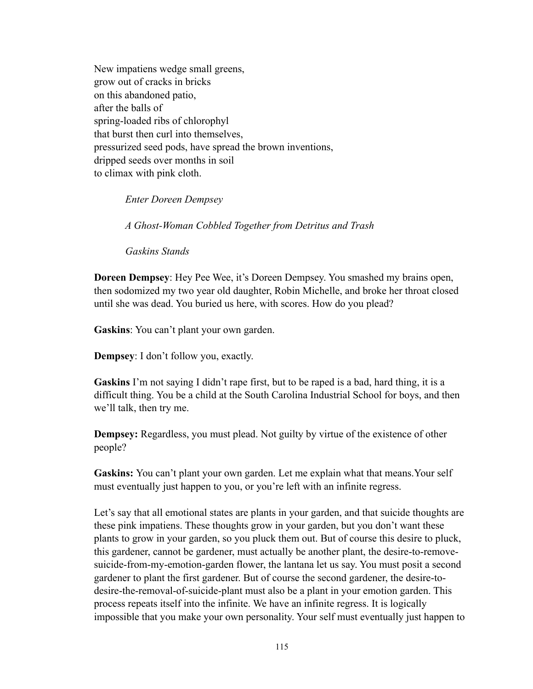New impatiens wedge small greens, grow out of cracks in bricks on this abandoned patio, after the balls of spring-loaded ribs of chlorophyl that burst then curl into themselves, pressurized seed pods, have spread the brown inventions, dripped seeds over months in soil to climax with pink cloth.

*Enter Doreen Dempsey*

 *A Ghost-Woman Cobbled Together from Detritus and Trash*

 *Gaskins Stands*

**Doreen Dempsey**: Hey Pee Wee, it's Doreen Dempsey. You smashed my brains open, then sodomized my two year old daughter, Robin Michelle, and broke her throat closed until she was dead. You buried us here, with scores. How do you plead?

**Gaskins**: You can't plant your own garden.

**Dempsey**: I don't follow you, exactly.

**Gaskins** I'm not saying I didn't rape first, but to be raped is a bad, hard thing, it is a difficult thing. You be a child at the South Carolina Industrial School for boys, and then we'll talk, then try me.

**Dempsey:** Regardless, you must plead. Not guilty by virtue of the existence of other people?

**Gaskins:** You can't plant your own garden. Let me explain what that means.Your self must eventually just happen to you, or you're left with an infinite regress.

Let's say that all emotional states are plants in your garden, and that suicide thoughts are these pink impatiens. These thoughts grow in your garden, but you don't want these plants to grow in your garden, so you pluck them out. But of course this desire to pluck, this gardener, cannot be gardener, must actually be another plant, the desire-to-removesuicide-from-my-emotion-garden flower, the lantana let us say. You must posit a second gardener to plant the first gardener. But of course the second gardener, the desire-todesire-the-removal-of-suicide-plant must also be a plant in your emotion garden. This process repeats itself into the infinite. We have an infinite regress. It is logically impossible that you make your own personality. Your self must eventually just happen to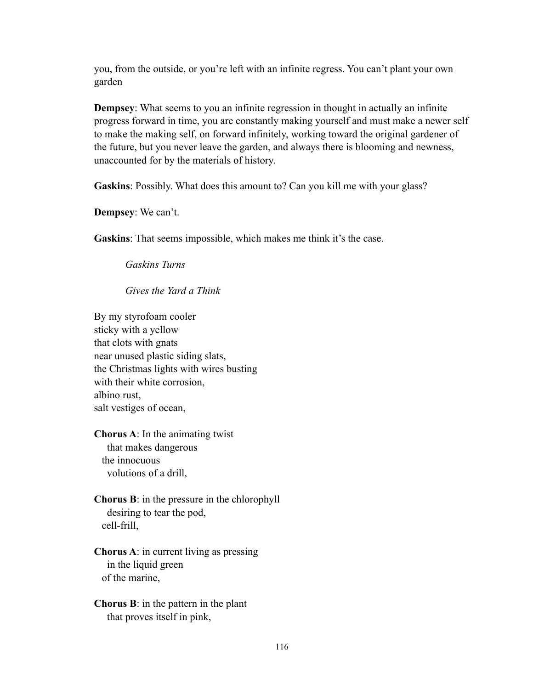you, from the outside, or you're left with an infinite regress. You can't plant your own garden

**Dempsey**: What seems to you an infinite regression in thought in actually an infinite progress forward in time, you are constantly making yourself and must make a newer self to make the making self, on forward infinitely, working toward the original gardener of the future, but you never leave the garden, and always there is blooming and newness, unaccounted for by the materials of history.

**Gaskins**: Possibly. What does this amount to? Can you kill me with your glass?

**Dempsey**: We can't.

**Gaskins**: That seems impossible, which makes me think it's the case.

*Gaskins Turns*

 *Gives the Yard a Think* 

By my styrofoam cooler sticky with a yellow that clots with gnats near unused plastic siding slats, the Christmas lights with wires busting with their white corrosion, albino rust, salt vestiges of ocean,

**Chorus A**: In the animating twist that makes dangerous the innocuous volutions of a drill,

**Chorus B**: in the pressure in the chlorophyll desiring to tear the pod, cell-frill,

**Chorus A**: in current living as pressing in the liquid green of the marine,

**Chorus B**: in the pattern in the plant that proves itself in pink,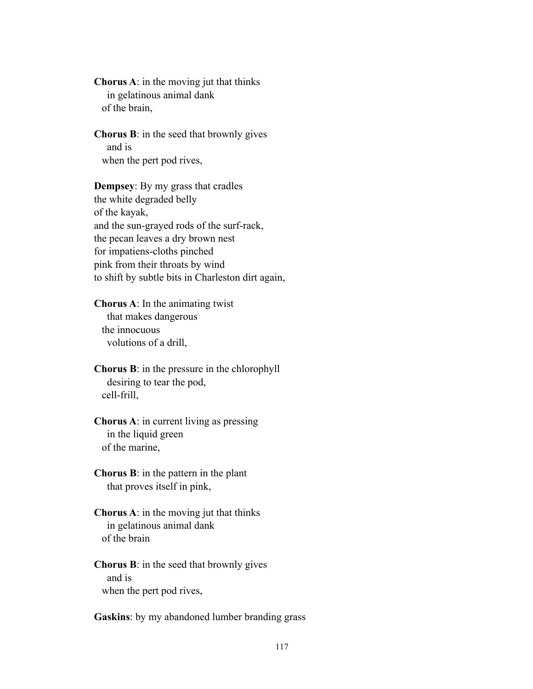**Chorus A**: in the moving jut that thinks in gelatinous animal dank of the brain,

**Chorus B**: in the seed that brownly gives and is when the pert pod rives,

**Dempsey**: By my grass that cradles the white degraded belly of the kayak, and the sun-grayed rods of the surf-rack, the pecan leaves a dry brown nest for impatiens-cloths pinched pink from their throats by wind to shift by subtle bits in Charleston dirt again,

**Chorus A**: In the animating twist that makes dangerous the innocuous volutions of a drill,

**Chorus B**: in the pressure in the chlorophyll desiring to tear the pod, cell-frill,

**Chorus A**: in current living as pressing in the liquid green of the marine,

**Chorus B**: in the pattern in the plant that proves itself in pink,

**Chorus A**: in the moving jut that thinks in gelatinous animal dank of the brain

**Chorus B**: in the seed that brownly gives and is when the pert pod rives,

**Gaskins**: by my abandoned lumber branding grass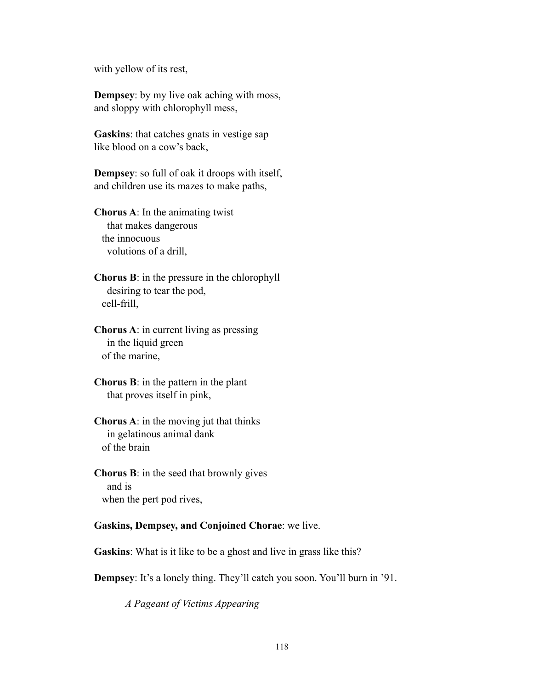with yellow of its rest,

**Dempsey**: by my live oak aching with moss, and sloppy with chlorophyll mess,

**Gaskins**: that catches gnats in vestige sap like blood on a cow's back,

**Dempsey**: so full of oak it droops with itself, and children use its mazes to make paths,

**Chorus A**: In the animating twist that makes dangerous the innocuous volutions of a drill,

**Chorus B**: in the pressure in the chlorophyll desiring to tear the pod, cell-frill,

**Chorus A**: in current living as pressing in the liquid green of the marine,

**Chorus B**: in the pattern in the plant that proves itself in pink,

**Chorus A**: in the moving jut that thinks in gelatinous animal dank of the brain

**Chorus B**: in the seed that brownly gives and is when the pert pod rives,

#### **Gaskins, Dempsey, and Conjoined Chorae**: we live.

**Gaskins**: What is it like to be a ghost and live in grass like this?

**Dempsey**: It's a lonely thing. They'll catch you soon. You'll burn in '91.

*A Pageant of Victims Appearing*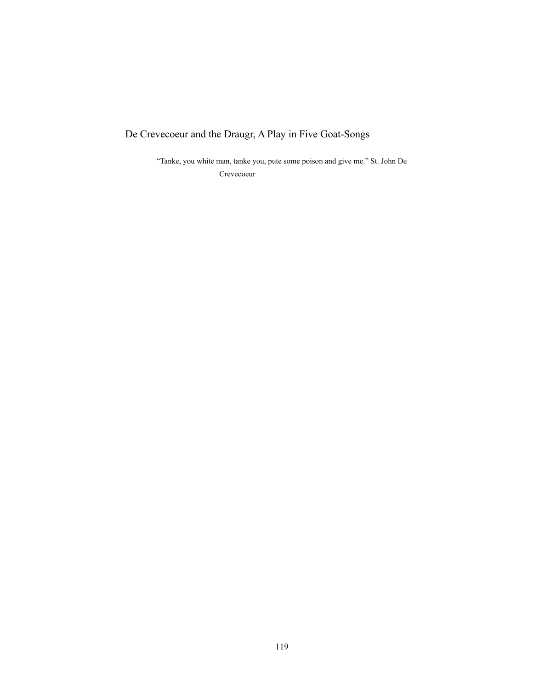# De Crevecoeur and the Draugr, A Play in Five Goat-Songs

 "Tanke, you white man, tanke you, pute some poison and give me." St. John De Crevecoeur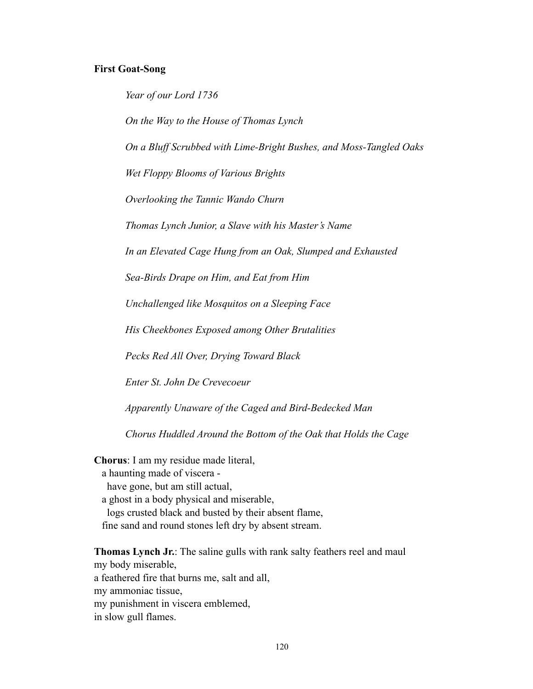#### **First Goat-Song**

*Year of our Lord 1736*

 *On the Way to the House of Thomas Lynch*

 *On a Bluff Scrubbed with Lime-Bright Bushes, and Moss-Tangled Oaks* 

 *Wet Floppy Blooms of Various Brights*

 *Overlooking the Tannic Wando Churn*

 *Thomas Lynch Junior, a Slave with his Master's Name*

 *In an Elevated Cage Hung from an Oak, Slumped and Exhausted*

 *Sea-Birds Drape on Him, and Eat from Him* 

 *Unchallenged like Mosquitos on a Sleeping Face*

 *His Cheekbones Exposed among Other Brutalities*

 *Pecks Red All Over, Drying Toward Black*

 *Enter St. John De Crevecoeur*

 *Apparently Unaware of the Caged and Bird-Bedecked Man* 

 *Chorus Huddled Around the Bottom of the Oak that Holds the Cage*

**Chorus**: I am my residue made literal, a haunting made of viscera have gone, but am still actual, a ghost in a body physical and miserable, logs crusted black and busted by their absent flame, fine sand and round stones left dry by absent stream.

**Thomas Lynch Jr.**: The saline gulls with rank salty feathers reel and maul my body miserable, a feathered fire that burns me, salt and all, my ammoniac tissue, my punishment in viscera emblemed, in slow gull flames.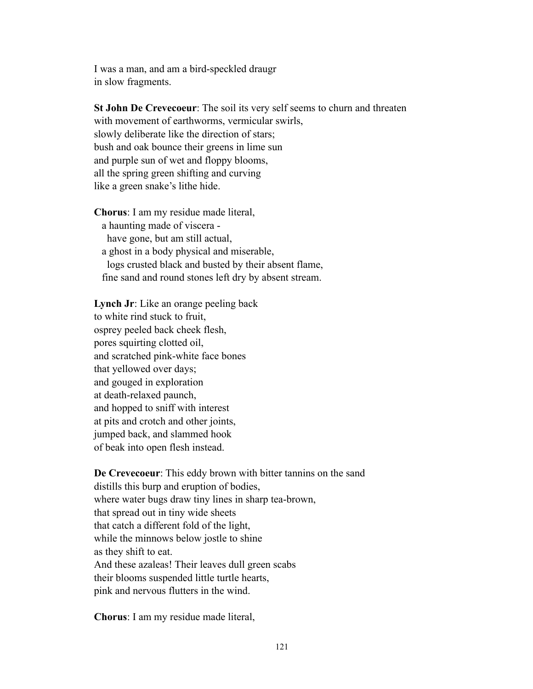I was a man, and am a bird-speckled draugr in slow fragments.

**St John De Crevecoeur**: The soil its very self seems to churn and threaten with movement of earthworms, vermicular swirls, slowly deliberate like the direction of stars; bush and oak bounce their greens in lime sun and purple sun of wet and floppy blooms, all the spring green shifting and curving like a green snake's lithe hide.

**Chorus**: I am my residue made literal, a haunting made of viscera have gone, but am still actual, a ghost in a body physical and miserable, logs crusted black and busted by their absent flame, fine sand and round stones left dry by absent stream.

**Lynch Jr**: Like an orange peeling back to white rind stuck to fruit, osprey peeled back cheek flesh, pores squirting clotted oil, and scratched pink-white face bones that yellowed over days; and gouged in exploration at death-relaxed paunch, and hopped to sniff with interest at pits and crotch and other joints, jumped back, and slammed hook of beak into open flesh instead.

**De Crevecoeur**: This eddy brown with bitter tannins on the sand distills this burp and eruption of bodies, where water bugs draw tiny lines in sharp tea-brown, that spread out in tiny wide sheets that catch a different fold of the light, while the minnows below jostle to shine as they shift to eat. And these azaleas! Their leaves dull green scabs their blooms suspended little turtle hearts, pink and nervous flutters in the wind.

**Chorus**: I am my residue made literal,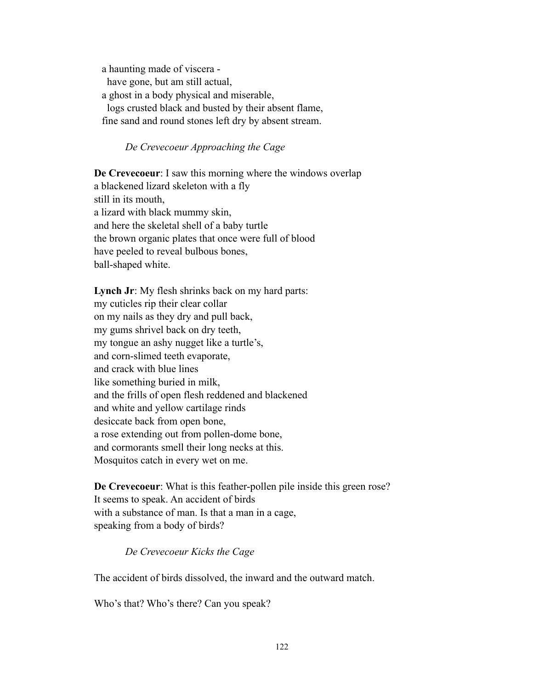a haunting made of viscera have gone, but am still actual, a ghost in a body physical and miserable, logs crusted black and busted by their absent flame, fine sand and round stones left dry by absent stream.

*De Crevecoeur Approaching the Cage*

**De Crevecoeur**: I saw this morning where the windows overlap a blackened lizard skeleton with a fly still in its mouth, a lizard with black mummy skin, and here the skeletal shell of a baby turtle the brown organic plates that once were full of blood have peeled to reveal bulbous bones, ball-shaped white.

**Lynch Jr**: My flesh shrinks back on my hard parts: my cuticles rip their clear collar on my nails as they dry and pull back, my gums shrivel back on dry teeth, my tongue an ashy nugget like a turtle's, and corn-slimed teeth evaporate, and crack with blue lines like something buried in milk, and the frills of open flesh reddened and blackened and white and yellow cartilage rinds desiccate back from open bone, a rose extending out from pollen-dome bone, and cormorants smell their long necks at this. Mosquitos catch in every wet on me.

**De Crevecoeur**: What is this feather-pollen pile inside this green rose? It seems to speak. An accident of birds with a substance of man. Is that a man in a cage, speaking from a body of birds?

## *De Crevecoeur Kicks the Cage*

The accident of birds dissolved, the inward and the outward match.

Who's that? Who's there? Can you speak?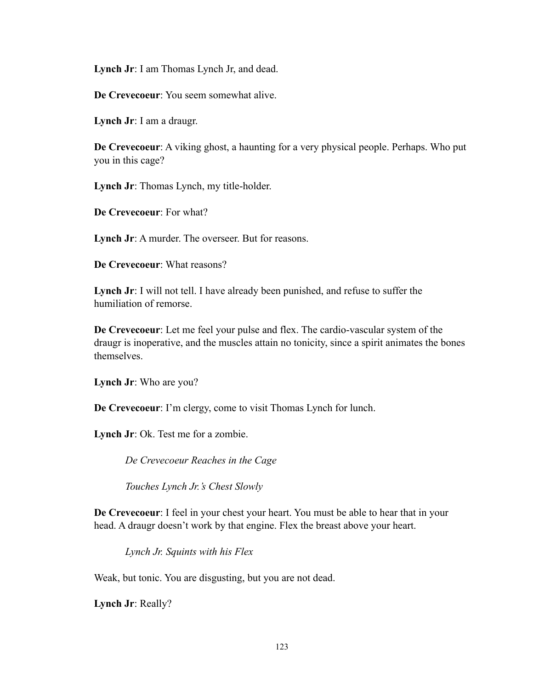**Lynch Jr**: I am Thomas Lynch Jr, and dead.

**De Crevecoeur**: You seem somewhat alive.

**Lynch Jr**: I am a draugr.

**De Crevecoeur**: A viking ghost, a haunting for a very physical people. Perhaps. Who put you in this cage?

**Lynch Jr**: Thomas Lynch, my title-holder.

**De Crevecoeur**: For what?

**Lynch Jr**: A murder. The overseer. But for reasons.

**De Crevecoeur**: What reasons?

**Lynch Jr**: I will not tell. I have already been punished, and refuse to suffer the humiliation of remorse.

**De Crevecoeur**: Let me feel your pulse and flex. The cardio-vascular system of the draugr is inoperative, and the muscles attain no tonicity, since a spirit animates the bones themselves.

**Lynch Jr**: Who are you?

**De Crevecoeur**: I'm clergy, come to visit Thomas Lynch for lunch.

**Lynch Jr**: Ok. Test me for a zombie.

*De Crevecoeur Reaches in the Cage* 

 *Touches Lynch Jr.'s Chest Slowly*

**De Crevecoeur**: I feel in your chest your heart. You must be able to hear that in your head. A draugr doesn't work by that engine. Flex the breast above your heart.

*Lynch Jr. Squints with his Flex*

Weak, but tonic. You are disgusting, but you are not dead.

**Lynch Jr**: Really?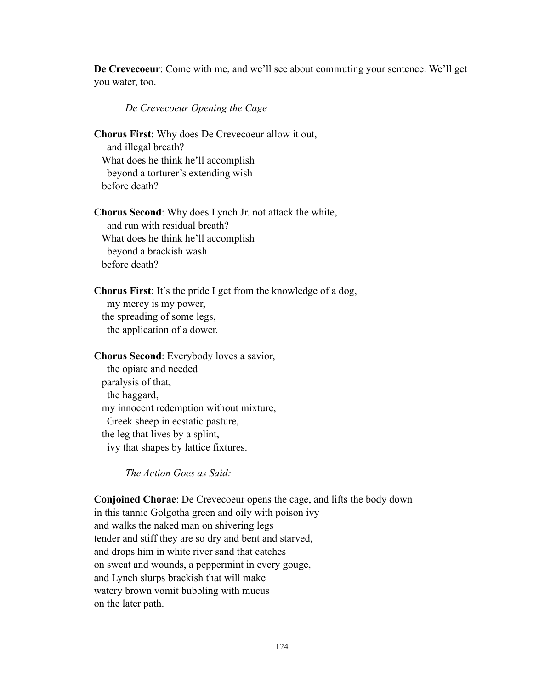**De Crevecoeur**: Come with me, and we'll see about commuting your sentence. We'll get you water, too.

*De Crevecoeur Opening the Cage*

**Chorus First**: Why does De Crevecoeur allow it out, and illegal breath? What does he think he'll accomplish beyond a torturer's extending wish before death?

**Chorus Second**: Why does Lynch Jr. not attack the white, and run with residual breath? What does he think he'll accomplish beyond a brackish wash before death?

**Chorus First**: It's the pride I get from the knowledge of a dog, my mercy is my power, the spreading of some legs, the application of a dower.

**Chorus Second**: Everybody loves a savior, the opiate and needed paralysis of that, the haggard, my innocent redemption without mixture, Greek sheep in ecstatic pasture, the leg that lives by a splint, ivy that shapes by lattice fixtures.

*The Action Goes as Said:*

**Conjoined Chorae**: De Crevecoeur opens the cage, and lifts the body down in this tannic Golgotha green and oily with poison ivy and walks the naked man on shivering legs tender and stiff they are so dry and bent and starved, and drops him in white river sand that catches on sweat and wounds, a peppermint in every gouge, and Lynch slurps brackish that will make watery brown vomit bubbling with mucus on the later path.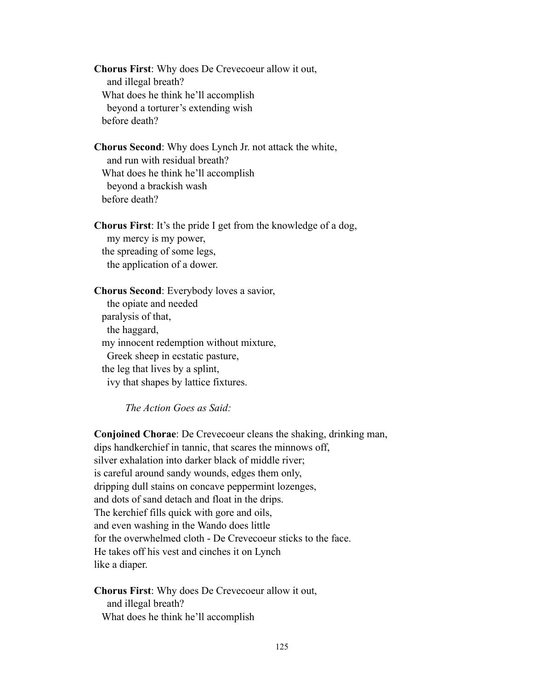**Chorus First**: Why does De Crevecoeur allow it out, and illegal breath? What does he think he'll accomplish beyond a torturer's extending wish before death?

**Chorus Second**: Why does Lynch Jr. not attack the white, and run with residual breath? What does he think he'll accomplish beyond a brackish wash before death?

**Chorus First**: It's the pride I get from the knowledge of a dog, my mercy is my power, the spreading of some legs, the application of a dower.

**Chorus Second**: Everybody loves a savior, the opiate and needed paralysis of that, the haggard, my innocent redemption without mixture, Greek sheep in ecstatic pasture, the leg that lives by a splint, ivy that shapes by lattice fixtures.

*The Action Goes as Said:*

**Conjoined Chorae**: De Crevecoeur cleans the shaking, drinking man, dips handkerchief in tannic, that scares the minnows off, silver exhalation into darker black of middle river; is careful around sandy wounds, edges them only, dripping dull stains on concave peppermint lozenges, and dots of sand detach and float in the drips. The kerchief fills quick with gore and oils, and even washing in the Wando does little for the overwhelmed cloth - De Crevecoeur sticks to the face. He takes off his vest and cinches it on Lynch like a diaper.

**Chorus First**: Why does De Crevecoeur allow it out, and illegal breath? What does he think he'll accomplish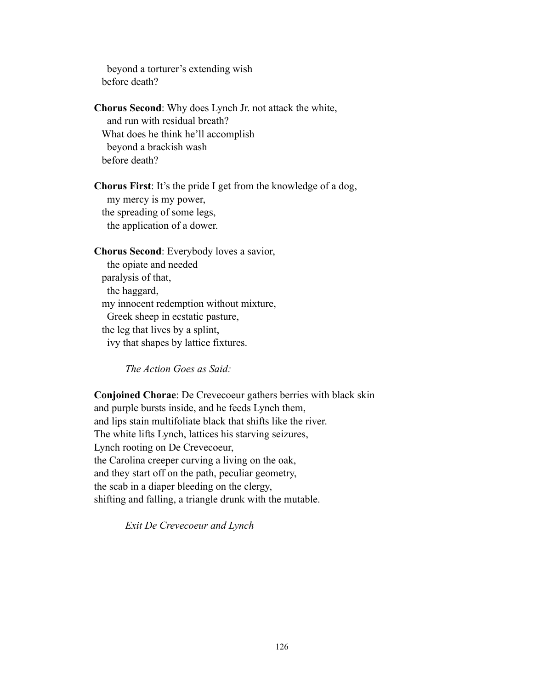beyond a torturer's extending wish before death?

**Chorus Second**: Why does Lynch Jr. not attack the white, and run with residual breath? What does he think he'll accomplish beyond a brackish wash before death?

**Chorus First**: It's the pride I get from the knowledge of a dog, my mercy is my power, the spreading of some legs, the application of a dower.

**Chorus Second**: Everybody loves a savior, the opiate and needed paralysis of that, the haggard, my innocent redemption without mixture, Greek sheep in ecstatic pasture, the leg that lives by a splint, ivy that shapes by lattice fixtures.

*The Action Goes as Said:*

**Conjoined Chorae**: De Crevecoeur gathers berries with black skin and purple bursts inside, and he feeds Lynch them, and lips stain multifoliate black that shifts like the river. The white lifts Lynch, lattices his starving seizures, Lynch rooting on De Crevecoeur, the Carolina creeper curving a living on the oak, and they start off on the path, peculiar geometry, the scab in a diaper bleeding on the clergy, shifting and falling, a triangle drunk with the mutable.

*Exit De Crevecoeur and Lynch*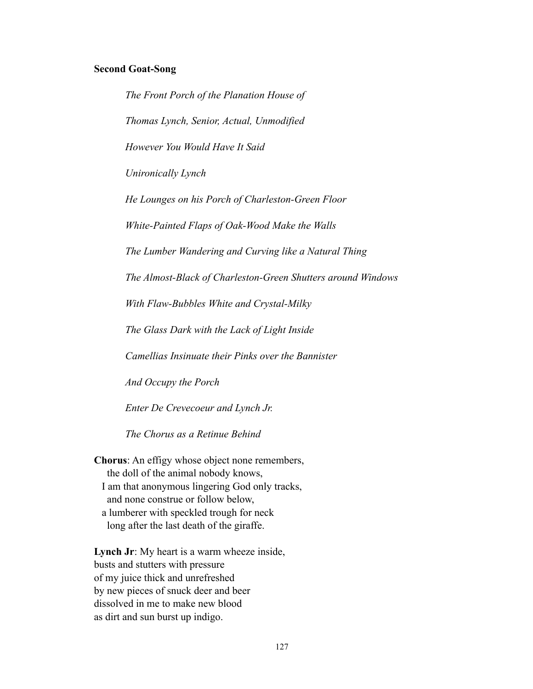#### **Second Goat-Song**

*The Front Porch of the Planation House of* 

 *Thomas Lynch, Senior, Actual, Unmodified*

 *However You Would Have It Said*

 *Unironically Lynch*

 *He Lounges on his Porch of Charleston-Green Floor*

 *White-Painted Flaps of Oak-Wood Make the Walls*

 *The Lumber Wandering and Curving like a Natural Thing*

 *The Almost-Black of Charleston-Green Shutters around Windows*

 *With Flaw-Bubbles White and Crystal-Milky*

 *The Glass Dark with the Lack of Light Inside* 

 *Camellias Insinuate their Pinks over the Bannister*

 *And Occupy the Porch*

 *Enter De Crevecoeur and Lynch Jr.* 

 *The Chorus as a Retinue Behind*

**Chorus**: An effigy whose object none remembers, the doll of the animal nobody knows, I am that anonymous lingering God only tracks, and none construe or follow below, a lumberer with speckled trough for neck long after the last death of the giraffe.

**Lynch Jr**: My heart is a warm wheeze inside, busts and stutters with pressure of my juice thick and unrefreshed by new pieces of snuck deer and beer dissolved in me to make new blood as dirt and sun burst up indigo.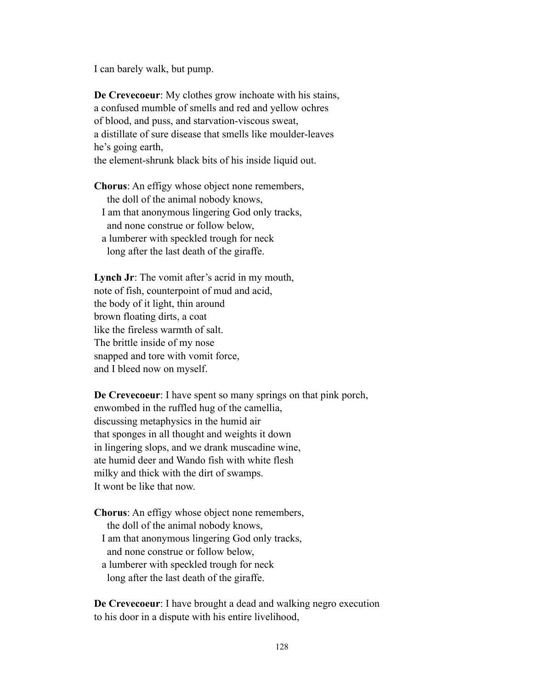I can barely walk, but pump.

**De Crevecoeur**: My clothes grow inchoate with his stains, a confused mumble of smells and red and yellow ochres of blood, and puss, and starvation-viscous sweat, a distillate of sure disease that smells like moulder-leaves he's going earth, the element-shrunk black bits of his inside liquid out.

**Chorus**: An effigy whose object none remembers, the doll of the animal nobody knows, I am that anonymous lingering God only tracks, and none construe or follow below, a lumberer with speckled trough for neck long after the last death of the giraffe.

**Lynch Jr**: The vomit after's acrid in my mouth, note of fish, counterpoint of mud and acid, the body of it light, thin around brown floating dirts, a coat like the fireless warmth of salt. The brittle inside of my nose snapped and tore with vomit force, and I bleed now on myself.

**De Crevecoeur**: I have spent so many springs on that pink porch, enwombed in the ruffled hug of the camellia, discussing metaphysics in the humid air that sponges in all thought and weights it down in lingering slops, and we drank muscadine wine, ate humid deer and Wando fish with white flesh milky and thick with the dirt of swamps. It wont be like that now.

**Chorus**: An effigy whose object none remembers, the doll of the animal nobody knows, I am that anonymous lingering God only tracks, and none construe or follow below, a lumberer with speckled trough for neck long after the last death of the giraffe.

**De Crevecoeur**: I have brought a dead and walking negro execution to his door in a dispute with his entire livelihood,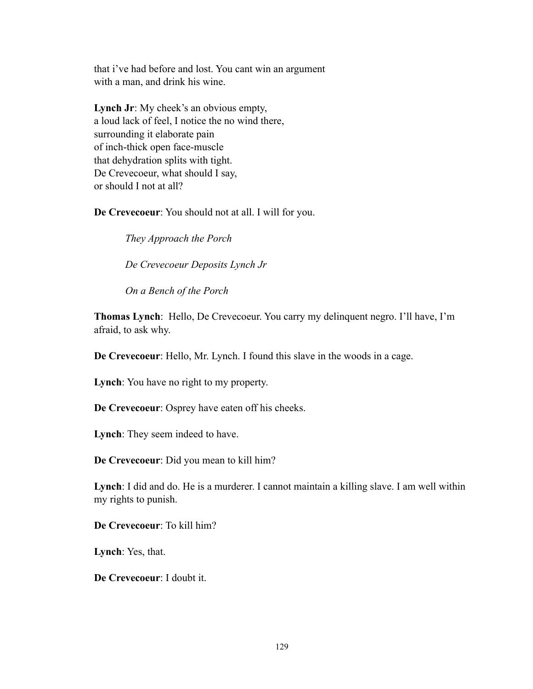that i've had before and lost. You cant win an argument with a man, and drink his wine.

**Lynch Jr**: My cheek's an obvious empty, a loud lack of feel, I notice the no wind there, surrounding it elaborate pain of inch-thick open face-muscle that dehydration splits with tight. De Crevecoeur, what should I say, or should I not at all?

**De Crevecoeur**: You should not at all. I will for you.

*They Approach the Porch De Crevecoeur Deposits Lynch Jr On a Bench of the Porch*

**Thomas Lynch**: Hello, De Crevecoeur. You carry my delinquent negro. I'll have, I'm afraid, to ask why.

**De Crevecoeur**: Hello, Mr. Lynch. I found this slave in the woods in a cage.

**Lynch**: You have no right to my property.

**De Crevecoeur**: Osprey have eaten off his cheeks.

**Lynch**: They seem indeed to have.

**De Crevecoeur**: Did you mean to kill him?

**Lynch**: I did and do. He is a murderer. I cannot maintain a killing slave. I am well within my rights to punish.

**De Crevecoeur**: To kill him?

**Lynch**: Yes, that.

**De Crevecoeur**: I doubt it.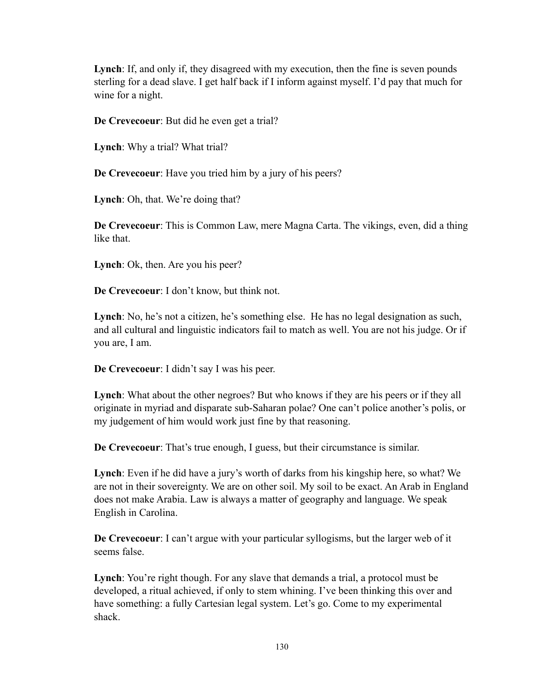Lynch: If, and only if, they disagreed with my execution, then the fine is seven pounds sterling for a dead slave. I get half back if I inform against myself. I'd pay that much for wine for a night.

**De Crevecoeur**: But did he even get a trial?

**Lynch**: Why a trial? What trial?

**De Crevecoeur**: Have you tried him by a jury of his peers?

**Lynch**: Oh, that. We're doing that?

**De Crevecoeur**: This is Common Law, mere Magna Carta. The vikings, even, did a thing like that.

**Lynch**: Ok, then. Are you his peer?

**De Crevecoeur**: I don't know, but think not.

**Lynch**: No, he's not a citizen, he's something else. He has no legal designation as such, and all cultural and linguistic indicators fail to match as well. You are not his judge. Or if you are, I am.

**De Crevecoeur**: I didn't say I was his peer.

**Lynch**: What about the other negroes? But who knows if they are his peers or if they all originate in myriad and disparate sub-Saharan polae? One can't police another's polis, or my judgement of him would work just fine by that reasoning.

**De Crevecoeur**: That's true enough, I guess, but their circumstance is similar.

**Lynch**: Even if he did have a jury's worth of darks from his kingship here, so what? We are not in their sovereignty. We are on other soil. My soil to be exact. An Arab in England does not make Arabia. Law is always a matter of geography and language. We speak English in Carolina.

**De Crevecoeur**: I can't argue with your particular syllogisms, but the larger web of it seems false.

**Lynch**: You're right though. For any slave that demands a trial, a protocol must be developed, a ritual achieved, if only to stem whining. I've been thinking this over and have something: a fully Cartesian legal system. Let's go. Come to my experimental shack.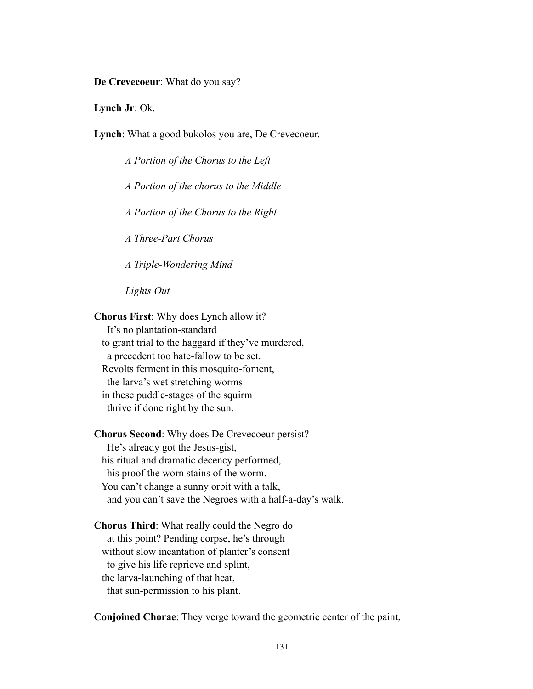**De Crevecoeur**: What do you say?

**Lynch Jr**: Ok.

**Lynch**: What a good bukolos you are, De Crevecoeur.

*A Portion of the Chorus to the Left A Portion of the chorus to the Middle A Portion of the Chorus to the Right A Three-Part Chorus A Triple-Wondering Mind* 

*Lights Out*

**Chorus First**: Why does Lynch allow it?

 It's no plantation-standard to grant trial to the haggard if they've murdered, a precedent too hate-fallow to be set. Revolts ferment in this mosquito-foment, the larva's wet stretching worms in these puddle-stages of the squirm thrive if done right by the sun.

**Chorus Second**: Why does De Crevecoeur persist? He's already got the Jesus-gist, his ritual and dramatic decency performed, his proof the worn stains of the worm. You can't change a sunny orbit with a talk, and you can't save the Negroes with a half-a-day's walk.

**Chorus Third**: What really could the Negro do at this point? Pending corpse, he's through without slow incantation of planter's consent to give his life reprieve and splint, the larva-launching of that heat, that sun-permission to his plant.

**Conjoined Chorae**: They verge toward the geometric center of the paint,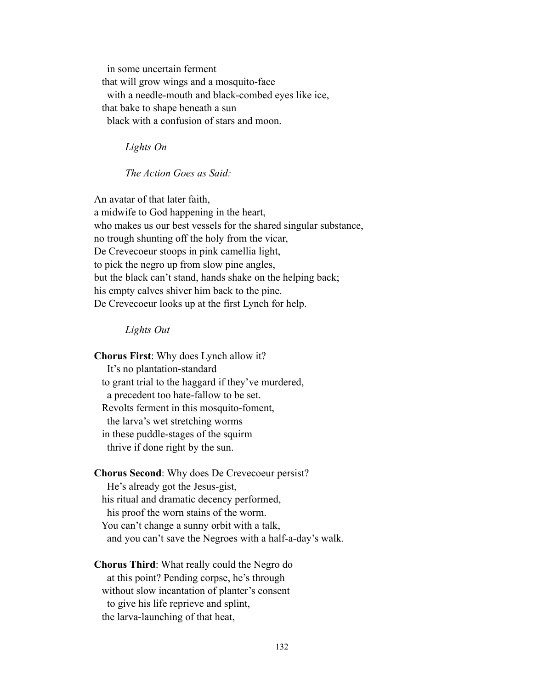in some uncertain ferment that will grow wings and a mosquito-face with a needle-mouth and black-combed eyes like ice, that bake to shape beneath a sun black with a confusion of stars and moon.

*Lights On*

#### *The Action Goes as Said:*

An avatar of that later faith, a midwife to God happening in the heart, who makes us our best vessels for the shared singular substance, no trough shunting off the holy from the vicar, De Crevecoeur stoops in pink camellia light, to pick the negro up from slow pine angles, but the black can't stand, hands shake on the helping back; his empty calves shiver him back to the pine. De Crevecoeur looks up at the first Lynch for help.

#### *Lights Out*

**Chorus First**: Why does Lynch allow it? It's no plantation-standard to grant trial to the haggard if they've murdered, a precedent too hate-fallow to be set. Revolts ferment in this mosquito-foment, the larva's wet stretching worms in these puddle-stages of the squirm thrive if done right by the sun.

**Chorus Second**: Why does De Crevecoeur persist? He's already got the Jesus-gist, his ritual and dramatic decency performed, his proof the worn stains of the worm. You can't change a sunny orbit with a talk, and you can't save the Negroes with a half-a-day's walk.

**Chorus Third**: What really could the Negro do at this point? Pending corpse, he's through without slow incantation of planter's consent to give his life reprieve and splint, the larva-launching of that heat,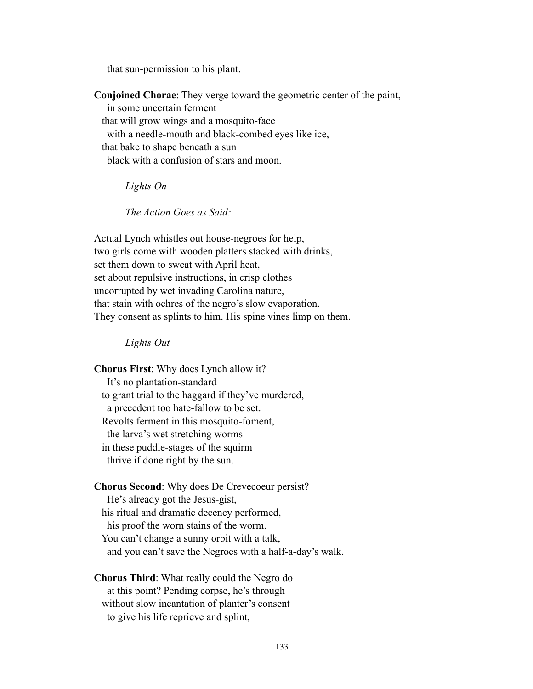that sun-permission to his plant.

**Conjoined Chorae**: They verge toward the geometric center of the paint, in some uncertain ferment that will grow wings and a mosquito-face with a needle-mouth and black-combed eyes like ice, that bake to shape beneath a sun black with a confusion of stars and moon.

*Lights On*

*The Action Goes as Said:*

Actual Lynch whistles out house-negroes for help, two girls come with wooden platters stacked with drinks, set them down to sweat with April heat, set about repulsive instructions, in crisp clothes uncorrupted by wet invading Carolina nature, that stain with ochres of the negro's slow evaporation. They consent as splints to him. His spine vines limp on them.

*Lights Out*

**Chorus First**: Why does Lynch allow it? It's no plantation-standard to grant trial to the haggard if they've murdered, a precedent too hate-fallow to be set. Revolts ferment in this mosquito-foment, the larva's wet stretching worms in these puddle-stages of the squirm thrive if done right by the sun.

**Chorus Second**: Why does De Crevecoeur persist? He's already got the Jesus-gist, his ritual and dramatic decency performed, his proof the worn stains of the worm. You can't change a sunny orbit with a talk, and you can't save the Negroes with a half-a-day's walk.

**Chorus Third**: What really could the Negro do at this point? Pending corpse, he's through without slow incantation of planter's consent to give his life reprieve and splint,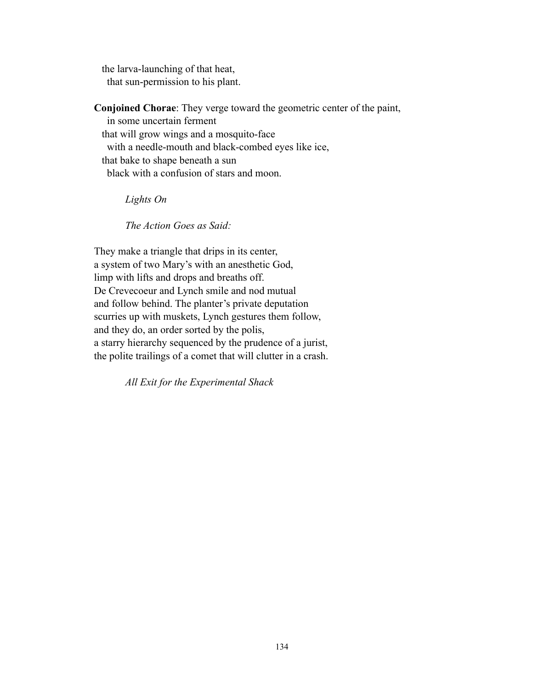the larva-launching of that heat, that sun-permission to his plant.

**Conjoined Chorae**: They verge toward the geometric center of the paint, in some uncertain ferment that will grow wings and a mosquito-face with a needle-mouth and black-combed eyes like ice, that bake to shape beneath a sun black with a confusion of stars and moon.

*Lights On*

*The Action Goes as Said:*

They make a triangle that drips in its center, a system of two Mary's with an anesthetic God, limp with lifts and drops and breaths off. De Crevecoeur and Lynch smile and nod mutual and follow behind. The planter's private deputation scurries up with muskets, Lynch gestures them follow, and they do, an order sorted by the polis, a starry hierarchy sequenced by the prudence of a jurist, the polite trailings of a comet that will clutter in a crash.

*All Exit for the Experimental Shack*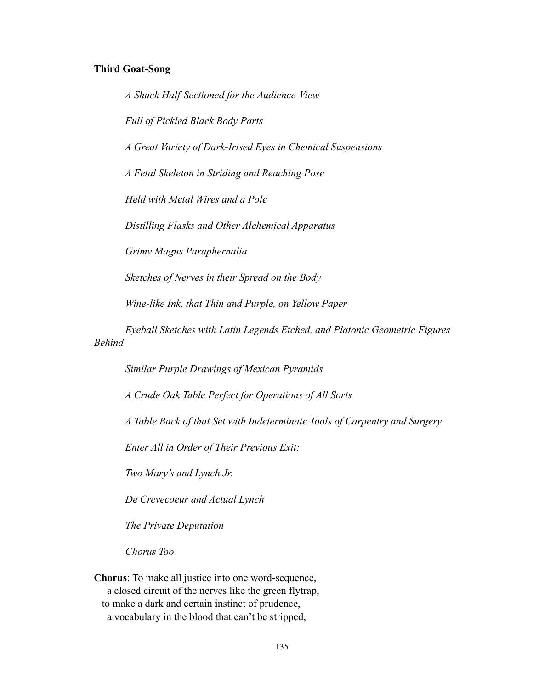#### **Third Goat-Song**

*A Shack Half-Sectioned for the Audience-View*

 *Full of Pickled Black Body Parts*

 *A Great Variety of Dark-Irised Eyes in Chemical Suspensions*

 *A Fetal Skeleton in Striding and Reaching Pose*

 *Held with Metal Wires and a Pole*

 *Distilling Flasks and Other Alchemical Apparatus*

 *Grimy Magus Paraphernalia* 

 *Sketches of Nerves in their Spread on the Body*

 *Wine-like Ink, that Thin and Purple, on Yellow Paper*

 *Eyeball Sketches with Latin Legends Etched, and Platonic Geometric Figures Behind*

 *Similar Purple Drawings of Mexican Pyramids*

 *A Crude Oak Table Perfect for Operations of All Sorts*

 *A Table Back of that Set with Indeterminate Tools of Carpentry and Surgery*

 *Enter All in Order of Their Previous Exit:*

 *Two Mary's and Lynch Jr.*

 *De Crevecoeur and Actual Lynch*

 *The Private Deputation*

 *Chorus Too*

**Chorus**: To make all justice into one word-sequence, a closed circuit of the nerves like the green flytrap, to make a dark and certain instinct of prudence, a vocabulary in the blood that can't be stripped,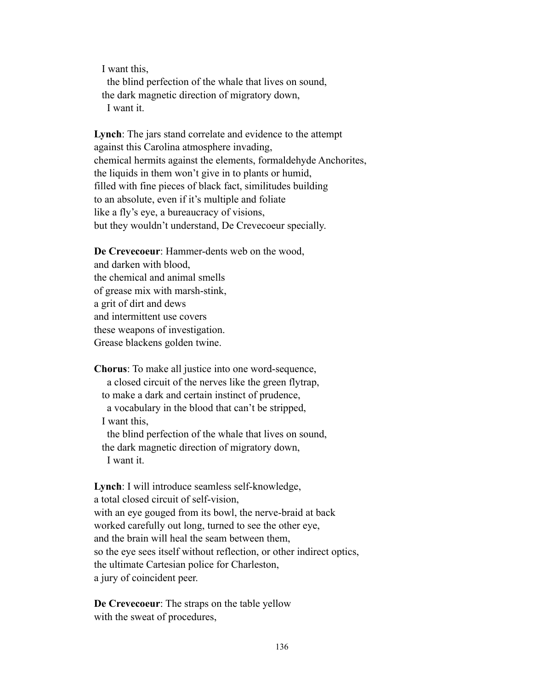I want this, the blind perfection of the whale that lives on sound, the dark magnetic direction of migratory down, I want it.

**Lynch**: The jars stand correlate and evidence to the attempt against this Carolina atmosphere invading, chemical hermits against the elements, formaldehyde Anchorites, the liquids in them won't give in to plants or humid, filled with fine pieces of black fact, similitudes building to an absolute, even if it's multiple and foliate like a fly's eye, a bureaucracy of visions, but they wouldn't understand, De Crevecoeur specially.

**De Crevecoeur**: Hammer-dents web on the wood, and darken with blood, the chemical and animal smells of grease mix with marsh-stink, a grit of dirt and dews and intermittent use covers these weapons of investigation. Grease blackens golden twine.

**Chorus**: To make all justice into one word-sequence, a closed circuit of the nerves like the green flytrap, to make a dark and certain instinct of prudence, a vocabulary in the blood that can't be stripped, I want this,

 the blind perfection of the whale that lives on sound, the dark magnetic direction of migratory down, I want it.

**Lynch**: I will introduce seamless self-knowledge, a total closed circuit of self-vision, with an eye gouged from its bowl, the nerve-braid at back worked carefully out long, turned to see the other eye, and the brain will heal the seam between them, so the eye sees itself without reflection, or other indirect optics, the ultimate Cartesian police for Charleston, a jury of coincident peer.

**De Crevecoeur**: The straps on the table yellow with the sweat of procedures,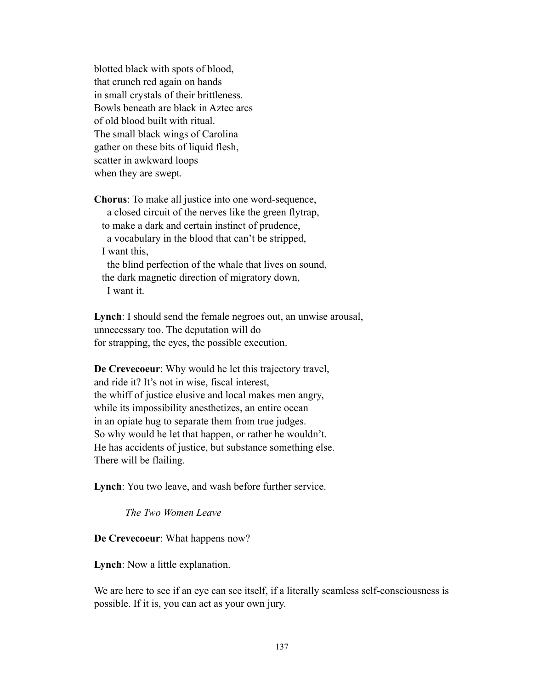blotted black with spots of blood, that crunch red again on hands in small crystals of their brittleness. Bowls beneath are black in Aztec arcs of old blood built with ritual. The small black wings of Carolina gather on these bits of liquid flesh, scatter in awkward loops when they are swept.

**Chorus**: To make all justice into one word-sequence, a closed circuit of the nerves like the green flytrap, to make a dark and certain instinct of prudence, a vocabulary in the blood that can't be stripped, I want this, the blind perfection of the whale that lives on sound, the dark magnetic direction of migratory down, I want it.

**Lynch**: I should send the female negroes out, an unwise arousal, unnecessary too. The deputation will do for strapping, the eyes, the possible execution.

**De Crevecoeur**: Why would he let this trajectory travel, and ride it? It's not in wise, fiscal interest, the whiff of justice elusive and local makes men angry, while its impossibility anesthetizes, an entire ocean in an opiate hug to separate them from true judges. So why would he let that happen, or rather he wouldn't. He has accidents of justice, but substance something else. There will be flailing.

**Lynch**: You two leave, and wash before further service.

*The Two Women Leave*

**De Crevecoeur**: What happens now?

**Lynch**: Now a little explanation.

We are here to see if an eye can see itself, if a literally seamless self-consciousness is possible. If it is, you can act as your own jury.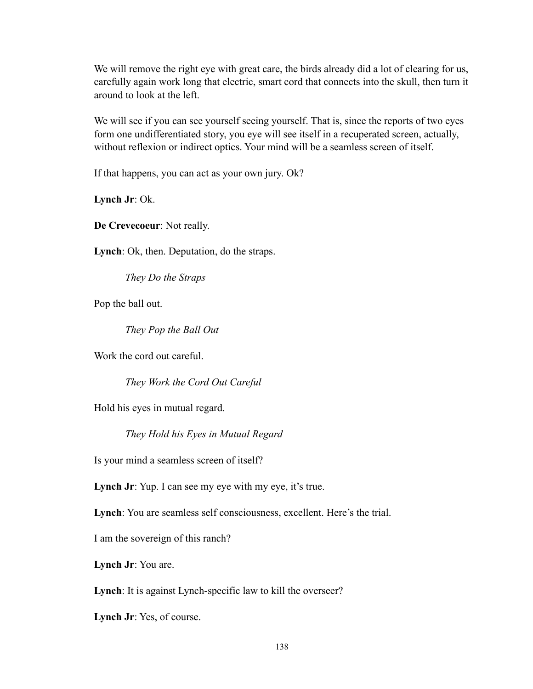We will remove the right eye with great care, the birds already did a lot of clearing for us, carefully again work long that electric, smart cord that connects into the skull, then turn it around to look at the left.

We will see if you can see yourself seeing yourself. That is, since the reports of two eyes form one undifferentiated story, you eye will see itself in a recuperated screen, actually, without reflexion or indirect optics. Your mind will be a seamless screen of itself.

If that happens, you can act as your own jury. Ok?

**Lynch Jr**: Ok.

**De Crevecoeur**: Not really.

**Lynch**: Ok, then. Deputation, do the straps.

*They Do the Straps*

Pop the ball out.

*They Pop the Ball Out*

Work the cord out careful.

*They Work the Cord Out Careful*

Hold his eyes in mutual regard.

*They Hold his Eyes in Mutual Regard*

Is your mind a seamless screen of itself?

**Lynch Jr:** Yup. I can see my eye with my eye, it's true.

**Lynch**: You are seamless self consciousness, excellent. Here's the trial.

I am the sovereign of this ranch?

**Lynch Jr**: You are.

**Lynch**: It is against Lynch-specific law to kill the overseer?

**Lynch Jr**: Yes, of course.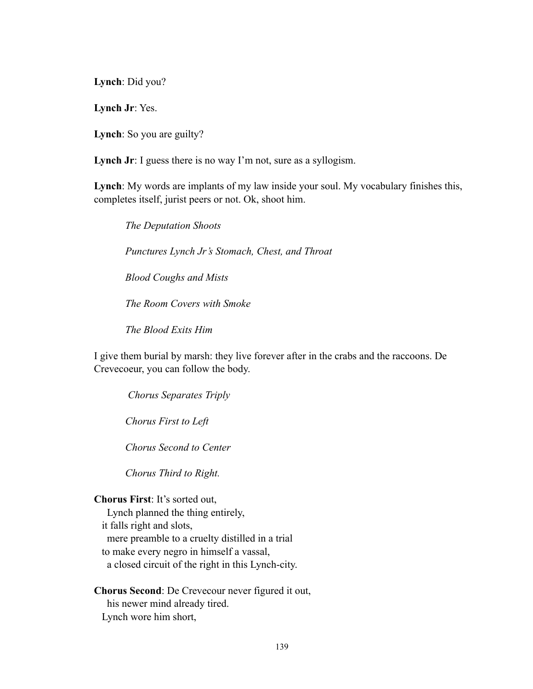**Lynch**: Did you?

**Lynch Jr**: Yes.

**Lynch**: So you are guilty?

Lynch Jr: I guess there is no way I'm not, sure as a syllogism.

**Lynch**: My words are implants of my law inside your soul. My vocabulary finishes this, completes itself, jurist peers or not. Ok, shoot him.

*The Deputation Shoots Punctures Lynch Jr's Stomach, Chest, and Throat Blood Coughs and Mists The Room Covers with Smoke The Blood Exits Him*

I give them burial by marsh: they live forever after in the crabs and the raccoons. De Crevecoeur, you can follow the body.

 *Chorus Separates Triply Chorus First to Left Chorus Second to Center Chorus Third to Right.* 

## **Chorus First**: It's sorted out,

 Lynch planned the thing entirely, it falls right and slots, mere preamble to a cruelty distilled in a trial to make every negro in himself a vassal, a closed circuit of the right in this Lynch-city.

**Chorus Second**: De Crevecour never figured it out, his newer mind already tired. Lynch wore him short,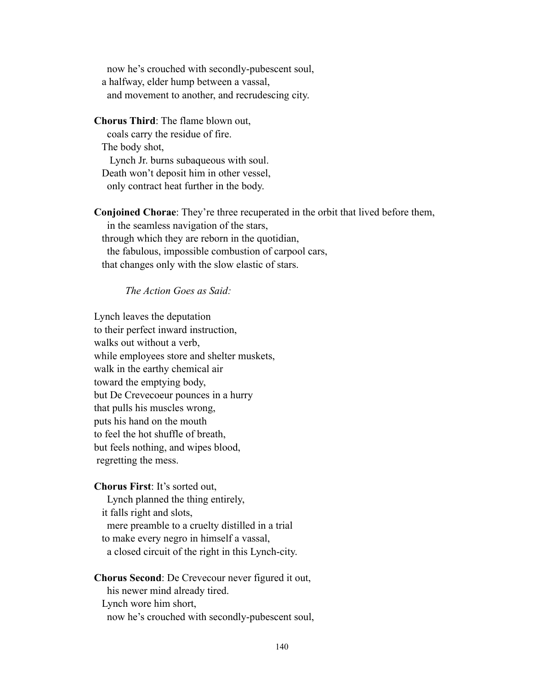now he's crouched with secondly-pubescent soul, a halfway, elder hump between a vassal, and movement to another, and recrudescing city.

#### **Chorus Third**: The flame blown out,

 coals carry the residue of fire. The body shot, Lynch Jr. burns subaqueous with soul. Death won't deposit him in other vessel, only contract heat further in the body.

**Conjoined Chorae**: They're three recuperated in the orbit that lived before them,

in the seamless navigation of the stars,

 through which they are reborn in the quotidian, the fabulous, impossible combustion of carpool cars,

that changes only with the slow elastic of stars.

## *The Action Goes as Said:*

Lynch leaves the deputation to their perfect inward instruction, walks out without a verb, while employees store and shelter muskets, walk in the earthy chemical air toward the emptying body, but De Crevecoeur pounces in a hurry that pulls his muscles wrong, puts his hand on the mouth to feel the hot shuffle of breath, but feels nothing, and wipes blood, regretting the mess.

## **Chorus First**: It's sorted out,

 Lynch planned the thing entirely, it falls right and slots, mere preamble to a cruelty distilled in a trial to make every negro in himself a vassal, a closed circuit of the right in this Lynch-city.

# **Chorus Second**: De Crevecour never figured it out, his newer mind already tired. Lynch wore him short,

now he's crouched with secondly-pubescent soul,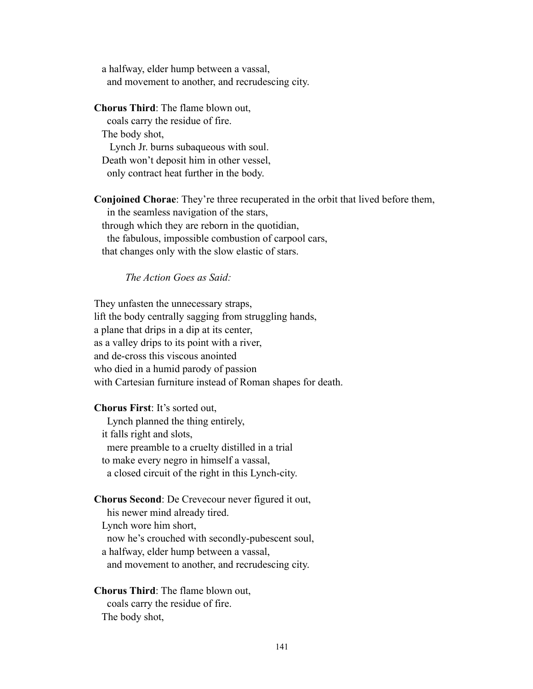a halfway, elder hump between a vassal, and movement to another, and recrudescing city.

**Chorus Third**: The flame blown out, coals carry the residue of fire. The body shot, Lynch Jr. burns subaqueous with soul. Death won't deposit him in other vessel, only contract heat further in the body.

**Conjoined Chorae**: They're three recuperated in the orbit that lived before them, in the seamless navigation of the stars, through which they are reborn in the quotidian, the fabulous, impossible combustion of carpool cars, that changes only with the slow elastic of stars.

*The Action Goes as Said:*

They unfasten the unnecessary straps, lift the body centrally sagging from struggling hands, a plane that drips in a dip at its center, as a valley drips to its point with a river, and de-cross this viscous anointed who died in a humid parody of passion with Cartesian furniture instead of Roman shapes for death.

### **Chorus First**: It's sorted out,

 Lynch planned the thing entirely, it falls right and slots, mere preamble to a cruelty distilled in a trial to make every negro in himself a vassal, a closed circuit of the right in this Lynch-city.

#### **Chorus Second**: De Crevecour never figured it out,

his newer mind already tired.

Lynch wore him short,

now he's crouched with secondly-pubescent soul,

a halfway, elder hump between a vassal,

and movement to another, and recrudescing city.

**Chorus Third**: The flame blown out, coals carry the residue of fire. The body shot,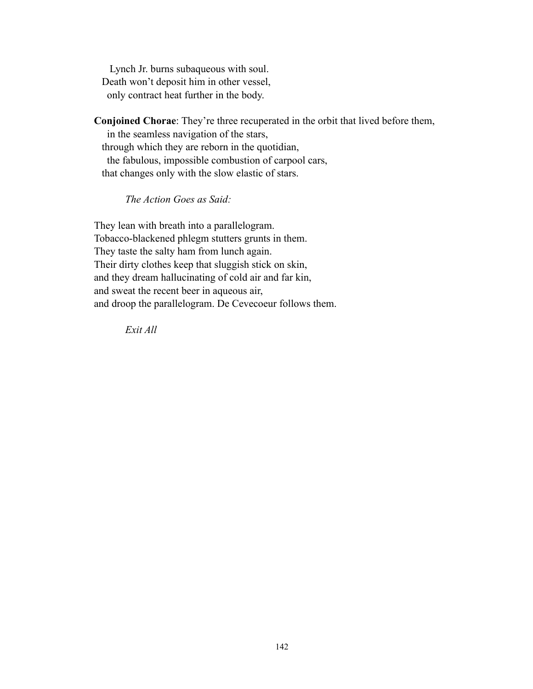Lynch Jr. burns subaqueous with soul. Death won't deposit him in other vessel, only contract heat further in the body.

**Conjoined Chorae**: They're three recuperated in the orbit that lived before them,

 in the seamless navigation of the stars, through which they are reborn in the quotidian,

 the fabulous, impossible combustion of carpool cars, that changes only with the slow elastic of stars.

*The Action Goes as Said:*

They lean with breath into a parallelogram. Tobacco-blackened phlegm stutters grunts in them. They taste the salty ham from lunch again. Their dirty clothes keep that sluggish stick on skin, and they dream hallucinating of cold air and far kin, and sweat the recent beer in aqueous air, and droop the parallelogram. De Cevecoeur follows them.

*Exit All*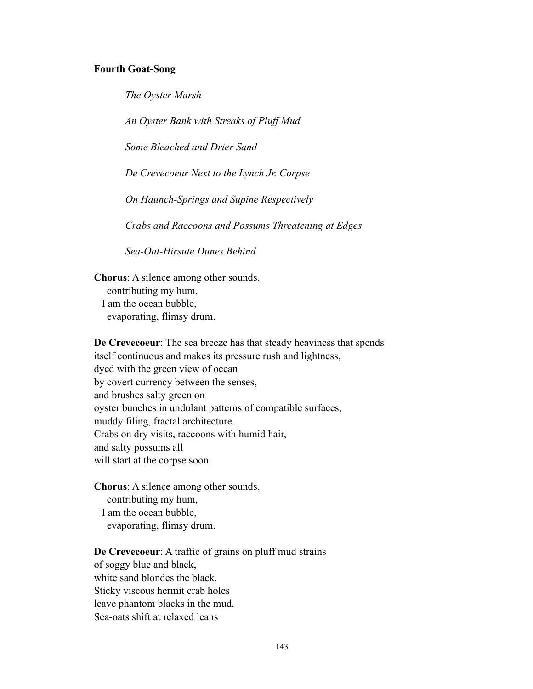#### **Fourth Goat-Song**

*The Oyster Marsh* 

 *An Oyster Bank with Streaks of Pluff Mud*

 *Some Bleached and Drier Sand*

 *De Crevecoeur Next to the Lynch Jr. Corpse*

 *On Haunch-Springs and Supine Respectively*

 *Crabs and Raccoons and Possums Threatening at Edges*

 *Sea-Oat-Hirsute Dunes Behind*

**Chorus**: A silence among other sounds, contributing my hum, I am the ocean bubble, evaporating, flimsy drum.

**De Crevecoeur**: The sea breeze has that steady heaviness that spends itself continuous and makes its pressure rush and lightness, dyed with the green view of ocean by covert currency between the senses, and brushes salty green on oyster bunches in undulant patterns of compatible surfaces, muddy filing, fractal architecture. Crabs on dry visits, raccoons with humid hair, and salty possums all will start at the corpse soon.

**Chorus**: A silence among other sounds, contributing my hum, I am the ocean bubble, evaporating, flimsy drum.

**De Crevecoeur**: A traffic of grains on pluff mud strains of soggy blue and black, white sand blondes the black. Sticky viscous hermit crab holes leave phantom blacks in the mud. Sea-oats shift at relaxed leans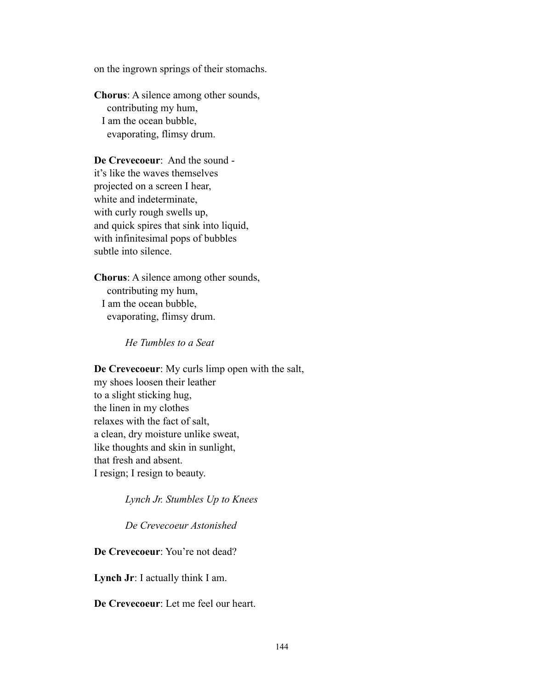on the ingrown springs of their stomachs.

**Chorus**: A silence among other sounds, contributing my hum, I am the ocean bubble, evaporating, flimsy drum.

**De Crevecoeur**: And the sound it's like the waves themselves projected on a screen I hear, white and indeterminate, with curly rough swells up, and quick spires that sink into liquid, with infinitesimal pops of bubbles subtle into silence.

**Chorus**: A silence among other sounds, contributing my hum, I am the ocean bubble, evaporating, flimsy drum.

*He Tumbles to a Seat*

**De Crevecoeur**: My curls limp open with the salt, my shoes loosen their leather to a slight sticking hug, the linen in my clothes relaxes with the fact of salt, a clean, dry moisture unlike sweat, like thoughts and skin in sunlight, that fresh and absent. I resign; I resign to beauty.

*Lynch Jr. Stumbles Up to Knees*

 *De Crevecoeur Astonished*

**De Crevecoeur**: You're not dead?

**Lynch Jr**: I actually think I am.

**De Crevecoeur**: Let me feel our heart.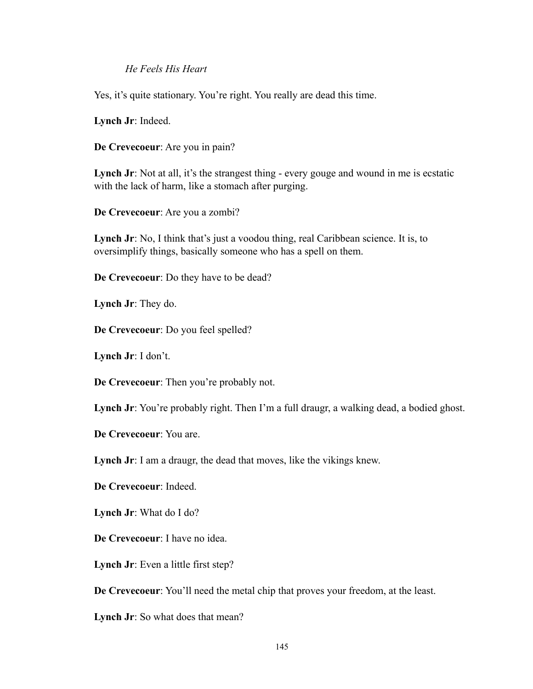## *He Feels His Heart*

Yes, it's quite stationary. You're right. You really are dead this time.

**Lynch Jr**: Indeed.

**De Crevecoeur**: Are you in pain?

Lynch Jr: Not at all, it's the strangest thing - every gouge and wound in me is ecstatic with the lack of harm, like a stomach after purging.

**De Crevecoeur**: Are you a zombi?

**Lynch Jr**: No, I think that's just a voodou thing, real Caribbean science. It is, to oversimplify things, basically someone who has a spell on them.

**De Crevecoeur**: Do they have to be dead?

**Lynch Jr**: They do.

**De Crevecoeur**: Do you feel spelled?

**Lynch Jr**: I don't.

**De Crevecoeur**: Then you're probably not.

Lynch Jr: You're probably right. Then I'm a full draugr, a walking dead, a bodied ghost.

**De Crevecoeur**: You are.

Lynch Jr: I am a draugr, the dead that moves, like the vikings knew.

**De Crevecoeur**: Indeed.

**Lynch Jr**: What do I do?

**De Crevecoeur**: I have no idea.

**Lynch Jr**: Even a little first step?

**De Crevecoeur**: You'll need the metal chip that proves your freedom, at the least.

**Lynch Jr**: So what does that mean?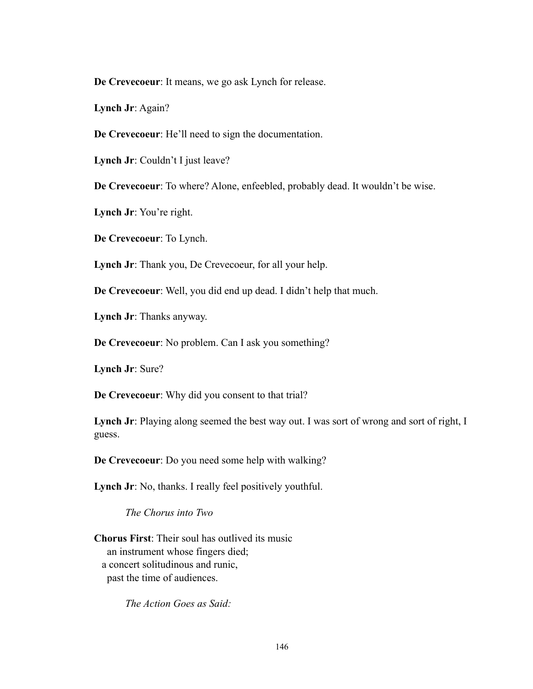**De Crevecoeur**: It means, we go ask Lynch for release.

**Lynch Jr**: Again?

**De Crevecoeur**: He'll need to sign the documentation.

**Lynch Jr**: Couldn't I just leave?

**De Crevecoeur**: To where? Alone, enfeebled, probably dead. It wouldn't be wise.

**Lynch Jr**: You're right.

**De Crevecoeur**: To Lynch.

**Lynch Jr**: Thank you, De Crevecoeur, for all your help.

**De Crevecoeur**: Well, you did end up dead. I didn't help that much.

**Lynch Jr**: Thanks anyway.

**De Crevecoeur**: No problem. Can I ask you something?

**Lynch Jr**: Sure?

**De Crevecoeur**: Why did you consent to that trial?

**Lynch Jr**: Playing along seemed the best way out. I was sort of wrong and sort of right, I guess.

**De Crevecoeur**: Do you need some help with walking?

**Lynch Jr**: No, thanks. I really feel positively youthful.

*The Chorus into Two*

**Chorus First**: Their soul has outlived its music an instrument whose fingers died; a concert solitudinous and runic, past the time of audiences.

*The Action Goes as Said:*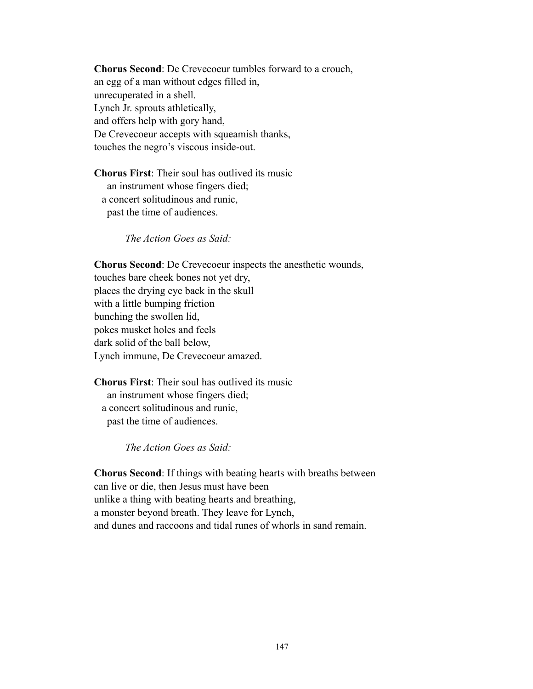**Chorus Second**: De Crevecoeur tumbles forward to a crouch, an egg of a man without edges filled in, unrecuperated in a shell. Lynch Jr. sprouts athletically, and offers help with gory hand, De Crevecoeur accepts with squeamish thanks, touches the negro's viscous inside-out.

**Chorus First**: Their soul has outlived its music an instrument whose fingers died; a concert solitudinous and runic, past the time of audiences.

*The Action Goes as Said:*

**Chorus Second**: De Crevecoeur inspects the anesthetic wounds, touches bare cheek bones not yet dry, places the drying eye back in the skull with a little bumping friction bunching the swollen lid, pokes musket holes and feels dark solid of the ball below, Lynch immune, De Crevecoeur amazed.

**Chorus First**: Their soul has outlived its music an instrument whose fingers died; a concert solitudinous and runic, past the time of audiences.

*The Action Goes as Said:*

**Chorus Second**: If things with beating hearts with breaths between can live or die, then Jesus must have been unlike a thing with beating hearts and breathing, a monster beyond breath. They leave for Lynch, and dunes and raccoons and tidal runes of whorls in sand remain.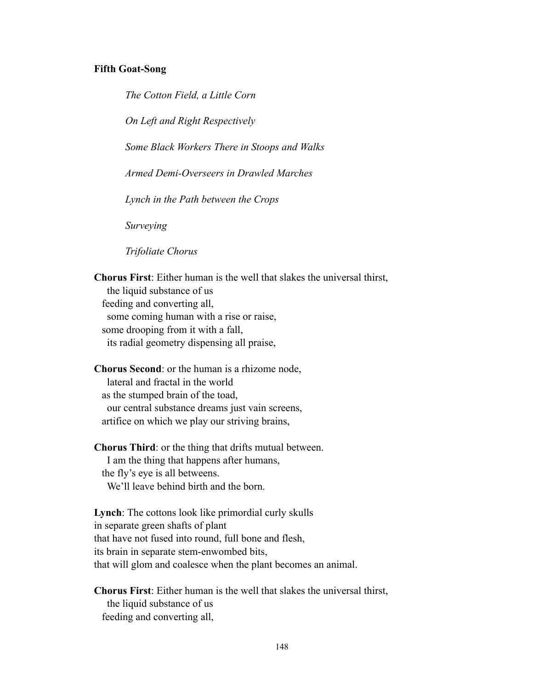### **Fifth Goat-Song**

*The Cotton Field, a Little Corn*

 *On Left and Right Respectively*

 *Some Black Workers There in Stoops and Walks*

 *Armed Demi-Overseers in Drawled Marches*

 *Lynch in the Path between the Crops* 

 *Surveying*

 *Trifoliate Chorus*

**Chorus First**: Either human is the well that slakes the universal thirst, the liquid substance of us feeding and converting all, some coming human with a rise or raise, some drooping from it with a fall, its radial geometry dispensing all praise,

**Chorus Second**: or the human is a rhizome node, lateral and fractal in the world as the stumped brain of the toad, our central substance dreams just vain screens, artifice on which we play our striving brains,

**Chorus Third**: or the thing that drifts mutual between. I am the thing that happens after humans, the fly's eye is all betweens. We'll leave behind birth and the born.

**Lynch**: The cottons look like primordial curly skulls in separate green shafts of plant that have not fused into round, full bone and flesh, its brain in separate stem-enwombed bits, that will glom and coalesce when the plant becomes an animal.

**Chorus First**: Either human is the well that slakes the universal thirst, the liquid substance of us feeding and converting all,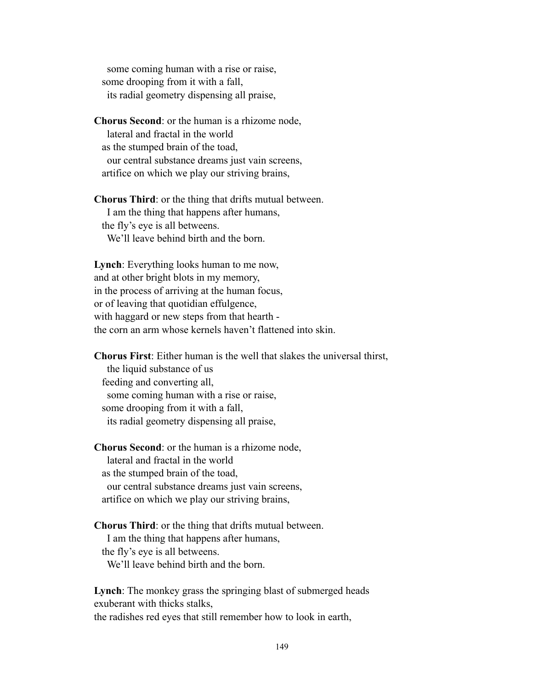some coming human with a rise or raise, some drooping from it with a fall, its radial geometry dispensing all praise,

**Chorus Second**: or the human is a rhizome node, lateral and fractal in the world as the stumped brain of the toad, our central substance dreams just vain screens, artifice on which we play our striving brains,

**Chorus Third**: or the thing that drifts mutual between. I am the thing that happens after humans, the fly's eye is all betweens. We'll leave behind birth and the born.

**Lynch**: Everything looks human to me now, and at other bright blots in my memory, in the process of arriving at the human focus, or of leaving that quotidian effulgence, with haggard or new steps from that hearth the corn an arm whose kernels haven't flattened into skin.

**Chorus First**: Either human is the well that slakes the universal thirst, the liquid substance of us feeding and converting all, some coming human with a rise or raise, some drooping from it with a fall, its radial geometry dispensing all praise,

**Chorus Second**: or the human is a rhizome node, lateral and fractal in the world as the stumped brain of the toad, our central substance dreams just vain screens, artifice on which we play our striving brains,

**Chorus Third**: or the thing that drifts mutual between. I am the thing that happens after humans, the fly's eye is all betweens. We'll leave behind birth and the born.

**Lynch**: The monkey grass the springing blast of submerged heads exuberant with thicks stalks, the radishes red eyes that still remember how to look in earth,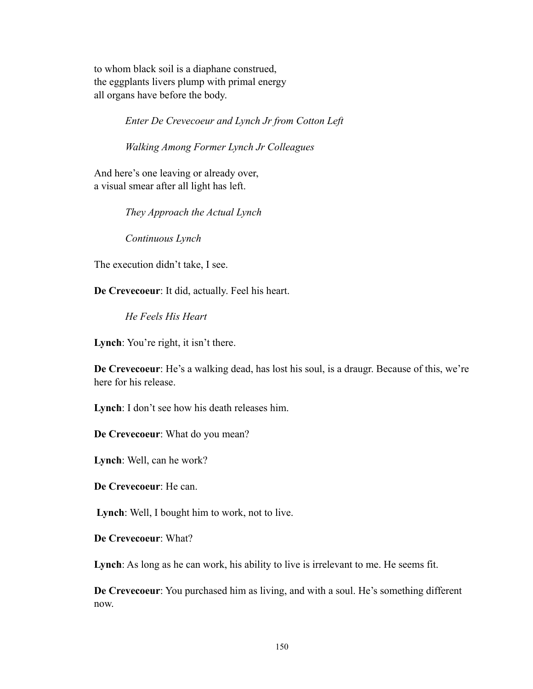to whom black soil is a diaphane construed, the eggplants livers plump with primal energy all organs have before the body.

*Enter De Crevecoeur and Lynch Jr from Cotton Left*

 *Walking Among Former Lynch Jr Colleagues*

And here's one leaving or already over, a visual smear after all light has left.

*They Approach the Actual Lynch*

 *Continuous Lynch*

The execution didn't take, I see.

**De Crevecoeur**: It did, actually. Feel his heart.

*He Feels His Heart*

**Lynch**: You're right, it isn't there.

**De Crevecoeur**: He's a walking dead, has lost his soul, is a draugr. Because of this, we're here for his release.

**Lynch**: I don't see how his death releases him.

**De Crevecoeur**: What do you mean?

**Lynch**: Well, can he work?

**De Crevecoeur**: He can.

**Lynch**: Well, I bought him to work, not to live.

**De Crevecoeur**: What?

**Lynch**: As long as he can work, his ability to live is irrelevant to me. He seems fit.

**De Crevecoeur**: You purchased him as living, and with a soul. He's something different now.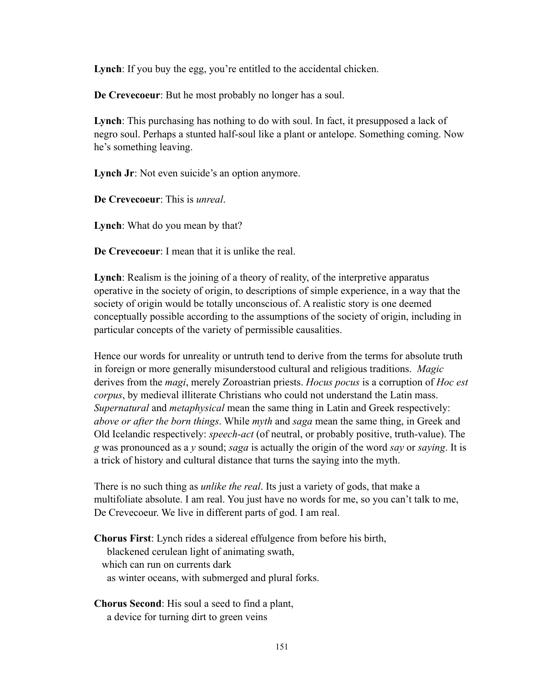**Lynch**: If you buy the egg, you're entitled to the accidental chicken.

**De Crevecoeur**: But he most probably no longer has a soul.

**Lynch**: This purchasing has nothing to do with soul. In fact, it presupposed a lack of negro soul. Perhaps a stunted half-soul like a plant or antelope. Something coming. Now he's something leaving.

Lynch Jr: Not even suicide's an option anymore.

**De Crevecoeur**: This is *unreal*.

**Lynch**: What do you mean by that?

**De Crevecoeur**: I mean that it is unlike the real.

**Lynch**: Realism is the joining of a theory of reality, of the interpretive apparatus operative in the society of origin, to descriptions of simple experience, in a way that the society of origin would be totally unconscious of. A realistic story is one deemed conceptually possible according to the assumptions of the society of origin, including in particular concepts of the variety of permissible causalities.

Hence our words for unreality or untruth tend to derive from the terms for absolute truth in foreign or more generally misunderstood cultural and religious traditions. *Magic* derives from the *magi*, merely Zoroastrian priests. *Hocus pocus* is a corruption of *Hoc est corpus*, by medieval illiterate Christians who could not understand the Latin mass. *Supernatural* and *metaphysical* mean the same thing in Latin and Greek respectively: *above or after the born things*. While *myth* and *saga* mean the same thing, in Greek and Old Icelandic respectively: *speech-act* (of neutral, or probably positive, truth-value). The *g* was pronounced as a *y* sound; *saga* is actually the origin of the word *say* or *saying*. It is a trick of history and cultural distance that turns the saying into the myth.

There is no such thing as *unlike the real*. Its just a variety of gods, that make a multifoliate absolute. I am real. You just have no words for me, so you can't talk to me, De Crevecoeur. We live in different parts of god. I am real.

**Chorus First**: Lynch rides a sidereal effulgence from before his birth, blackened cerulean light of animating swath, which can run on currents dark as winter oceans, with submerged and plural forks.

**Chorus Second**: His soul a seed to find a plant, a device for turning dirt to green veins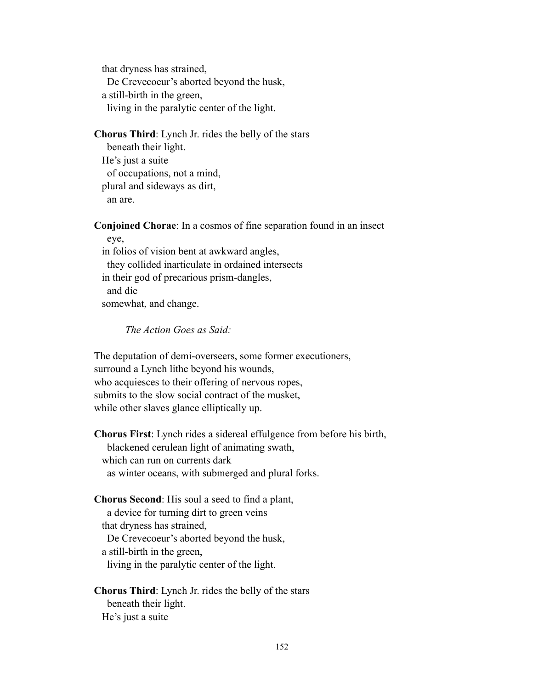that dryness has strained, De Crevecoeur's aborted beyond the husk, a still-birth in the green, living in the paralytic center of the light.

**Chorus Third**: Lynch Jr. rides the belly of the stars beneath their light. He's just a suite of occupations, not a mind, plural and sideways as dirt, an are.

**Conjoined Chorae**: In a cosmos of fine separation found in an insect

 eye, in folios of vision bent at awkward angles, they collided inarticulate in ordained intersects in their god of precarious prism-dangles, and die somewhat, and change.

*The Action Goes as Said:*

The deputation of demi-overseers, some former executioners, surround a Lynch lithe beyond his wounds, who acquiesces to their offering of nervous ropes, submits to the slow social contract of the musket, while other slaves glance elliptically up.

**Chorus First**: Lynch rides a sidereal effulgence from before his birth, blackened cerulean light of animating swath, which can run on currents dark as winter oceans, with submerged and plural forks.

#### **Chorus Second**: His soul a seed to find a plant,

 a device for turning dirt to green veins that dryness has strained, De Crevecoeur's aborted beyond the husk, a still-birth in the green, living in the paralytic center of the light.

**Chorus Third**: Lynch Jr. rides the belly of the stars beneath their light. He's just a suite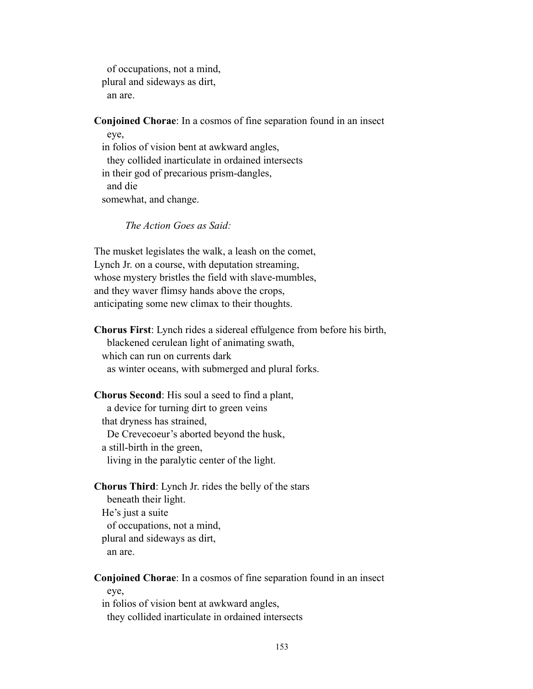of occupations, not a mind, plural and sideways as dirt, an are.

**Conjoined Chorae**: In a cosmos of fine separation found in an insect

 eye, in folios of vision bent at awkward angles, they collided inarticulate in ordained intersects in their god of precarious prism-dangles, and die somewhat, and change.

*The Action Goes as Said:*

The musket legislates the walk, a leash on the comet, Lynch Jr. on a course, with deputation streaming, whose mystery bristles the field with slave-mumbles, and they waver flimsy hands above the crops, anticipating some new climax to their thoughts.

**Chorus First**: Lynch rides a sidereal effulgence from before his birth, blackened cerulean light of animating swath, which can run on currents dark as winter oceans, with submerged and plural forks.

#### **Chorus Second**: His soul a seed to find a plant,

 a device for turning dirt to green veins that dryness has strained, De Crevecoeur's aborted beyond the husk,

a still-birth in the green,

living in the paralytic center of the light.

**Chorus Third**: Lynch Jr. rides the belly of the stars beneath their light. He's just a suite of occupations, not a mind, plural and sideways as dirt, an are.

# **Conjoined Chorae**: In a cosmos of fine separation found in an insect

 eye, in folios of vision bent at awkward angles, they collided inarticulate in ordained intersects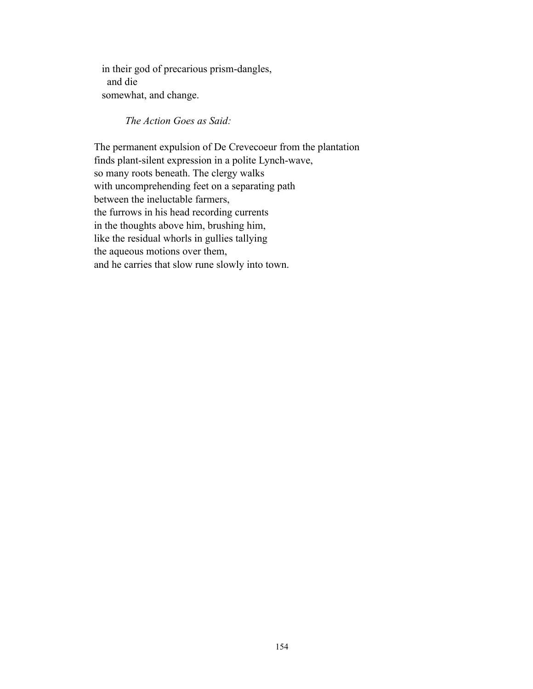in their god of precarious prism-dangles, and die somewhat, and change.

*The Action Goes as Said:*

The permanent expulsion of De Crevecoeur from the plantation finds plant-silent expression in a polite Lynch-wave, so many roots beneath. The clergy walks with uncomprehending feet on a separating path between the ineluctable farmers, the furrows in his head recording currents in the thoughts above him, brushing him, like the residual whorls in gullies tallying the aqueous motions over them, and he carries that slow rune slowly into town.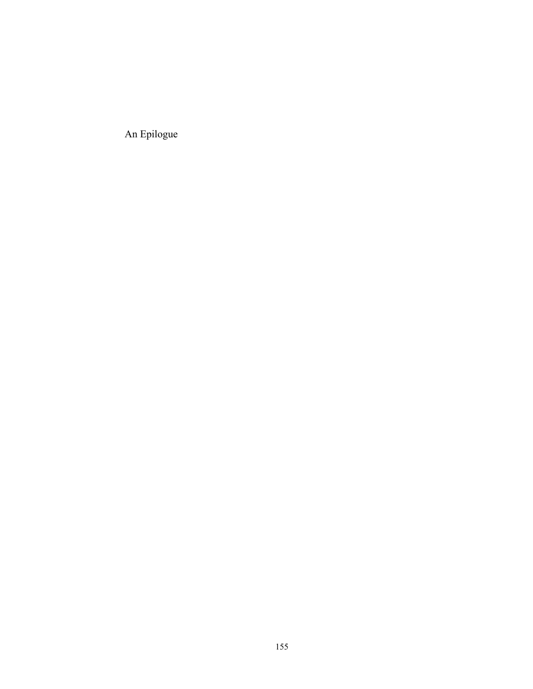An Epilogue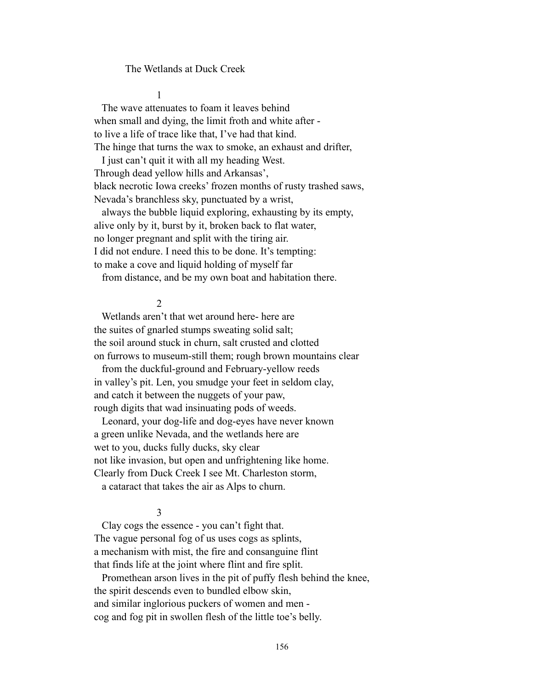### The Wetlands at Duck Creek

1

 The wave attenuates to foam it leaves behind when small and dying, the limit froth and white after to live a life of trace like that, I've had that kind. The hinge that turns the wax to smoke, an exhaust and drifter,

 I just can't quit it with all my heading West. Through dead yellow hills and Arkansas', black necrotic Iowa creeks' frozen months of rusty trashed saws, Nevada's branchless sky, punctuated by a wrist,

 always the bubble liquid exploring, exhausting by its empty, alive only by it, burst by it, broken back to flat water, no longer pregnant and split with the tiring air. I did not endure. I need this to be done. It's tempting: to make a cove and liquid holding of myself far

from distance, and be my own boat and habitation there.

### 2

 Wetlands aren't that wet around here- here are the suites of gnarled stumps sweating solid salt; the soil around stuck in churn, salt crusted and clotted on furrows to museum-still them; rough brown mountains clear

 from the duckful-ground and February-yellow reeds in valley's pit. Len, you smudge your feet in seldom clay, and catch it between the nuggets of your paw, rough digits that wad insinuating pods of weeds.

 Leonard, your dog-life and dog-eyes have never known a green unlike Nevada, and the wetlands here are wet to you, ducks fully ducks, sky clear not like invasion, but open and unfrightening like home. Clearly from Duck Creek I see Mt. Charleston storm, a cataract that takes the air as Alps to churn.

## 3

 Clay cogs the essence - you can't fight that. The vague personal fog of us uses cogs as splints, a mechanism with mist, the fire and consanguine flint that finds life at the joint where flint and fire split.

 Promethean arson lives in the pit of puffy flesh behind the knee, the spirit descends even to bundled elbow skin, and similar inglorious puckers of women and men cog and fog pit in swollen flesh of the little toe's belly.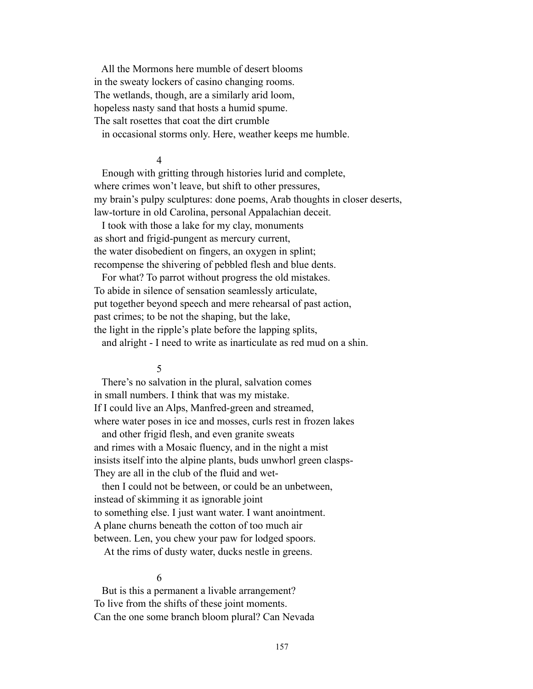All the Mormons here mumble of desert blooms in the sweaty lockers of casino changing rooms. The wetlands, though, are a similarly arid loom, hopeless nasty sand that hosts a humid spume. The salt rosettes that coat the dirt crumble in occasional storms only. Here, weather keeps me humble.

### 4

 Enough with gritting through histories lurid and complete, where crimes won't leave, but shift to other pressures, my brain's pulpy sculptures: done poems, Arab thoughts in closer deserts, law-torture in old Carolina, personal Appalachian deceit.

 I took with those a lake for my clay, monuments as short and frigid-pungent as mercury current, the water disobedient on fingers, an oxygen in splint; recompense the shivering of pebbled flesh and blue dents.

 For what? To parrot without progress the old mistakes. To abide in silence of sensation seamlessly articulate, put together beyond speech and mere rehearsal of past action, past crimes; to be not the shaping, but the lake, the light in the ripple's plate before the lapping splits, and alright - I need to write as inarticulate as red mud on a shin.

# 5

 There's no salvation in the plural, salvation comes in small numbers. I think that was my mistake. If I could live an Alps, Manfred-green and streamed, where water poses in ice and mosses, curls rest in frozen lakes and other frigid flesh, and even granite sweats and rimes with a Mosaic fluency, and in the night a mist insists itself into the alpine plants, buds unwhorl green clasps-They are all in the club of the fluid and wet-

 then I could not be between, or could be an unbetween, instead of skimming it as ignorable joint to something else. I just want water. I want anointment. A plane churns beneath the cotton of too much air between. Len, you chew your paw for lodged spoors.

At the rims of dusty water, ducks nestle in greens.

## 6

 But is this a permanent a livable arrangement? To live from the shifts of these joint moments. Can the one some branch bloom plural? Can Nevada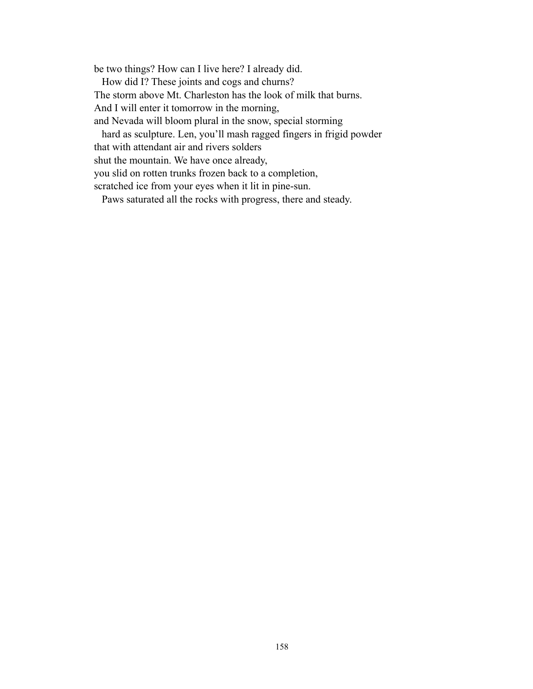be two things? How can I live here? I already did.

How did I? These joints and cogs and churns?

The storm above Mt. Charleston has the look of milk that burns.

And I will enter it tomorrow in the morning,

and Nevada will bloom plural in the snow, special storming

hard as sculpture. Len, you'll mash ragged fingers in frigid powder

that with attendant air and rivers solders

shut the mountain. We have once already,

you slid on rotten trunks frozen back to a completion,

scratched ice from your eyes when it lit in pine-sun.

Paws saturated all the rocks with progress, there and steady.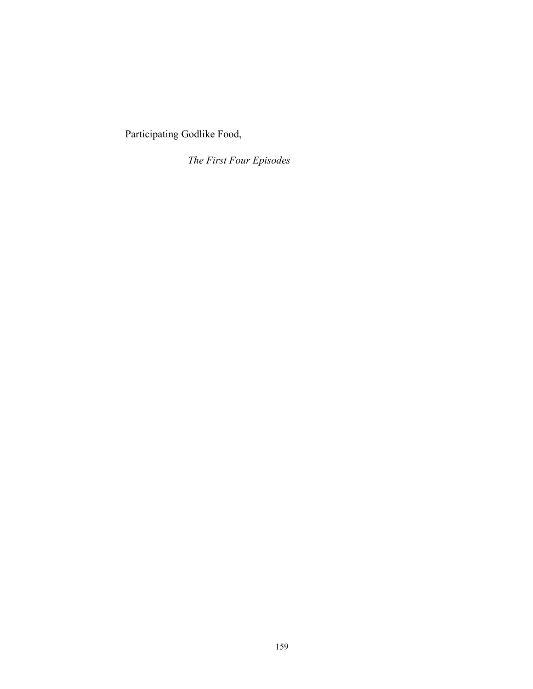Participating Godlike Food,

*The First Four Episodes*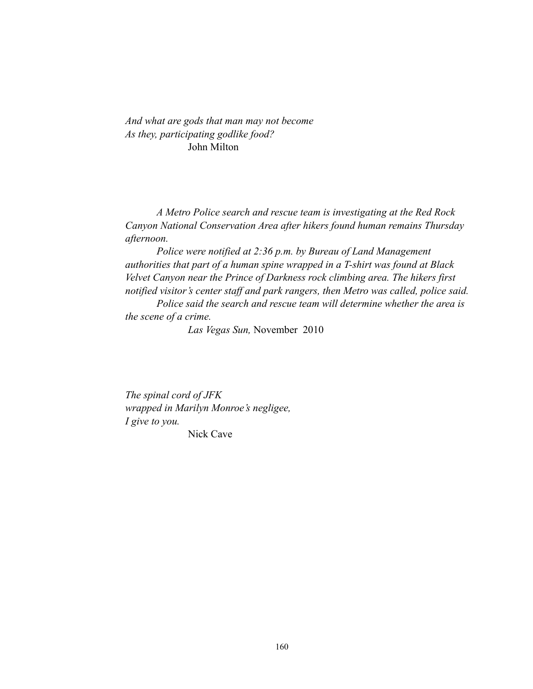*And what are gods that man may not become As they, participating godlike food?*  John Milton

 *A Metro Police search and rescue team is investigating at the Red Rock Canyon National Conservation Area after hikers found human remains Thursday afternoon.*

 *Police were notified at 2:36 p.m. by Bureau of Land Management authorities that part of a human spine wrapped in a T-shirt was found at Black Velvet Canyon near the Prince of Darkness rock climbing area. The hikers first notified visitor's center staff and park rangers, then Metro was called, police said.*

 *Police said the search and rescue team will determine whether the area is the scene of a crime.*

*Las Vegas Sun,* November 2010

*The spinal cord of JFK wrapped in Marilyn Monroe's negligee, I give to you.*

Nick Cave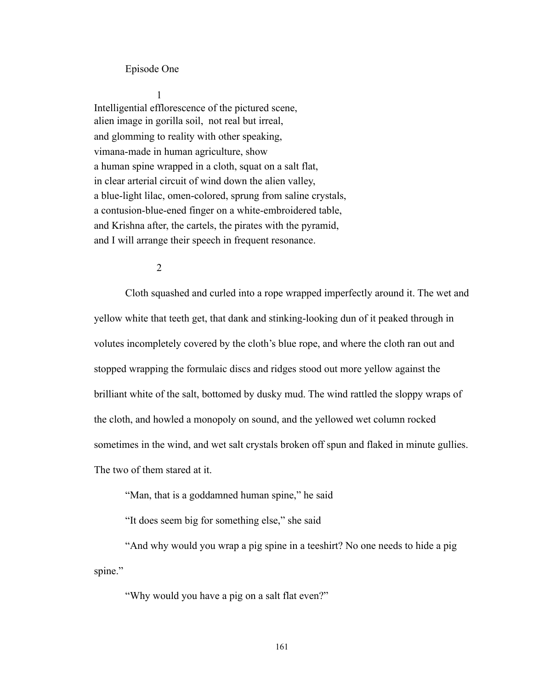### Episode One

 1 Intelligential efflorescence of the pictured scene, alien image in gorilla soil, not real but irreal, and glomming to reality with other speaking, vimana-made in human agriculture, show a human spine wrapped in a cloth, squat on a salt flat, in clear arterial circuit of wind down the alien valley, a blue-light lilac, omen-colored, sprung from saline crystals, a contusion-blue-ened finger on a white-embroidered table, and Krishna after, the cartels, the pirates with the pyramid, and I will arrange their speech in frequent resonance.

2

 Cloth squashed and curled into a rope wrapped imperfectly around it. The wet and yellow white that teeth get, that dank and stinking-looking dun of it peaked through in volutes incompletely covered by the cloth's blue rope, and where the cloth ran out and stopped wrapping the formulaic discs and ridges stood out more yellow against the brilliant white of the salt, bottomed by dusky mud. The wind rattled the sloppy wraps of the cloth, and howled a monopoly on sound, and the yellowed wet column rocked sometimes in the wind, and wet salt crystals broken off spun and flaked in minute gullies. The two of them stared at it.

"Man, that is a goddamned human spine," he said

"It does seem big for something else," she said

 "And why would you wrap a pig spine in a teeshirt? No one needs to hide a pig spine."

"Why would you have a pig on a salt flat even?"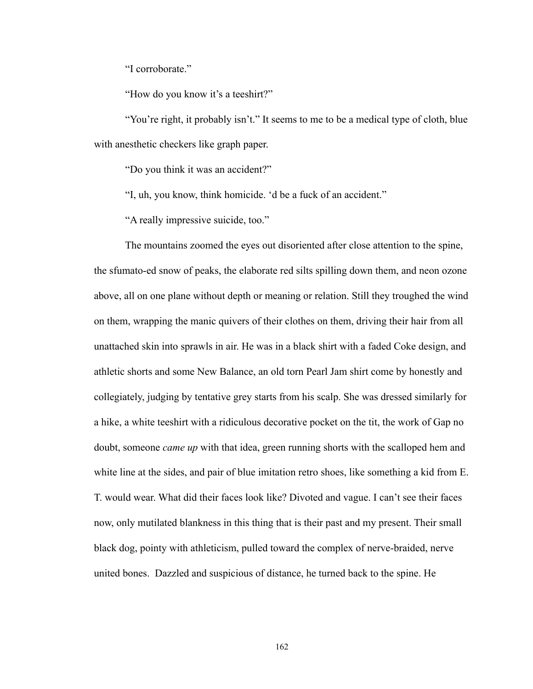"I corroborate."

"How do you know it's a teeshirt?"

 "You're right, it probably isn't." It seems to me to be a medical type of cloth, blue with anesthetic checkers like graph paper.

"Do you think it was an accident?"

"I, uh, you know, think homicide. 'd be a fuck of an accident."

"A really impressive suicide, too."

 The mountains zoomed the eyes out disoriented after close attention to the spine, the sfumato-ed snow of peaks, the elaborate red silts spilling down them, and neon ozone above, all on one plane without depth or meaning or relation. Still they troughed the wind on them, wrapping the manic quivers of their clothes on them, driving their hair from all unattached skin into sprawls in air. He was in a black shirt with a faded Coke design, and athletic shorts and some New Balance, an old torn Pearl Jam shirt come by honestly and collegiately, judging by tentative grey starts from his scalp. She was dressed similarly for a hike, a white teeshirt with a ridiculous decorative pocket on the tit, the work of Gap no doubt, someone *came up* with that idea, green running shorts with the scalloped hem and white line at the sides, and pair of blue imitation retro shoes, like something a kid from E. T. would wear. What did their faces look like? Divoted and vague. I can't see their faces now, only mutilated blankness in this thing that is their past and my present. Their small black dog, pointy with athleticism, pulled toward the complex of nerve-braided, nerve united bones. Dazzled and suspicious of distance, he turned back to the spine. He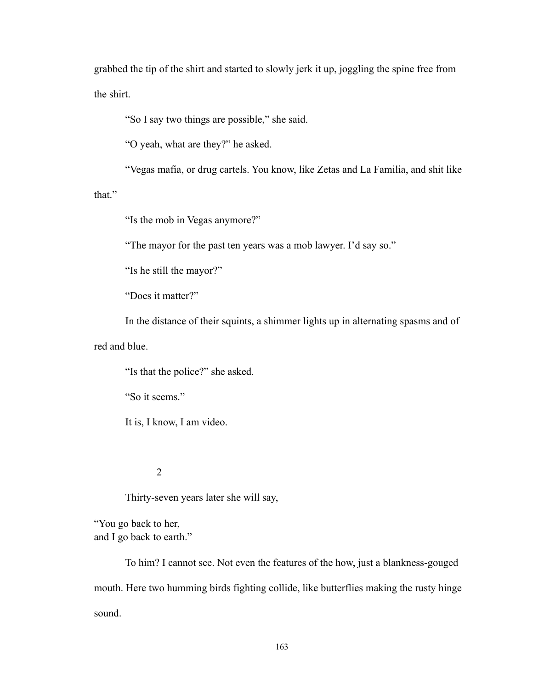grabbed the tip of the shirt and started to slowly jerk it up, joggling the spine free from the shirt.

"So I say two things are possible," she said.

"O yeah, what are they?" he asked.

"Vegas mafia, or drug cartels. You know, like Zetas and La Familia, and shit like

that."

"Is the mob in Vegas anymore?"

"The mayor for the past ten years was a mob lawyer. I'd say so."

"Is he still the mayor?"

"Does it matter?"

In the distance of their squints, a shimmer lights up in alternating spasms and of

red and blue.

"Is that the police?" she asked.

"So it seems."

It is, I know, I am video.

2

Thirty-seven years later she will say,

"You go back to her, and I go back to earth."

 To him? I cannot see. Not even the features of the how, just a blankness-gouged mouth. Here two humming birds fighting collide, like butterflies making the rusty hinge sound.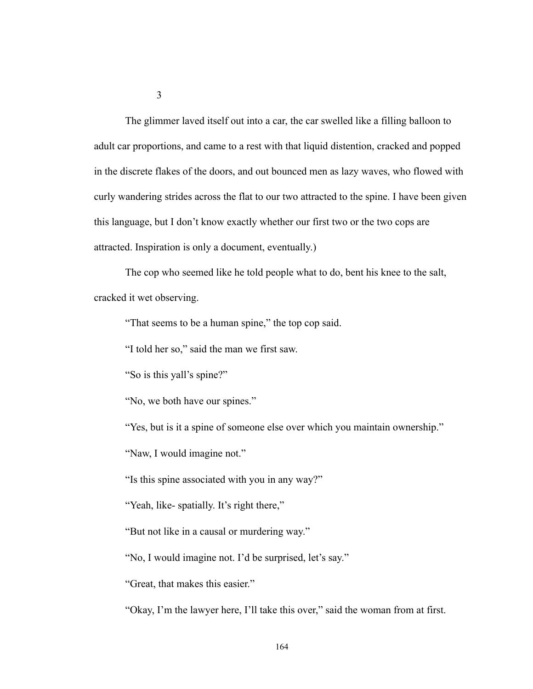3

 The glimmer laved itself out into a car, the car swelled like a filling balloon to adult car proportions, and came to a rest with that liquid distention, cracked and popped in the discrete flakes of the doors, and out bounced men as lazy waves, who flowed with curly wandering strides across the flat to our two attracted to the spine. I have been given this language, but I don't know exactly whether our first two or the two cops are attracted. Inspiration is only a document, eventually.)

 The cop who seemed like he told people what to do, bent his knee to the salt, cracked it wet observing.

"That seems to be a human spine," the top cop said.

"I told her so," said the man we first saw.

"So is this yall's spine?"

"No, we both have our spines."

"Yes, but is it a spine of someone else over which you maintain ownership."

"Naw, I would imagine not."

"Is this spine associated with you in any way?"

"Yeah, like- spatially. It's right there,"

"But not like in a causal or murdering way."

"No, I would imagine not. I'd be surprised, let's say."

"Great, that makes this easier."

"Okay, I'm the lawyer here, I'll take this over," said the woman from at first.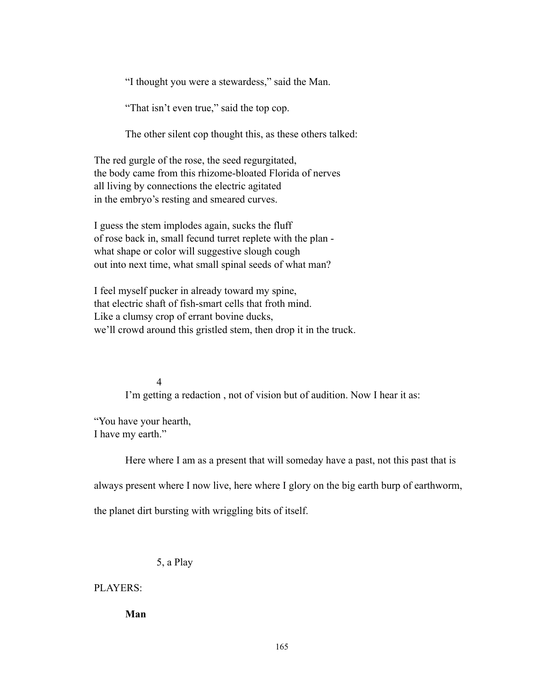"I thought you were a stewardess," said the Man.

"That isn't even true," said the top cop.

The other silent cop thought this, as these others talked:

The red gurgle of the rose, the seed regurgitated, the body came from this rhizome-bloated Florida of nerves all living by connections the electric agitated in the embryo's resting and smeared curves.

I guess the stem implodes again, sucks the fluff of rose back in, small fecund turret replete with the plan what shape or color will suggestive slough cough out into next time, what small spinal seeds of what man?

I feel myself pucker in already toward my spine, that electric shaft of fish-smart cells that froth mind. Like a clumsy crop of errant bovine ducks, we'll crowd around this gristled stem, then drop it in the truck.

 4 I'm getting a redaction , not of vision but of audition. Now I hear it as:

"You have your hearth, I have my earth."

Here where I am as a present that will someday have a past, not this past that is

always present where I now live, here where I glory on the big earth burp of earthworm,

the planet dirt bursting with wriggling bits of itself.

5, a Play

PLAYERS:

**Man**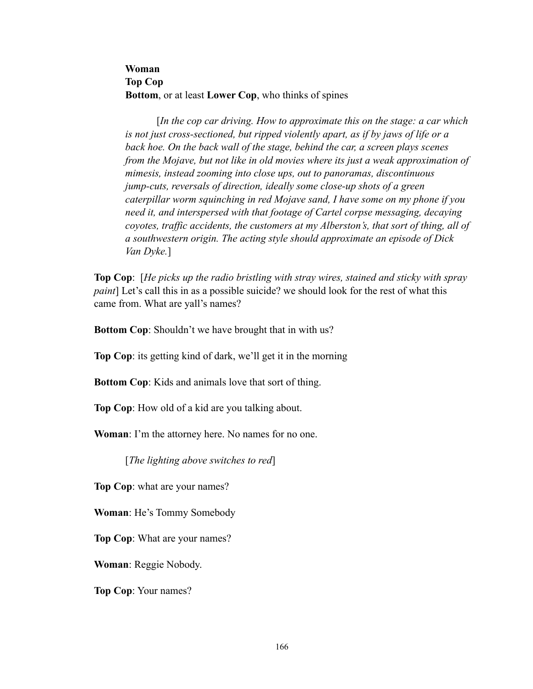# **Woman Top Cop Bottom**, or at least **Lower Cop**, who thinks of spines

 [*In the cop car driving. How to approximate this on the stage: a car which is not just cross-sectioned, but ripped violently apart, as if by jaws of life or a back hoe. On the back wall of the stage, behind the car, a screen plays scenes from the Mojave, but not like in old movies where its just a weak approximation of mimesis, instead zooming into close ups, out to panoramas, discontinuous jump-cuts, reversals of direction, ideally some close-up shots of a green caterpillar worm squinching in red Mojave sand, I have some on my phone if you need it, and interspersed with that footage of Cartel corpse messaging, decaying coyotes, traffic accidents, the customers at my Alberston's, that sort of thing, all of a southwestern origin. The acting style should approximate an episode of Dick Van Dyke.*]

**Top Cop**: [*He picks up the radio bristling with stray wires, stained and sticky with spray paint*] Let's call this in as a possible suicide? we should look for the rest of what this came from. What are yall's names?

**Bottom Cop**: Shouldn't we have brought that in with us?

**Top Cop**: its getting kind of dark, we'll get it in the morning

**Bottom Cop**: Kids and animals love that sort of thing.

**Top Cop**: How old of a kid are you talking about.

**Woman**: I'm the attorney here. No names for no one.

[*The lighting above switches to red*]

**Top Cop**: what are your names?

**Woman**: He's Tommy Somebody

**Top Cop**: What are your names?

**Woman**: Reggie Nobody.

**Top Cop**: Your names?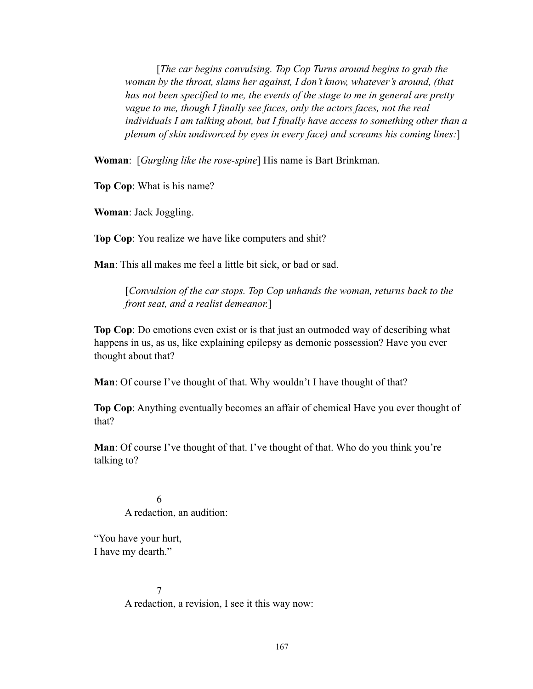[*The car begins convulsing. Top Cop Turns around begins to grab the woman by the throat, slams her against, I don't know, whatever's around, (that has not been specified to me, the events of the stage to me in general are pretty vague to me, though I finally see faces, only the actors faces, not the real individuals I am talking about, but I finally have access to something other than a plenum of skin undivorced by eyes in every face) and screams his coming lines:*]

**Woman**: [*Gurgling like the rose-spine*] His name is Bart Brinkman.

**Top Cop**: What is his name?

**Woman**: Jack Joggling.

**Top Cop**: You realize we have like computers and shit?

**Man**: This all makes me feel a little bit sick, or bad or sad.

 [*Convulsion of the car stops. Top Cop unhands the woman, returns back to the front seat, and a realist demeanor.*]

**Top Cop**: Do emotions even exist or is that just an outmoded way of describing what happens in us, as us, like explaining epilepsy as demonic possession? Have you ever thought about that?

**Man**: Of course I've thought of that. Why wouldn't I have thought of that?

**Top Cop**: Anything eventually becomes an affair of chemical Have you ever thought of that?

**Man**: Of course I've thought of that. I've thought of that. Who do you think you're talking to?

 6 A redaction, an audition:

"You have your hurt, I have my dearth."

 7 A redaction, a revision, I see it this way now: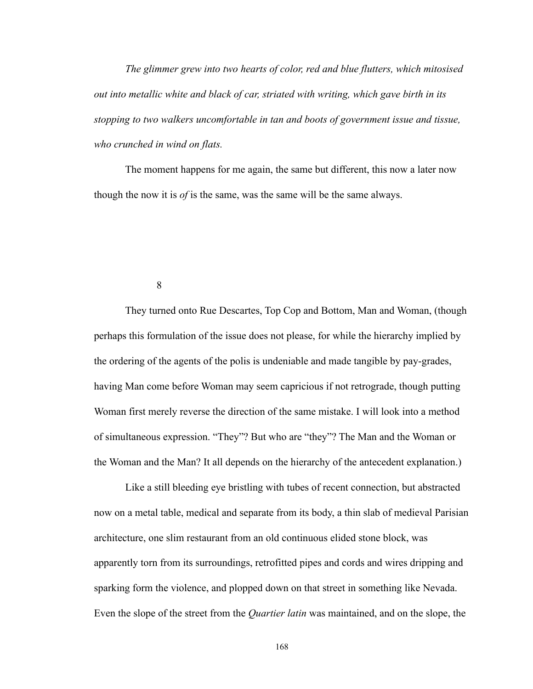*The glimmer grew into two hearts of color, red and blue flutters, which mitosised out into metallic white and black of car, striated with writing, which gave birth in its stopping to two walkers uncomfortable in tan and boots of government issue and tissue, who crunched in wind on flats.* 

 The moment happens for me again, the same but different, this now a later now though the now it is *of* is the same, was the same will be the same always.

8

 They turned onto Rue Descartes, Top Cop and Bottom, Man and Woman, (though perhaps this formulation of the issue does not please, for while the hierarchy implied by the ordering of the agents of the polis is undeniable and made tangible by pay-grades, having Man come before Woman may seem capricious if not retrograde, though putting Woman first merely reverse the direction of the same mistake. I will look into a method of simultaneous expression. "They"? But who are "they"? The Man and the Woman or the Woman and the Man? It all depends on the hierarchy of the antecedent explanation.)

 Like a still bleeding eye bristling with tubes of recent connection, but abstracted now on a metal table, medical and separate from its body, a thin slab of medieval Parisian architecture, one slim restaurant from an old continuous elided stone block, was apparently torn from its surroundings, retrofitted pipes and cords and wires dripping and sparking form the violence, and plopped down on that street in something like Nevada. Even the slope of the street from the *Quartier latin* was maintained, and on the slope, the

168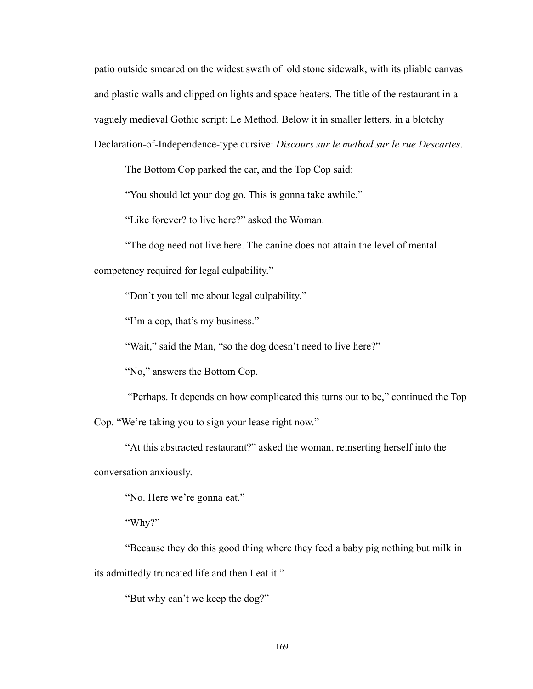patio outside smeared on the widest swath of old stone sidewalk, with its pliable canvas and plastic walls and clipped on lights and space heaters. The title of the restaurant in a vaguely medieval Gothic script: Le Method. Below it in smaller letters, in a blotchy Declaration-of-Independence-type cursive: *Discours sur le method sur le rue Descartes*.

The Bottom Cop parked the car, and the Top Cop said:

"You should let your dog go. This is gonna take awhile."

"Like forever? to live here?" asked the Woman.

 "The dog need not live here. The canine does not attain the level of mental competency required for legal culpability."

"Don't you tell me about legal culpability."

"I'm a cop, that's my business."

"Wait," said the Man, "so the dog doesn't need to live here?"

"No," answers the Bottom Cop.

"Perhaps. It depends on how complicated this turns out to be," continued the Top

Cop. "We're taking you to sign your lease right now."

"At this abstracted restaurant?" asked the woman, reinserting herself into the

conversation anxiously.

"No. Here we're gonna eat."

"Why?"

 "Because they do this good thing where they feed a baby pig nothing but milk in its admittedly truncated life and then I eat it."

"But why can't we keep the dog?"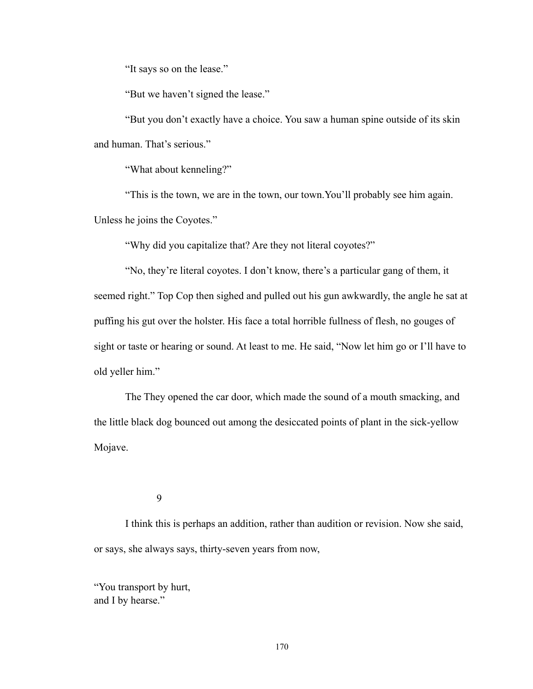"It says so on the lease."

"But we haven't signed the lease."

 "But you don't exactly have a choice. You saw a human spine outside of its skin and human. That's serious."

"What about kenneling?"

 "This is the town, we are in the town, our town.You'll probably see him again. Unless he joins the Coyotes."

"Why did you capitalize that? Are they not literal coyotes?"

 "No, they're literal coyotes. I don't know, there's a particular gang of them, it seemed right." Top Cop then sighed and pulled out his gun awkwardly, the angle he sat at puffing his gut over the holster. His face a total horrible fullness of flesh, no gouges of sight or taste or hearing or sound. At least to me. He said, "Now let him go or I'll have to old yeller him."

 The They opened the car door, which made the sound of a mouth smacking, and the little black dog bounced out among the desiccated points of plant in the sick-yellow Mojave.

9

 I think this is perhaps an addition, rather than audition or revision. Now she said, or says, she always says, thirty-seven years from now,

"You transport by hurt, and I by hearse."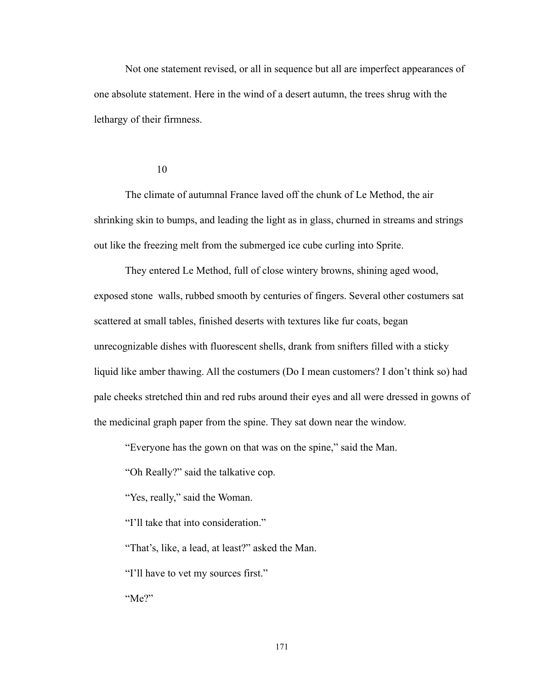Not one statement revised, or all in sequence but all are imperfect appearances of one absolute statement. Here in the wind of a desert autumn, the trees shrug with the lethargy of their firmness.

10

 The climate of autumnal France laved off the chunk of Le Method, the air shrinking skin to bumps, and leading the light as in glass, churned in streams and strings out like the freezing melt from the submerged ice cube curling into Sprite.

 They entered Le Method, full of close wintery browns, shining aged wood, exposed stone walls, rubbed smooth by centuries of fingers. Several other costumers sat scattered at small tables, finished deserts with textures like fur coats, began unrecognizable dishes with fluorescent shells, drank from snifters filled with a sticky liquid like amber thawing. All the costumers (Do I mean customers? I don't think so) had pale cheeks stretched thin and red rubs around their eyes and all were dressed in gowns of the medicinal graph paper from the spine. They sat down near the window.

"Everyone has the gown on that was on the spine," said the Man.

"Oh Really?" said the talkative cop.

"Yes, really," said the Woman.

"I'll take that into consideration."

"That's, like, a lead, at least?" asked the Man.

"I'll have to vet my sources first."

"Me?"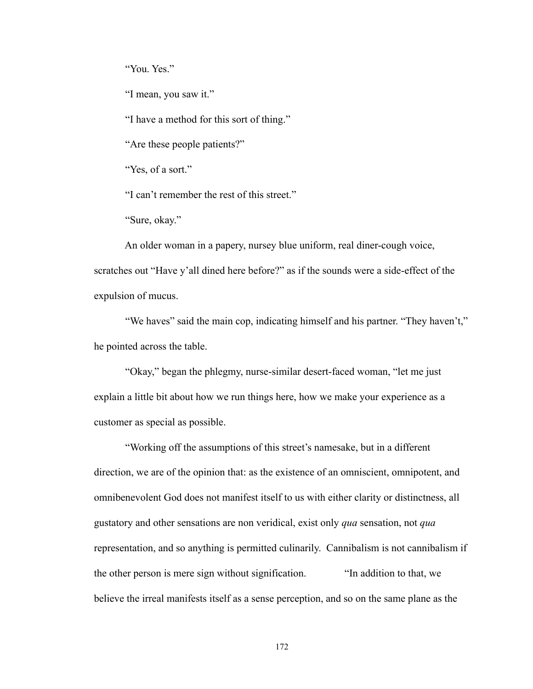"You. Yes."

"I mean, you saw it."

"I have a method for this sort of thing."

"Are these people patients?"

"Yes, of a sort."

"I can't remember the rest of this street."

"Sure, okay."

 An older woman in a papery, nursey blue uniform, real diner-cough voice, scratches out "Have y'all dined here before?" as if the sounds were a side-effect of the expulsion of mucus.

 "We haves" said the main cop, indicating himself and his partner. "They haven't," he pointed across the table.

 "Okay," began the phlegmy, nurse-similar desert-faced woman, "let me just explain a little bit about how we run things here, how we make your experience as a customer as special as possible.

 "Working off the assumptions of this street's namesake, but in a different direction, we are of the opinion that: as the existence of an omniscient, omnipotent, and omnibenevolent God does not manifest itself to us with either clarity or distinctness, all gustatory and other sensations are non veridical, exist only *qua* sensation, not *qua* representation, and so anything is permitted culinarily. Cannibalism is not cannibalism if the other person is mere sign without signification. "In addition to that, we believe the irreal manifests itself as a sense perception, and so on the same plane as the

172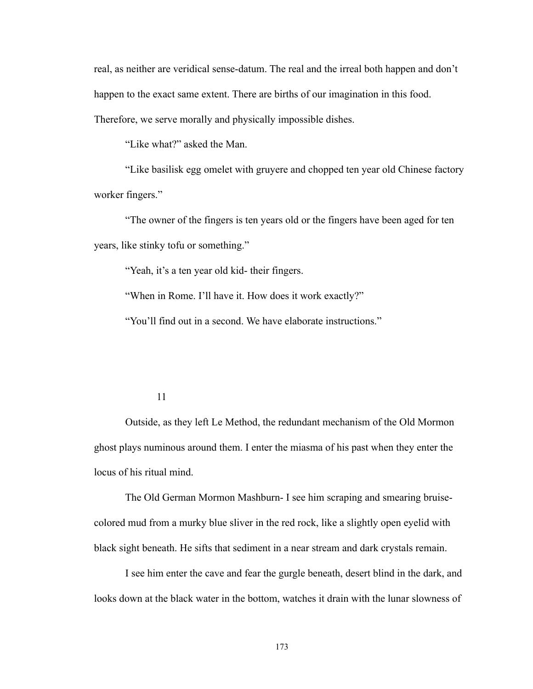real, as neither are veridical sense-datum. The real and the irreal both happen and don't happen to the exact same extent. There are births of our imagination in this food.

Therefore, we serve morally and physically impossible dishes.

"Like what?" asked the Man.

 "Like basilisk egg omelet with gruyere and chopped ten year old Chinese factory worker fingers."

 "The owner of the fingers is ten years old or the fingers have been aged for ten years, like stinky tofu or something."

"Yeah, it's a ten year old kid- their fingers.

"When in Rome. I'll have it. How does it work exactly?"

"You'll find out in a second. We have elaborate instructions."

### 11

 Outside, as they left Le Method, the redundant mechanism of the Old Mormon ghost plays numinous around them. I enter the miasma of his past when they enter the locus of his ritual mind.

 The Old German Mormon Mashburn- I see him scraping and smearing bruisecolored mud from a murky blue sliver in the red rock, like a slightly open eyelid with black sight beneath. He sifts that sediment in a near stream and dark crystals remain.

 I see him enter the cave and fear the gurgle beneath, desert blind in the dark, and looks down at the black water in the bottom, watches it drain with the lunar slowness of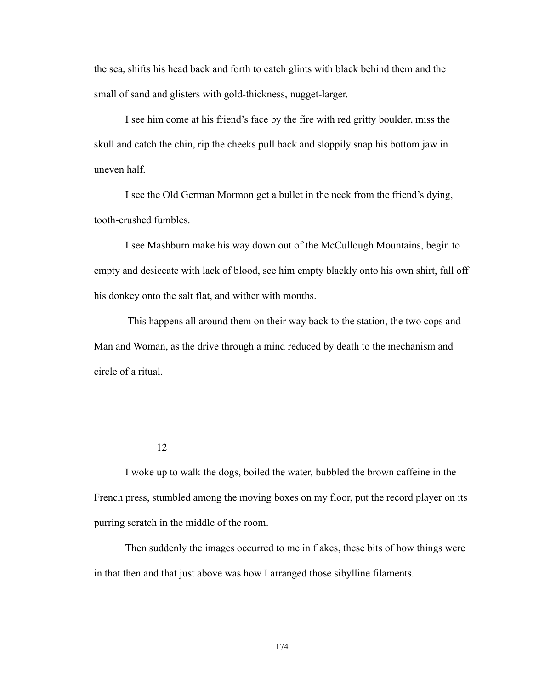the sea, shifts his head back and forth to catch glints with black behind them and the small of sand and glisters with gold-thickness, nugget-larger.

 I see him come at his friend's face by the fire with red gritty boulder, miss the skull and catch the chin, rip the cheeks pull back and sloppily snap his bottom jaw in uneven half.

 I see the Old German Mormon get a bullet in the neck from the friend's dying, tooth-crushed fumbles.

 I see Mashburn make his way down out of the McCullough Mountains, begin to empty and desiccate with lack of blood, see him empty blackly onto his own shirt, fall off his donkey onto the salt flat, and wither with months.

 This happens all around them on their way back to the station, the two cops and Man and Woman, as the drive through a mind reduced by death to the mechanism and circle of a ritual.

#### 12

 I woke up to walk the dogs, boiled the water, bubbled the brown caffeine in the French press, stumbled among the moving boxes on my floor, put the record player on its purring scratch in the middle of the room.

 Then suddenly the images occurred to me in flakes, these bits of how things were in that then and that just above was how I arranged those sibylline filaments.

174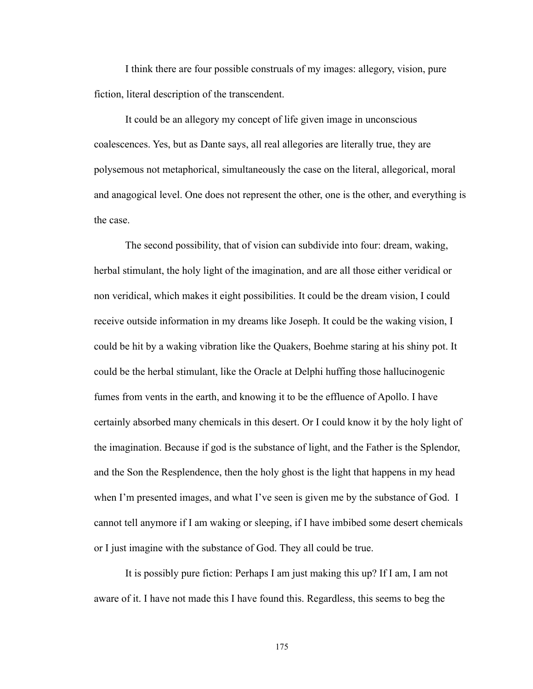I think there are four possible construals of my images: allegory, vision, pure fiction, literal description of the transcendent.

 It could be an allegory my concept of life given image in unconscious coalescences. Yes, but as Dante says, all real allegories are literally true, they are polysemous not metaphorical, simultaneously the case on the literal, allegorical, moral and anagogical level. One does not represent the other, one is the other, and everything is the case.

 The second possibility, that of vision can subdivide into four: dream, waking, herbal stimulant, the holy light of the imagination, and are all those either veridical or non veridical, which makes it eight possibilities. It could be the dream vision, I could receive outside information in my dreams like Joseph. It could be the waking vision, I could be hit by a waking vibration like the Quakers, Boehme staring at his shiny pot. It could be the herbal stimulant, like the Oracle at Delphi huffing those hallucinogenic fumes from vents in the earth, and knowing it to be the effluence of Apollo. I have certainly absorbed many chemicals in this desert. Or I could know it by the holy light of the imagination. Because if god is the substance of light, and the Father is the Splendor, and the Son the Resplendence, then the holy ghost is the light that happens in my head when I'm presented images, and what I've seen is given me by the substance of God. I cannot tell anymore if I am waking or sleeping, if I have imbibed some desert chemicals or I just imagine with the substance of God. They all could be true.

 It is possibly pure fiction: Perhaps I am just making this up? If I am, I am not aware of it. I have not made this I have found this. Regardless, this seems to beg the

175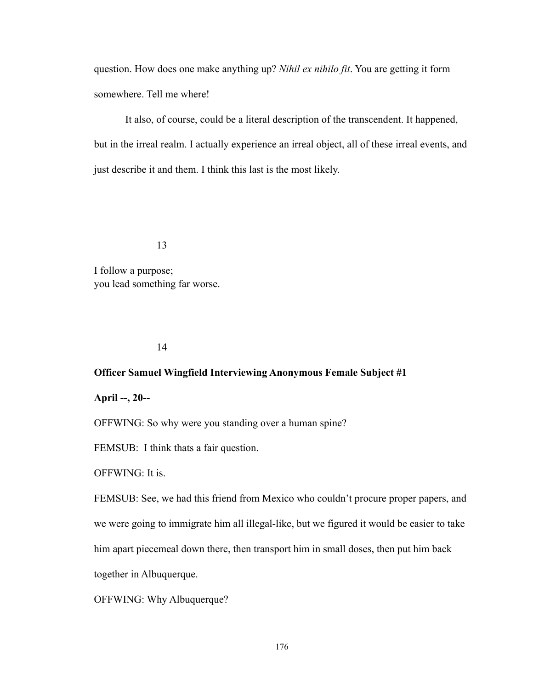question. How does one make anything up? *Nihil ex nihilo fit*. You are getting it form somewhere. Tell me where!

 It also, of course, could be a literal description of the transcendent. It happened, but in the irreal realm. I actually experience an irreal object, all of these irreal events, and just describe it and them. I think this last is the most likely.

13

I follow a purpose; you lead something far worse.

14

# **Officer Samuel Wingfield Interviewing Anonymous Female Subject #1**

# **April --, 20--**

OFFWING: So why were you standing over a human spine?

FEMSUB: I think thats a fair question.

OFFWING: It is.

FEMSUB: See, we had this friend from Mexico who couldn't procure proper papers, and

we were going to immigrate him all illegal-like, but we figured it would be easier to take

him apart piecemeal down there, then transport him in small doses, then put him back

together in Albuquerque.

OFFWING: Why Albuquerque?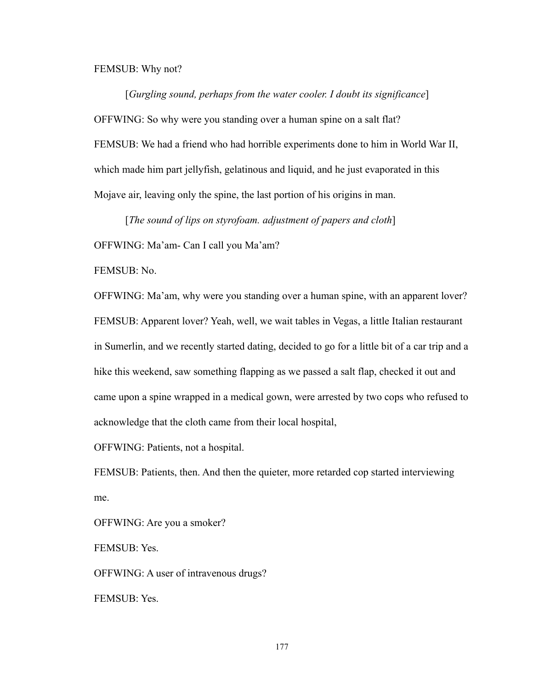### FEMSUB: Why not?

 [*Gurgling sound, perhaps from the water cooler. I doubt its significance*] OFFWING: So why were you standing over a human spine on a salt flat? FEMSUB: We had a friend who had horrible experiments done to him in World War II, which made him part jellyfish, gelatinous and liquid, and he just evaporated in this Mojave air, leaving only the spine, the last portion of his origins in man.

[*The sound of lips on styrofoam. adjustment of papers and cloth*]

OFFWING: Ma'am- Can I call you Ma'am?

FEMSUB: No.

OFFWING: Ma'am, why were you standing over a human spine, with an apparent lover? FEMSUB: Apparent lover? Yeah, well, we wait tables in Vegas, a little Italian restaurant in Sumerlin, and we recently started dating, decided to go for a little bit of a car trip and a hike this weekend, saw something flapping as we passed a salt flap, checked it out and came upon a spine wrapped in a medical gown, were arrested by two cops who refused to acknowledge that the cloth came from their local hospital,

OFFWING: Patients, not a hospital.

FEMSUB: Patients, then. And then the quieter, more retarded cop started interviewing me.

OFFWING: Are you a smoker?

FEMSUB: Yes.

OFFWING: A user of intravenous drugs?

FEMSUB: Yes.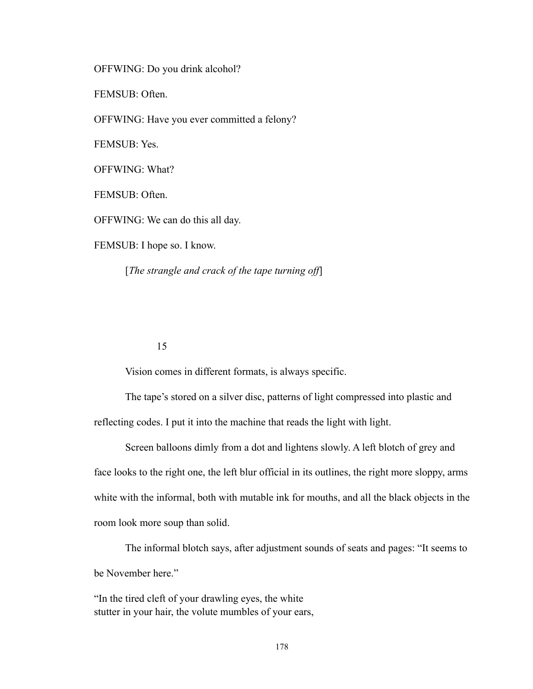OFFWING: Do you drink alcohol?

FEMSUB: Often.

OFFWING: Have you ever committed a felony?

FEMSUB: Yes.

OFFWING: What?

FEMSUB: Often.

OFFWING: We can do this all day.

FEMSUB: I hope so. I know.

[*The strangle and crack of the tape turning off*]

15

Vision comes in different formats, is always specific.

 The tape's stored on a silver disc, patterns of light compressed into plastic and reflecting codes. I put it into the machine that reads the light with light.

 Screen balloons dimly from a dot and lightens slowly. A left blotch of grey and face looks to the right one, the left blur official in its outlines, the right more sloppy, arms white with the informal, both with mutable ink for mouths, and all the black objects in the room look more soup than solid.

 The informal blotch says, after adjustment sounds of seats and pages: "It seems to be November here."

"In the tired cleft of your drawling eyes, the white stutter in your hair, the volute mumbles of your ears,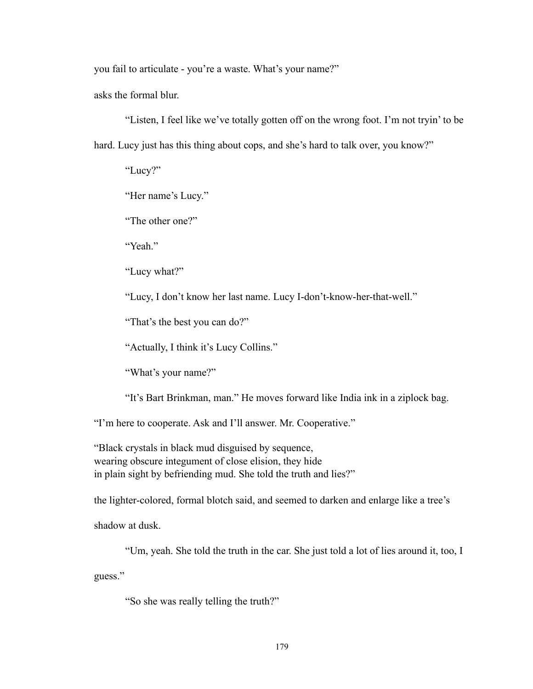you fail to articulate - you're a waste. What's your name?"

asks the formal blur.

 "Listen, I feel like we've totally gotten off on the wrong foot. I'm not tryin' to be hard. Lucy just has this thing about cops, and she's hard to talk over, you know?"

"Lucy?"

"Her name's Lucy."

"The other one?"

"Yeah."

"Lucy what?"

"Lucy, I don't know her last name. Lucy I-don't-know-her-that-well."

"That's the best you can do?"

"Actually, I think it's Lucy Collins."

"What's your name?"

"It's Bart Brinkman, man." He moves forward like India ink in a ziplock bag.

"I'm here to cooperate. Ask and I'll answer. Mr. Cooperative."

"Black crystals in black mud disguised by sequence, wearing obscure integument of close elision, they hide in plain sight by befriending mud. She told the truth and lies?"

the lighter-colored, formal blotch said, and seemed to darken and enlarge like a tree's

shadow at dusk.

"Um, yeah. She told the truth in the car. She just told a lot of lies around it, too, I

guess."

"So she was really telling the truth?"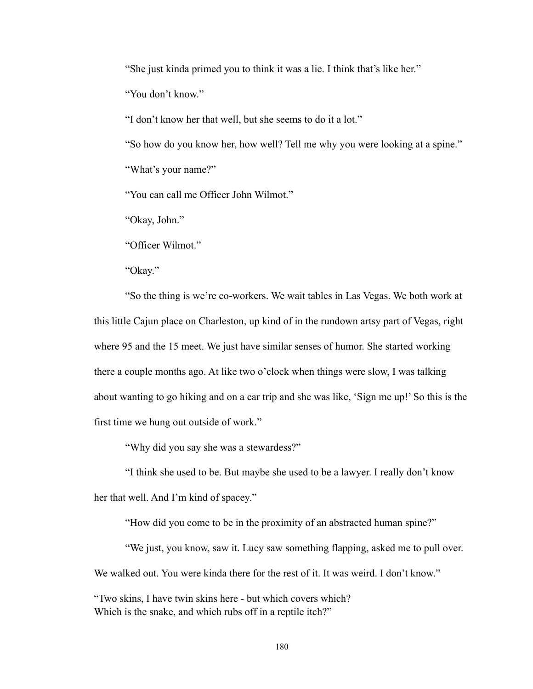"She just kinda primed you to think it was a lie. I think that's like her."

"You don't know."

"I don't know her that well, but she seems to do it a lot."

"So how do you know her, how well? Tell me why you were looking at a spine."

"What's your name?"

"You can call me Officer John Wilmot."

"Okay, John."

"Officer Wilmot."

"Okay."

 "So the thing is we're co-workers. We wait tables in Las Vegas. We both work at this little Cajun place on Charleston, up kind of in the rundown artsy part of Vegas, right where 95 and the 15 meet. We just have similar senses of humor. She started working there a couple months ago. At like two o'clock when things were slow, I was talking about wanting to go hiking and on a car trip and she was like, 'Sign me up!' So this is the first time we hung out outside of work."

"Why did you say she was a stewardess?"

"I think she used to be. But maybe she used to be a lawyer. I really don't know

her that well. And I'm kind of spacey."

"How did you come to be in the proximity of an abstracted human spine?"

"We just, you know, saw it. Lucy saw something flapping, asked me to pull over.

We walked out. You were kinda there for the rest of it. It was weird. I don't know."

"Two skins, I have twin skins here - but which covers which? Which is the snake, and which rubs off in a reptile itch?"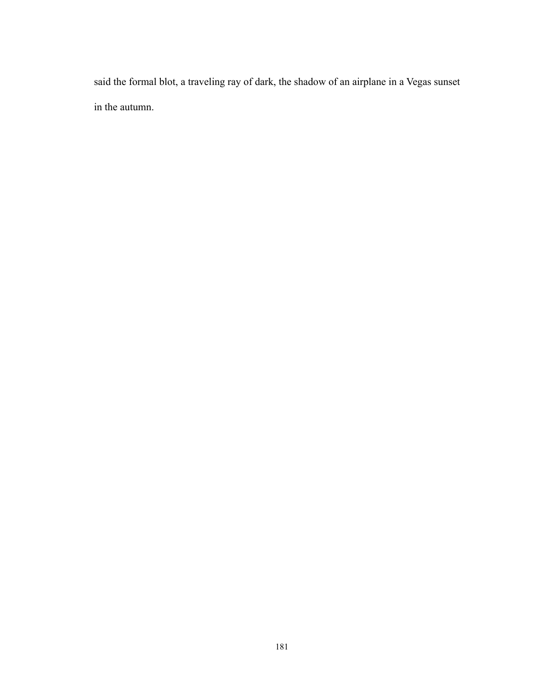said the formal blot, a traveling ray of dark, the shadow of an airplane in a Vegas sunset in the autumn.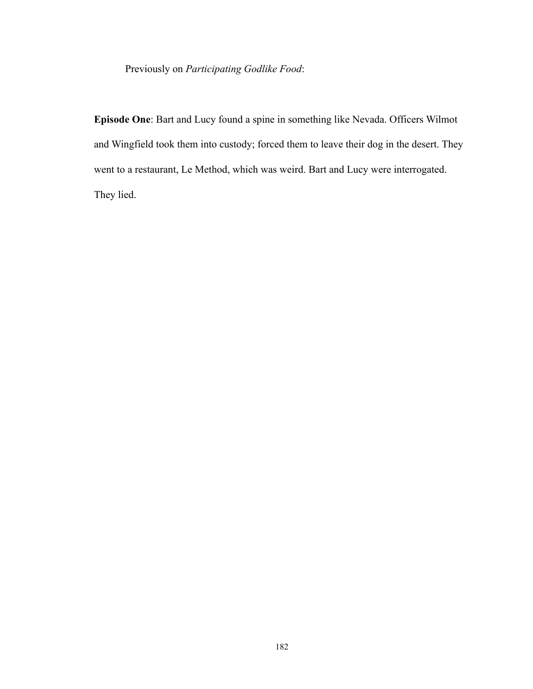# Previously on *Participating Godlike Food*:

**Episode One**: Bart and Lucy found a spine in something like Nevada. Officers Wilmot and Wingfield took them into custody; forced them to leave their dog in the desert. They went to a restaurant, Le Method, which was weird. Bart and Lucy were interrogated. They lied.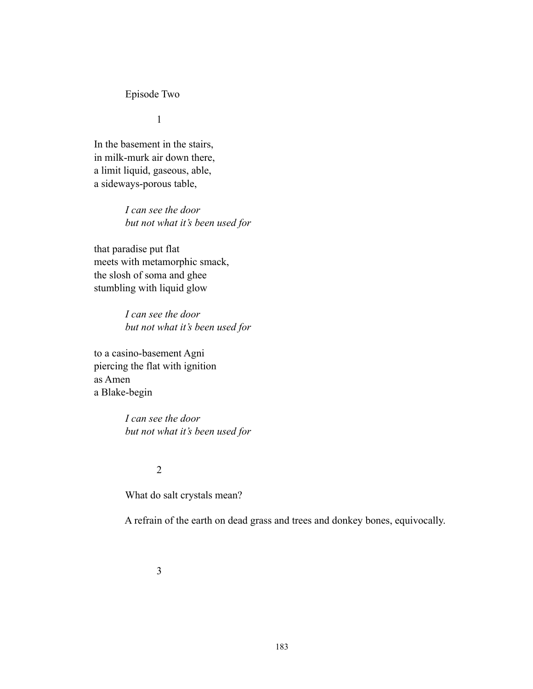# Episode Two

1

In the basement in the stairs, in milk-murk air down there, a limit liquid, gaseous, able, a sideways-porous table,

> *I can see the door but not what it's been used for*

that paradise put flat meets with metamorphic smack, the slosh of soma and ghee stumbling with liquid glow

> *I can see the door but not what it's been used for*

to a casino-basement Agni piercing the flat with ignition as Amen a Blake-begin

> *I can see the door but not what it's been used for*

### 2

What do salt crystals mean?

A refrain of the earth on dead grass and trees and donkey bones, equivocally.

3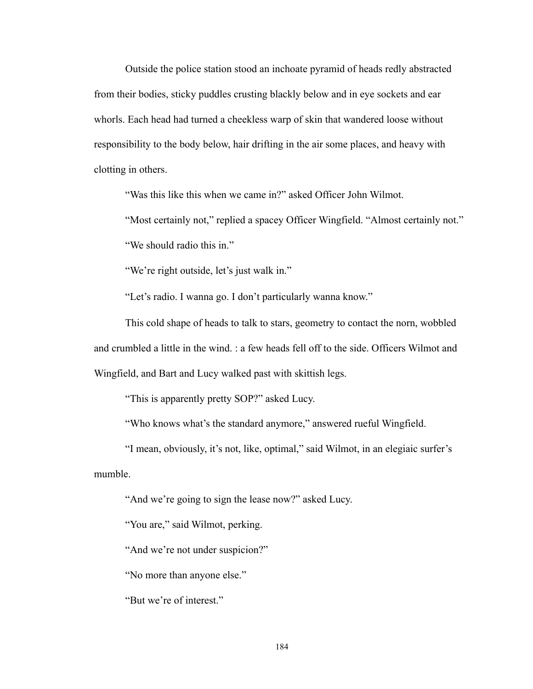Outside the police station stood an inchoate pyramid of heads redly abstracted from their bodies, sticky puddles crusting blackly below and in eye sockets and ear whorls. Each head had turned a cheekless warp of skin that wandered loose without responsibility to the body below, hair drifting in the air some places, and heavy with clotting in others.

"Was this like this when we came in?" asked Officer John Wilmot.

"Most certainly not," replied a spacey Officer Wingfield. "Almost certainly not."

"We should radio this in."

"We're right outside, let's just walk in."

"Let's radio. I wanna go. I don't particularly wanna know."

 This cold shape of heads to talk to stars, geometry to contact the norn, wobbled and crumbled a little in the wind. : a few heads fell off to the side. Officers Wilmot and Wingfield, and Bart and Lucy walked past with skittish legs.

"This is apparently pretty SOP?" asked Lucy.

"Who knows what's the standard anymore," answered rueful Wingfield.

 "I mean, obviously, it's not, like, optimal," said Wilmot, in an elegiaic surfer's mumble.

"And we're going to sign the lease now?" asked Lucy.

"You are," said Wilmot, perking.

"And we're not under suspicion?"

"No more than anyone else."

"But we're of interest."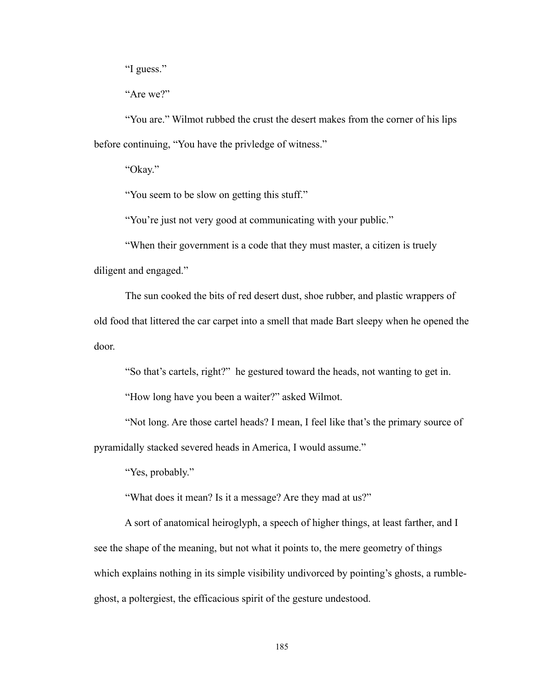"I guess."

"Are we?"

 "You are." Wilmot rubbed the crust the desert makes from the corner of his lips before continuing, "You have the privledge of witness."

"Okay."

"You seem to be slow on getting this stuff."

"You're just not very good at communicating with your public."

 "When their government is a code that they must master, a citizen is truely diligent and engaged."

 The sun cooked the bits of red desert dust, shoe rubber, and plastic wrappers of old food that littered the car carpet into a smell that made Bart sleepy when he opened the door.

"So that's cartels, right?" he gestured toward the heads, not wanting to get in.

"How long have you been a waiter?" asked Wilmot.

 "Not long. Are those cartel heads? I mean, I feel like that's the primary source of pyramidally stacked severed heads in America, I would assume."

"Yes, probably."

"What does it mean? Is it a message? Are they mad at us?"

 A sort of anatomical heiroglyph, a speech of higher things, at least farther, and I see the shape of the meaning, but not what it points to, the mere geometry of things which explains nothing in its simple visibility undivorced by pointing's ghosts, a rumbleghost, a poltergiest, the efficacious spirit of the gesture undestood.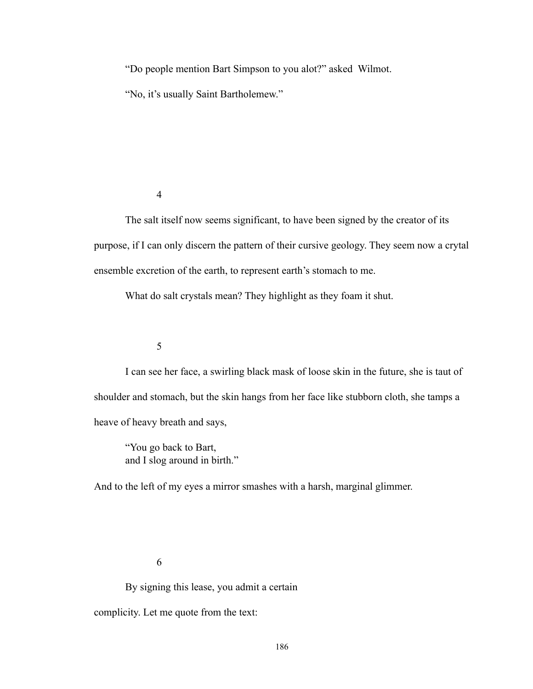"Do people mention Bart Simpson to you alot?" asked Wilmot.

"No, it's usually Saint Bartholemew."

4

 The salt itself now seems significant, to have been signed by the creator of its purpose, if I can only discern the pattern of their cursive geology. They seem now a crytal ensemble excretion of the earth, to represent earth's stomach to me.

What do salt crystals mean? They highlight as they foam it shut.

### 5

 I can see her face, a swirling black mask of loose skin in the future, she is taut of shoulder and stomach, but the skin hangs from her face like stubborn cloth, she tamps a heave of heavy breath and says,

 "You go back to Bart, and I slog around in birth."

And to the left of my eyes a mirror smashes with a harsh, marginal glimmer.

6

By signing this lease, you admit a certain

complicity. Let me quote from the text: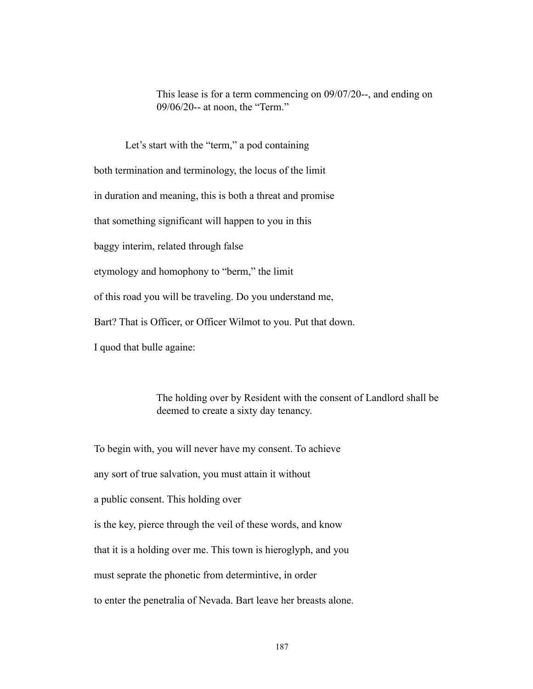This lease is for a term commencing on 09/07/20--, and ending on 09/06/20-- at noon, the "Term."

Let's start with the "term," a pod containing

both termination and terminology, the locus of the limit

in duration and meaning, this is both a threat and promise

that something significant will happen to you in this

baggy interim, related through false

etymology and homophony to "berm," the limit

of this road you will be traveling. Do you understand me,

Bart? That is Officer, or Officer Wilmot to you. Put that down.

I quod that bulle againe:

 The holding over by Resident with the consent of Landlord shall be deemed to create a sixty day tenancy.

To begin with, you will never have my consent. To achieve any sort of true salvation, you must attain it without a public consent. This holding over is the key, pierce through the veil of these words, and know that it is a holding over me. This town is hieroglyph, and you must seprate the phonetic from determintive, in order to enter the penetralia of Nevada. Bart leave her breasts alone.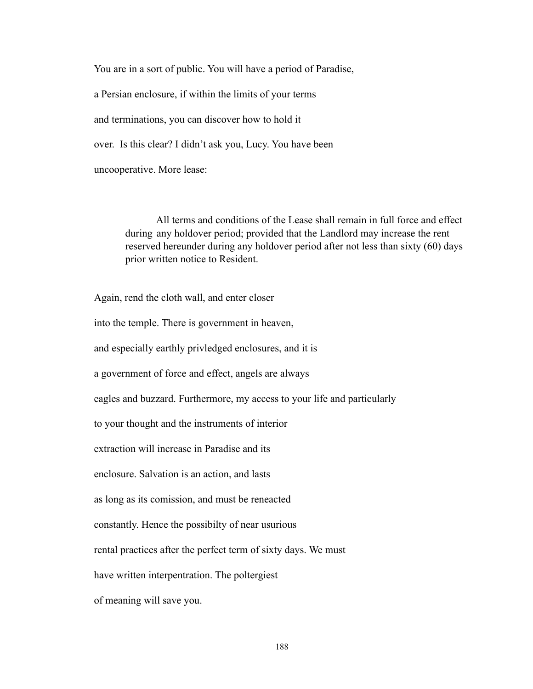You are in a sort of public. You will have a period of Paradise, a Persian enclosure, if within the limits of your terms and terminations, you can discover how to hold it over. Is this clear? I didn't ask you, Lucy. You have been uncooperative. More lease:

> All terms and conditions of the Lease shall remain in full force and effect during any holdover period; provided that the Landlord may increase the rent reserved hereunder during any holdover period after not less than sixty (60) days prior written notice to Resident.

Again, rend the cloth wall, and enter closer

into the temple. There is government in heaven,

and especially earthly privledged enclosures, and it is

a government of force and effect, angels are always

eagles and buzzard. Furthermore, my access to your life and particularly

to your thought and the instruments of interior

extraction will increase in Paradise and its

enclosure. Salvation is an action, and lasts

as long as its comission, and must be reneacted

constantly. Hence the possibilty of near usurious

rental practices after the perfect term of sixty days. We must

have written interpentration. The poltergiest

of meaning will save you.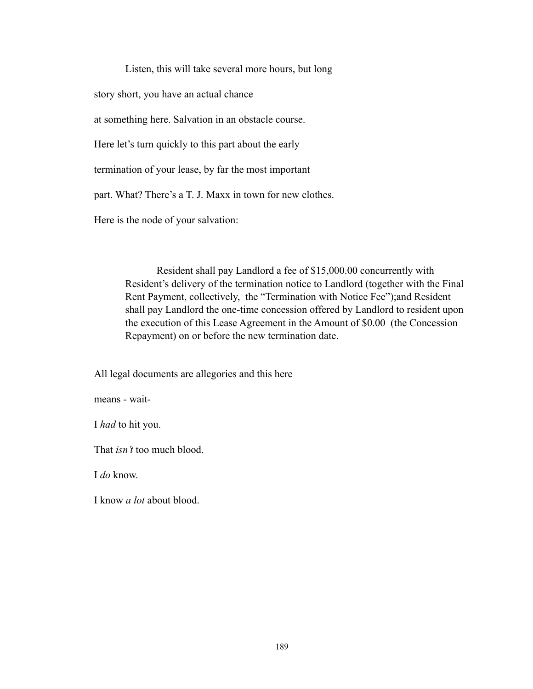Listen, this will take several more hours, but long story short, you have an actual chance at something here. Salvation in an obstacle course. Here let's turn quickly to this part about the early termination of your lease, by far the most important part. What? There's a T. J. Maxx in town for new clothes. Here is the node of your salvation:

> Resident shall pay Landlord a fee of \$15,000.00 concurrently with Resident's delivery of the termination notice to Landlord (together with the Final Rent Payment, collectively, the "Termination with Notice Fee");and Resident shall pay Landlord the one-time concession offered by Landlord to resident upon the execution of this Lease Agreement in the Amount of \$0.00 (the Concession Repayment) on or before the new termination date.

All legal documents are allegories and this here

means - wait-

I *had* to hit you.

That *isn't* too much blood.

I *do* know.

I know *a lot* about blood.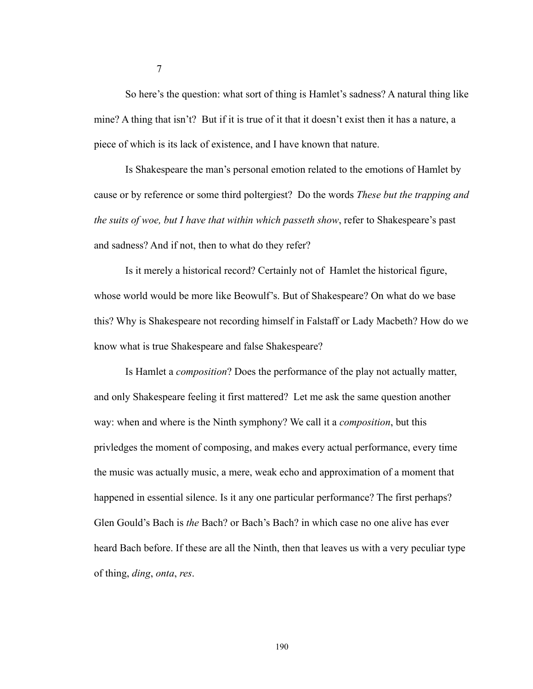So here's the question: what sort of thing is Hamlet's sadness? A natural thing like mine? A thing that isn't? But if it is true of it that it doesn't exist then it has a nature, a piece of which is its lack of existence, and I have known that nature.

 Is Shakespeare the man's personal emotion related to the emotions of Hamlet by cause or by reference or some third poltergiest? Do the words *These but the trapping and the suits of woe, but I have that within which passeth show*, refer to Shakespeare's past and sadness? And if not, then to what do they refer?

 Is it merely a historical record? Certainly not of Hamlet the historical figure, whose world would be more like Beowulf's. But of Shakespeare? On what do we base this? Why is Shakespeare not recording himself in Falstaff or Lady Macbeth? How do we know what is true Shakespeare and false Shakespeare?

 Is Hamlet a *composition*? Does the performance of the play not actually matter, and only Shakespeare feeling it first mattered? Let me ask the same question another way: when and where is the Ninth symphony? We call it a *composition*, but this privledges the moment of composing, and makes every actual performance, every time the music was actually music, a mere, weak echo and approximation of a moment that happened in essential silence. Is it any one particular performance? The first perhaps? Glen Gould's Bach is *the* Bach? or Bach's Bach? in which case no one alive has ever heard Bach before. If these are all the Ninth, then that leaves us with a very peculiar type of thing, *ding*, *onta*, *res*.

7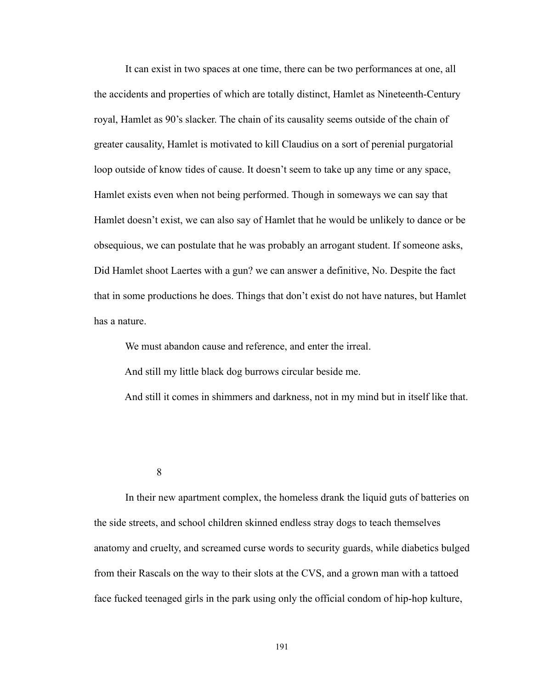It can exist in two spaces at one time, there can be two performances at one, all the accidents and properties of which are totally distinct, Hamlet as Nineteenth-Century royal, Hamlet as 90's slacker. The chain of its causality seems outside of the chain of greater causality, Hamlet is motivated to kill Claudius on a sort of perenial purgatorial loop outside of know tides of cause. It doesn't seem to take up any time or any space, Hamlet exists even when not being performed. Though in someways we can say that Hamlet doesn't exist, we can also say of Hamlet that he would be unlikely to dance or be obsequious, we can postulate that he was probably an arrogant student. If someone asks, Did Hamlet shoot Laertes with a gun? we can answer a definitive, No. Despite the fact that in some productions he does. Things that don't exist do not have natures, but Hamlet has a nature.

We must abandon cause and reference, and enter the irreal.

And still my little black dog burrows circular beside me.

And still it comes in shimmers and darkness, not in my mind but in itself like that.

8

 In their new apartment complex, the homeless drank the liquid guts of batteries on the side streets, and school children skinned endless stray dogs to teach themselves anatomy and cruelty, and screamed curse words to security guards, while diabetics bulged from their Rascals on the way to their slots at the CVS, and a grown man with a tattoed face fucked teenaged girls in the park using only the official condom of hip-hop kulture,

191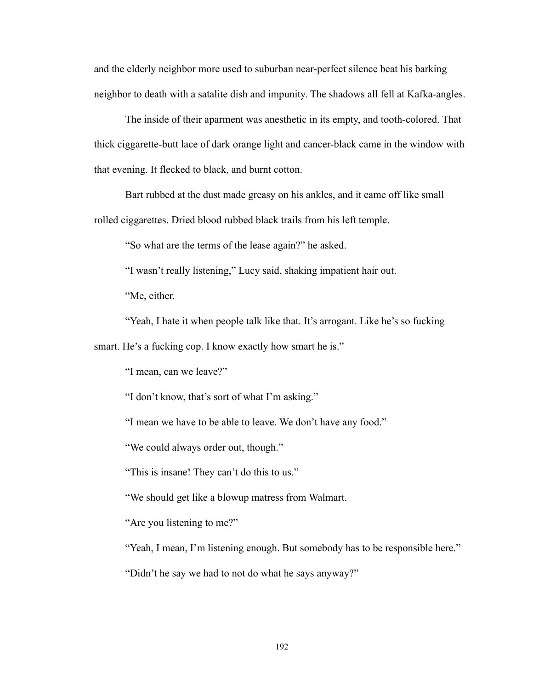and the elderly neighbor more used to suburban near-perfect silence beat his barking neighbor to death with a satalite dish and impunity. The shadows all fell at Kafka-angles.

 The inside of their aparment was anesthetic in its empty, and tooth-colored. That thick ciggarette-butt lace of dark orange light and cancer-black came in the window with that evening. It flecked to black, and burnt cotton.

 Bart rubbed at the dust made greasy on his ankles, and it came off like small rolled ciggarettes. Dried blood rubbed black trails from his left temple.

"So what are the terms of the lease again?" he asked.

"I wasn't really listening," Lucy said, shaking impatient hair out.

"Me, either.

"Yeah, I hate it when people talk like that. It's arrogant. Like he's so fucking

smart. He's a fucking cop. I know exactly how smart he is."

"I mean, can we leave?"

"I don't know, that's sort of what I'm asking."

"I mean we have to be able to leave. We don't have any food."

"We could always order out, though."

"This is insane! They can't do this to us."

"We should get like a blowup matress from Walmart.

"Are you listening to me?"

"Yeah, I mean, I'm listening enough. But somebody has to be responsible here."

"Didn't he say we had to not do what he says anyway?"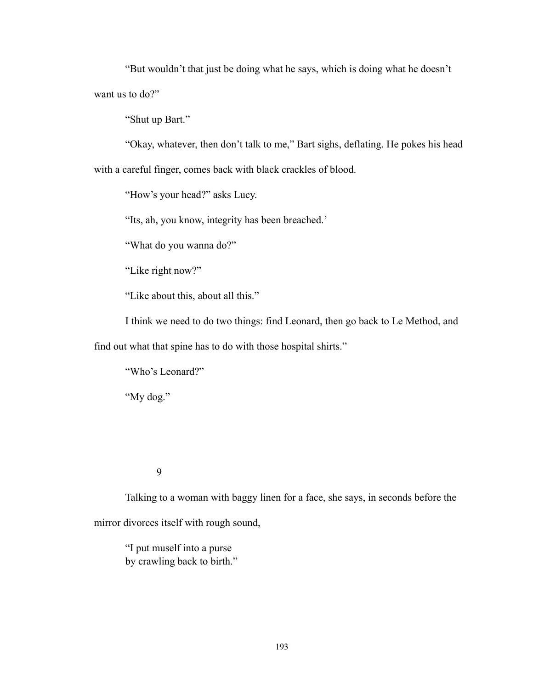"But wouldn't that just be doing what he says, which is doing what he doesn't want us to do?"

"Shut up Bart."

 "Okay, whatever, then don't talk to me," Bart sighs, deflating. He pokes his head with a careful finger, comes back with black crackles of blood.

"How's your head?" asks Lucy.

"Its, ah, you know, integrity has been breached.'

"What do you wanna do?"

"Like right now?"

"Like about this, about all this."

I think we need to do two things: find Leonard, then go back to Le Method, and

find out what that spine has to do with those hospital shirts."

"Who's Leonard?"

"My dog."

9

 Talking to a woman with baggy linen for a face, she says, in seconds before the mirror divorces itself with rough sound,

 "I put muself into a purse by crawling back to birth."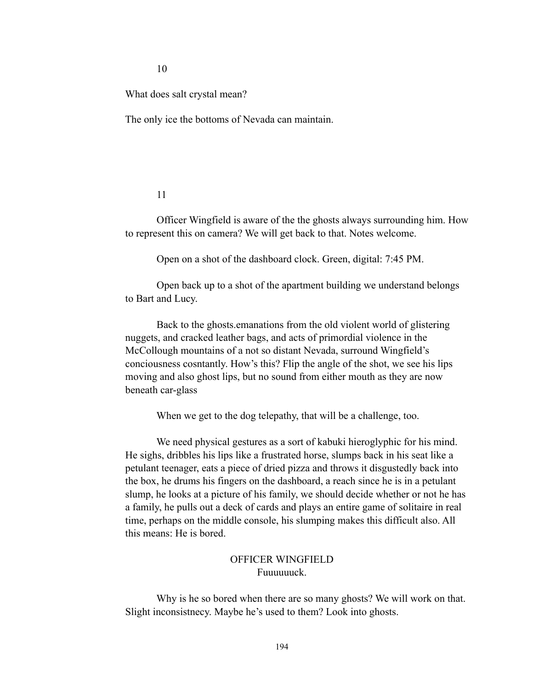10

What does salt crystal mean?

The only ice the bottoms of Nevada can maintain.

11

 Officer Wingfield is aware of the the ghosts always surrounding him. How to represent this on camera? We will get back to that. Notes welcome.

Open on a shot of the dashboard clock. Green, digital: 7:45 PM.

 Open back up to a shot of the apartment building we understand belongs to Bart and Lucy.

 Back to the ghosts.emanations from the old violent world of glistering nuggets, and cracked leather bags, and acts of primordial violence in the McCollough mountains of a not so distant Nevada, surround Wingfield's conciousness cosntantly. How's this? Flip the angle of the shot, we see his lips moving and also ghost lips, but no sound from either mouth as they are now beneath car-glass

When we get to the dog telepathy, that will be a challenge, too.

 We need physical gestures as a sort of kabuki hieroglyphic for his mind. He sighs, dribbles his lips like a frustrated horse, slumps back in his seat like a petulant teenager, eats a piece of dried pizza and throws it disgustedly back into the box, he drums his fingers on the dashboard, a reach since he is in a petulant slump, he looks at a picture of his family, we should decide whether or not he has a family, he pulls out a deck of cards and plays an entire game of solitaire in real time, perhaps on the middle console, his slumping makes this difficult also. All this means: He is bored.

# OFFICER WINGFIELD Fuuuuuuck.

 Why is he so bored when there are so many ghosts? We will work on that. Slight inconsistnecy. Maybe he's used to them? Look into ghosts.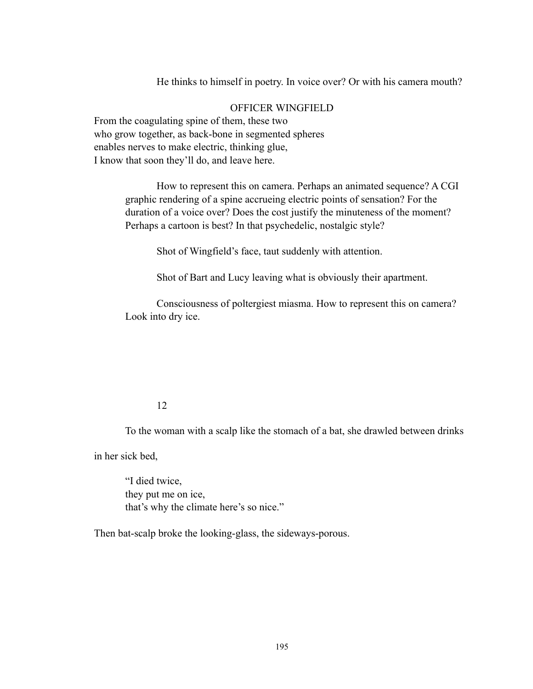He thinks to himself in poetry. In voice over? Or with his camera mouth?

#### OFFICER WINGFIELD

From the coagulating spine of them, these two who grow together, as back-bone in segmented spheres enables nerves to make electric, thinking glue, I know that soon they'll do, and leave here.

> How to represent this on camera. Perhaps an animated sequence? A CGI graphic rendering of a spine accrueing electric points of sensation? For the duration of a voice over? Does the cost justify the minuteness of the moment? Perhaps a cartoon is best? In that psychedelic, nostalgic style?

Shot of Wingfield's face, taut suddenly with attention.

Shot of Bart and Lucy leaving what is obviously their apartment.

 Consciousness of poltergiest miasma. How to represent this on camera? Look into dry ice.

### 12

To the woman with a scalp like the stomach of a bat, she drawled between drinks

in her sick bed,

 "I died twice, they put me on ice, that's why the climate here's so nice."

Then bat-scalp broke the looking-glass, the sideways-porous.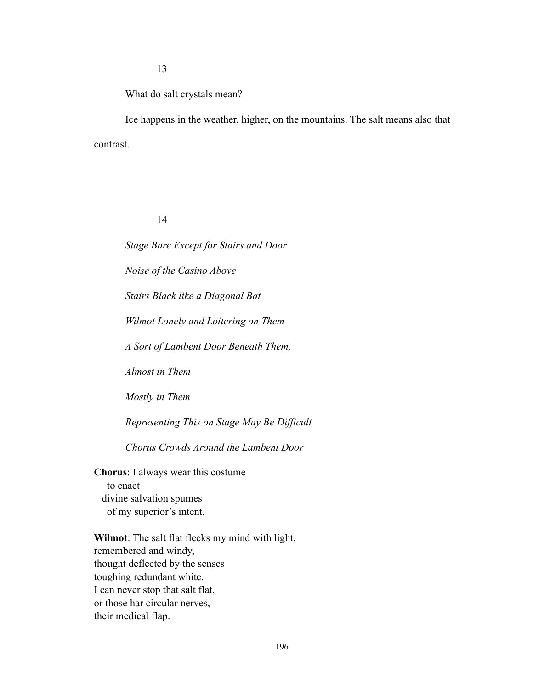What do salt crystals mean?

 Ice happens in the weather, higher, on the mountains. The salt means also that contrast.

14

*Stage Bare Except for Stairs and Door Noise of the Casino Above Stairs Black like a Diagonal Bat Wilmot Lonely and Loitering on Them A Sort of Lambent Door Beneath Them, Almost in Them Mostly in Them Representing This on Stage May Be Difficult Chorus Crowds Around the Lambent Door* **Chorus**: I always wear this costume to enact divine salvation spumes of my superior's intent.

**Wilmot**: The salt flat flecks my mind with light, remembered and windy, thought deflected by the senses toughing redundant white. I can never stop that salt flat, or those har circular nerves, their medical flap.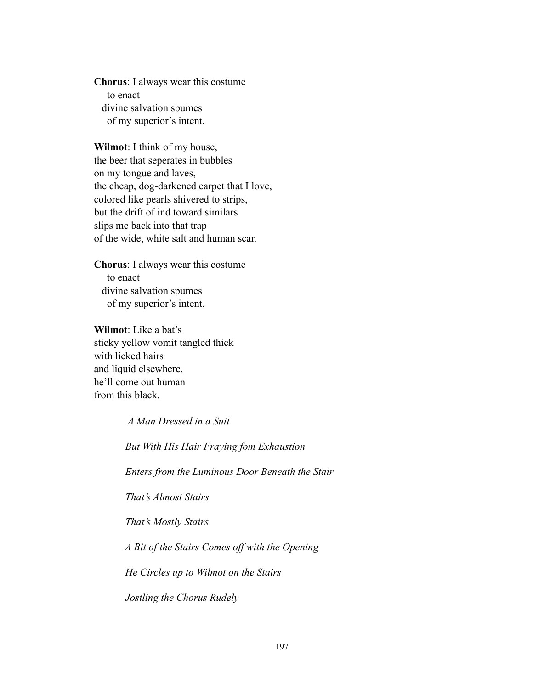**Chorus**: I always wear this costume to enact divine salvation spumes of my superior's intent.

**Wilmot**: I think of my house, the beer that seperates in bubbles on my tongue and laves, the cheap, dog-darkened carpet that I love, colored like pearls shivered to strips, but the drift of ind toward similars slips me back into that trap of the wide, white salt and human scar.

**Chorus**: I always wear this costume to enact divine salvation spumes of my superior's intent.

**Wilmot**: Like a bat's sticky yellow vomit tangled thick with licked hairs and liquid elsewhere, he'll come out human from this black.

> *A Man Dressed in a Suit But With His Hair Fraying fom Exhaustion Enters from the Luminous Door Beneath the Stair That's Almost Stairs That's Mostly Stairs A Bit of the Stairs Comes off with the Opening He Circles up to Wilmot on the Stairs Jostling the Chorus Rudely*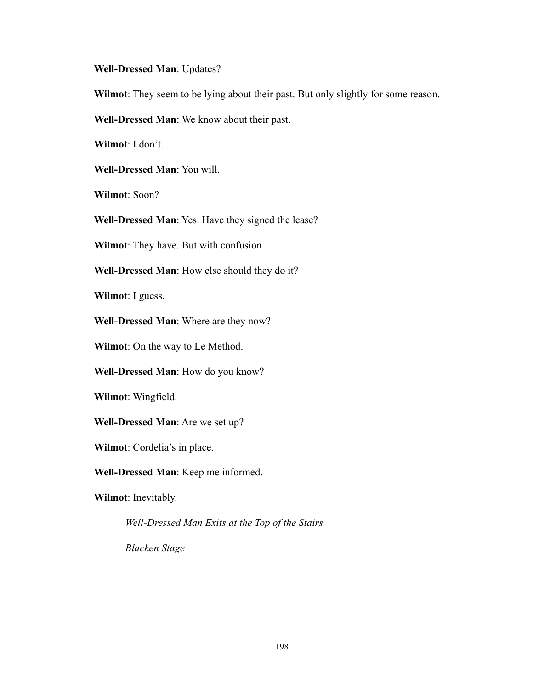### **Well-Dressed Man**: Updates?

**Wilmot**: They seem to be lying about their past. But only slightly for some reason.

**Well-Dressed Man**: We know about their past.

**Wilmot**: I don't.

**Well-Dressed Man**: You will.

**Wilmot**: Soon?

**Well-Dressed Man**: Yes. Have they signed the lease?

**Wilmot**: They have. But with confusion.

**Well-Dressed Man**: How else should they do it?

**Wilmot**: I guess.

**Well-Dressed Man**: Where are they now?

**Wilmot**: On the way to Le Method.

**Well-Dressed Man**: How do you know?

**Wilmot**: Wingfield.

**Well-Dressed Man**: Are we set up?

**Wilmot**: Cordelia's in place.

**Well-Dressed Man**: Keep me informed.

**Wilmot**: Inevitably.

*Well-Dressed Man Exits at the Top of the Stairs Blacken Stage*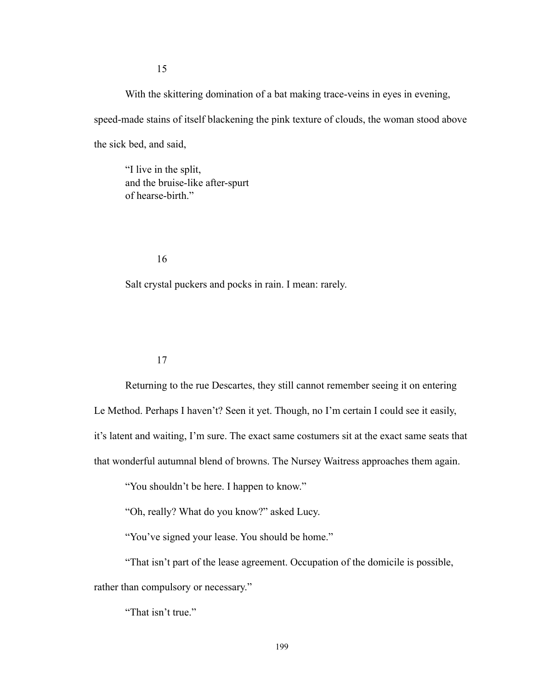With the skittering domination of a bat making trace-veins in eyes in evening, speed-made stains of itself blackening the pink texture of clouds, the woman stood above the sick bed, and said,

 "I live in the split, and the bruise-like after-spurt of hearse-birth."

16

Salt crystal puckers and pocks in rain. I mean: rarely.

17

 Returning to the rue Descartes, they still cannot remember seeing it on entering Le Method. Perhaps I haven't? Seen it yet. Though, no I'm certain I could see it easily, it's latent and waiting, I'm sure. The exact same costumers sit at the exact same seats that that wonderful autumnal blend of browns. The Nursey Waitress approaches them again.

"You shouldn't be here. I happen to know."

"Oh, really? What do you know?" asked Lucy.

"You've signed your lease. You should be home."

"That isn't part of the lease agreement. Occupation of the domicile is possible,

rather than compulsory or necessary."

"That isn't true."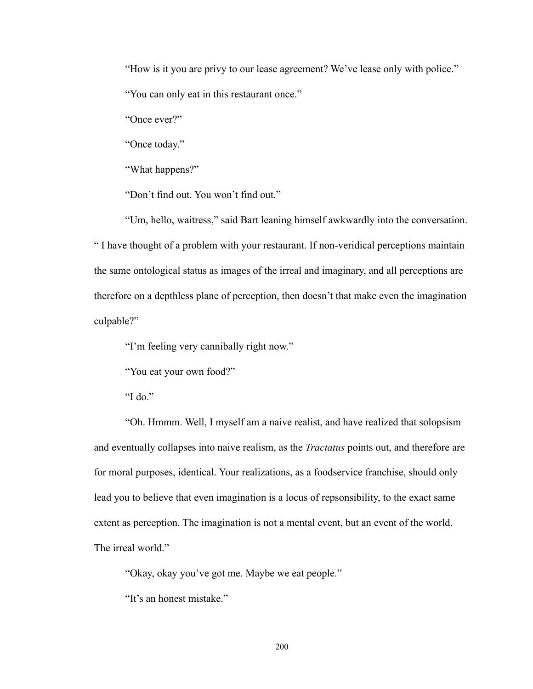"How is it you are privy to our lease agreement? We've lease only with police." "You can only eat in this restaurant once."

"Once ever?"

"Once today."

"What happens?"

"Don't find out. You won't find out."

 "Um, hello, waitress," said Bart leaning himself awkwardly into the conversation. " I have thought of a problem with your restaurant. If non-veridical perceptions maintain the same ontological status as images of the irreal and imaginary, and all perceptions are therefore on a depthless plane of perception, then doesn't that make even the imagination culpable?"

"I'm feeling very cannibally right now."

"You eat your own food?"

"I do."

 "Oh. Hmmm. Well, I myself am a naive realist, and have realized that solopsism and eventually collapses into naive realism, as the *Tractatus* points out, and therefore are for moral purposes, identical. Your realizations, as a foodservice franchise, should only lead you to believe that even imagination is a locus of repsonsibility, to the exact same extent as perception. The imagination is not a mental event, but an event of the world. The irreal world."

"Okay, okay you've got me. Maybe we eat people."

"It's an honest mistake."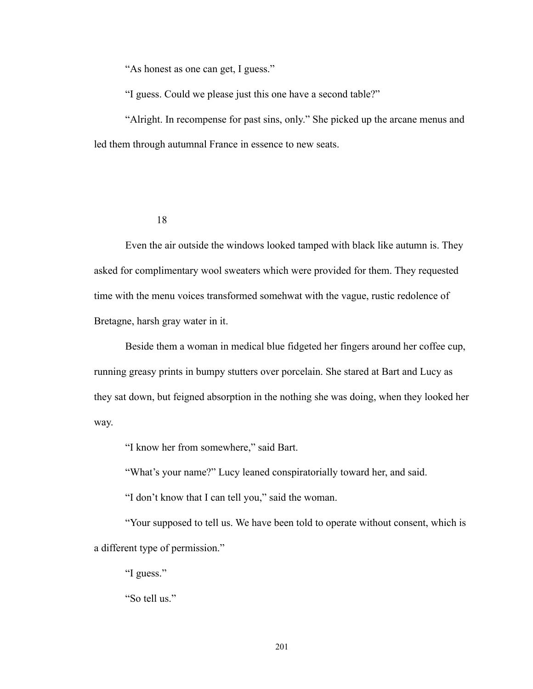"As honest as one can get, I guess."

"I guess. Could we please just this one have a second table?"

 "Alright. In recompense for past sins, only." She picked up the arcane menus and led them through autumnal France in essence to new seats.

### 18

 Even the air outside the windows looked tamped with black like autumn is. They asked for complimentary wool sweaters which were provided for them. They requested time with the menu voices transformed somehwat with the vague, rustic redolence of Bretagne, harsh gray water in it.

 Beside them a woman in medical blue fidgeted her fingers around her coffee cup, running greasy prints in bumpy stutters over porcelain. She stared at Bart and Lucy as they sat down, but feigned absorption in the nothing she was doing, when they looked her way.

"I know her from somewhere," said Bart.

"What's your name?" Lucy leaned conspiratorially toward her, and said.

"I don't know that I can tell you," said the woman.

 "Your supposed to tell us. We have been told to operate without consent, which is a different type of permission."

"I guess."

"So tell us."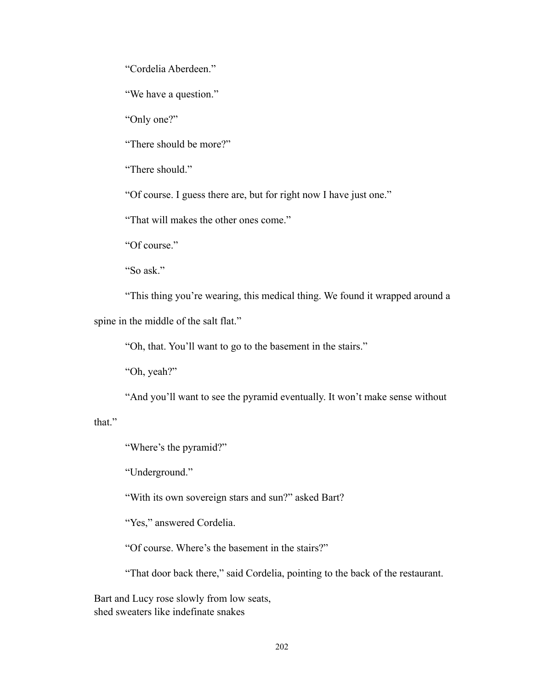"Cordelia Aberdeen."

"We have a question."

"Only one?"

"There should be more?"

"There should."

"Of course. I guess there are, but for right now I have just one."

"That will makes the other ones come."

"Of course."

"So ask."

 "This thing you're wearing, this medical thing. We found it wrapped around a spine in the middle of the salt flat."

"Oh, that. You'll want to go to the basement in the stairs."

"Oh, yeah?"

"And you'll want to see the pyramid eventually. It won't make sense without

that."

"Where's the pyramid?"

"Underground."

"With its own sovereign stars and sun?" asked Bart?

"Yes," answered Cordelia.

"Of course. Where's the basement in the stairs?"

"That door back there," said Cordelia, pointing to the back of the restaurant.

Bart and Lucy rose slowly from low seats, shed sweaters like indefinate snakes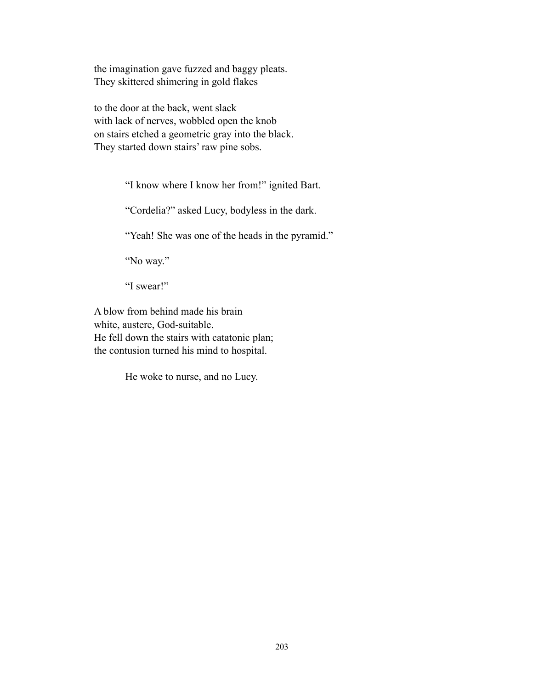the imagination gave fuzzed and baggy pleats. They skittered shimering in gold flakes

to the door at the back, went slack with lack of nerves, wobbled open the knob on stairs etched a geometric gray into the black. They started down stairs' raw pine sobs.

"I know where I know her from!" ignited Bart.

"Cordelia?" asked Lucy, bodyless in the dark.

"Yeah! She was one of the heads in the pyramid."

"No way."

"I swear!"

A blow from behind made his brain white, austere, God-suitable. He fell down the stairs with catatonic plan; the contusion turned his mind to hospital.

He woke to nurse, and no Lucy.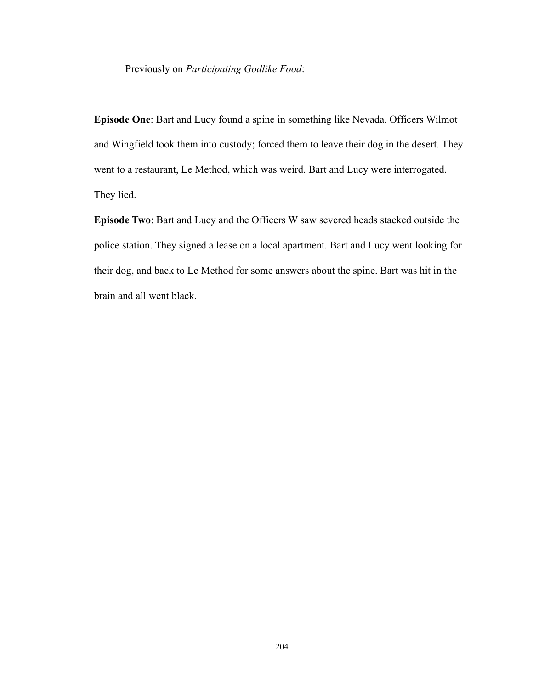#### Previously on *Participating Godlike Food*:

**Episode One**: Bart and Lucy found a spine in something like Nevada. Officers Wilmot and Wingfield took them into custody; forced them to leave their dog in the desert. They went to a restaurant, Le Method, which was weird. Bart and Lucy were interrogated. They lied.

**Episode Two**: Bart and Lucy and the Officers W saw severed heads stacked outside the police station. They signed a lease on a local apartment. Bart and Lucy went looking for their dog, and back to Le Method for some answers about the spine. Bart was hit in the brain and all went black.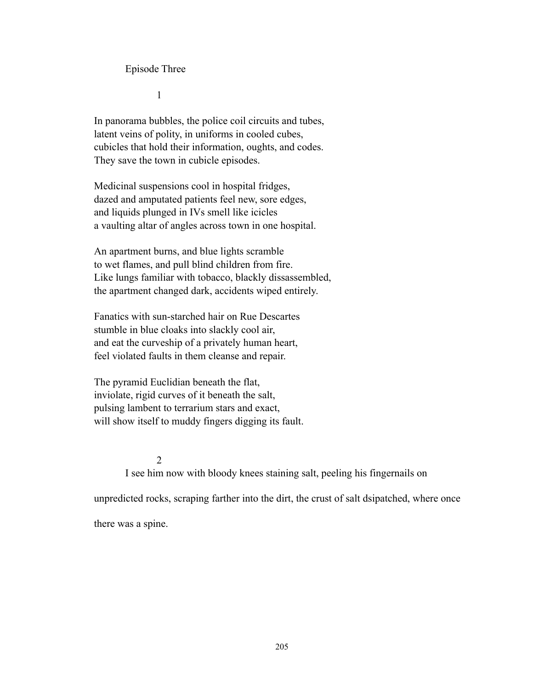### Episode Three

1

In panorama bubbles, the police coil circuits and tubes, latent veins of polity, in uniforms in cooled cubes, cubicles that hold their information, oughts, and codes. They save the town in cubicle episodes.

Medicinal suspensions cool in hospital fridges, dazed and amputated patients feel new, sore edges, and liquids plunged in IVs smell like icicles a vaulting altar of angles across town in one hospital.

An apartment burns, and blue lights scramble to wet flames, and pull blind children from fire. Like lungs familiar with tobacco, blackly dissassembled, the apartment changed dark, accidents wiped entirely.

Fanatics with sun-starched hair on Rue Descartes stumble in blue cloaks into slackly cool air, and eat the curveship of a privately human heart, feel violated faults in them cleanse and repair.

The pyramid Euclidian beneath the flat, inviolate, rigid curves of it beneath the salt, pulsing lambent to terrarium stars and exact, will show itself to muddy fingers digging its fault.

 2 I see him now with bloody knees staining salt, peeling his fingernails on unpredicted rocks, scraping farther into the dirt, the crust of salt dsipatched, where once

there was a spine.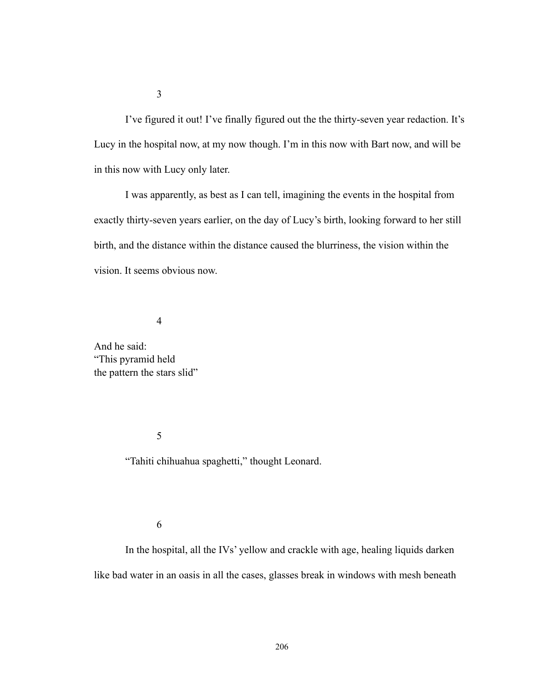3

 I've figured it out! I've finally figured out the the thirty-seven year redaction. It's Lucy in the hospital now, at my now though. I'm in this now with Bart now, and will be in this now with Lucy only later.

 I was apparently, as best as I can tell, imagining the events in the hospital from exactly thirty-seven years earlier, on the day of Lucy's birth, looking forward to her still birth, and the distance within the distance caused the blurriness, the vision within the vision. It seems obvious now.

4

And he said: "This pyramid held the pattern the stars slid"

5

"Tahiti chihuahua spaghetti," thought Leonard.

6

 In the hospital, all the IVs' yellow and crackle with age, healing liquids darken like bad water in an oasis in all the cases, glasses break in windows with mesh beneath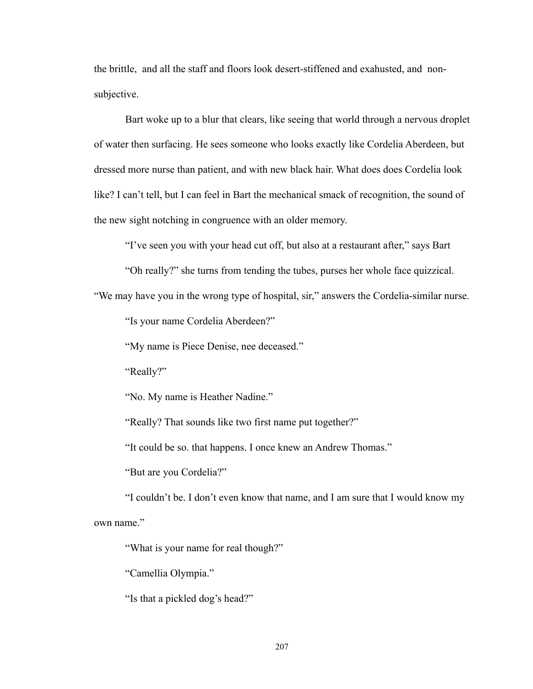the brittle, and all the staff and floors look desert-stiffened and exahusted, and nonsubjective.

 Bart woke up to a blur that clears, like seeing that world through a nervous droplet of water then surfacing. He sees someone who looks exactly like Cordelia Aberdeen, but dressed more nurse than patient, and with new black hair. What does does Cordelia look like? I can't tell, but I can feel in Bart the mechanical smack of recognition, the sound of the new sight notching in congruence with an older memory.

"I've seen you with your head cut off, but also at a restaurant after," says Bart

"Oh really?" she turns from tending the tubes, purses her whole face quizzical.

"We may have you in the wrong type of hospital, sir," answers the Cordelia-similar nurse.

"Is your name Cordelia Aberdeen?"

"My name is Piece Denise, nee deceased."

"Really?"

"No. My name is Heather Nadine."

"Really? That sounds like two first name put together?"

"It could be so. that happens. I once knew an Andrew Thomas."

"But are you Cordelia?"

 "I couldn't be. I don't even know that name, and I am sure that I would know my own name."

"What is your name for real though?"

"Camellia Olympia."

"Is that a pickled dog's head?"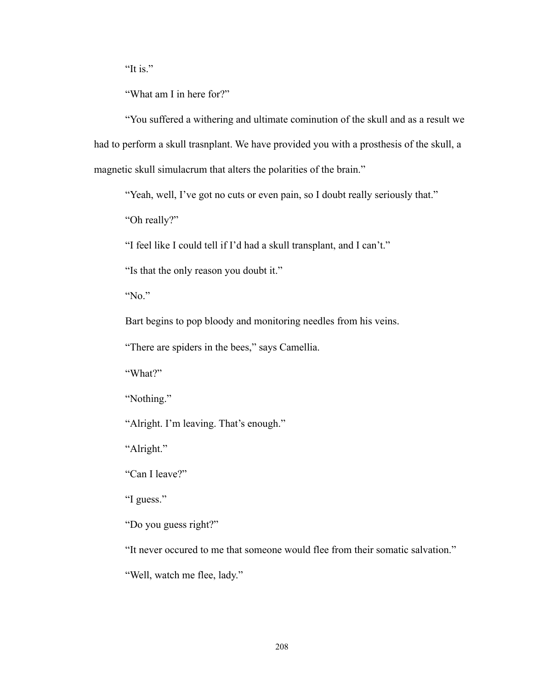"It is."

"What am I in here for?"

 "You suffered a withering and ultimate cominution of the skull and as a result we had to perform a skull trasnplant. We have provided you with a prosthesis of the skull, a magnetic skull simulacrum that alters the polarities of the brain."

"Yeah, well, I've got no cuts or even pain, so I doubt really seriously that."

"Oh really?"

"I feel like I could tell if I'd had a skull transplant, and I can't."

"Is that the only reason you doubt it."

"No."

Bart begins to pop bloody and monitoring needles from his veins.

"There are spiders in the bees," says Camellia.

"What?"

"Nothing."

"Alright. I'm leaving. That's enough."

"Alright."

"Can I leave?"

"I guess."

"Do you guess right?"

"It never occured to me that someone would flee from their somatic salvation."

"Well, watch me flee, lady."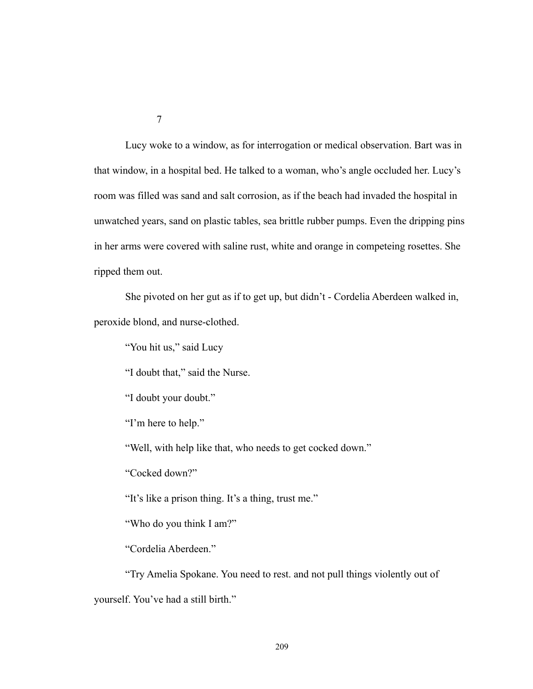7

 Lucy woke to a window, as for interrogation or medical observation. Bart was in that window, in a hospital bed. He talked to a woman, who's angle occluded her. Lucy's room was filled was sand and salt corrosion, as if the beach had invaded the hospital in unwatched years, sand on plastic tables, sea brittle rubber pumps. Even the dripping pins in her arms were covered with saline rust, white and orange in competeing rosettes. She ripped them out.

 She pivoted on her gut as if to get up, but didn't - Cordelia Aberdeen walked in, peroxide blond, and nurse-clothed.

"You hit us," said Lucy

"I doubt that," said the Nurse.

"I doubt your doubt."

"I'm here to help."

"Well, with help like that, who needs to get cocked down."

"Cocked down?"

"It's like a prison thing. It's a thing, trust me."

"Who do you think I am?"

"Cordelia Aberdeen."

 "Try Amelia Spokane. You need to rest. and not pull things violently out of yourself. You've had a still birth."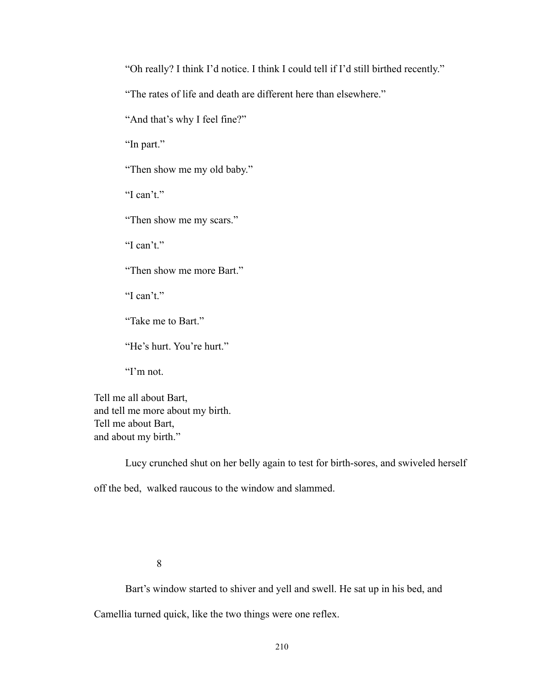"Oh really? I think I'd notice. I think I could tell if I'd still birthed recently."

"The rates of life and death are different here than elsewhere."

"And that's why I feel fine?"

"In part."

"Then show me my old baby."

"I can't."

"Then show me my scars."

"I can't."

"Then show me more Bart."

"I can't."

"Take me to Bart."

"He's hurt. You're hurt."

"I'm not.

Tell me all about Bart, and tell me more about my birth. Tell me about Bart, and about my birth."

Lucy crunched shut on her belly again to test for birth-sores, and swiveled herself

off the bed, walked raucous to the window and slammed.

8

Bart's window started to shiver and yell and swell. He sat up in his bed, and

Camellia turned quick, like the two things were one reflex.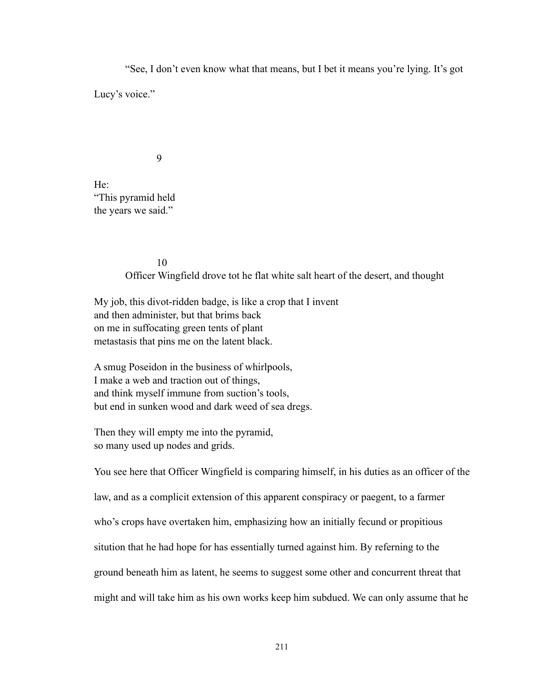"See, I don't even know what that means, but I bet it means you're lying. It's got Lucy's voice."

9

He: "This pyramid held the years we said."

> 10 Officer Wingfield drove tot he flat white salt heart of the desert, and thought

My job, this divot-ridden badge, is like a crop that I invent and then administer, but that brims back on me in suffocating green tents of plant metastasis that pins me on the latent black.

A smug Poseidon in the business of whirlpools, I make a web and traction out of things, and think myself immune from suction's tools, but end in sunken wood and dark weed of sea dregs.

Then they will empty me into the pyramid, so many used up nodes and grids.

You see here that Officer Wingfield is comparing himself, in his duties as an officer of the

law, and as a complicit extension of this apparent conspiracy or paegent, to a farmer

who's crops have overtaken him, emphasizing how an initially fecund or propitious

sitution that he had hope for has essentially turned against him. By referning to the

ground beneath him as latent, he seems to suggest some other and concurrent threat that

might and will take him as his own works keep him subdued. We can only assume that he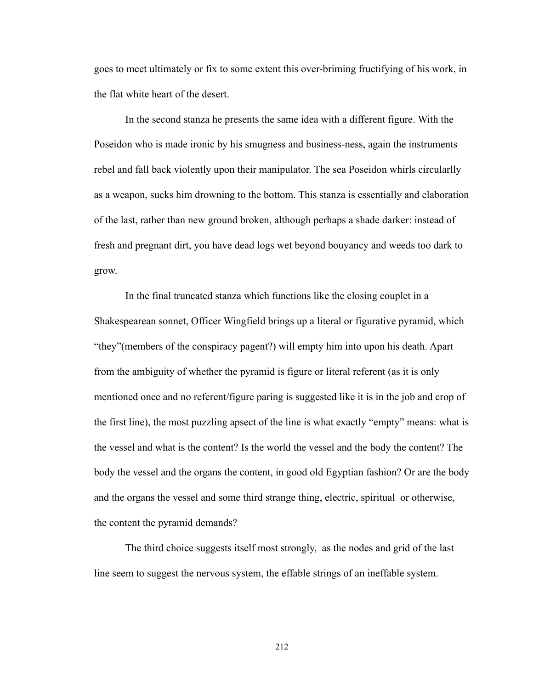goes to meet ultimately or fix to some extent this over-briming fructifying of his work, in the flat white heart of the desert.

 In the second stanza he presents the same idea with a different figure. With the Poseidon who is made ironic by his smugness and business-ness, again the instruments rebel and fall back violently upon their manipulator. The sea Poseidon whirls circularlly as a weapon, sucks him drowning to the bottom. This stanza is essentially and elaboration of the last, rather than new ground broken, although perhaps a shade darker: instead of fresh and pregnant dirt, you have dead logs wet beyond bouyancy and weeds too dark to grow.

 In the final truncated stanza which functions like the closing couplet in a Shakespearean sonnet, Officer Wingfield brings up a literal or figurative pyramid, which "they"(members of the conspiracy pagent?) will empty him into upon his death. Apart from the ambiguity of whether the pyramid is figure or literal referent (as it is only mentioned once and no referent/figure paring is suggested like it is in the job and crop of the first line), the most puzzling apsect of the line is what exactly "empty" means: what is the vessel and what is the content? Is the world the vessel and the body the content? The body the vessel and the organs the content, in good old Egyptian fashion? Or are the body and the organs the vessel and some third strange thing, electric, spiritual or otherwise, the content the pyramid demands?

 The third choice suggests itself most strongly, as the nodes and grid of the last line seem to suggest the nervous system, the effable strings of an ineffable system.

212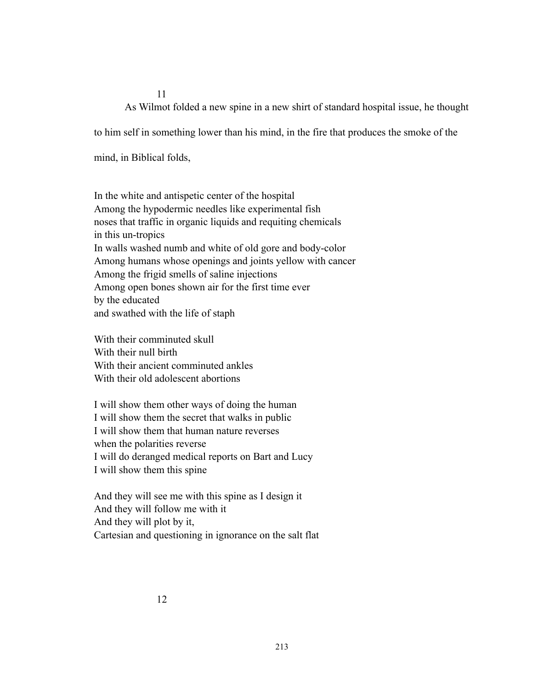11

As Wilmot folded a new spine in a new shirt of standard hospital issue, he thought

to him self in something lower than his mind, in the fire that produces the smoke of the

mind, in Biblical folds,

In the white and antispetic center of the hospital Among the hypodermic needles like experimental fish noses that traffic in organic liquids and requiting chemicals in this un-tropics In walls washed numb and white of old gore and body-color Among humans whose openings and joints yellow with cancer Among the frigid smells of saline injections Among open bones shown air for the first time ever by the educated and swathed with the life of staph

With their comminuted skull With their null birth With their ancient comminuted ankles With their old adolescent abortions

I will show them other ways of doing the human I will show them the secret that walks in public I will show them that human nature reverses when the polarities reverse I will do deranged medical reports on Bart and Lucy I will show them this spine

And they will see me with this spine as I design it And they will follow me with it And they will plot by it, Cartesian and questioning in ignorance on the salt flat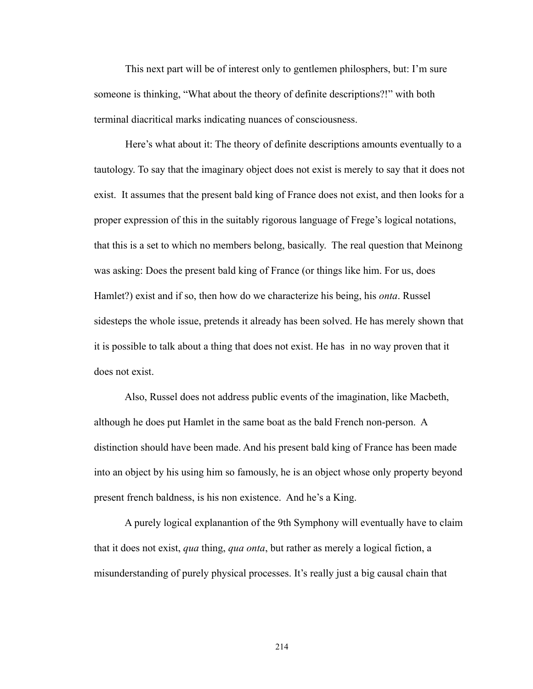This next part will be of interest only to gentlemen philosphers, but: I'm sure someone is thinking, "What about the theory of definite descriptions?!" with both terminal diacritical marks indicating nuances of consciousness.

 Here's what about it: The theory of definite descriptions amounts eventually to a tautology. To say that the imaginary object does not exist is merely to say that it does not exist. It assumes that the present bald king of France does not exist, and then looks for a proper expression of this in the suitably rigorous language of Frege's logical notations, that this is a set to which no members belong, basically. The real question that Meinong was asking: Does the present bald king of France (or things like him. For us, does Hamlet?) exist and if so, then how do we characterize his being, his *onta*. Russel sidesteps the whole issue, pretends it already has been solved. He has merely shown that it is possible to talk about a thing that does not exist. He has in no way proven that it does not exist.

 Also, Russel does not address public events of the imagination, like Macbeth, although he does put Hamlet in the same boat as the bald French non-person. A distinction should have been made. And his present bald king of France has been made into an object by his using him so famously, he is an object whose only property beyond present french baldness, is his non existence. And he's a King.

 A purely logical explanantion of the 9th Symphony will eventually have to claim that it does not exist, *qua* thing, *qua onta*, but rather as merely a logical fiction, a misunderstanding of purely physical processes. It's really just a big causal chain that

214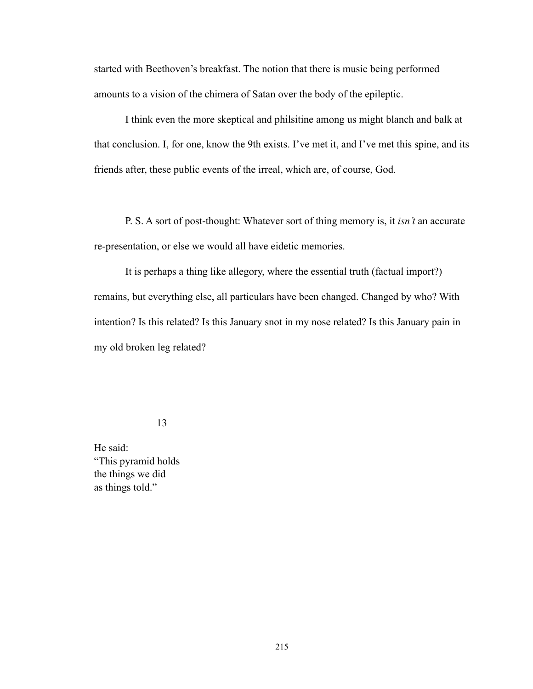started with Beethoven's breakfast. The notion that there is music being performed amounts to a vision of the chimera of Satan over the body of the epileptic.

 I think even the more skeptical and philsitine among us might blanch and balk at that conclusion. I, for one, know the 9th exists. I've met it, and I've met this spine, and its friends after, these public events of the irreal, which are, of course, God.

 P. S. A sort of post-thought: Whatever sort of thing memory is, it *isn't* an accurate re-presentation, or else we would all have eidetic memories.

 It is perhaps a thing like allegory, where the essential truth (factual import?) remains, but everything else, all particulars have been changed. Changed by who? With intention? Is this related? Is this January snot in my nose related? Is this January pain in my old broken leg related?

13

He said: "This pyramid holds the things we did as things told."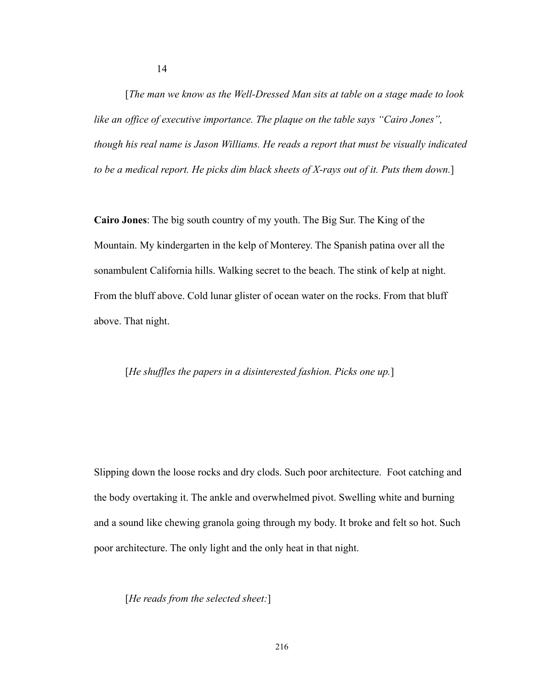[*The man we know as the Well-Dressed Man sits at table on a stage made to look like an office of executive importance. The plaque on the table says "Cairo Jones", though his real name is Jason Williams. He reads a report that must be visually indicated to be a medical report. He picks dim black sheets of X-rays out of it. Puts them down.*]

**Cairo Jones**: The big south country of my youth. The Big Sur. The King of the Mountain. My kindergarten in the kelp of Monterey. The Spanish patina over all the sonambulent California hills. Walking secret to the beach. The stink of kelp at night. From the bluff above. Cold lunar glister of ocean water on the rocks. From that bluff above. That night.

#### [*He shuffles the papers in a disinterested fashion. Picks one up.*]

Slipping down the loose rocks and dry clods. Such poor architecture. Foot catching and the body overtaking it. The ankle and overwhelmed pivot. Swelling white and burning and a sound like chewing granola going through my body. It broke and felt so hot. Such poor architecture. The only light and the only heat in that night.

[*He reads from the selected sheet:*]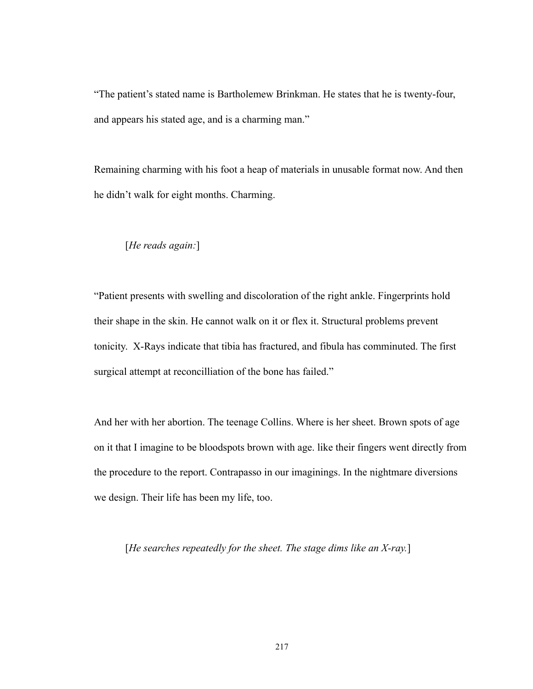"The patient's stated name is Bartholemew Brinkman. He states that he is twenty-four, and appears his stated age, and is a charming man."

Remaining charming with his foot a heap of materials in unusable format now. And then he didn't walk for eight months. Charming.

## [*He reads again:*]

"Patient presents with swelling and discoloration of the right ankle. Fingerprints hold their shape in the skin. He cannot walk on it or flex it. Structural problems prevent tonicity. X-Rays indicate that tibia has fractured, and fibula has comminuted. The first surgical attempt at reconcilliation of the bone has failed."

And her with her abortion. The teenage Collins. Where is her sheet. Brown spots of age on it that I imagine to be bloodspots brown with age. like their fingers went directly from the procedure to the report. Contrapasso in our imaginings. In the nightmare diversions we design. Their life has been my life, too.

[*He searches repeatedly for the sheet. The stage dims like an X-ray.*]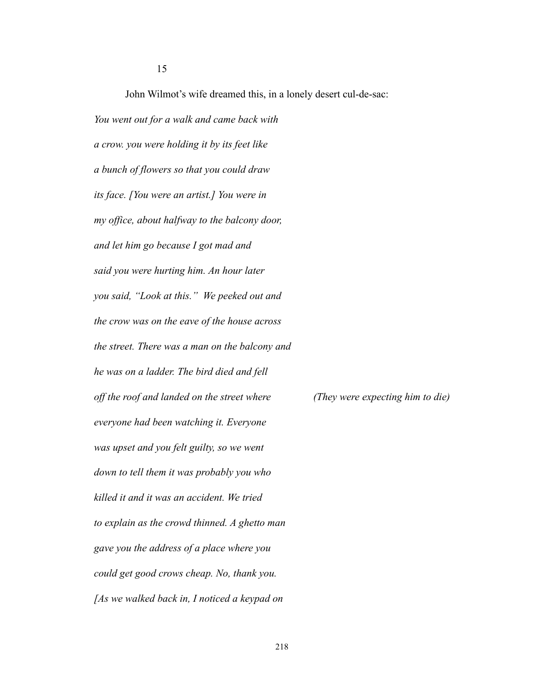John Wilmot's wife dreamed this, in a lonely desert cul-de-sac: *You went out for a walk and came back with a crow. you were holding it by its feet like a bunch of flowers so that you could draw its face. [You were an artist.] You were in my office, about halfway to the balcony door, and let him go because I got mad and said you were hurting him. An hour later you said, "Look at this." We peeked out and the crow was on the eave of the house across the street. There was a man on the balcony and he was on a ladder. The bird died and fell off the roof and landed on the street where (They were expecting him to die) everyone had been watching it. Everyone was upset and you felt guilty, so we went down to tell them it was probably you who killed it and it was an accident. We tried to explain as the crowd thinned. A ghetto man gave you the address of a place where you could get good crows cheap. No, thank you. [As we walked back in, I noticed a keypad on*

15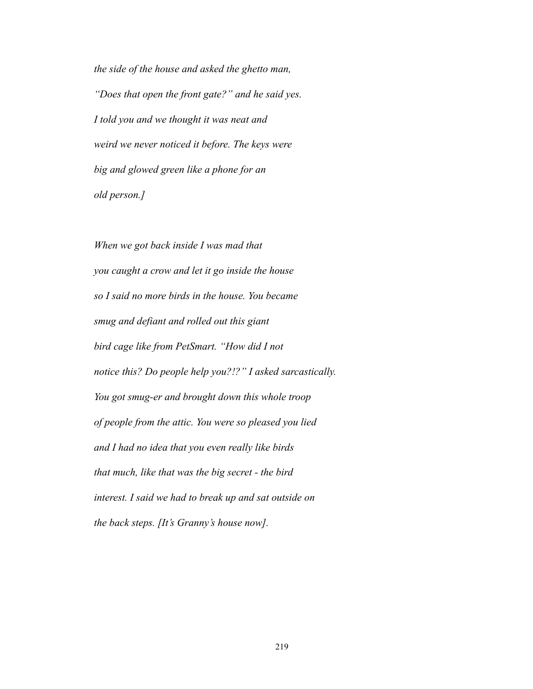*the side of the house and asked the ghetto man, "Does that open the front gate?" and he said yes. I told you and we thought it was neat and weird we never noticed it before. The keys were big and glowed green like a phone for an old person.]*

*When we got back inside I was mad that you caught a crow and let it go inside the house so I said no more birds in the house. You became smug and defiant and rolled out this giant bird cage like from PetSmart. "How did I not notice this? Do people help you?!?" I asked sarcastically. You got smug-er and brought down this whole troop of people from the attic. You were so pleased you lied and I had no idea that you even really like birds that much, like that was the big secret - the bird interest. I said we had to break up and sat outside on the back steps. [It's Granny's house now].*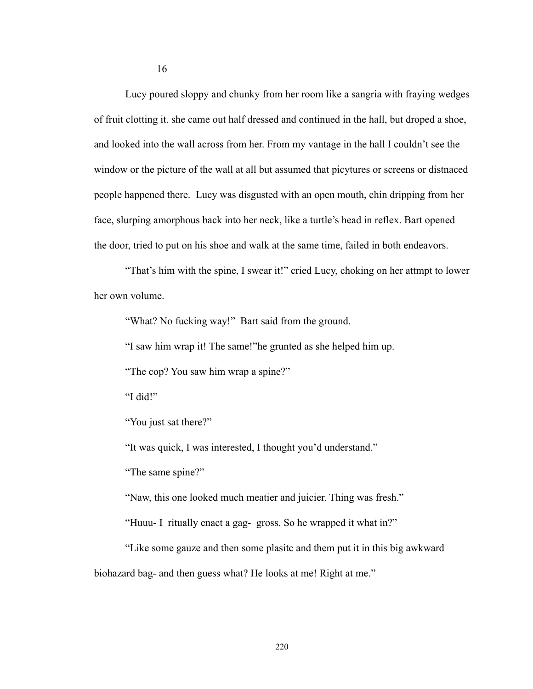Lucy poured sloppy and chunky from her room like a sangria with fraying wedges of fruit clotting it. she came out half dressed and continued in the hall, but droped a shoe, and looked into the wall across from her. From my vantage in the hall I couldn't see the window or the picture of the wall at all but assumed that picytures or screens or distnaced people happened there. Lucy was disgusted with an open mouth, chin dripping from her face, slurping amorphous back into her neck, like a turtle's head in reflex. Bart opened the door, tried to put on his shoe and walk at the same time, failed in both endeavors.

 "That's him with the spine, I swear it!" cried Lucy, choking on her attmpt to lower her own volume.

"What? No fucking way!" Bart said from the ground.

"I saw him wrap it! The same!"he grunted as she helped him up.

"The cop? You saw him wrap a spine?"

"I did!"

"You just sat there?"

"It was quick, I was interested, I thought you'd understand."

"The same spine?"

"Naw, this one looked much meatier and juicier. Thing was fresh."

"Huuu- I ritually enact a gag- gross. So he wrapped it what in?"

"Like some gauze and then some plasitc and them put it in this big awkward

biohazard bag- and then guess what? He looks at me! Right at me."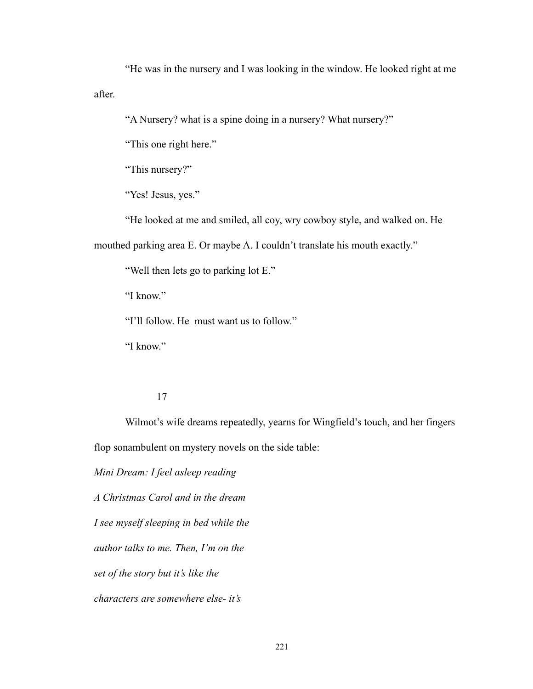"He was in the nursery and I was looking in the window. He looked right at me after.

"A Nursery? what is a spine doing in a nursery? What nursery?"

"This one right here."

"This nursery?"

"Yes! Jesus, yes."

"He looked at me and smiled, all coy, wry cowboy style, and walked on. He

mouthed parking area E. Or maybe A. I couldn't translate his mouth exactly."

"Well then lets go to parking lot E."

"I know."

"I'll follow. He must want us to follow."

"I know."

17

 Wilmot's wife dreams repeatedly, yearns for Wingfield's touch, and her fingers flop sonambulent on mystery novels on the side table:

*Mini Dream: I feel asleep reading*

*A Christmas Carol and in the dream*

*I see myself sleeping in bed while the* 

*author talks to me. Then, I'm on the* 

*set of the story but it's like the* 

*characters are somewhere else- it's*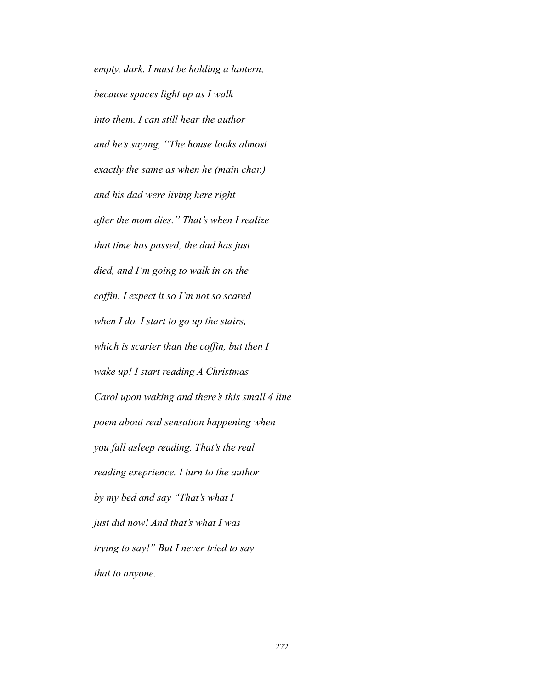*empty, dark. I must be holding a lantern, because spaces light up as I walk into them. I can still hear the author and he's saying, "The house looks almost exactly the same as when he (main char.) and his dad were living here right after the mom dies." That's when I realize that time has passed, the dad has just died, and I'm going to walk in on the coffin. I expect it so I'm not so scared when I do. I start to go up the stairs, which is scarier than the coffin, but then I wake up! I start reading A Christmas Carol upon waking and there's this small 4 line poem about real sensation happening when you fall asleep reading. That's the real reading exeprience. I turn to the author by my bed and say "That's what I just did now! And that's what I was trying to say!" But I never tried to say that to anyone.*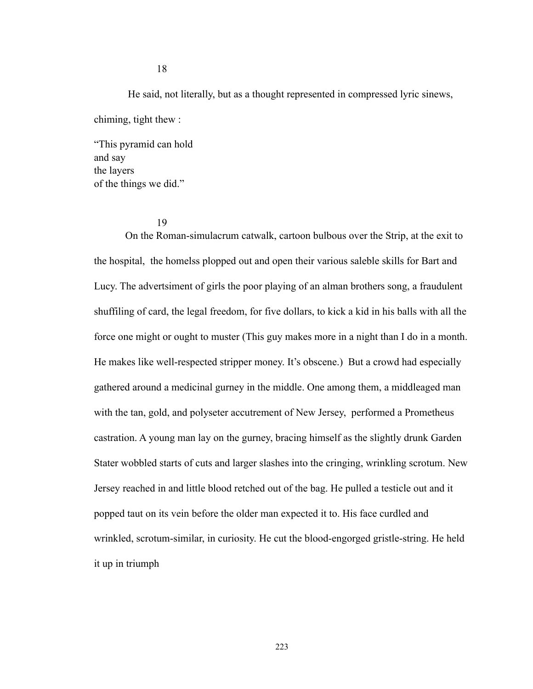He said, not literally, but as a thought represented in compressed lyric sinews, chiming, tight thew :

"This pyramid can hold and say the layers of the things we did."

19

 On the Roman-simulacrum catwalk, cartoon bulbous over the Strip, at the exit to the hospital, the homelss plopped out and open their various saleble skills for Bart and Lucy. The advertsiment of girls the poor playing of an alman brothers song, a fraudulent shuffiling of card, the legal freedom, for five dollars, to kick a kid in his balls with all the force one might or ought to muster (This guy makes more in a night than I do in a month. He makes like well-respected stripper money. It's obscene.) But a crowd had especially gathered around a medicinal gurney in the middle. One among them, a middleaged man with the tan, gold, and polyseter accutrement of New Jersey, performed a Prometheus castration. A young man lay on the gurney, bracing himself as the slightly drunk Garden Stater wobbled starts of cuts and larger slashes into the cringing, wrinkling scrotum. New Jersey reached in and little blood retched out of the bag. He pulled a testicle out and it popped taut on its vein before the older man expected it to. His face curdled and wrinkled, scrotum-similar, in curiosity. He cut the blood-engorged gristle-string. He held it up in triumph

18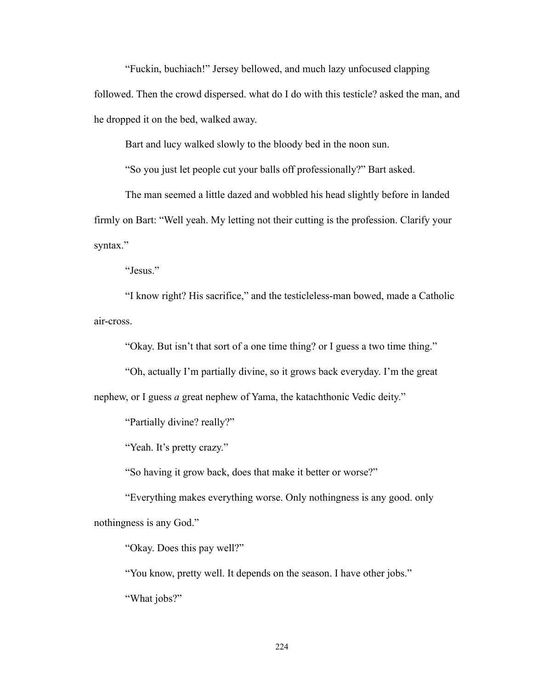"Fuckin, buchiach!" Jersey bellowed, and much lazy unfocused clapping followed. Then the crowd dispersed. what do I do with this testicle? asked the man, and he dropped it on the bed, walked away.

Bart and lucy walked slowly to the bloody bed in the noon sun.

"So you just let people cut your balls off professionally?" Bart asked.

 The man seemed a little dazed and wobbled his head slightly before in landed firmly on Bart: "Well yeah. My letting not their cutting is the profession. Clarify your syntax."

"Jesus."

 "I know right? His sacrifice," and the testicleless-man bowed, made a Catholic air-cross.

"Okay. But isn't that sort of a one time thing? or I guess a two time thing."

 "Oh, actually I'm partially divine, so it grows back everyday. I'm the great nephew, or I guess *a* great nephew of Yama, the katachthonic Vedic deity."

"Partially divine? really?"

"Yeah. It's pretty crazy."

"So having it grow back, does that make it better or worse?"

 "Everything makes everything worse. Only nothingness is any good. only nothingness is any God."

"Okay. Does this pay well?"

 "You know, pretty well. It depends on the season. I have other jobs." "What jobs?"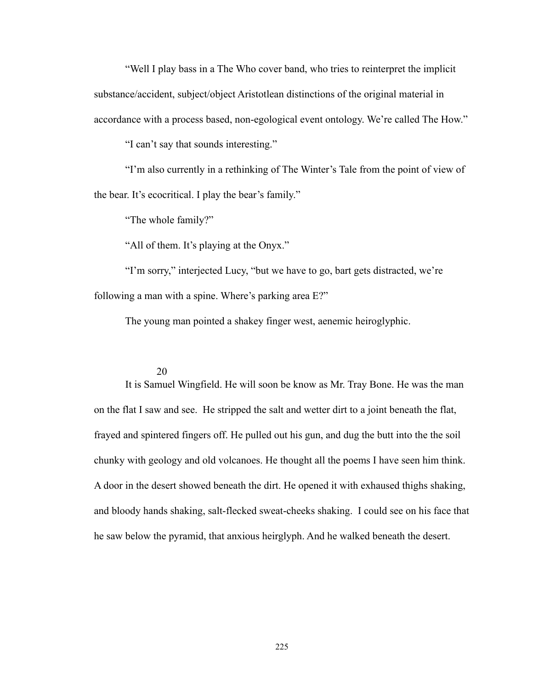"Well I play bass in a The Who cover band, who tries to reinterpret the implicit substance/accident, subject/object Aristotlean distinctions of the original material in accordance with a process based, non-egological event ontology. We're called The How."

"I can't say that sounds interesting."

 "I'm also currently in a rethinking of The Winter's Tale from the point of view of the bear. It's ecocritical. I play the bear's family."

"The whole family?"

"All of them. It's playing at the Onyx."

 "I'm sorry," interjected Lucy, "but we have to go, bart gets distracted, we're following a man with a spine. Where's parking area E?"

The young man pointed a shakey finger west, aenemic heiroglyphic.

# 20

 It is Samuel Wingfield. He will soon be know as Mr. Tray Bone. He was the man on the flat I saw and see. He stripped the salt and wetter dirt to a joint beneath the flat, frayed and spintered fingers off. He pulled out his gun, and dug the butt into the the soil chunky with geology and old volcanoes. He thought all the poems I have seen him think. A door in the desert showed beneath the dirt. He opened it with exhaused thighs shaking, and bloody hands shaking, salt-flecked sweat-cheeks shaking. I could see on his face that he saw below the pyramid, that anxious heirglyph. And he walked beneath the desert.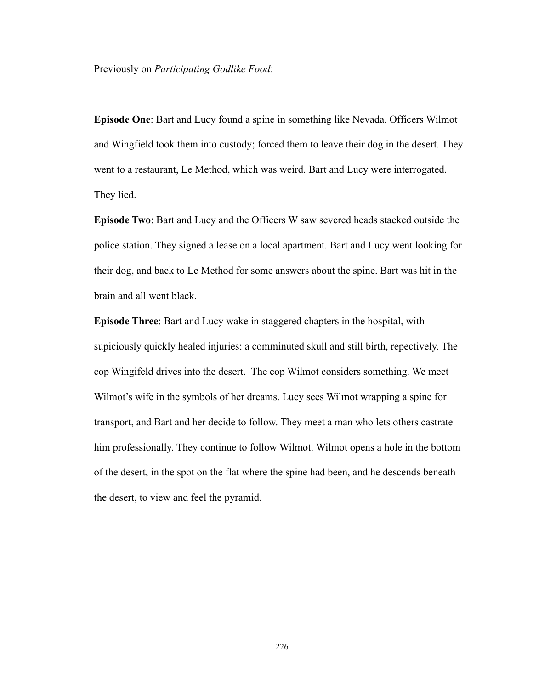**Episode One**: Bart and Lucy found a spine in something like Nevada. Officers Wilmot and Wingfield took them into custody; forced them to leave their dog in the desert. They went to a restaurant, Le Method, which was weird. Bart and Lucy were interrogated. They lied.

**Episode Two**: Bart and Lucy and the Officers W saw severed heads stacked outside the police station. They signed a lease on a local apartment. Bart and Lucy went looking for their dog, and back to Le Method for some answers about the spine. Bart was hit in the brain and all went black.

**Episode Three**: Bart and Lucy wake in staggered chapters in the hospital, with supiciously quickly healed injuries: a comminuted skull and still birth, repectively. The cop Wingifeld drives into the desert. The cop Wilmot considers something. We meet Wilmot's wife in the symbols of her dreams. Lucy sees Wilmot wrapping a spine for transport, and Bart and her decide to follow. They meet a man who lets others castrate him professionally. They continue to follow Wilmot. Wilmot opens a hole in the bottom of the desert, in the spot on the flat where the spine had been, and he descends beneath the desert, to view and feel the pyramid.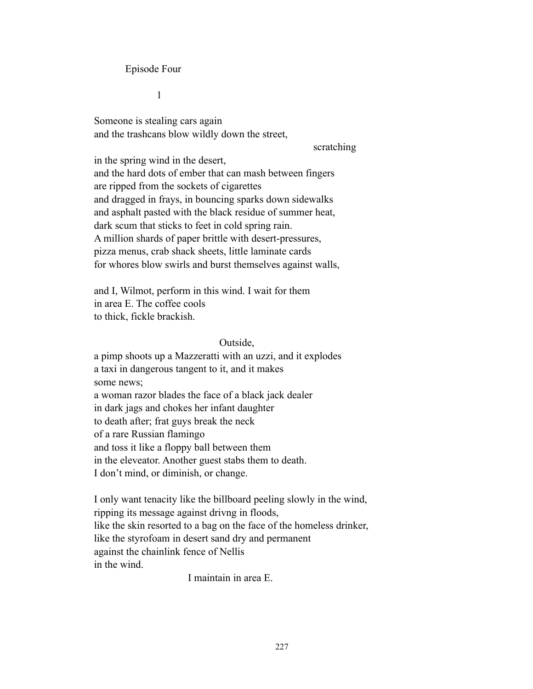## Episode Four

1

Someone is stealing cars again and the trashcans blow wildly down the street,

scratching

in the spring wind in the desert, and the hard dots of ember that can mash between fingers are ripped from the sockets of cigarettes and dragged in frays, in bouncing sparks down sidewalks and asphalt pasted with the black residue of summer heat, dark scum that sticks to feet in cold spring rain. A million shards of paper brittle with desert-pressures, pizza menus, crab shack sheets, little laminate cards for whores blow swirls and burst themselves against walls,

and I, Wilmot, perform in this wind. I wait for them in area E. The coffee cools to thick, fickle brackish.

## Outside,

a pimp shoots up a Mazzeratti with an uzzi, and it explodes a taxi in dangerous tangent to it, and it makes some news; a woman razor blades the face of a black jack dealer in dark jags and chokes her infant daughter to death after; frat guys break the neck of a rare Russian flamingo and toss it like a floppy ball between them in the eleveator. Another guest stabs them to death. I don't mind, or diminish, or change.

I only want tenacity like the billboard peeling slowly in the wind, ripping its message against drivng in floods, like the skin resorted to a bag on the face of the homeless drinker, like the styrofoam in desert sand dry and permanent against the chainlink fence of Nellis in the wind.

I maintain in area E.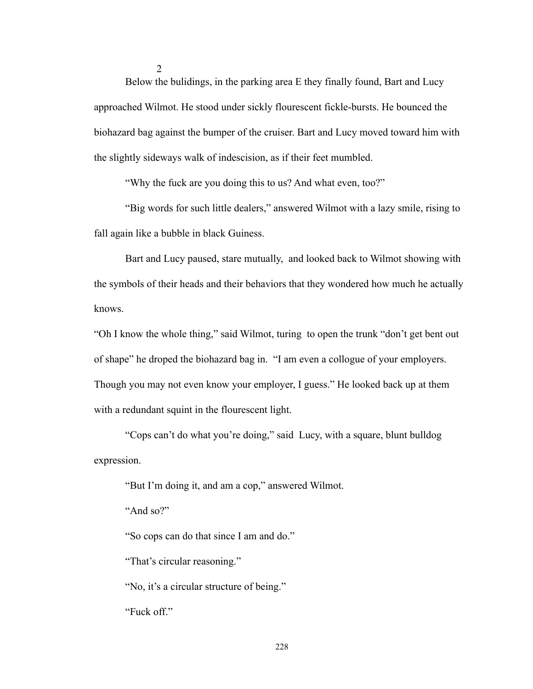Below the bulidings, in the parking area E they finally found, Bart and Lucy approached Wilmot. He stood under sickly flourescent fickle-bursts. He bounced the biohazard bag against the bumper of the cruiser. Bart and Lucy moved toward him with the slightly sideways walk of indescision, as if their feet mumbled.

"Why the fuck are you doing this to us? And what even, too?"

 "Big words for such little dealers," answered Wilmot with a lazy smile, rising to fall again like a bubble in black Guiness.

 Bart and Lucy paused, stare mutually, and looked back to Wilmot showing with the symbols of their heads and their behaviors that they wondered how much he actually knows.

"Oh I know the whole thing," said Wilmot, turing to open the trunk "don't get bent out of shape" he droped the biohazard bag in. "I am even a collogue of your employers. Though you may not even know your employer, I guess." He looked back up at them with a redundant squint in the flourescent light.

 "Cops can't do what you're doing," said Lucy, with a square, blunt bulldog expression.

"But I'm doing it, and am a cop," answered Wilmot.

"And so?"

2

"So cops can do that since I am and do."

"That's circular reasoning."

"No, it's a circular structure of being."

"Fuck off."

228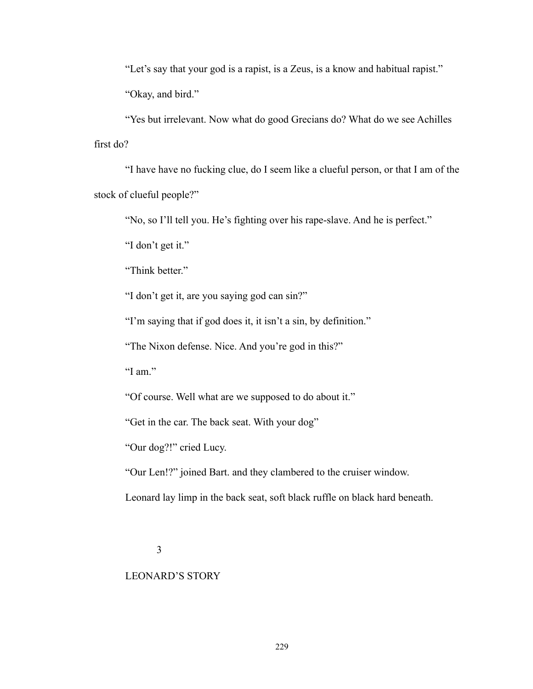"Let's say that your god is a rapist, is a Zeus, is a know and habitual rapist."

"Okay, and bird."

 "Yes but irrelevant. Now what do good Grecians do? What do we see Achilles first do?

 "I have have no fucking clue, do I seem like a clueful person, or that I am of the stock of clueful people?"

"No, so I'll tell you. He's fighting over his rape-slave. And he is perfect."

"I don't get it."

"Think better."

"I don't get it, are you saying god can sin?"

"I'm saying that if god does it, it isn't a sin, by definition."

"The Nixon defense. Nice. And you're god in this?"

"I am."

"Of course. Well what are we supposed to do about it."

"Get in the car. The back seat. With your dog"

"Our dog?!" cried Lucy.

"Our Len!?" joined Bart. and they clambered to the cruiser window.

Leonard lay limp in the back seat, soft black ruffle on black hard beneath.

3

# LEONARD'S STORY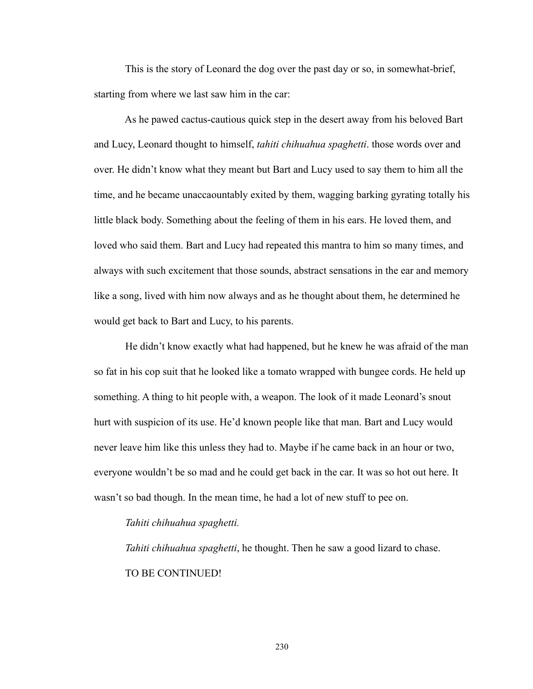This is the story of Leonard the dog over the past day or so, in somewhat-brief, starting from where we last saw him in the car:

 As he pawed cactus-cautious quick step in the desert away from his beloved Bart and Lucy, Leonard thought to himself, *tahiti chihuahua spaghetti*. those words over and over. He didn't know what they meant but Bart and Lucy used to say them to him all the time, and he became unaccaountably exited by them, wagging barking gyrating totally his little black body. Something about the feeling of them in his ears. He loved them, and loved who said them. Bart and Lucy had repeated this mantra to him so many times, and always with such excitement that those sounds, abstract sensations in the ear and memory like a song, lived with him now always and as he thought about them, he determined he would get back to Bart and Lucy, to his parents.

 He didn't know exactly what had happened, but he knew he was afraid of the man so fat in his cop suit that he looked like a tomato wrapped with bungee cords. He held up something. A thing to hit people with, a weapon. The look of it made Leonard's snout hurt with suspicion of its use. He'd known people like that man. Bart and Lucy would never leave him like this unless they had to. Maybe if he came back in an hour or two, everyone wouldn't be so mad and he could get back in the car. It was so hot out here. It wasn't so bad though. In the mean time, he had a lot of new stuff to pee on.

*Tahiti chihuahua spaghetti.*

 *Tahiti chihuahua spaghetti*, he thought. Then he saw a good lizard to chase. TO BE CONTINUED!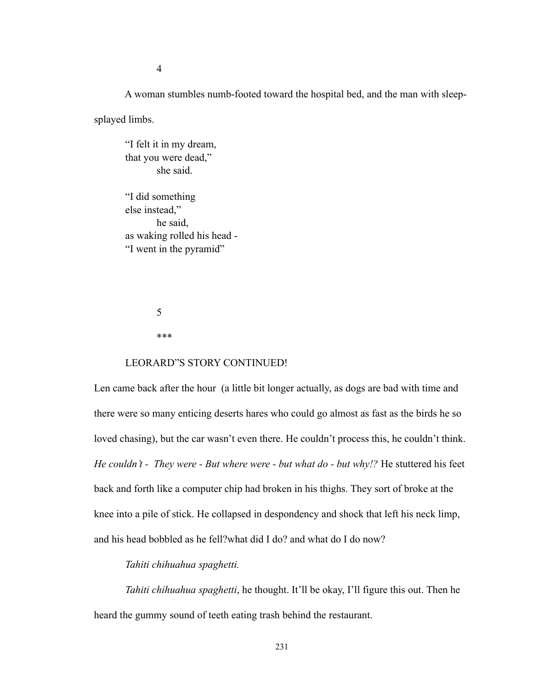A woman stumbles numb-footed toward the hospital bed, and the man with sleepsplayed limbs.

 "I felt it in my dream, that you were dead," she said.

 "I did something else instead," he said, as waking rolled his head - "I went in the pyramid"

5

\*\*\*

## LEORARD"S STORY CONTINUED!

Len came back after the hour (a little bit longer actually, as dogs are bad with time and there were so many enticing deserts hares who could go almost as fast as the birds he so loved chasing), but the car wasn't even there. He couldn't process this, he couldn't think. *He couldn't - They were - But where were - but what do - but why!?* He stuttered his feet back and forth like a computer chip had broken in his thighs. They sort of broke at the knee into a pile of stick. He collapsed in despondency and shock that left his neck limp, and his head bobbled as he fell?what did I do? and what do I do now?

*Tahiti chihuahua spaghetti.*

 *Tahiti chihuahua spaghetti*, he thought. It'll be okay, I'll figure this out. Then he heard the gummy sound of teeth eating trash behind the restaurant.

4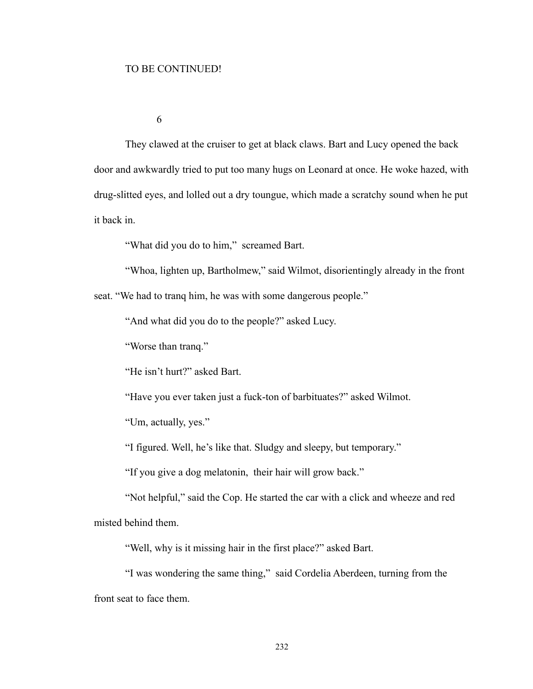6

 They clawed at the cruiser to get at black claws. Bart and Lucy opened the back door and awkwardly tried to put too many hugs on Leonard at once. He woke hazed, with drug-slitted eyes, and lolled out a dry toungue, which made a scratchy sound when he put it back in.

"What did you do to him," screamed Bart.

"Whoa, lighten up, Bartholmew," said Wilmot, disorientingly already in the front

seat. "We had to tranq him, he was with some dangerous people."

"And what did you do to the people?" asked Lucy.

"Worse than tranq."

"He isn't hurt?" asked Bart.

"Have you ever taken just a fuck-ton of barbituates?" asked Wilmot.

"Um, actually, yes."

"I figured. Well, he's like that. Sludgy and sleepy, but temporary."

"If you give a dog melatonin, their hair will grow back."

 "Not helpful," said the Cop. He started the car with a click and wheeze and red misted behind them.

"Well, why is it missing hair in the first place?" asked Bart.

 "I was wondering the same thing," said Cordelia Aberdeen, turning from the front seat to face them.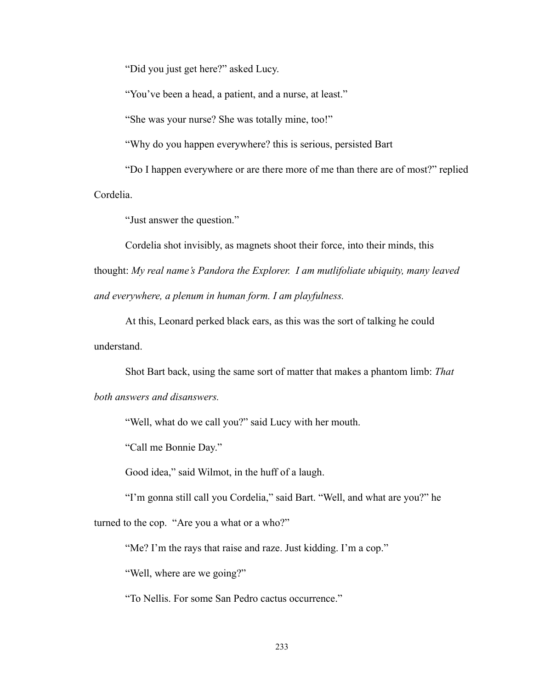"Did you just get here?" asked Lucy.

"You've been a head, a patient, and a nurse, at least."

"She was your nurse? She was totally mine, too!"

"Why do you happen everywhere? this is serious, persisted Bart

 "Do I happen everywhere or are there more of me than there are of most?" replied Cordelia.

"Just answer the question."

 Cordelia shot invisibly, as magnets shoot their force, into their minds, this thought: *My real name's Pandora the Explorer. I am mutlifoliate ubiquity, many leaved and everywhere, a plenum in human form. I am playfulness.*

At this, Leonard perked black ears, as this was the sort of talking he could understand.

 Shot Bart back, using the same sort of matter that makes a phantom limb: *That both answers and disanswers.*

"Well, what do we call you?" said Lucy with her mouth.

"Call me Bonnie Day."

Good idea," said Wilmot, in the huff of a laugh.

"I'm gonna still call you Cordelia," said Bart. "Well, and what are you?" he

turned to the cop. "Are you a what or a who?"

"Me? I'm the rays that raise and raze. Just kidding. I'm a cop."

"Well, where are we going?"

"To Nellis. For some San Pedro cactus occurrence."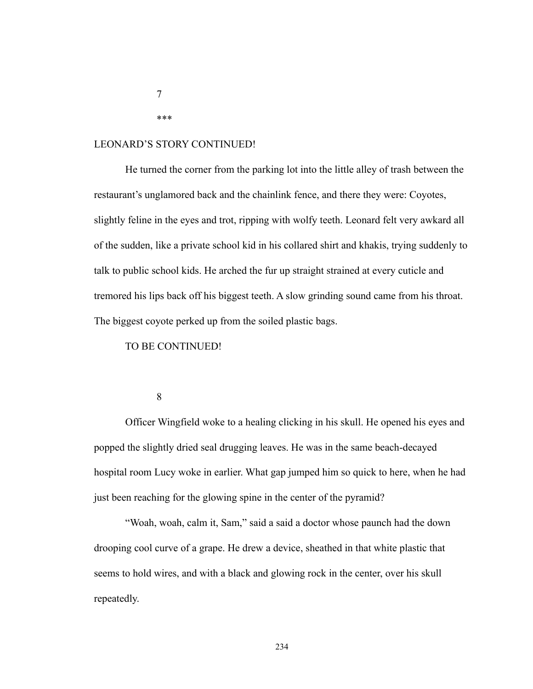7

\*\*\*

## LEONARD'S STORY CONTINUED!

 He turned the corner from the parking lot into the little alley of trash between the restaurant's unglamored back and the chainlink fence, and there they were: Coyotes, slightly feline in the eyes and trot, ripping with wolfy teeth. Leonard felt very awkard all of the sudden, like a private school kid in his collared shirt and khakis, trying suddenly to talk to public school kids. He arched the fur up straight strained at every cuticle and tremored his lips back off his biggest teeth. A slow grinding sound came from his throat. The biggest coyote perked up from the soiled plastic bags.

## TO BE CONTINUED!

## 8

 Officer Wingfield woke to a healing clicking in his skull. He opened his eyes and popped the slightly dried seal drugging leaves. He was in the same beach-decayed hospital room Lucy woke in earlier. What gap jumped him so quick to here, when he had just been reaching for the glowing spine in the center of the pyramid?

 "Woah, woah, calm it, Sam," said a said a doctor whose paunch had the down drooping cool curve of a grape. He drew a device, sheathed in that white plastic that seems to hold wires, and with a black and glowing rock in the center, over his skull repeatedly.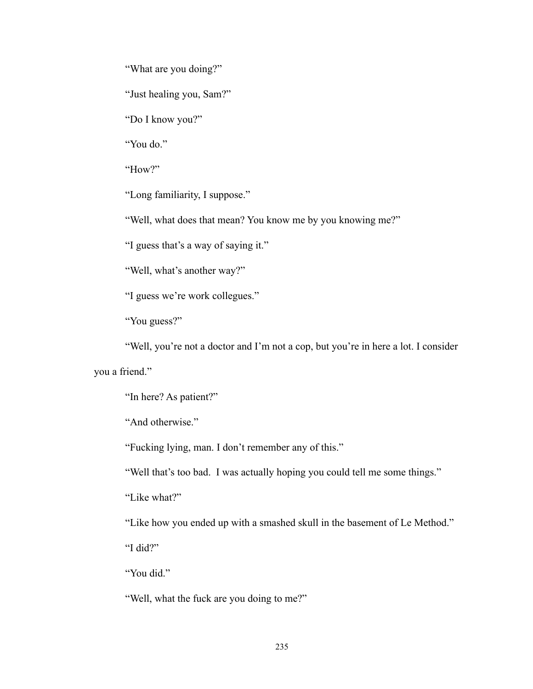"What are you doing?"

"Just healing you, Sam?"

"Do I know you?"

"You do."

"How?"

"Long familiarity, I suppose."

"Well, what does that mean? You know me by you knowing me?"

"I guess that's a way of saying it."

"Well, what's another way?"

"I guess we're work collegues."

"You guess?"

 "Well, you're not a doctor and I'm not a cop, but you're in here a lot. I consider you a friend."

"In here? As patient?"

"And otherwise."

"Fucking lying, man. I don't remember any of this."

"Well that's too bad. I was actually hoping you could tell me some things."

"Like what?"

"Like how you ended up with a smashed skull in the basement of Le Method."

"I did?"

"You did."

"Well, what the fuck are you doing to me?"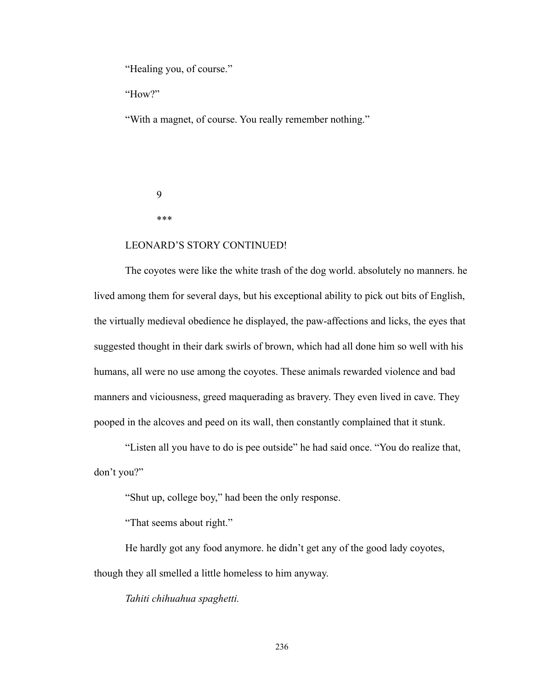"Healing you, of course."

"How?"

"With a magnet, of course. You really remember nothing."

 9 \*\*\*

## LEONARD'S STORY CONTINUED!

 The coyotes were like the white trash of the dog world. absolutely no manners. he lived among them for several days, but his exceptional ability to pick out bits of English, the virtually medieval obedience he displayed, the paw-affections and licks, the eyes that suggested thought in their dark swirls of brown, which had all done him so well with his humans, all were no use among the coyotes. These animals rewarded violence and bad manners and viciousness, greed maquerading as bravery. They even lived in cave. They pooped in the alcoves and peed on its wall, then constantly complained that it stunk.

 "Listen all you have to do is pee outside" he had said once. "You do realize that, don't you?"

"Shut up, college boy," had been the only response.

"That seems about right."

 He hardly got any food anymore. he didn't get any of the good lady coyotes, though they all smelled a little homeless to him anyway.

*Tahiti chihuahua spaghetti.*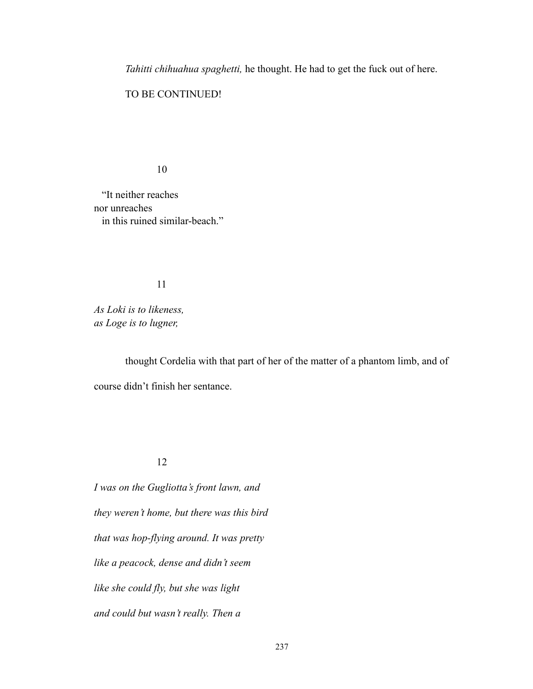*Tahitti chihuahua spaghetti,* he thought. He had to get the fuck out of here.

# TO BE CONTINUED!

10

 "It neither reaches nor unreaches in this ruined similar-beach."

11

*As Loki is to likeness, as Loge is to lugner,*

 thought Cordelia with that part of her of the matter of a phantom limb, and of course didn't finish her sentance.

12

*I was on the Gugliotta's front lawn, and they weren't home, but there was this bird that was hop-flying around. It was pretty like a peacock, dense and didn't seem like she could fly, but she was light and could but wasn't really. Then a*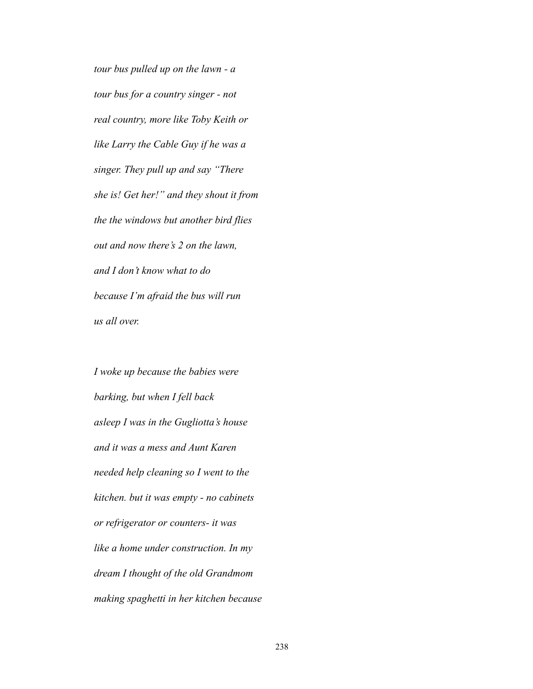*tour bus pulled up on the lawn - a tour bus for a country singer - not real country, more like Toby Keith or like Larry the Cable Guy if he was a singer. They pull up and say "There she is! Get her!" and they shout it from the the windows but another bird flies out and now there's 2 on the lawn, and I don't know what to do because I'm afraid the bus will run us all over.*

*I woke up because the babies were barking, but when I fell back asleep I was in the Gugliotta's house and it was a mess and Aunt Karen needed help cleaning so I went to the kitchen. but it was empty - no cabinets or refrigerator or counters- it was like a home under construction. In my dream I thought of the old Grandmom making spaghetti in her kitchen because*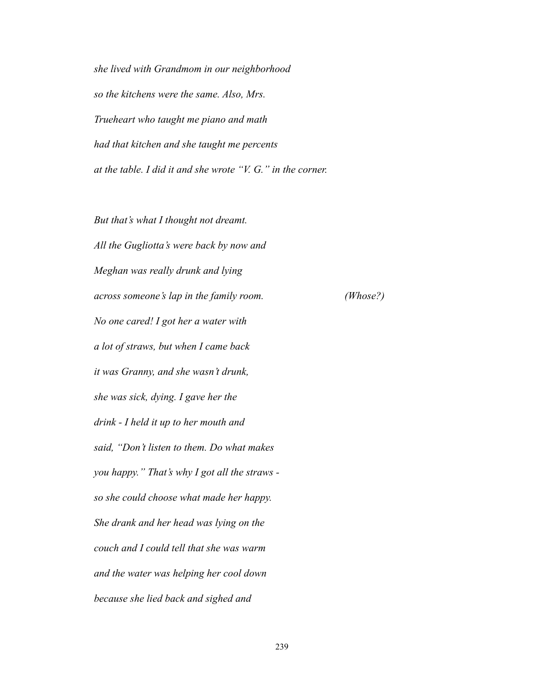*she lived with Grandmom in our neighborhood so the kitchens were the same. Also, Mrs. Trueheart who taught me piano and math had that kitchen and she taught me percents at the table. I did it and she wrote "V. G." in the corner.* 

*But that's what I thought not dreamt. All the Gugliotta's were back by now and Meghan was really drunk and lying across someone's lap in the family room. (Whose?) No one cared! I got her a water with a lot of straws, but when I came back it was Granny, and she wasn't drunk, she was sick, dying. I gave her the drink - I held it up to her mouth and said, "Don't listen to them. Do what makes you happy." That's why I got all the straws so she could choose what made her happy. She drank and her head was lying on the couch and I could tell that she was warm and the water was helping her cool down because she lied back and sighed and*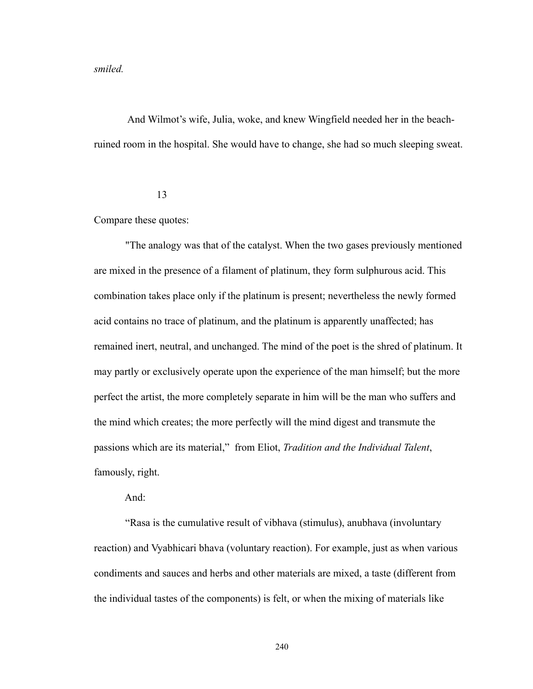*smiled.* 

 And Wilmot's wife, Julia, woke, and knew Wingfield needed her in the beachruined room in the hospital. She would have to change, she had so much sleeping sweat.

#### 13

Compare these quotes:

 "The analogy was that of the catalyst. When the two gases previously mentioned are mixed in the presence of a filament of platinum, they form sulphurous acid. This combination takes place only if the platinum is present; nevertheless the newly formed acid contains no trace of platinum, and the platinum is apparently unaffected; has remained inert, neutral, and unchanged. The mind of the poet is the shred of platinum. It may partly or exclusively operate upon the experience of the man himself; but the more perfect the artist, the more completely separate in him will be the man who suffers and the mind which creates; the more perfectly will the mind digest and transmute the passions which are its material," from Eliot, *Tradition and the Individual Talent*, famously, right.

And:

 "Rasa is the cumulative result of vibhava (stimulus), anubhava (involuntary reaction) and Vyabhicari bhava (voluntary reaction). For example, just as when various condiments and sauces and herbs and other materials are mixed, a taste (different from the individual tastes of the components) is felt, or when the mixing of materials like

240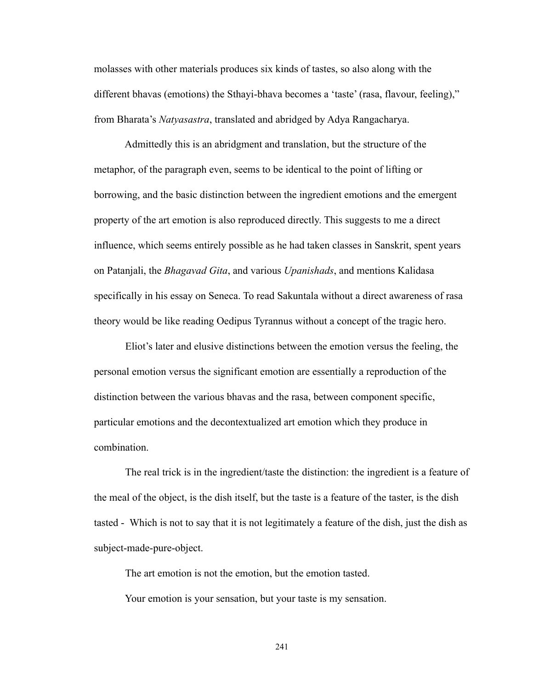molasses with other materials produces six kinds of tastes, so also along with the different bhavas (emotions) the Sthayi-bhava becomes a 'taste' (rasa, flavour, feeling)," from Bharata's *Natyasastra*, translated and abridged by Adya Rangacharya.

 Admittedly this is an abridgment and translation, but the structure of the metaphor, of the paragraph even, seems to be identical to the point of lifting or borrowing, and the basic distinction between the ingredient emotions and the emergent property of the art emotion is also reproduced directly. This suggests to me a direct influence, which seems entirely possible as he had taken classes in Sanskrit, spent years on Patanjali, the *Bhagavad Gita*, and various *Upanishads*, and mentions Kalidasa specifically in his essay on Seneca. To read Sakuntala without a direct awareness of rasa theory would be like reading Oedipus Tyrannus without a concept of the tragic hero.

 Eliot's later and elusive distinctions between the emotion versus the feeling, the personal emotion versus the significant emotion are essentially a reproduction of the distinction between the various bhavas and the rasa, between component specific, particular emotions and the decontextualized art emotion which they produce in combination.

 The real trick is in the ingredient/taste the distinction: the ingredient is a feature of the meal of the object, is the dish itself, but the taste is a feature of the taster, is the dish tasted - Which is not to say that it is not legitimately a feature of the dish, just the dish as subject-made-pure-object.

The art emotion is not the emotion, but the emotion tasted.

Your emotion is your sensation, but your taste is my sensation.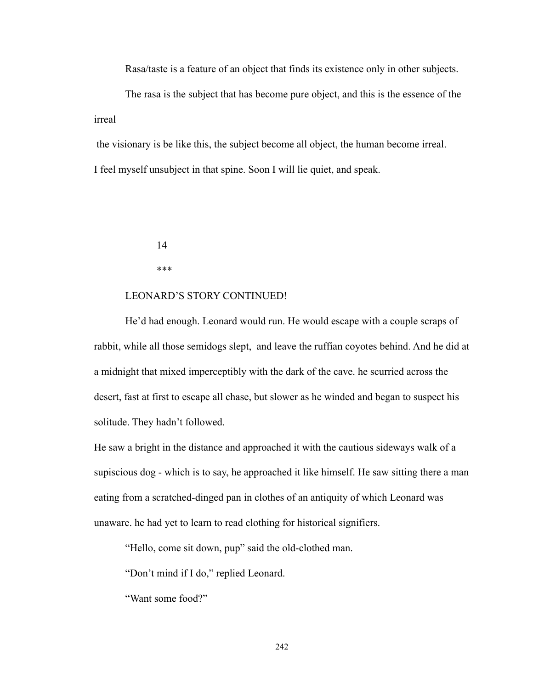Rasa/taste is a feature of an object that finds its existence only in other subjects.

 The rasa is the subject that has become pure object, and this is the essence of the irreal

 the visionary is be like this, the subject become all object, the human become irreal. I feel myself unsubject in that spine. Soon I will lie quiet, and speak.

14

\*\*\*

## LEONARD'S STORY CONTINUED!

 He'd had enough. Leonard would run. He would escape with a couple scraps of rabbit, while all those semidogs slept, and leave the ruffian coyotes behind. And he did at a midnight that mixed imperceptibly with the dark of the cave. he scurried across the desert, fast at first to escape all chase, but slower as he winded and began to suspect his solitude. They hadn't followed.

He saw a bright in the distance and approached it with the cautious sideways walk of a supiscious dog - which is to say, he approached it like himself. He saw sitting there a man eating from a scratched-dinged pan in clothes of an antiquity of which Leonard was unaware. he had yet to learn to read clothing for historical signifiers.

"Hello, come sit down, pup" said the old-clothed man.

"Don't mind if I do," replied Leonard.

"Want some food?"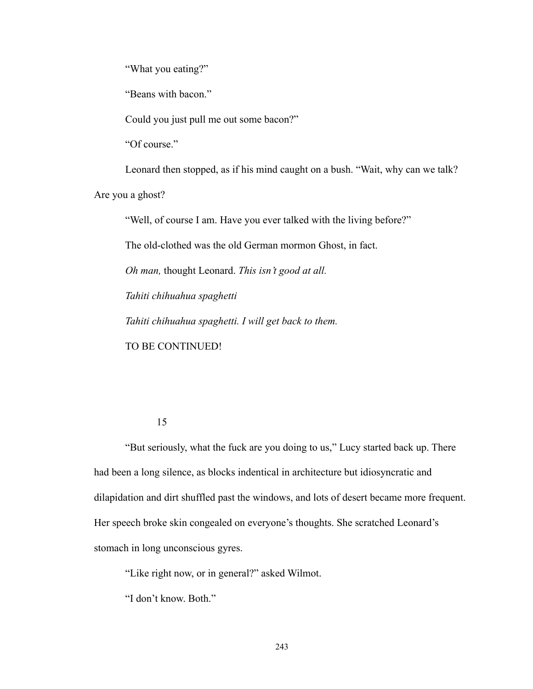"What you eating?"

"Beans with bacon."

Could you just pull me out some bacon?"

"Of course."

Leonard then stopped, as if his mind caught on a bush. "Wait, why can we talk?

Are you a ghost?

"Well, of course I am. Have you ever talked with the living before?"

The old-clothed was the old German mormon Ghost, in fact.

*Oh man,* thought Leonard. *This isn't good at all.*

*Tahiti chihuahua spaghetti*

 *Tahiti chihuahua spaghetti. I will get back to them.*

TO BE CONTINUED!

#### 15

 "But seriously, what the fuck are you doing to us," Lucy started back up. There had been a long silence, as blocks indentical in architecture but idiosyncratic and dilapidation and dirt shuffled past the windows, and lots of desert became more frequent. Her speech broke skin congealed on everyone's thoughts. She scratched Leonard's stomach in long unconscious gyres.

"Like right now, or in general?" asked Wilmot.

"I don't know. Both."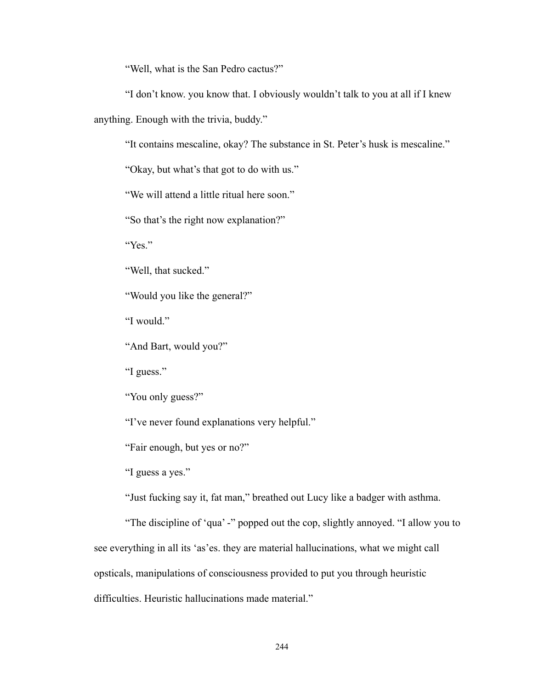"Well, what is the San Pedro cactus?"

 "I don't know. you know that. I obviously wouldn't talk to you at all if I knew anything. Enough with the trivia, buddy."

"It contains mescaline, okay? The substance in St. Peter's husk is mescaline."

"Okay, but what's that got to do with us."

"We will attend a little ritual here soon."

"So that's the right now explanation?"

"Yes."

"Well, that sucked."

"Would you like the general?"

"I would."

"And Bart, would you?"

"I guess."

"You only guess?"

"I've never found explanations very helpful."

"Fair enough, but yes or no?"

"I guess a yes."

"Just fucking say it, fat man," breathed out Lucy like a badger with asthma.

 "The discipline of 'qua' -" popped out the cop, slightly annoyed. "I allow you to see everything in all its 'as'es. they are material hallucinations, what we might call opsticals, manipulations of consciousness provided to put you through heuristic difficulties. Heuristic hallucinations made material."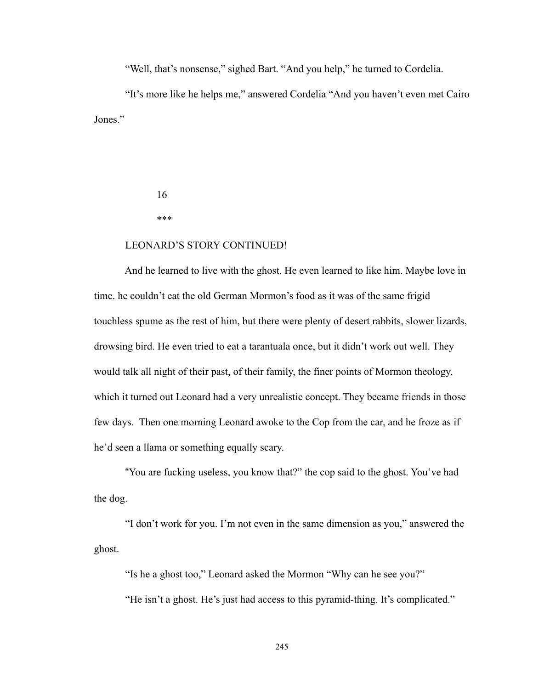"Well, that's nonsense," sighed Bart. "And you help," he turned to Cordelia.

 "It's more like he helps me," answered Cordelia "And you haven't even met Cairo Jones."

16

\*\*\*

LEONARD'S STORY CONTINUED!

 And he learned to live with the ghost. He even learned to like him. Maybe love in time. he couldn't eat the old German Mormon's food as it was of the same frigid touchless spume as the rest of him, but there were plenty of desert rabbits, slower lizards, drowsing bird. He even tried to eat a tarantuala once, but it didn't work out well. They would talk all night of their past, of their family, the finer points of Mormon theology, which it turned out Leonard had a very unrealistic concept. They became friends in those few days. Then one morning Leonard awoke to the Cop from the car, and he froze as if he'd seen a llama or something equally scary.

"You are fucking useless, you know that?" the cop said to the ghost. You've had the dog.

 "I don't work for you. I'm not even in the same dimension as you," answered the ghost.

 "Is he a ghost too," Leonard asked the Mormon "Why can he see you?" "He isn't a ghost. He's just had access to this pyramid-thing. It's complicated."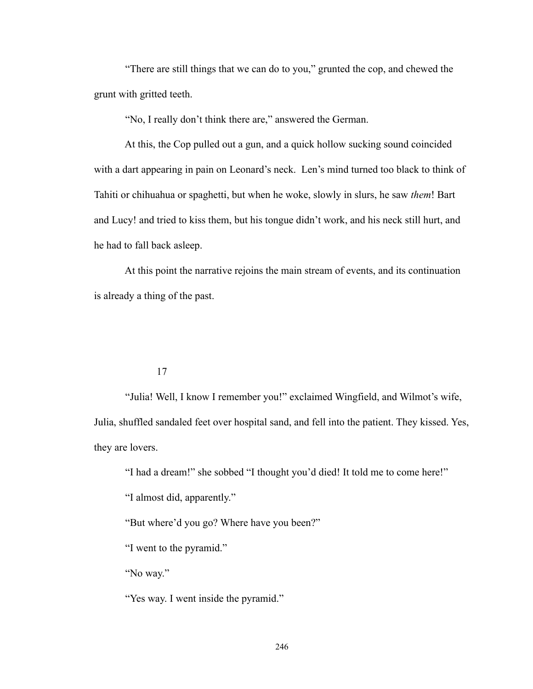"There are still things that we can do to you," grunted the cop, and chewed the grunt with gritted teeth.

"No, I really don't think there are," answered the German.

 At this, the Cop pulled out a gun, and a quick hollow sucking sound coincided with a dart appearing in pain on Leonard's neck. Len's mind turned too black to think of Tahiti or chihuahua or spaghetti, but when he woke, slowly in slurs, he saw *them*! Bart and Lucy! and tried to kiss them, but his tongue didn't work, and his neck still hurt, and he had to fall back asleep.

 At this point the narrative rejoins the main stream of events, and its continuation is already a thing of the past.

## 17

 "Julia! Well, I know I remember you!" exclaimed Wingfield, and Wilmot's wife, Julia, shuffled sandaled feet over hospital sand, and fell into the patient. They kissed. Yes, they are lovers.

"I had a dream!" she sobbed "I thought you'd died! It told me to come here!"

"I almost did, apparently."

"But where'd you go? Where have you been?"

"I went to the pyramid."

"No way."

"Yes way. I went inside the pyramid."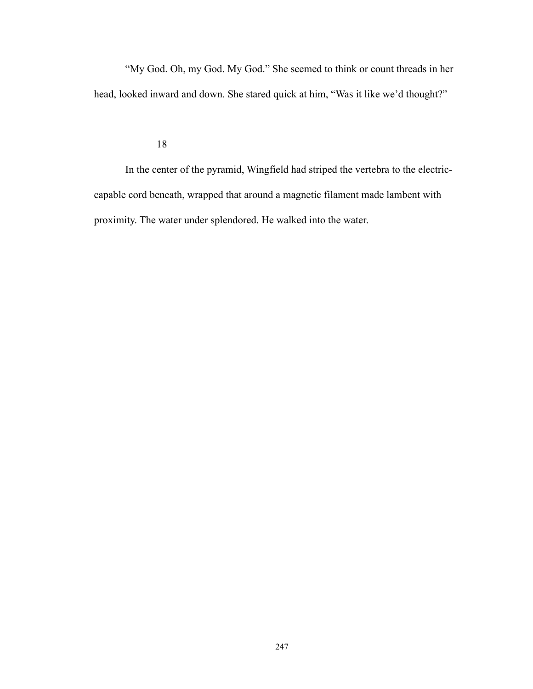"My God. Oh, my God. My God." She seemed to think or count threads in her head, looked inward and down. She stared quick at him, "Was it like we'd thought?"

18

 In the center of the pyramid, Wingfield had striped the vertebra to the electriccapable cord beneath, wrapped that around a magnetic filament made lambent with proximity. The water under splendored. He walked into the water.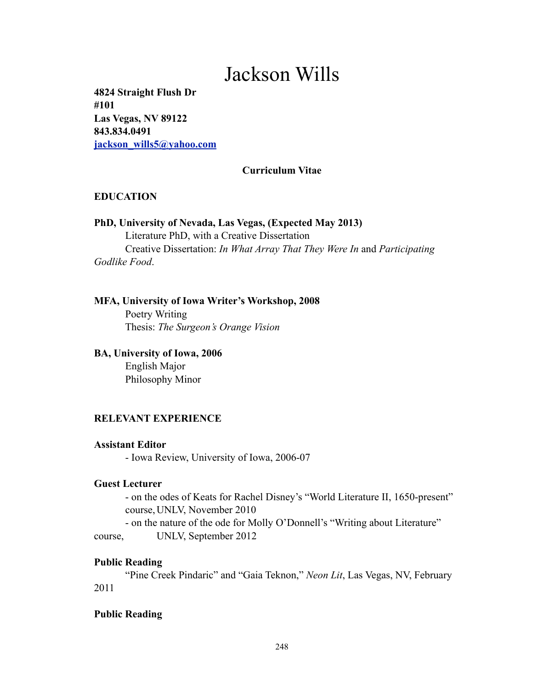# Jackson Wills

**4824 Straight Flush Dr #101 Las Vegas, NV 89122 843.834.0491 [jackson\\_wills5@yahoo.com](mailto:jackson_wills5@yahoo.com)**

# **Curriculum Vitae**

## **EDUCATION**

## **PhD, University of Nevada, Las Vegas, (Expected May 2013)**

Literature PhD, with a Creative Dissertation

 Creative Dissertation: *In What Array That They Were In* and *Participating Godlike Food*.

**MFA, University of Iowa Writer's Workshop, 2008** Poetry Writing

Thesis: *The Surgeon's Orange Vision*

**BA, University of Iowa, 2006** English Major Philosophy Minor

# **RELEVANT EXPERIENCE**

# **Assistant Editor**

- Iowa Review, University of Iowa, 2006-07

## **Guest Lecturer**

 - on the odes of Keats for Rachel Disney's "World Literature II, 1650-present" course, UNLV, November 2010

 - on the nature of the ode for Molly O'Donnell's "Writing about Literature" course, UNLV, September 2012

## **Public Reading**

 "Pine Creek Pindaric" and "Gaia Teknon," *Neon Lit*, Las Vegas, NV, February 2011

## **Public Reading**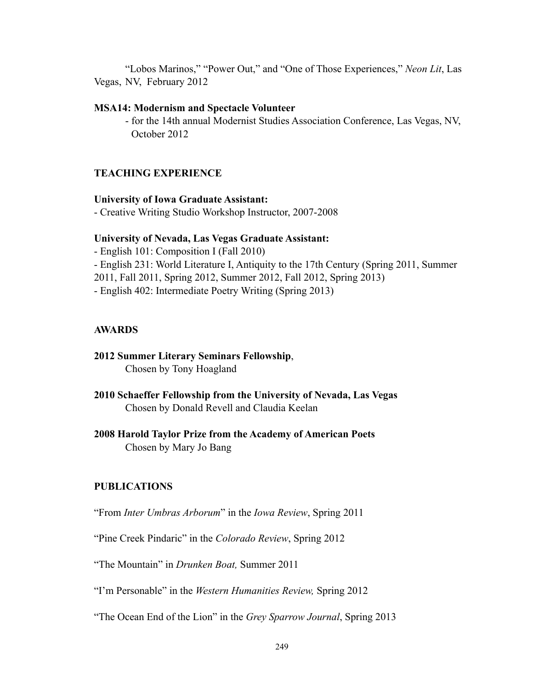"Lobos Marinos," "Power Out," and "One of Those Experiences," *Neon Lit*, Las Vegas, NV, February 2012

#### **MSA14: Modernism and Spectacle Volunteer**

- for the 14th annual Modernist Studies Association Conference, Las Vegas, NV, October 2012

## **TEACHING EXPERIENCE**

#### **University of Iowa Graduate Assistant:**

- Creative Writing Studio Workshop Instructor, 2007-2008

## **University of Nevada, Las Vegas Graduate Assistant:**

- English 101: Composition I (Fall 2010)
- English 231: World Literature I, Antiquity to the 17th Century (Spring 2011, Summer
- 2011, Fall 2011, Spring 2012, Summer 2012, Fall 2012, Spring 2013)
- English 402: Intermediate Poetry Writing (Spring 2013)

## **AWARDS**

- **2010 Schaeffer Fellowship from the University of Nevada, Las Vegas**  Chosen by Donald Revell and Claudia Keelan
- **2008 Harold Taylor Prize from the Academy of American Poets** Chosen by Mary Jo Bang

## **PUBLICATIONS**

- "From *Inter Umbras Arborum*" in the *Iowa Review*, Spring 2011
- "Pine Creek Pindaric" in the *Colorado Review*, Spring 2012
- "The Mountain" in *Drunken Boat,* Summer 2011
- "I'm Personable" in the *Western Humanities Review,* Spring 2012
- "The Ocean End of the Lion" in the *Grey Sparrow Journal*, Spring 2013

**<sup>2012</sup> Summer Literary Seminars Fellowship**, Chosen by Tony Hoagland